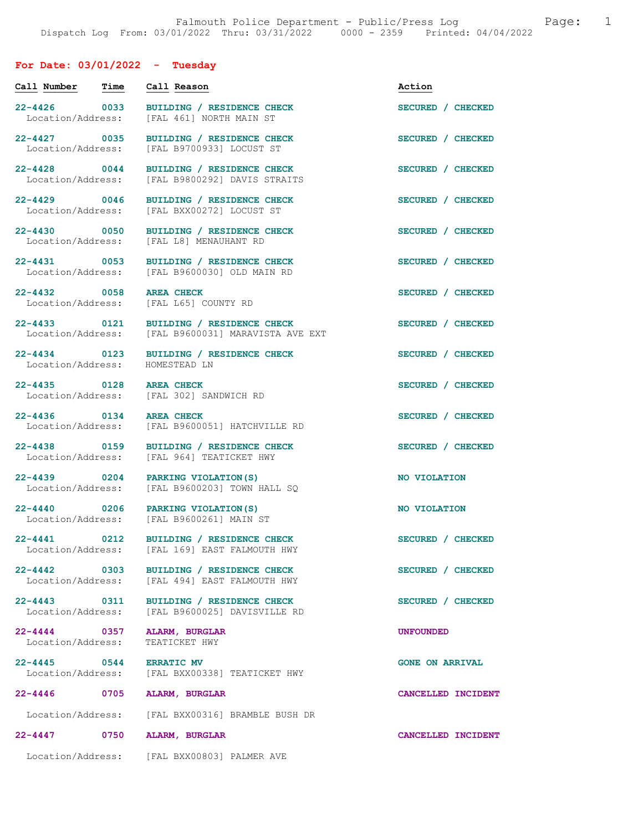## For Date: 03/01/2022 - Tuesday

| Call Number                           | Time | Call Reason                                                                               | Action                 |
|---------------------------------------|------|-------------------------------------------------------------------------------------------|------------------------|
| 22-4426 0033<br>Location/Address:     |      | BUILDING / RESIDENCE CHECK<br>[FAL 461] NORTH MAIN ST                                     | SECURED / CHECKED      |
| 22-4427 0035<br>Location/Address:     |      | BUILDING / RESIDENCE CHECK<br>[FAL B9700933] LOCUST ST                                    | SECURED / CHECKED      |
| $22 - 4428$ 0044<br>Location/Address: |      | BUILDING / RESIDENCE CHECK<br>[FAL B9800292] DAVIS STRAITS                                | SECURED / CHECKED      |
| $22 - 4429$ 0046<br>Location/Address: |      | <b>BUILDING / RESIDENCE CHECK</b><br>[FAL BXX00272] LOCUST ST                             | SECURED / CHECKED      |
|                                       |      | 22-4430 0050 BUILDING / RESIDENCE CHECK<br>Location/Address: [FAL L8] MENAUHANT RD        | SECURED / CHECKED      |
|                                       |      | 22-4431 0053 BUILDING / RESIDENCE CHECK<br>Location/Address: [FAL B9600030] OLD MAIN RD   | SECURED / CHECKED      |
| 22-4432 0058                          |      | <b>AREA CHECK</b><br>Location/Address: [FAL L65] COUNTY RD                                | SECURED / CHECKED      |
| Location/Address:                     |      | 22-4433 0121 BUILDING / RESIDENCE CHECK<br>[FAL B9600031] MARAVISTA AVE EXT               | SECURED / CHECKED      |
| 22-4434 0123<br>Location/Address:     |      | BUILDING / RESIDENCE CHECK<br>HOMESTEAD LN                                                | SECURED / CHECKED      |
| 22-4435 0128 AREA CHECK               |      | Location/Address: [FAL 302] SANDWICH RD                                                   | SECURED / CHECKED      |
| $22 - 4436$ 0134<br>Location/Address: |      | <b>AREA CHECK</b><br>[FAL B9600051] HATCHVILLE RD                                         | SECURED / CHECKED      |
| Location/Address:                     |      | 22-4438 0159 BUILDING / RESIDENCE CHECK<br>[FAL 964] TEATICKET HWY                        | SECURED / CHECKED      |
| 22-4439 0204<br>Location/Address:     |      | PARKING VIOLATION (S)<br>[FAL B9600203] TOWN HALL SQ                                      | NO VIOLATION           |
|                                       |      | 22-4440 0206 PARKING VIOLATION (S)<br>Location/Address: [FAL B9600261] MAIN ST            | NO VIOLATION           |
|                                       |      | 22-4441 0212 BUILDING / RESIDENCE CHECK<br>Location/Address: [FAL 169] EAST FALMOUTH HWY  | SECURED / CHECKED      |
|                                       |      | 22-4442 0303 BUILDING / RESIDENCE CHECK<br>Location/Address: [FAL 494] EAST FALMOUTH HWY  | SECURED / CHECKED      |
|                                       |      | 22-4443 0311 BUILDING / RESIDENCE CHECK<br>Location/Address: [FAL B9600025] DAVISVILLE RD | SECURED / CHECKED      |
| Location/Address:                     |      | 22-4444 0357 ALARM, BURGLAR<br>TEATICKET HWY                                              | <b>UNFOUNDED</b>       |
| 22-4445 0544 ERRATIC MV               |      | Location/Address: [FAL BXX00338] TEATICKET HWY                                            | <b>GONE ON ARRIVAL</b> |
| 22-4446                               | 0705 | ALARM, BURGLAR                                                                            | CANCELLED INCIDENT     |
|                                       |      | Location/Address: [FAL BXX00316] BRAMBLE BUSH DR                                          |                        |
| 22-4447 0750                          |      | ALARM, BURGLAR                                                                            | CANCELLED INCIDENT     |
|                                       |      | Location/Address: [FAL BXX00803] PALMER AVE                                               |                        |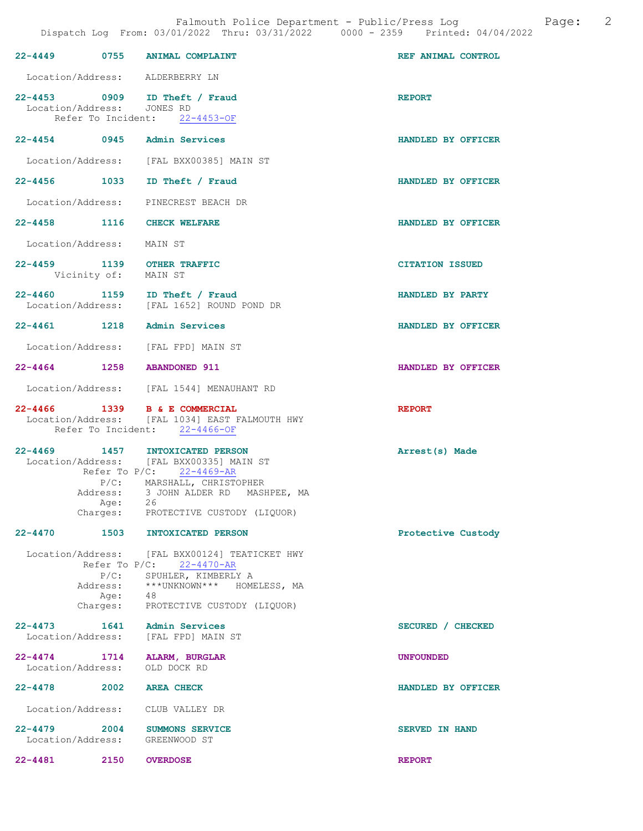|                  |                            | 22-4449 0755 ANIMAL COMPLAINT                                                                                                                                                                                            | REF ANIMAL CONTROL     |
|------------------|----------------------------|--------------------------------------------------------------------------------------------------------------------------------------------------------------------------------------------------------------------------|------------------------|
|                  |                            | Location/Address: ALDERBERRY LN                                                                                                                                                                                          |                        |
|                  | Location/Address: JONES RD | 22-4453 0909 ID Theft / Fraud<br>Refer To Incident: 22-4453-OF                                                                                                                                                           | <b>REPORT</b>          |
|                  |                            | 22-4454 0945 Admin Services                                                                                                                                                                                              | HANDLED BY OFFICER     |
|                  |                            | Location/Address: [FAL BXX00385] MAIN ST                                                                                                                                                                                 |                        |
| 22–4456 1033     |                            | ID Theft / Fraud                                                                                                                                                                                                         | HANDLED BY OFFICER     |
|                  |                            | Location/Address: PINECREST BEACH DR                                                                                                                                                                                     |                        |
|                  |                            | 22-4458 1116 CHECK WELFARE                                                                                                                                                                                               | HANDLED BY OFFICER     |
|                  | Location/Address: MAIN ST  |                                                                                                                                                                                                                          |                        |
|                  | Vicinity of: MAIN ST       | 22-4459 1139 OTHER TRAFFIC                                                                                                                                                                                               | <b>CITATION ISSUED</b> |
|                  |                            | 22-4460 1159 ID Theft / Fraud<br>Location/Address: [FAL 1652] ROUND POND DR                                                                                                                                              | HANDLED BY PARTY       |
|                  |                            | 22-4461 1218 Admin Services                                                                                                                                                                                              | HANDLED BY OFFICER     |
|                  |                            | Location/Address: [FAL FPD] MAIN ST                                                                                                                                                                                      |                        |
|                  |                            | 22-4464 1258 ABANDONED 911                                                                                                                                                                                               | HANDLED BY OFFICER     |
|                  |                            | Location/Address: [FAL 1544] MENAUHANT RD                                                                                                                                                                                |                        |
|                  |                            |                                                                                                                                                                                                                          |                        |
|                  |                            | 22-4466 1339 B & E COMMERCIAL<br>Location/Address: [FAL 1034] EAST FALMOUTH HWY<br>Refer To Incident: 22-4466-OF                                                                                                         | <b>REPORT</b>          |
|                  | Age: 26                    | 22-4469 1457 INTOXICATED PERSON<br>Location/Address: [FAL BXX00335] MAIN ST<br>Refer To $P/C$ : 22-4469-AR<br>P/C: MARSHALL, CHRISTOPHER<br>Address: 3 JOHN ALDER RD MASHPEE, MA<br>Charges: PROTECTIVE CUSTODY (LIQUOR) | Arrest(s) Made         |
| 22-4470 1503     |                            | INTOXICATED PERSON                                                                                                                                                                                                       | Protective Custody     |
|                  |                            | Location/Address: [FAL BXX00124] TEATICKET HWY<br>Refer To $P/C: 22-4470-AR$<br>P/C: SPUHLER, KIMBERLY A<br>Address: *** UNKNOWN*** HOMELESS, MA<br>Age: 48<br>Charges: PROTECTIVE CUSTODY (LIQUOR)                      |                        |
| $22 - 4473$      |                            | 1641 Admin Services<br>Location/Address: [FAL FPD] MAIN ST                                                                                                                                                               | SECURED / CHECKED      |
| $22 - 4474$ 1714 |                            | <b>ALARM, BURGLAR</b><br>Location/Address: OLD DOCK RD                                                                                                                                                                   | <b>UNFOUNDED</b>       |
| 22-4478          |                            | 2002 AREA CHECK                                                                                                                                                                                                          | HANDLED BY OFFICER     |
|                  |                            | Location/Address: CLUB VALLEY DR                                                                                                                                                                                         |                        |
| $22 - 4479$ 2004 |                            | SUMMONS SERVICE<br>Location/Address: GREENWOOD ST                                                                                                                                                                        | <b>SERVED IN HAND</b>  |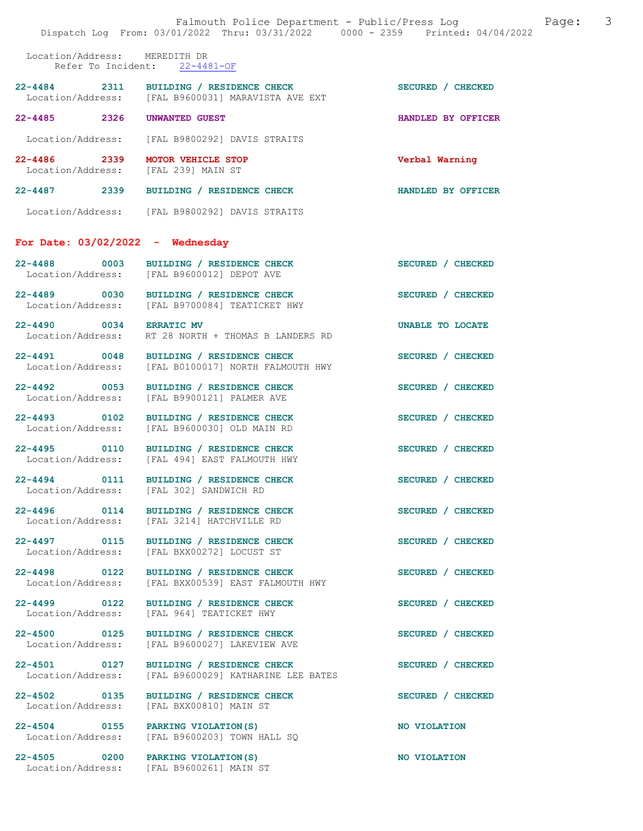|                                       |                                                                                                | Falmouth Police Department - Public/Press Log<br>Dispatch Log From: 03/01/2022 Thru: 03/31/2022 0000 - 2359 Printed: 04/04/2022 | 3<br>Page: |
|---------------------------------------|------------------------------------------------------------------------------------------------|---------------------------------------------------------------------------------------------------------------------------------|------------|
|                                       | Location/Address: MEREDITH DR<br>Refer To Incident: 22-4481-OF                                 |                                                                                                                                 |            |
|                                       | 22-4484 2311 BUILDING / RESIDENCE CHECK<br>Location/Address: [FAL B9600031] MARAVISTA AVE EXT  | SECURED / CHECKED                                                                                                               |            |
| 22-4485 2326                          | UNWANTED GUEST                                                                                 | HANDLED BY OFFICER                                                                                                              |            |
| Location/Address:                     | [FAL B9800292] DAVIS STRAITS                                                                   |                                                                                                                                 |            |
| 22-4486 2339                          | MOTOR VEHICLE STOP<br>Location/Address: [FAL 239] MAIN ST                                      | Verbal Warning                                                                                                                  |            |
|                                       | 22-4487 2339 BUILDING / RESIDENCE CHECK                                                        | HANDLED BY OFFICER                                                                                                              |            |
|                                       | Location/Address: [FAL B9800292] DAVIS STRAITS                                                 |                                                                                                                                 |            |
|                                       | For Date: $03/02/2022 -$ Wednesday                                                             |                                                                                                                                 |            |
| $22 - 4488$ 0003                      | BUILDING / RESIDENCE CHECK<br>Location/Address: [FAL B9600012] DEPOT AVE                       | SECURED / CHECKED                                                                                                               |            |
|                                       | 22-4489 0030 BUILDING / RESIDENCE CHECK<br>Location/Address: [FAL B9700084] TEATICKET HWY      | SECURED / CHECKED                                                                                                               |            |
| 22-4490 0034 ERRATIC MV               | Location/Address: RT 28 NORTH + THOMAS B LANDERS RD                                            | UNABLE TO LOCATE                                                                                                                |            |
|                                       | 22-4491 0048 BUILDING / RESIDENCE CHECK<br>Location/Address: [FAL B0100017] NORTH FALMOUTH HWY | SECURED / CHECKED                                                                                                               |            |
| 22-4492 0053<br>Location/Address:     | BUILDING / RESIDENCE CHECK<br>[FAL B9900121] PALMER AVE                                        | SECURED / CHECKED                                                                                                               |            |
| 22-4493 0102                          | BUILDING / RESIDENCE CHECK<br>Location/Address: [FAL B9600030] OLD MAIN RD                     | SECURED / CHECKED                                                                                                               |            |
|                                       | 22-4495 0110 BUILDING / RESIDENCE CHECK<br>Location/Address: [FAL 494] EAST FALMOUTH HWY       | SECURED / CHECKED                                                                                                               |            |
| $22 - 4494$ 0111<br>Location/Address: | BUILDING / RESIDENCE CHECK<br>[FAL 302] SANDWICH RD                                            | SECURED / CHECKED                                                                                                               |            |
| $22 - 4496$ 0114<br>Location/Address: | BUILDING / RESIDENCE CHECK<br>[FAL 3214] HATCHVILLE RD                                         | SECURED / CHECKED                                                                                                               |            |
| 22-4497 0115<br>Location/Address:     | BUILDING / RESIDENCE CHECK<br>[FAL BXX00272] LOCUST ST                                         | SECURED / CHECKED                                                                                                               |            |
| 22-4498 0122<br>Location/Address:     | BUILDING / RESIDENCE CHECK<br>[FAL BXX00539] EAST FALMOUTH HWY                                 | SECURED / CHECKED                                                                                                               |            |
| 22-4499 0122<br>Location/Address:     | BUILDING / RESIDENCE CHECK<br>[FAL 964] TEATICKET HWY                                          | SECURED / CHECKED                                                                                                               |            |
| 22-4500 0125<br>Location/Address:     | BUILDING / RESIDENCE CHECK<br>[FAL B9600027] LAKEVIEW AVE                                      | SECURED / CHECKED                                                                                                               |            |
| Location/Address:                     | 22-4501 0127 BUILDING / RESIDENCE CHECK<br>[FAL B9600029] KATHARINE LEE BATES                  | SECURED / CHECKED                                                                                                               |            |
| 22-4502 0135<br>Location/Address:     | BUILDING / RESIDENCE CHECK<br>[FAL BXX00810] MAIN ST                                           | SECURED / CHECKED                                                                                                               |            |
| Location/Address:                     | 22-4504 0155 PARKING VIOLATION (S)<br>[FAL B9600203] TOWN HALL SQ                              | NO VIOLATION                                                                                                                    |            |
| 22-4505 0200                          | PARKING VIOLATION (S)<br>Location/Address: [FAL B9600261] MAIN ST                              | NO VIOLATION                                                                                                                    |            |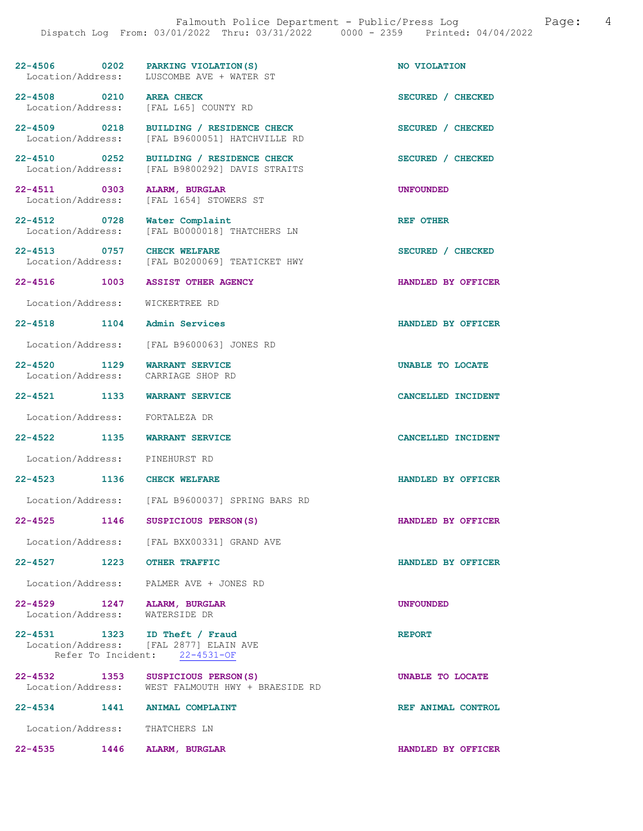| 22-4506 0202 PARKING VIOLATION(S)                                  | Location/Address: LUSCOMBE AVE + WATER ST                                                 | NO VIOLATION       |
|--------------------------------------------------------------------|-------------------------------------------------------------------------------------------|--------------------|
| 22-4508 0210 AREA CHECK                                            | Location/Address: [FAL L65] COUNTY RD                                                     | SECURED / CHECKED  |
|                                                                    | 22-4509 0218 BUILDING / RESIDENCE CHECK<br>Location/Address: [FAL B9600051] HATCHVILLE RD | SECURED / CHECKED  |
|                                                                    | 22-4510 0252 BUILDING / RESIDENCE CHECK<br>Location/Address: [FAL B9800292] DAVIS STRAITS | SECURED / CHECKED  |
| 22-4511 0303 ALARM, BURGLAR                                        | Location/Address: [FAL 1654] STOWERS ST                                                   | <b>UNFOUNDED</b>   |
| 22-4512 0728 Water Complaint                                       | Location/Address: [FAL B0000018] THATCHERS LN                                             | REF OTHER          |
| 22-4513 0757 CHECK WELFARE                                         | Location/Address: [FAL B0200069] TEATICKET HWY                                            | SECURED / CHECKED  |
| 22-4516 1003 ASSIST OTHER AGENCY                                   |                                                                                           | HANDLED BY OFFICER |
| Location/Address: WICKERTREE RD                                    |                                                                                           |                    |
| 22-4518 1104 Admin Services                                        |                                                                                           | HANDLED BY OFFICER |
|                                                                    | Location/Address: [FAL B9600063] JONES RD                                                 |                    |
| 22-4520 1129 WARRANT SERVICE<br>Location/Address: CARRIAGE SHOP RD |                                                                                           | UNABLE TO LOCATE   |
| 22-4521 1133 WARRANT SERVICE                                       |                                                                                           | CANCELLED INCIDENT |
| Location/Address: FORTALEZA DR                                     |                                                                                           |                    |
| 22-4522 1135 WARRANT SERVICE                                       |                                                                                           | CANCELLED INCIDENT |
| Location/Address: PINEHURST RD                                     |                                                                                           |                    |
| 22-4523 1136 CHECK WELFARE                                         |                                                                                           | HANDLED BY OFFICER |
|                                                                    | Location/Address: [FAL B9600037] SPRING BARS RD                                           |                    |
| 22-4525 1146 SUSPICIOUS PERSON(S)                                  |                                                                                           | HANDLED BY OFFICER |
|                                                                    | Location/Address: [FAL BXX00331] GRAND AVE                                                |                    |
| 22-4527 1223 OTHER TRAFFIC                                         |                                                                                           | HANDLED BY OFFICER |
|                                                                    | Location/Address: PALMER AVE + JONES RD                                                   |                    |
| 22-4529 1247 ALARM, BURGLAR<br>Location/Address: WATERSIDE DR      |                                                                                           | <b>UNFOUNDED</b>   |
| 22-4531 1323 ID Theft / Fraud                                      | Location/Address: [FAL 2877] ELAIN AVE<br>Refer To Incident: 22-4531-OF                   | <b>REPORT</b>      |
| 22-4532 1353 SUSPICIOUS PERSON(S)                                  | Location/Address: WEST FALMOUTH HWY + BRAESIDE RD                                         | UNABLE TO LOCATE   |
| 22-4534 1441 ANIMAL COMPLAINT                                      |                                                                                           | REF ANIMAL CONTROL |
| Location/Address: THATCHERS LN                                     |                                                                                           |                    |

22-4535 1446 ALARM, BURGLAR HANDLED BY OFFICER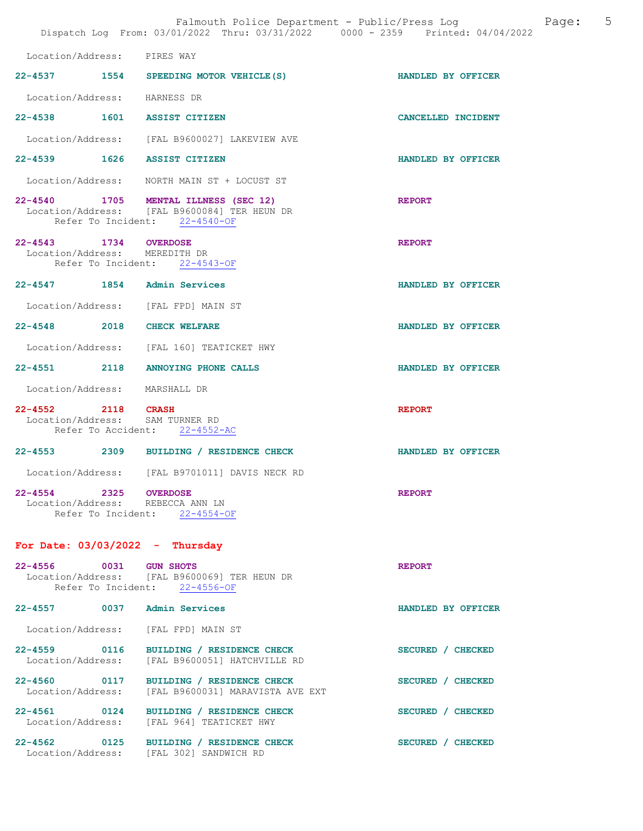|                                                           | Falmouth Police Department - Public/Press Log<br>Dispatch Log From: 03/01/2022 Thru: 03/31/2022 0000 - 2359 Printed: 04/04/2022 |                    | $5^{\circ}$<br>Page: |
|-----------------------------------------------------------|---------------------------------------------------------------------------------------------------------------------------------|--------------------|----------------------|
| Location/Address: PIRES WAY                               |                                                                                                                                 |                    |                      |
|                                                           | 22-4537 1554 SPEEDING MOTOR VEHICLE (S)                                                                                         | HANDLED BY OFFICER |                      |
| Location/Address: HARNESS DR                              |                                                                                                                                 |                    |                      |
| 22-4538 1601 ASSIST CITIZEN                               |                                                                                                                                 | CANCELLED INCIDENT |                      |
|                                                           | Location/Address: [FAL B9600027] LAKEVIEW AVE                                                                                   |                    |                      |
| 22-4539 1626 ASSIST CITIZEN                               |                                                                                                                                 | HANDLED BY OFFICER |                      |
|                                                           | Location/Address: NORTH MAIN ST + LOCUST ST                                                                                     |                    |                      |
|                                                           | 22-4540 1705 MENTAL ILLNESS (SEC 12)<br>Location/Address: [FAL B9600084] TER HEUN DR<br>Refer To Incident: 22-4540-OF           | <b>REPORT</b>      |                      |
| 22-4543 1734 OVERDOSE<br>Location/Address: MEREDITH DR    | Refer To Incident: 22-4543-OF                                                                                                   | <b>REPORT</b>      |                      |
| 22-4547 1854 Admin Services                               |                                                                                                                                 | HANDLED BY OFFICER |                      |
|                                                           | Location/Address: [FAL FPD] MAIN ST                                                                                             |                    |                      |
| 22-4548 2018 CHECK WELFARE                                |                                                                                                                                 | HANDLED BY OFFICER |                      |
|                                                           | Location/Address: [FAL 160] TEATICKET HWY                                                                                       |                    |                      |
|                                                           | 22-4551 2118 ANNOYING PHONE CALLS                                                                                               | HANDLED BY OFFICER |                      |
| Location/Address: MARSHALL DR                             |                                                                                                                                 |                    |                      |
| 22-4552 2118 CRASH<br>Location/Address: SAM TURNER RD     | Refer To Accident: 22-4552-AC                                                                                                   | <b>REPORT</b>      |                      |
|                                                           | 22-4553 2309 BUILDING / RESIDENCE CHECK                                                                                         | HANDLED BY OFFICER |                      |
|                                                           | Location/Address: [FAL B9701011] DAVIS NECK RD                                                                                  |                    |                      |
| 22-4554 2325 OVERDOSE<br>Location/Address: REBECCA ANN LN | Refer To Incident: 22-4554-OF                                                                                                   | <b>REPORT</b>      |                      |
| For Date: $03/03/2022 - Thursday$                         |                                                                                                                                 |                    |                      |
| 22-4556 0031 GUN SHOTS                                    | Location/Address: [FAL B9600069] TER HEUN DR<br>Refer To Incident: 22-4556-OF                                                   | <b>REPORT</b>      |                      |
| 22-4557 0037 Admin Services                               |                                                                                                                                 | HANDLED BY OFFICER |                      |
|                                                           | Location/Address: [FAL FPD] MAIN ST                                                                                             |                    |                      |
| 22-4559 0116<br>Location/Address:                         | BUILDING / RESIDENCE CHECK<br>[FAL B9600051] HATCHVILLE RD                                                                      | SECURED / CHECKED  |                      |
| 22-4560 0117<br>Location/Address:                         | BUILDING / RESIDENCE CHECK<br>[FAL B9600031] MARAVISTA AVE EXT                                                                  | SECURED / CHECKED  |                      |
| Location/Address:                                         | 22-4561 0124 BUILDING / RESIDENCE CHECK<br>[FAL 964] TEATICKET HWY                                                              | SECURED / CHECKED  |                      |
|                                                           | 22-4562 0125 BUILDING / RESIDENCE CHECK<br>Location/Address: [FAL 302] SANDWICH RD                                              | SECURED / CHECKED  |                      |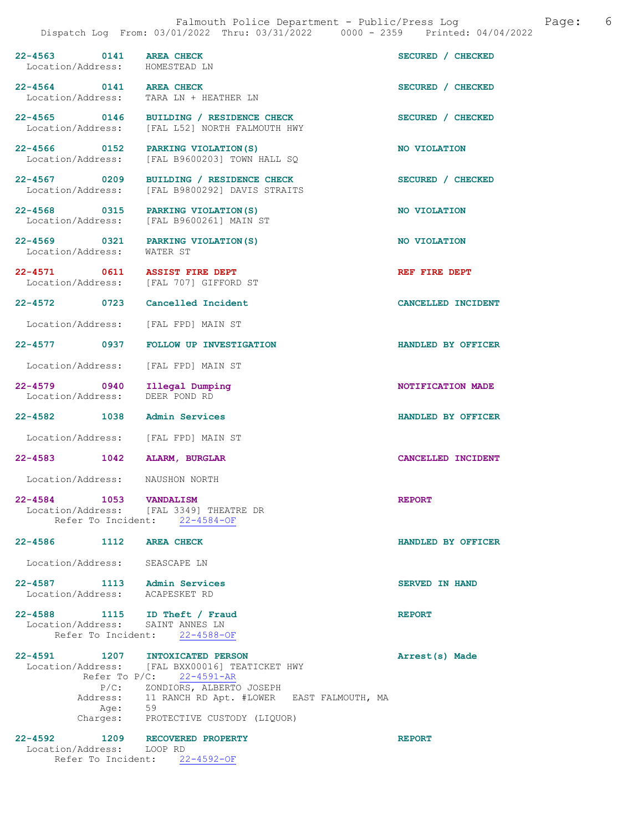| 22-4563 0141 AREA CHECK<br>Location/Address: HOMESTEAD LN |         |                                                                                                                                                                                                                                                 | SECURED / CHECKED         |
|-----------------------------------------------------------|---------|-------------------------------------------------------------------------------------------------------------------------------------------------------------------------------------------------------------------------------------------------|---------------------------|
| 22-4564 0141 AREA CHECK                                   |         | Location/Address: TARA LN + HEATHER LN                                                                                                                                                                                                          | SECURED / CHECKED         |
|                                                           |         | 22-4565 0146 BUILDING / RESIDENCE CHECK<br>Location/Address: [FAL L52] NORTH FALMOUTH HWY                                                                                                                                                       | SECURED / CHECKED         |
|                                                           |         | 22-4566 0152 PARKING VIOLATION (S)<br>Location/Address: [FAL B9600203] TOWN HALL SQ                                                                                                                                                             | NO VIOLATION              |
|                                                           |         | 22-4567 0209 BUILDING / RESIDENCE CHECK<br>Location/Address: [FAL B9800292] DAVIS STRAITS                                                                                                                                                       | SECURED / CHECKED         |
|                                                           |         | 22-4568 0315 PARKING VIOLATION (S)<br>Location/Address: [FAL B9600261] MAIN ST                                                                                                                                                                  | NO VIOLATION              |
|                                                           |         | 22-4569 0321 PARKING VIOLATION(S)<br>Location/Address: WATER ST                                                                                                                                                                                 | NO VIOLATION              |
|                                                           |         | 22-4571 0611 ASSIST FIRE DEPT<br>Location/Address: [FAL 707] GIFFORD ST                                                                                                                                                                         | REF FIRE DEPT             |
|                                                           |         | 22-4572 0723 Cancelled Incident                                                                                                                                                                                                                 | <b>CANCELLED INCIDENT</b> |
|                                                           |         | Location/Address: [FAL FPD] MAIN ST                                                                                                                                                                                                             |                           |
|                                                           |         | 22-4577 0937 FOLLOW UP INVESTIGATION                                                                                                                                                                                                            | HANDLED BY OFFICER        |
|                                                           |         | Location/Address: [FAL FPD] MAIN ST                                                                                                                                                                                                             |                           |
| 22-4579 0940<br>Location/Address:                         |         | Illegal Dumping<br>DEER POND RD                                                                                                                                                                                                                 | NOTIFICATION MADE         |
|                                                           |         | 22-4582 1038 Admin Services                                                                                                                                                                                                                     | HANDLED BY OFFICER        |
|                                                           |         | Location/Address: [FAL FPD] MAIN ST                                                                                                                                                                                                             |                           |
|                                                           |         | 22-4583 1042 ALARM, BURGLAR                                                                                                                                                                                                                     | CANCELLED INCIDENT        |
|                                                           |         | Location/Address: NAUSHON NORTH                                                                                                                                                                                                                 |                           |
| $22 - 4584$                                               | 1053    | <b>VANDALISM</b><br>Location/Address: [FAL 3349] THEATRE DR<br>Refer To Incident: 22-4584-OF                                                                                                                                                    | <b>REPORT</b>             |
| 22-4586 1112 AREA CHECK                                   |         |                                                                                                                                                                                                                                                 | HANDLED BY OFFICER        |
| Location/Address: SEASCAPE LN                             |         |                                                                                                                                                                                                                                                 |                           |
| Location/Address: ACAPESKET RD                            |         | 22-4587 1113 Admin Services                                                                                                                                                                                                                     | <b>SERVED IN HAND</b>     |
|                                                           |         | 22-4588 1115 ID Theft / Fraud<br>Location/Address: SAINT ANNES LN<br>Refer To Incident: 22-4588-OF                                                                                                                                              | <b>REPORT</b>             |
|                                                           | Age: 59 | 22-4591 1207 INTOXICATED PERSON<br>Location/Address: [FAL BXX00016] TEATICKET HWY<br>Refer To $P/C$ : 22-4591-AR<br>P/C: ZONDIORS, ALBERTO JOSEPH<br>Address: 11 RANCH RD Apt. #LOWER EAST FALMOUTH, MA<br>Charges: PROTECTIVE CUSTODY (LIQUOR) | Arrest(s) Made            |

| 22-4592           | 1209                          |         | RECOVERED PROPERTY | <b>REPORT</b> |
|-------------------|-------------------------------|---------|--------------------|---------------|
| Location/Address: |                               | LOOP RD |                    |               |
|                   | Refer To Incident: 22-4592-OF |         |                    |               |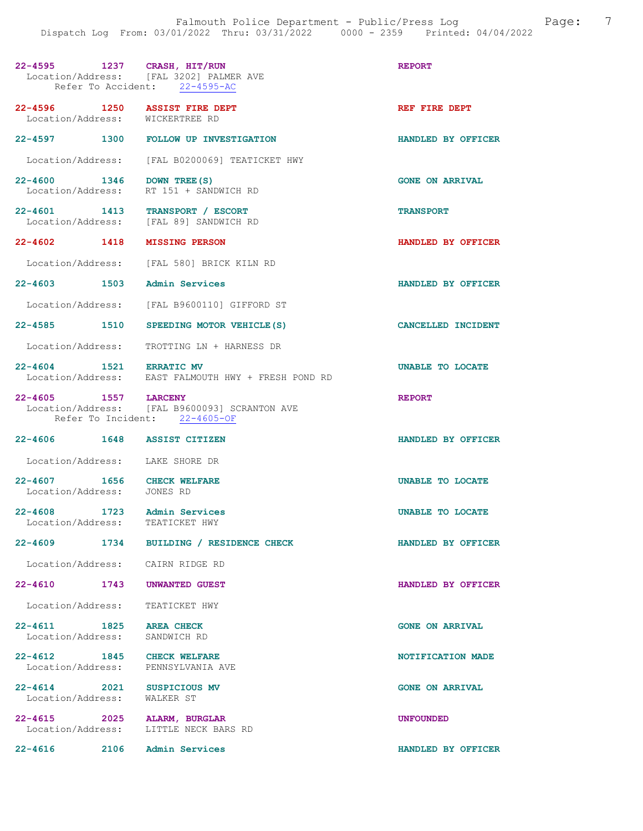| 22-4595 1237 CRASH, HIT/RUN                                      | Location/Address: [FAL 3202] PALMER AVE<br>Refer To Accident: 22-4595-AC       | <b>REPORT</b>          |
|------------------------------------------------------------------|--------------------------------------------------------------------------------|------------------------|
| 22-4596 1250 ASSIST FIRE DEPT<br>Location/Address: WICKERTREE RD |                                                                                | REF FIRE DEPT          |
|                                                                  | 22-4597 1300 FOLLOW UP INVESTIGATION                                           | HANDLED BY OFFICER     |
|                                                                  | Location/Address: [FAL B0200069] TEATICKET HWY                                 |                        |
| 22-4600 1346 DOWN TREE (S)                                       | Location/Address: RT 151 + SANDWICH RD                                         | <b>GONE ON ARRIVAL</b> |
| 22-4601 1413 TRANSPORT / ESCORT                                  | Location/Address: [FAL 89] SANDWICH RD                                         | <b>TRANSPORT</b>       |
| $22 - 4602$ 1418                                                 | <b>MISSING PERSON</b>                                                          | HANDLED BY OFFICER     |
|                                                                  | Location/Address: [FAL 580] BRICK KILN RD                                      |                        |
| 22-4603 1503 Admin Services                                      |                                                                                | HANDLED BY OFFICER     |
|                                                                  | Location/Address: [FAL B9600110] GIFFORD ST                                    |                        |
|                                                                  | 22-4585 1510 SPEEDING MOTOR VEHICLE (S)                                        | CANCELLED INCIDENT     |
|                                                                  | Location/Address: TROTTING LN + HARNESS DR                                     |                        |
|                                                                  | 22-4604 1521 ERRATIC MV<br>Location/Address: EAST FALMOUTH HWY + FRESH POND RD | UNABLE TO LOCATE       |
| 22-4605 1557 LARCENY                                             | Location/Address: [FAL B9600093] SCRANTON AVE<br>Refer To Incident: 22-4605-OF | <b>REPORT</b>          |
| 22-4606 1648 ASSIST CITIZEN                                      |                                                                                | HANDLED BY OFFICER     |
| Location/Address: LAKE SHORE DR                                  |                                                                                |                        |
| 22-4607 1656 CHECK WELFARE<br>Location/Address:                  | JONES RD                                                                       | UNABLE TO LOCATE       |
| 1723<br>$22 - 4608$<br>Location/Address: TEATICKET HWY           | Admin Services                                                                 | UNABLE TO LOCATE       |
|                                                                  | 22-4609 1734 BUILDING / RESIDENCE CHECK                                        | HANDLED BY OFFICER     |
| Location/Address: CAIRN RIDGE RD                                 |                                                                                |                        |
| 22-4610 1743 UNWANTED GUEST                                      |                                                                                | HANDLED BY OFFICER     |
| Location/Address: TEATICKET HWY                                  |                                                                                |                        |
| 22-4611 1825 AREA CHECK                                          |                                                                                | <b>GONE ON ARRIVAL</b> |
| Location/Address:                                                | SANDWICH RD                                                                    |                        |
| 22-4612 1845 CHECK WELFARE<br>Location/Address: PENNSYLVANIA AVE |                                                                                | NOTIFICATION MADE      |
| 22-4614 2021 SUSPICIOUS MV<br>Location/Address: WALKER ST        |                                                                                | <b>GONE ON ARRIVAL</b> |
| 22-4615 2025<br>Location/Address: LITTLE NECK BARS RD            | ALARM, BURGLAR                                                                 | <b>UNFOUNDED</b>       |
| $22 - 4616$<br>2106                                              | Admin Services                                                                 | HANDLED BY OFFICER     |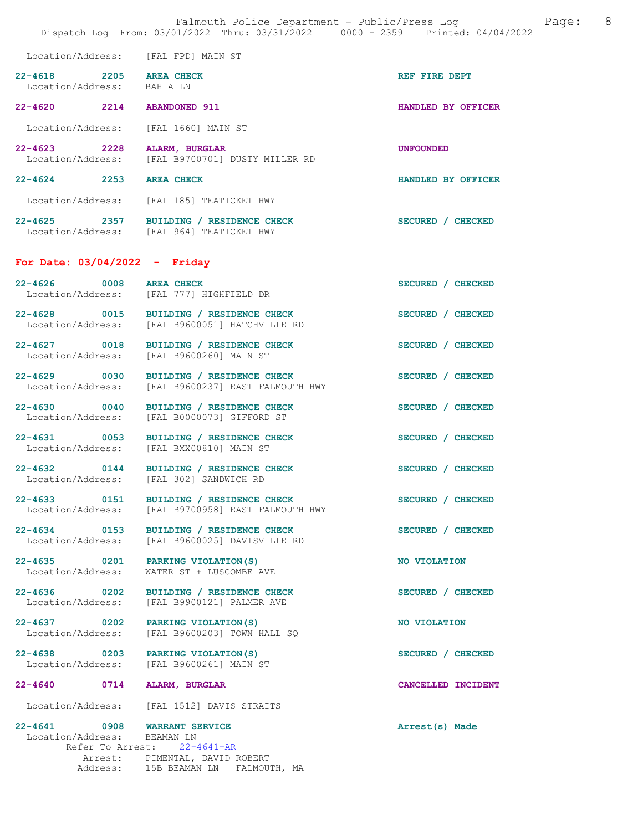|                                                             | Falmouth Police Department - Public/Press Log<br>Dispatch Log From: 03/01/2022 Thru: 03/31/2022 0000 - 2359 Printed: 04/04/2022 | Page:              | - 8 |
|-------------------------------------------------------------|---------------------------------------------------------------------------------------------------------------------------------|--------------------|-----|
|                                                             | Location/Address: [FAL FPD] MAIN ST                                                                                             |                    |     |
| 22-4618 2205 AREA CHECK<br>Location/Address: BAHIA LN       |                                                                                                                                 | REF FIRE DEPT      |     |
| 22-4620 2214 ABANDONED 911                                  |                                                                                                                                 | HANDLED BY OFFICER |     |
| Location/Address:                                           | [FAL 1660] MAIN ST                                                                                                              |                    |     |
| 22-4623 2228                                                | ALARM, BURGLAR<br>Location/Address: [FAL B9700701] DUSTY MILLER RD                                                              | <b>UNFOUNDED</b>   |     |
| $22 - 4624$ 2253                                            | <b>AREA CHECK</b>                                                                                                               | HANDLED BY OFFICER |     |
|                                                             | Location/Address: [FAL 185] TEATICKET HWY                                                                                       |                    |     |
|                                                             | 22-4625 2357 BUILDING / RESIDENCE CHECK<br>Location/Address: [FAL 964] TEATICKET HWY                                            | SECURED / CHECKED  |     |
| For Date: $03/04/2022 -$ Friday                             |                                                                                                                                 |                    |     |
| 22-4626 0008 AREA CHECK                                     | Location/Address: [FAL 777] HIGHFIELD DR                                                                                        | SECURED / CHECKED  |     |
|                                                             | 22-4628 0015 BUILDING / RESIDENCE CHECK<br>Location/Address: [FAL B9600051] HATCHVILLE RD                                       | SECURED / CHECKED  |     |
| 22-4627 0018<br>Location/Address:                           | BUILDING / RESIDENCE CHECK<br>[FAL B9600260] MAIN ST                                                                            | SECURED / CHECKED  |     |
| 22-4629 0030<br>Location/Address:                           | BUILDING / RESIDENCE CHECK<br>[FAL B9600237] EAST FALMOUTH HWY                                                                  | SECURED / CHECKED  |     |
| Location/Address:                                           | 22-4630 0040 BUILDING / RESIDENCE CHECK<br>[FAL B0000073] GIFFORD ST                                                            | SECURED / CHECKED  |     |
|                                                             | 22-4631 0053 BUILDING / RESIDENCE CHECK<br>Location/Address: [FAL BXX00810] MAIN ST                                             | SECURED / CHECKED  |     |
|                                                             | 22-4632 0144 BUILDING / RESIDENCE CHECK<br>Location/Address: [FAL 302] SANDWICH RD                                              | SECURED / CHECKED  |     |
|                                                             | 22-4633 0151 BUILDING / RESIDENCE CHECK<br>Location/Address: [FAL B9700958] EAST FALMOUTH HWY                                   | SECURED / CHECKED  |     |
| Location/Address:                                           | 22-4634 0153 BUILDING / RESIDENCE CHECK<br>[FAL B9600025] DAVISVILLE RD                                                         | SECURED / CHECKED  |     |
| Location/Address:                                           | 22-4635 0201 PARKING VIOLATION (S)<br>WATER ST + LUSCOMBE AVE                                                                   | NO VIOLATION       |     |
| 22-4636 0202<br>Location/Address:                           | BUILDING / RESIDENCE CHECK<br>[FAL B9900121] PALMER AVE                                                                         | SECURED / CHECKED  |     |
| $22 - 4637$ 0202<br>Location/Address:                       | PARKING VIOLATION (S)<br>[FAL B9600203] TOWN HALL SQ                                                                            | NO VIOLATION       |     |
| 22-4638 0203<br>Location/Address:                           | PARKING VIOLATION (S)<br>[FAL B9600261] MAIN ST                                                                                 | SECURED / CHECKED  |     |
| 22-4640 0714                                                | ALARM, BURGLAR                                                                                                                  | CANCELLED INCIDENT |     |
|                                                             | Location/Address: [FAL 1512] DAVIS STRAITS                                                                                      |                    |     |
| 22-4641 0908 WARRANT SERVICE<br>Location/Address: BEAMAN LN | Refer To Arrest: 22-4641-AR<br>Arrest: PIMENTAL, DAVID ROBERT                                                                   | Arrest(s) Made     |     |
|                                                             | Address: 15B BEAMAN LN FALMOUTH, MA                                                                                             |                    |     |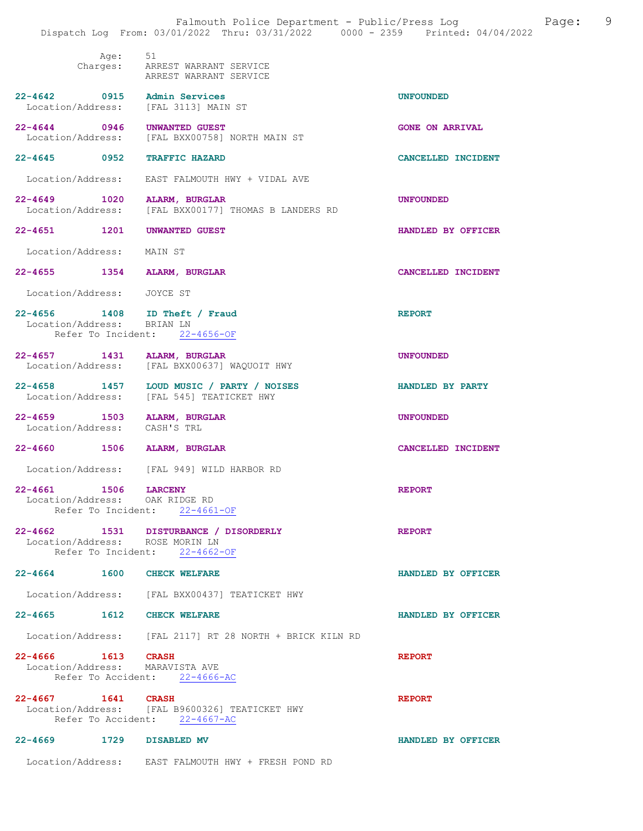|                                                             |              | Falmouth Police Department - Public/Press Log<br>Dispatch Log From: 03/01/2022 Thru: 03/31/2022 0000 - 2359 Printed: 04/04/2022 | 9<br>Page:             |
|-------------------------------------------------------------|--------------|---------------------------------------------------------------------------------------------------------------------------------|------------------------|
|                                                             | Age:         | 51<br>Charges: ARREST WARRANT SERVICE<br>ARREST WARRANT SERVICE                                                                 |                        |
| 22-4642 0915 Admin Services                                 |              | Location/Address: [FAL 3113] MAIN ST                                                                                            | <b>UNFOUNDED</b>       |
| 22-4644 0946 UNWANTED GUEST                                 |              | Location/Address: [FAL BXX00758] NORTH MAIN ST                                                                                  | <b>GONE ON ARRIVAL</b> |
| 22-4645 0952 TRAFFIC HAZARD                                 |              |                                                                                                                                 | CANCELLED INCIDENT     |
|                                                             |              | Location/Address: EAST FALMOUTH HWY + VIDAL AVE                                                                                 |                        |
| 22-4649 1020 ALARM, BURGLAR                                 |              | Location/Address: [FAL BXX00177] THOMAS B LANDERS RD                                                                            | <b>UNFOUNDED</b>       |
| 22-4651 1201 UNWANTED GUEST                                 |              |                                                                                                                                 | HANDLED BY OFFICER     |
| Location/Address: MAIN ST                                   |              |                                                                                                                                 |                        |
| 22-4655 1354 ALARM, BURGLAR                                 |              |                                                                                                                                 | CANCELLED INCIDENT     |
| Location/Address: JOYCE ST                                  |              |                                                                                                                                 |                        |
| Location/Address: BRIAN LN                                  |              | 22-4656 1408 ID Theft / Fraud<br>Refer To Incident: 22-4656-OF                                                                  | <b>REPORT</b>          |
| 22-4657 1431 ALARM, BURGLAR                                 |              | Location/Address: [FAL BXX00637] WAQUOIT HWY                                                                                    | <b>UNFOUNDED</b>       |
|                                                             |              | 22-4658 1457 LOUD MUSIC / PARTY / NOISES<br>Location/Address: [FAL 545] TEATICKET HWY                                           | HANDLED BY PARTY       |
| 22-4659 1503 ALARM, BURGLAR<br>Location/Address: CASH'S TRL |              |                                                                                                                                 | <b>UNFOUNDED</b>       |
| 22-4660 1506 ALARM, BURGLAR                                 |              |                                                                                                                                 | CANCELLED INCIDENT     |
|                                                             |              | Location/Address: [FAL 949] WILD HARBOR RD                                                                                      |                        |
| $22 - 4661$<br>Location/Address: OAK RIDGE RD               | 1506 LARCENY | Refer To Incident: 22-4661-OF                                                                                                   | <b>REPORT</b>          |
| Location/Address: ROSE MORIN LN                             |              | 22-4662 1531 DISTURBANCE / DISORDERLY<br>Refer To Incident: 22-4662-OF                                                          | <b>REPORT</b>          |
| 22-4664 1600 CHECK WELFARE                                  |              |                                                                                                                                 | HANDLED BY OFFICER     |
|                                                             |              | Location/Address: [FAL BXX00437] TEATICKET HWY                                                                                  |                        |
| 22-4665 1612 CHECK WELFARE                                  |              |                                                                                                                                 | HANDLED BY OFFICER     |
|                                                             |              | Location/Address: [FAL 2117] RT 28 NORTH + BRICK KILN RD                                                                        |                        |
| 22-4666 1613 CRASH<br>Location/Address: MARAVISTA AVE       |              | Refer To Accident: 22-4666-AC                                                                                                   | <b>REPORT</b>          |
| 22-4667 1641 CRASH                                          |              | Location/Address: [FAL B9600326] TEATICKET HWY<br>Refer To Accident: 22-4667-AC                                                 | <b>REPORT</b>          |
| 22-4669 1729 DISABLED MV                                    |              |                                                                                                                                 | HANDLED BY OFFICER     |
|                                                             |              | Location/Address: EAST FALMOUTH HWY + FRESH POND RD                                                                             |                        |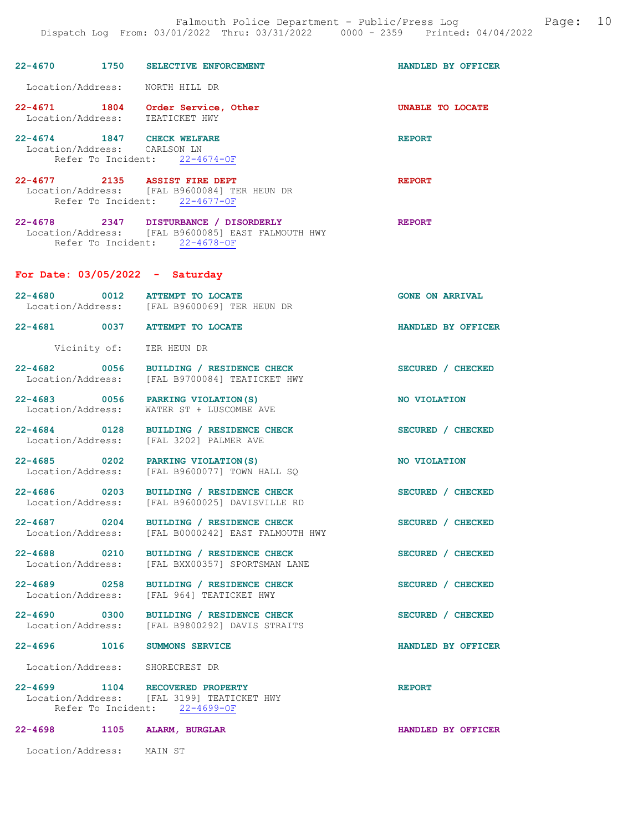|                                                            |      | 22-4670 1750 SELECTIVE ENFORCEMENT                                                                                           | HANDLED BY OFFICER     |
|------------------------------------------------------------|------|------------------------------------------------------------------------------------------------------------------------------|------------------------|
| Location/Address: NORTH HILL DR                            |      |                                                                                                                              |                        |
| Location/Address: TEATICKET HWY                            |      | 22-4671 1804 Order Service, Other                                                                                            | UNABLE TO LOCATE       |
| 22-4674 1847 CHECK WELFARE<br>Location/Address: CARLSON LN |      | Refer To Incident: 22-4674-OF                                                                                                | <b>REPORT</b>          |
| 22-4677 2135 ASSIST FIRE DEPT                              |      | Location/Address: [FAL B9600084] TER HEUN DR<br>Refer To Incident: 22-4677-OF                                                | <b>REPORT</b>          |
|                                                            |      | 22-4678 2347 DISTURBANCE / DISORDERLY<br>Location/Address: [FAL B9600085] EAST FALMOUTH HWY<br>Refer To Incident: 22-4678-OF | <b>REPORT</b>          |
| For Date: $03/05/2022 - Saturday$                          |      |                                                                                                                              |                        |
|                                                            |      | 22-4680 0012 ATTEMPT TO LOCATE<br>Location/Address: [FAL B9600069] TER HEUN DR                                               | <b>GONE ON ARRIVAL</b> |
|                                                            |      | 22-4681 0037 ATTEMPT TO LOCATE                                                                                               | HANDLED BY OFFICER     |
|                                                            |      | Vicinity of: TER HEUN DR                                                                                                     |                        |
|                                                            |      | 22-4682 0056 BUILDING / RESIDENCE CHECK<br>Location/Address: [FAL B9700084] TEATICKET HWY                                    | SECURED / CHECKED      |
|                                                            |      | 22-4683 0056 PARKING VIOLATION(S)<br>Location/Address: WATER ST + LUSCOMBE AVE                                               | NO VIOLATION           |
|                                                            |      | 22-4684 0128 BUILDING / RESIDENCE CHECK<br>Location/Address: [FAL 3202] PALMER AVE                                           | SECURED / CHECKED      |
|                                                            |      | 22-4685 0202 PARKING VIOLATION (S)<br>Location/Address: [FAL B9600077] TOWN HALL SQ                                          | NO VIOLATION           |
|                                                            |      | 22-4686 0203 BUILDING / RESIDENCE CHECK<br>Location/Address: [FAL B9600025] DAVISVILLE RD                                    | SECURED / CHECKED      |
| $22 - 4687$<br>Location/Address:                           | 0204 | BUILDING / RESIDENCE CHECK<br>[FAL B0000242] EAST FALMOUTH HWY                                                               | SECURED / CHECKED      |
| 22-4688 0210<br>Location/Address:                          |      | BUILDING / RESIDENCE CHECK<br>[FAL BXX00357] SPORTSMAN LANE                                                                  | SECURED / CHECKED      |
| 22-4689 0258<br>Location/Address:                          |      | BUILDING / RESIDENCE CHECK<br>[FAL 964] TEATICKET HWY                                                                        | SECURED / CHECKED      |
| 22-4690 0300<br>Location/Address:                          |      | BUILDING / RESIDENCE CHECK<br>[FAL B9800292] DAVIS STRAITS                                                                   | SECURED / CHECKED      |
| $22 - 4696$                                                | 1016 | <b>SUMMONS SERVICE</b>                                                                                                       | HANDLED BY OFFICER     |
| Location/Address: SHORECREST DR                            |      |                                                                                                                              |                        |
|                                                            |      | 22-4699 1104 RECOVERED PROPERTY<br>Location/Address: [FAL 3199] TEATICKET HWY<br>Refer To Incident: 22-4699-OF               | <b>REPORT</b>          |
| 22-4698                                                    | 1105 | <b>ALARM, BURGLAR</b>                                                                                                        | HANDLED BY OFFICER     |

Location/Address: MAIN ST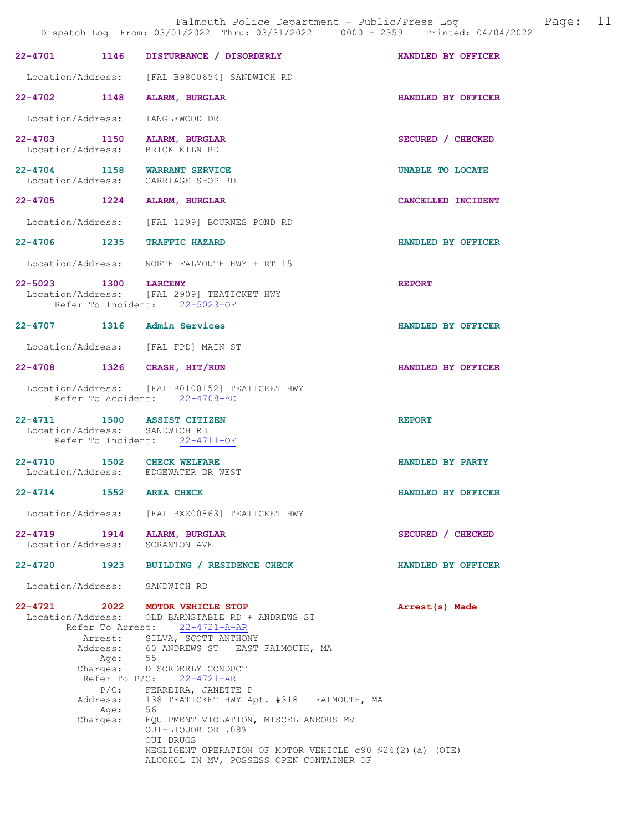|                               |                                         | Falmouth Police Department - Public/Press Log Faqe: 11<br>Dispatch Log From: 03/01/2022 Thru: 03/31/2022 0000 - 2359 Printed: 04/04/2022                                                                                                                                                                                                                                                                                                                                                |                    |  |
|-------------------------------|-----------------------------------------|-----------------------------------------------------------------------------------------------------------------------------------------------------------------------------------------------------------------------------------------------------------------------------------------------------------------------------------------------------------------------------------------------------------------------------------------------------------------------------------------|--------------------|--|
|                               |                                         | 22-4701 1146 DISTURBANCE / DISORDERLY HANDLED BY OFFICER                                                                                                                                                                                                                                                                                                                                                                                                                                |                    |  |
|                               |                                         | Location/Address: [FAL B9800654] SANDWICH RD                                                                                                                                                                                                                                                                                                                                                                                                                                            |                    |  |
|                               |                                         | 22-4702 1148 ALARM, BURGLAR                                                                                                                                                                                                                                                                                                                                                                                                                                                             | HANDLED BY OFFICER |  |
| Location/Address:             |                                         | TANGLEWOOD DR                                                                                                                                                                                                                                                                                                                                                                                                                                                                           |                    |  |
|                               |                                         | 22-4703 1150 ALARM, BURGLAR<br>Location/Address: BRICK KILN RD                                                                                                                                                                                                                                                                                                                                                                                                                          | SECURED / CHECKED  |  |
|                               |                                         | 22-4704 1158 WARRANT SERVICE<br>Location/Address: CARRIAGE SHOP RD                                                                                                                                                                                                                                                                                                                                                                                                                      | UNABLE TO LOCATE   |  |
|                               |                                         | 22-4705 1224 ALARM, BURGLAR                                                                                                                                                                                                                                                                                                                                                                                                                                                             | CANCELLED INCIDENT |  |
|                               |                                         | Location/Address: [FAL 1299] BOURNES POND RD                                                                                                                                                                                                                                                                                                                                                                                                                                            |                    |  |
|                               |                                         | 22-4706 1235 TRAFFIC HAZARD                                                                                                                                                                                                                                                                                                                                                                                                                                                             | HANDLED BY OFFICER |  |
|                               |                                         | Location/Address: NORTH FALMOUTH HWY + RT 151                                                                                                                                                                                                                                                                                                                                                                                                                                           |                    |  |
| 22-5023 1300 LARCENY          |                                         | Location/Address: [FAL 2909] TEATICKET HWY<br>Refer To Incident: 22-5023-OF                                                                                                                                                                                                                                                                                                                                                                                                             | <b>REPORT</b>      |  |
|                               |                                         | 22-4707 1316 Admin Services                                                                                                                                                                                                                                                                                                                                                                                                                                                             | HANDLED BY OFFICER |  |
|                               |                                         | Location/Address: [FAL FPD] MAIN ST                                                                                                                                                                                                                                                                                                                                                                                                                                                     |                    |  |
|                               |                                         | 22-4708 1326 CRASH, HIT/RUN                                                                                                                                                                                                                                                                                                                                                                                                                                                             | HANDLED BY OFFICER |  |
|                               |                                         | Location/Address: [FAL B0100152] TEATICKET HWY<br>Refer To Accident: 22-4708-AC                                                                                                                                                                                                                                                                                                                                                                                                         |                    |  |
|                               |                                         | 22-4711 1500 ASSIST CITIZEN<br>Location/Address: SANDWICH RD<br>Refer To Incident: 22-4711-OF                                                                                                                                                                                                                                                                                                                                                                                           | <b>REPORT</b>      |  |
|                               |                                         | 22-4710 1502 CHECK WELFARE<br>Location/Address: EDGEWATER DR WEST                                                                                                                                                                                                                                                                                                                                                                                                                       | HANDLED BY PARTY   |  |
| 22-4714 1552 AREA CHECK       |                                         |                                                                                                                                                                                                                                                                                                                                                                                                                                                                                         | HANDLED BY OFFICER |  |
|                               |                                         | Location/Address: [FAL BXX00863] TEATICKET HWY                                                                                                                                                                                                                                                                                                                                                                                                                                          |                    |  |
|                               |                                         | 22-4719 1914 ALARM, BURGLAR<br>Location/Address: SCRANTON AVE                                                                                                                                                                                                                                                                                                                                                                                                                           | SECURED / CHECKED  |  |
|                               |                                         | 22-4720 1923 BUILDING / RESIDENCE CHECK                                                                                                                                                                                                                                                                                                                                                                                                                                                 | HANDLED BY OFFICER |  |
| Location/Address: SANDWICH RD |                                         |                                                                                                                                                                                                                                                                                                                                                                                                                                                                                         |                    |  |
|                               | Age: 55<br>Address:<br>Aqe:<br>Charges: | 22-4721 2022 MOTOR VEHICLE STOP<br>Location/Address: OLD BARNSTABLE RD + ANDREWS ST<br>Refer To Arrest: 22-4721-A-AR<br>Arrest: SILVA, SCOTT ANTHONY<br>Address: 60 ANDREWS ST EAST FALMOUTH, MA<br>Charges: DISORDERLY CONDUCT<br>Refer To $P/C$ : 22-4721-AR<br>$P/C:$ FERREIRA, JANETTE P<br>138 TEATICKET HWY Apt. #318 FALMOUTH, MA<br>56<br>EQUIPMENT VIOLATION, MISCELLANEOUS MV<br>OUI-LIQUOR OR .08%<br>OUI DRUGS<br>NEGLIGENT OPERATION OF MOTOR VEHICLE c90 \$24(2)(a) (OTE) | Arrest(s) Made     |  |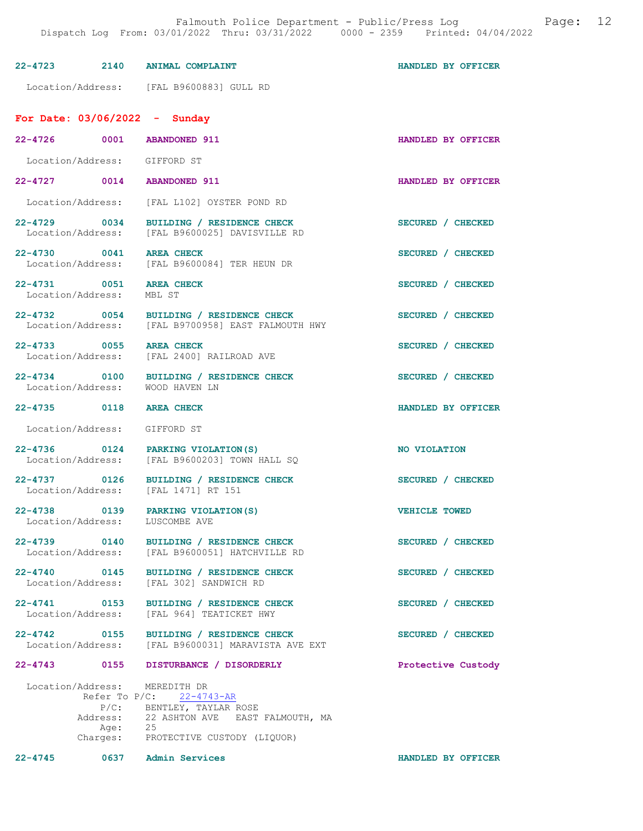| Location/Address: [FAL B9600883] GULL RD<br>For Date: $03/06/2022 -$ Sunday<br>22-4726 0001 ABANDONED 911<br>Location/Address: GIFFORD ST<br>22-4727 0014 ABANDONED 911<br>Location/Address: [FAL L102] OYSTER POND RD<br>22-4729 0034 BUILDING / RESIDENCE CHECK<br>Location/Address: [FAL B9600025] DAVISVILLE RD |                    |
|---------------------------------------------------------------------------------------------------------------------------------------------------------------------------------------------------------------------------------------------------------------------------------------------------------------------|--------------------|
|                                                                                                                                                                                                                                                                                                                     |                    |
|                                                                                                                                                                                                                                                                                                                     |                    |
|                                                                                                                                                                                                                                                                                                                     | HANDLED BY OFFICER |
|                                                                                                                                                                                                                                                                                                                     |                    |
|                                                                                                                                                                                                                                                                                                                     | HANDLED BY OFFICER |
|                                                                                                                                                                                                                                                                                                                     |                    |
|                                                                                                                                                                                                                                                                                                                     | SECURED / CHECKED  |
| 22-4730 0041<br><b>AREA CHECK</b><br>Location/Address: [FAL B9600084] TER HEUN DR                                                                                                                                                                                                                                   | SECURED / CHECKED  |
| 22-4731 0051 AREA CHECK<br>Location/Address: MBL ST                                                                                                                                                                                                                                                                 | SECURED / CHECKED  |
| 22-4732 0054 BUILDING / RESIDENCE CHECK<br>Location/Address: [FAL B9700958] EAST FALMOUTH HWY                                                                                                                                                                                                                       | SECURED / CHECKED  |
| 22-4733 0055 AREA CHECK<br>Location/Address: [FAL 2400] RAILROAD AVE                                                                                                                                                                                                                                                | SECURED / CHECKED  |
| 22-4734 0100 BUILDING / RESIDENCE CHECK<br>Location/Address: WOOD HAVEN LN                                                                                                                                                                                                                                          | SECURED / CHECKED  |
| 22-4735 0118 AREA CHECK                                                                                                                                                                                                                                                                                             | HANDLED BY OFFICER |
| Location/Address: GIFFORD ST                                                                                                                                                                                                                                                                                        |                    |
| 22-4736 0124 PARKING VIOLATION (S)<br>NO VIOLATION<br>Location/Address:<br>[FAL B9600203] TOWN HALL SQ                                                                                                                                                                                                              |                    |
| 22-4737 0126<br>BUILDING / RESIDENCE CHECK<br>Location/Address: [FAL 1471] RT 151                                                                                                                                                                                                                                   | SECURED / CHECKED  |
| 0139<br>$22 - 4738$<br>PARKING VIOLATION (S)<br><b>VEHICLE TOWED</b><br>Location/Address:<br>LUSCOMBE AVE                                                                                                                                                                                                           |                    |
| 22-4739 0140<br>BUILDING / RESIDENCE CHECK<br>Location/Address: [FAL B9600051] HATCHVILLE RD                                                                                                                                                                                                                        | SECURED / CHECKED  |
| 22-4740 0145<br>BUILDING / RESIDENCE CHECK<br>Location/Address:<br>[FAL 302] SANDWICH RD                                                                                                                                                                                                                            | SECURED / CHECKED  |
| $22 - 4741$ 0153<br>BUILDING / RESIDENCE CHECK<br>Location/Address: [FAL 964] TEATICKET HWY                                                                                                                                                                                                                         | SECURED / CHECKED  |
| 22-4742 0155 BUILDING / RESIDENCE CHECK<br>Location/Address:<br>[FAL B9600031] MARAVISTA AVE EXT                                                                                                                                                                                                                    | SECURED / CHECKED  |
| DISTURBANCE / DISORDERLY<br>22-4743 0155                                                                                                                                                                                                                                                                            | Protective Custody |
| Location/Address: MEREDITH DR<br>Refer To $P/C$ : 22-4743-AR<br>P/C: BENTLEY, TAYLAR ROSE<br>Address: 22 ASHTON AVE EAST FALMOUTH, MA                                                                                                                                                                               |                    |
| Age: 25<br>Charges:<br>PROTECTIVE CUSTODY (LIQUOR)                                                                                                                                                                                                                                                                  |                    |

22-4745 0637 Admin Services HANDLED BY OFFICER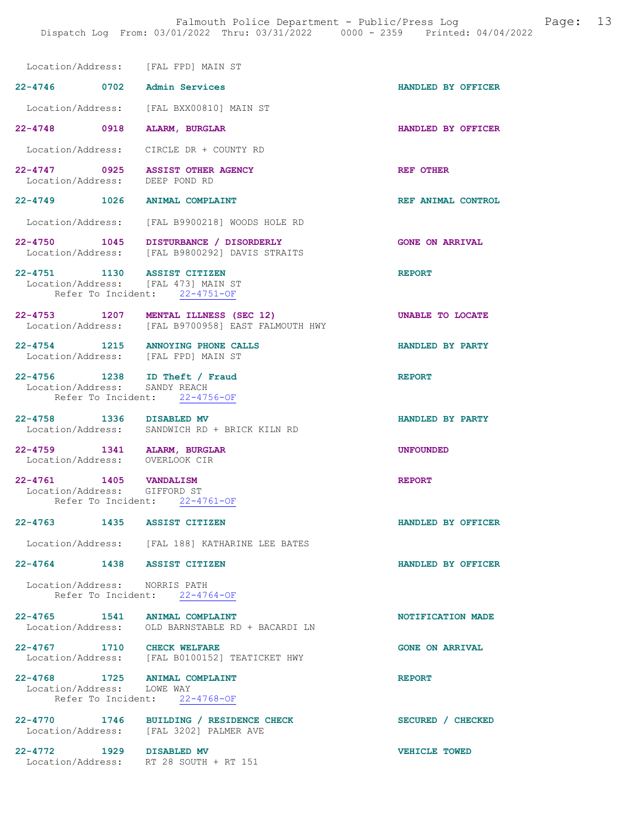| Location/Address: [FAL FPD] MAIN ST                                |                                                                                            |                        |
|--------------------------------------------------------------------|--------------------------------------------------------------------------------------------|------------------------|
| 22-4746 0702 Admin Services                                        |                                                                                            | HANDLED BY OFFICER     |
|                                                                    | Location/Address: [FAL BXX00810] MAIN ST                                                   |                        |
| 22-4748 0918 ALARM, BURGLAR                                        |                                                                                            | HANDLED BY OFFICER     |
|                                                                    | Location/Address: CIRCLE DR + COUNTY RD                                                    |                        |
| 22-4747 0925 ASSIST OTHER AGENCY<br>Location/Address: DEEP POND RD |                                                                                            | <b>REF OTHER</b>       |
| 22-4749 1026 ANIMAL COMPLAINT                                      |                                                                                            | REF ANIMAL CONTROL     |
|                                                                    | Location/Address: [FAL B9900218] WOODS HOLE RD                                             |                        |
|                                                                    | 22-4750 1045 DISTURBANCE / DISORDERLY<br>Location/Address: [FAL B9800292] DAVIS STRAITS    | <b>GONE ON ARRIVAL</b> |
| 22-4751 1130 ASSIST CITIZEN<br>Location/Address: [FAL 473] MAIN ST | Refer To Incident: 22-4751-OF                                                              | <b>REPORT</b>          |
|                                                                    | 22-4753 1207 MENTAL ILLNESS (SEC 12)<br>Location/Address: [FAL B9700958] EAST FALMOUTH HWY | UNABLE TO LOCATE       |
|                                                                    | 22-4754 1215 ANNOYING PHONE CALLS<br>Location/Address: [FAL FPD] MAIN ST                   | HANDLED BY PARTY       |
| 22-4756 1238 ID Theft / Fraud Location/Address: SANDY REACH        | Refer To Incident: 22-4756-OF                                                              | <b>REPORT</b>          |
| 22-4758 1336 DISABLED MV                                           | Location/Address: SANDWICH RD + BRICK KILN RD                                              | HANDLED BY PARTY       |
| 22-4759 1341 ALARM, BURGLAR<br>Location/Address: OVERLOOK CIR      |                                                                                            | <b>UNFOUNDED</b>       |
| 22-4761 1405 VANDALISM<br>Location/Address: GIFFORD ST             | Refer To Incident: 22-4761-OF                                                              | <b>REPORT</b>          |
| $22 - 4763$                                                        | 1435 ASSIST CITIZEN                                                                        | HANDLED BY OFFICER     |
|                                                                    | Location/Address: [FAL 188] KATHARINE LEE BATES                                            |                        |
| 22-4764 1438 ASSIST CITIZEN                                        |                                                                                            | HANDLED BY OFFICER     |
| Location/Address: NORRIS PATH                                      | Refer To Incident: 22-4764-OF                                                              |                        |
|                                                                    | 22-4765 1541 ANIMAL COMPLAINT<br>Location/Address: OLD BARNSTABLE RD + BACARDI LN          | NOTIFICATION MADE      |
|                                                                    | 22-4767 1710 CHECK WELFARE<br>Location/Address: [FAL B0100152] TEATICKET HWY               | <b>GONE ON ARRIVAL</b> |
| 22-4768 1725 ANIMAL COMPLAINT<br>Location/Address: LOWE WAY        | Refer To Incident: 22-4768-OF                                                              | <b>REPORT</b>          |
|                                                                    | 22-4770 1746 BUILDING / RESIDENCE CHECK<br>Location/Address: [FAL 3202] PALMER AVE         | SECURED / CHECKED      |
| 22-4772 1929 DISABLED MV                                           | Location/Address: RT 28 SOUTH + RT 151                                                     | VEHICLE TOWED          |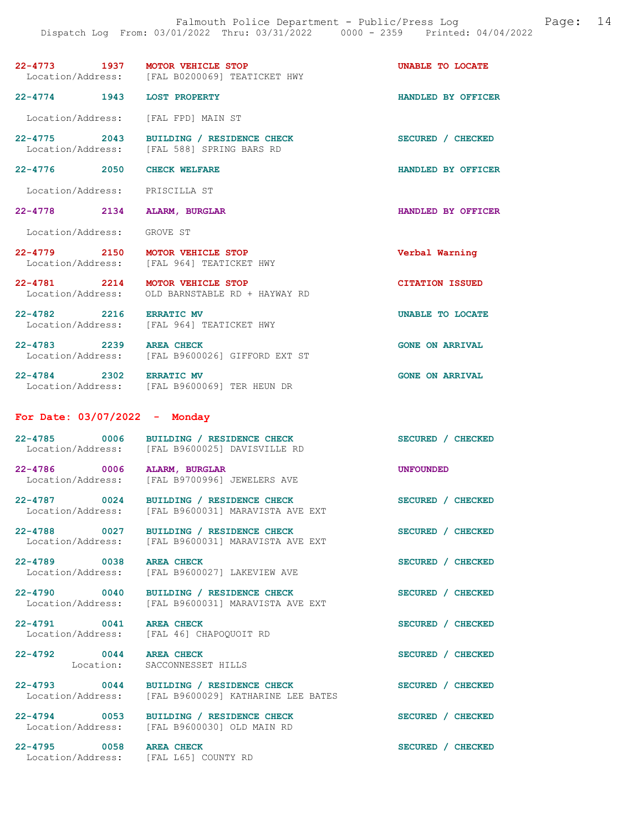# 22-4773 1937 MOTOR VEHICLE STOP 1937 MOTOR VEHICLE STOP 1937 MOTOR VEHICLE STOP 1997 2014 [FAL B0200069] TEATICKET HWY

22-4774 1943 LOST PROPERTY HANDLED BY OFFICER

Location/Address: [FAL FPD] MAIN ST

22-4775 2043 BUILDING / RESIDENCE CHECK SECURED / CHECKED Location/Address: [FAL 588] SPRING BARS RD

22-4776 2050 CHECK WELFARE HANDLED BY OFFICER

Location/Address: PRISCILLA ST

22-4778 2134 ALARM, BURGLAR 1988 22-4778 HANDLED BY OFFICER

Location/Address: GROVE ST

22-4779 2150 MOTOR VEHICLE STOP Verbal Warning

Location/Address: [FAL 964] TEATICKET HWY

22-4781 2214 MOTOR VEHICLE STOP CITATION ISSUED<br>Location/Address: OLD BARNSTABLE RD + HAYWAY RD

OLD BARNSTABLE RD + HAYWAY RD

[FAL 588] SPRING BARS RD

22-4782 2216 ERRATIC MV UNABLE TO LOCATE [FAL 964] TEATICKET HWY

Location/Address: [FAL B9600026] GIFFORD EXT ST

22-4784 2302 ERRATIC MV GONE ON ARRIVAL Location/Address: [FAL B9600069] TER HEUN DR [FAL B9600069] TER HEUN DR

### For Date: 03/07/2022 - Monday

| 22-4785<br>Location/Address: | 0006 | BUILDING / RESIDENCE CHECK<br>[FAL B9600025] DAVISVILLE RD | SECURED / CHECKED |
|------------------------------|------|------------------------------------------------------------|-------------------|
| 22-4786<br>Location/Address: | 0006 | ALARM, BURGLAR<br>[FAL B9700996] JEWELERS AVE              | <b>UNFOUNDED</b>  |

22-4787 0024 BUILDING / RESIDENCE CHECK SECURED / CHECKED Location/Address: [FAL B9600031] MARAVISTA AVE EXT

22-4788 0027 BUILDING / RESIDENCE CHECK SECURED / CHECKED<br>Location/Address: [FAL B9600031] MARAVISTA AVE EXT [FAL B9600031] MARAVISTA AVE EXT

Location/Address: [FAL B9600031] MARAVISTA AVE EXT

22-4795 0058 AREA CHECK SECURED / CHECKED

22-4789 0038 AREA CHECK SECURED / CHECKED<br>Location/Address: [FAL B9600027] LAKEVIEW AVE [FAL B9600027] LAKEVIEW AVE

22-4790 0040 BUILDING / RESIDENCE CHECK SECURED / CHECKED

22-4791 0041 AREA CHECK SECURED / CHECKED<br>
Location/Address: [FAL 46] CHAPOQUOIT RD Location/Address: [FAL 46] CHAPOQUOIT RD

22-4792 0044 AREA CHECK SECURED / CHECKED Location: SACCONNESSET HILLS

22-4793 0044 BUILDING / RESIDENCE CHECK SECURED / CHECKED Location/Address: [FAL B9600029] KATHARINE LEE BATES [FAL B9600029] KATHARINE LEE BATES

22-4794 0053 BUILDING / RESIDENCE CHECK SECURED / CHECKED Location/Address: [FAL B9600030] OLD MAIN RD [FAL B9600030] OLD MAIN RD

Location/Address: [FAL L65] COUNTY RD

22-4783 2239 AREA CHECK GONE ON ARRIVAL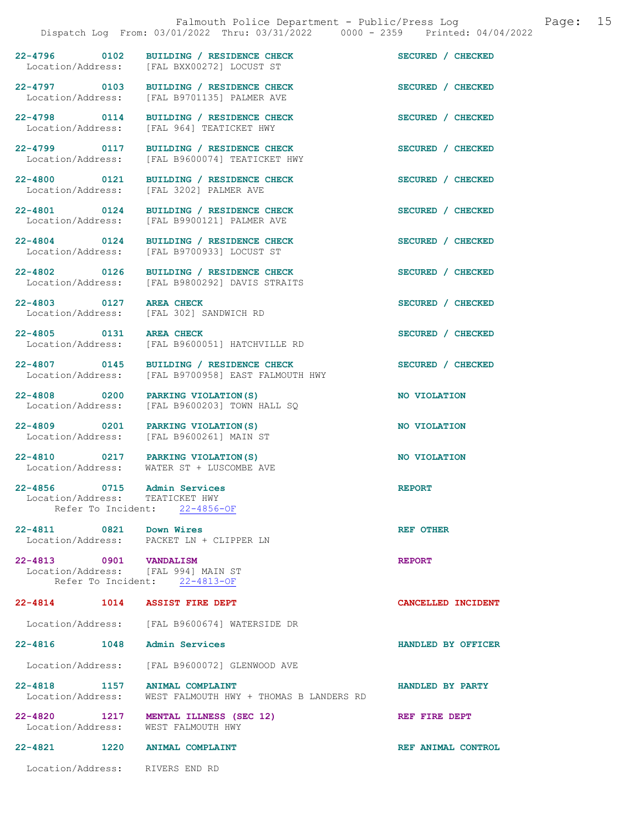22-4799 0117 BUILDING / RESIDENCE CHECK SECURED / CHECKED Location/Address: [FAL B9600074] TEATICKET HWY

22-4800 0121 BUILDING / RESIDENCE CHECK SECURED / CHECKED Location/Address: [FAL 3202] PALMER AVE

22-4803 0127 AREA CHECK SECURED / CHECKED

22-4856 0715 Admin Services<br>
Location/Address: TEATICKET HWY Location/Address: TEATICKET HWY<br>Refer To Incident: 22-4856-OF Refer To Incident:

22-4811 0821 Down Wires REF OTHER Location/Address: PACKET LN + CLIPPER LN

22-4813 0901 VANDALISM REPORT Location/Address: [FAL 994] MAIN ST Refer To Incident: 22-4813-OF

22-4814 1014 ASSIST FIRE DEPT CANCELLED INCIDENT

Location/Address: [FAL B9600674] WATERSIDE DR

#### 22-4816 1048 Admin Services HANDLED BY OFFICER

Location/Address: [FAL B9600072] GLENWOOD AVE

22-4818 1157 ANIMAL COMPLAINT THOMAS B LANDERS RD Location/Address: WEST FALMOUTH HWY + THOMAS B LANDERS RD WEST FALMOUTH HWY + THOMAS B LANDERS RD

22-4820 1217 MENTAL ILLNESS (SEC 12) REF FIRE DEPT Location/Address: WEST FALMOUTH HWY Location/Address:

22-4821 1220 ANIMAL COMPLAINT COMPLAINT REF ANIMAL CONTROL

Location/Address: RIVERS END RD

22-4796 0102 BUILDING / RESIDENCE CHECK SECURED / CHECKED Location/Address: [FAL BXX00272] LOCUST ST [FAL BXX00272] LOCUST ST

22-4797 0103 BUILDING / RESIDENCE CHECK SECURED / CHECKED Location/Address: [FAL B9701135] PALMER AVE [FAL B9701135] PALMER AVE

22-4798 0114 BUILDING / RESIDENCE CHECK SECURED / CHECKED Location/Address: [FAL 964] TEATICKET HWY

[FAL B9600074] TEATICKET HWY

[FAL 3202] PALMER AVE

22-4801 0124 BUILDING / RESIDENCE CHECK SECURED / CHECKED Location/Address: [FAL B9900121] PALMER AVE

22-4804 0124 BUILDING / RESIDENCE CHECK SECURED / CHECKED Location/Address: [FAL B9700933] LOCUST ST

22-4802 0126 BUILDING / RESIDENCE CHECK SECURED / CHECKED Location/Address: [FAL B9800292] DAVIS STRAITS

Location/Address: [FAL 302] SANDWICH RD

22-4805 0131 AREA CHECK SECURED / CHECKED<br>Location/Address: [FAL B9600051] HATCHVILLE RD [FAL B9600051] HATCHVILLE RD

22-4807 0145 BUILDING / RESIDENCE CHECK<br>
Location/Address: [FAL B9700958] EAST FALMOUTH HWY [FAL B9700958] EAST FALMOUTH HWY

22-4808 0200 PARKING VIOLATION(S) NO VIOLATION Location/Address: [FAL B9600203] TOWN HALL SQ

22-4809 0201 PARKING VIOLATION(S) NO VIOLATION Location/Address: [FAL B9600261] MAIN ST

22-4810 0217 PARKING VIOLATION(S) NO VIOLATION Location/Address: WATER ST + LUSCOMBE AVE

PACKET LN + CLIPPER LN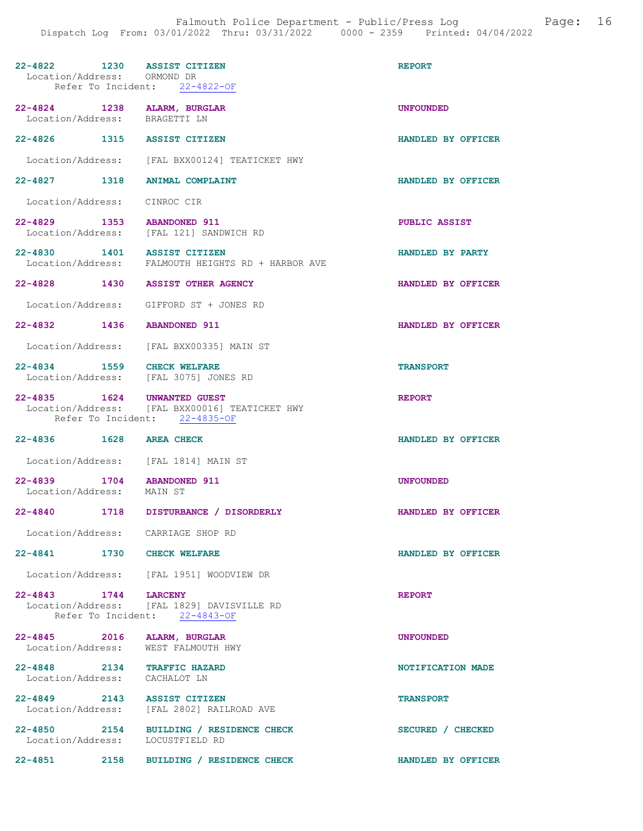| 22-4822 1230 ASSIST CITIZEN<br>Location/Address: ORMOND DR   | Refer To Incident: 22-4822-OF                                                   | <b>REPORT</b>      |
|--------------------------------------------------------------|---------------------------------------------------------------------------------|--------------------|
| 22-4824 1238 ALARM, BURGLAR<br>Location/Address: BRAGETTI LN |                                                                                 | <b>UNFOUNDED</b>   |
| 22-4826 1315 ASSIST CITIZEN                                  |                                                                                 | HANDLED BY OFFICER |
|                                                              | Location/Address: [FAL BXX00124] TEATICKET HWY                                  |                    |
| 22-4827 1318 ANIMAL COMPLAINT                                |                                                                                 | HANDLED BY OFFICER |
| Location/Address: CINROC CIR                                 |                                                                                 |                    |
| 22-4829 1353 ABANDONED 911                                   | Location/Address: [FAL 121] SANDWICH RD                                         | PUBLIC ASSIST      |
| 22-4830 1401 ASSIST CITIZEN                                  | Location/Address: FALMOUTH HEIGHTS RD + HARBOR AVE                              | HANDLED BY PARTY   |
| 22-4828 1430 ASSIST OTHER AGENCY                             |                                                                                 | HANDLED BY OFFICER |
|                                                              | Location/Address: GIFFORD ST + JONES RD                                         |                    |
| 22-4832 1436 ABANDONED 911                                   |                                                                                 | HANDLED BY OFFICER |
|                                                              | Location/Address: [FAL BXX00335] MAIN ST                                        |                    |
| 22-4834 1559 CHECK WELFARE                                   | Location/Address: [FAL 3075] JONES RD                                           | <b>TRANSPORT</b>   |
| 22-4835 1624 UNWANTED GUEST                                  | Location/Address: [FAL BXX00016] TEATICKET HWY<br>Refer To Incident: 22-4835-OF | <b>REPORT</b>      |
| 22-4836 1628 AREA CHECK                                      |                                                                                 | HANDLED BY OFFICER |
| Location/Address: [FAL 1814] MAIN ST                         |                                                                                 |                    |
| 1704 ABANDONED 911<br>$22 - 4839$                            |                                                                                 | <b>UNFOUNDED</b>   |
| Location/Address: MAIN ST                                    |                                                                                 |                    |
|                                                              | 22-4840 1718 DISTURBANCE / DISORDERLY                                           | HANDLED BY OFFICER |
| Location/Address: CARRIAGE SHOP RD                           |                                                                                 |                    |
| $22 - 4841$                                                  | 1730 CHECK WELFARE                                                              | HANDLED BY OFFICER |
|                                                              | Location/Address: [FAL 1951] WOODVIEW DR                                        |                    |
| 22-4843 1744 LARCENY                                         | Location/Address: [FAL 1829] DAVISVILLE RD<br>Refer To Incident: 22-4843-OF     | <b>REPORT</b>      |
| 22-4845 2016 ALARM, BURGLAR<br>Location/Address:             | WEST FALMOUTH HWY                                                               | <b>UNFOUNDED</b>   |
| 22-4848 2134 TRAFFIC HAZARD<br>Location/Address:             | CACHALOT LN                                                                     | NOTIFICATION MADE  |
| $22 - 4849$ 2143                                             | ASSIST CITIZEN<br>Location/Address: [FAL 2802] RAILROAD AVE                     | <b>TRANSPORT</b>   |
| Location/Address:                                            | 22-4850 2154 BUILDING / RESIDENCE CHECK<br>LOCUSTFIELD RD                       | SECURED / CHECKED  |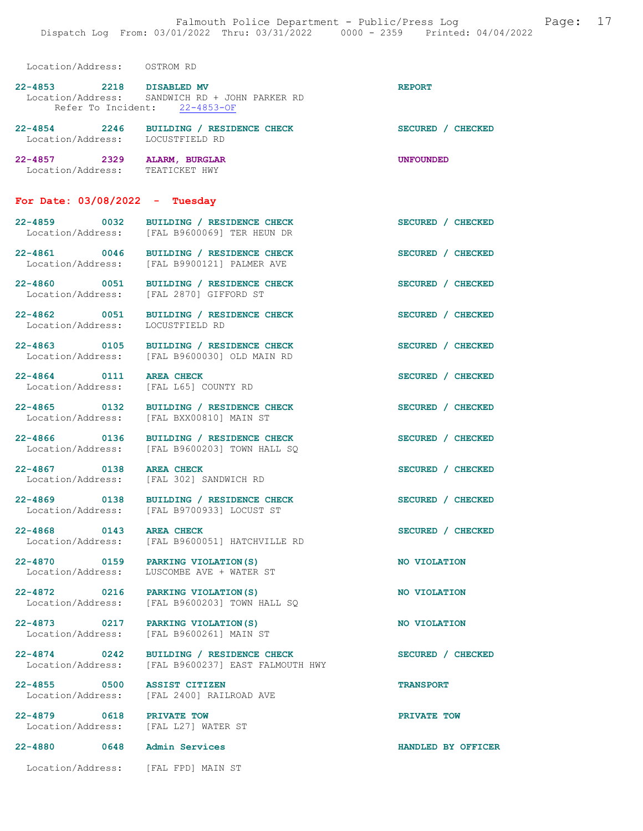Location/Address: OSTROM RD

| $22 - 4853$<br>Refer To Incident: | 2218 | <b>DISABLED MV</b><br>Location/Address: SANDWICH RD + JOHN PARKER RD<br>22-4853-OF | <b>REPORT</b>                    |
|-----------------------------------|------|------------------------------------------------------------------------------------|----------------------------------|
| 22-4854<br>Location/Address:      | 2246 | BUILDING / RESIDENCE CHECK<br>LOCUSTFIELD RD                                       | <b>SECURED</b><br><b>CHECKED</b> |
| 22-4857<br>Location/Address:      | 2329 | ALARM, BURGLAR<br>TEATICKET HWY                                                    | <b>UNFOUNDED</b>                 |

#### For Date: 03/08/2022 - Tuesday

| 22-4859           | 0032 | BUILDING / RESIDENCE CHECK | SECURED / CHECKED |
|-------------------|------|----------------------------|-------------------|
| Location/Address: |      | [FAL B9600069] TER HEUN DR |                   |
| 22-4861           | 0046 | BUILDING / RESIDENCE CHECK | SECURED / CHECKED |
| Location/Address: |      | [FAL B9900121] PALMER AVE  |                   |

22-4860 0051 BUILDING / RESIDENCE CHECK SECURED / CHECKED Location/Address: [FAL 2870] GIFFORD ST

22-4862 0051 BUILDING / RESIDENCE CHECK SECURED / CHECKED Location/Address: LOCUSTFIELD RD Location/Address:

22-4863 0105 BUILDING / RESIDENCE CHECK SECURED / CHECKED Location/Address: [FAL B9600030] OLD MAIN RD

22-4867 0138 AREA CHECK SECURED / CHECKED<br>Location/Address: [FAL 302] SANDWICH RD

22-4855 0500 ASSIST CITIZEN TRANSPORT

22-4879 0618 PRIVATE TOW Docation/Address: [FAL L27] WATER ST

22-4880 0648 Admin Services HANDLED BY OFFICER

22-4864 0111 AREA CHECK SECURED / CHECKED Location/Address: [FAL L65] COUNTY RD

22-4865 0132 BUILDING / RESIDENCE CHECK SECURED / CHECKED Location/Address: [FAL BXX00810] MAIN ST

[FAL B9600030] OLD MAIN RD

22-4866 0136 BUILDING / RESIDENCE CHECK SECURED / CHECKED Location/Address: [FAL B9600203] TOWN HALL SQ

[FAL 302] SANDWICH RD

22-4869 0138 BUILDING / RESIDENCE CHECK SECURED / CHECKED Location/Address: [FAL B9700933] LOCUST ST

22-4868 0143 AREA CHECK SECURED / CHECKED<br>Location/Address: [FAL B9600051] HATCHVILLE RD [FAL B9600051] HATCHVILLE RD

22-4870 0159 PARKING VIOLATION(S) NO VIOLATION Location/Address: LUSCOMBE AVE + WATER ST

22-4872 0216 PARKING VIOLATION(S) NO VIOLATION Location/Address: [FAL B9600203] TOWN HALL SQ

22-4873 0217 PARKING VIOLATION(S) NO VIOLATION<br>
Location/Address: [FAL B9600261] MAIN ST Location/Address: [FAL B9600261] MAIN ST

22-4874 0242 BUILDING / RESIDENCE CHECK<br>
Location/Address: [FAL B9600237] EAST FALMOUTH HWY [FAL B9600237] EAST FALMOUTH HWY

Location/Address: [FAL 2400] RAILROAD AVE

[FAL L27] WATER ST

Location/Address: [FAL FPD] MAIN ST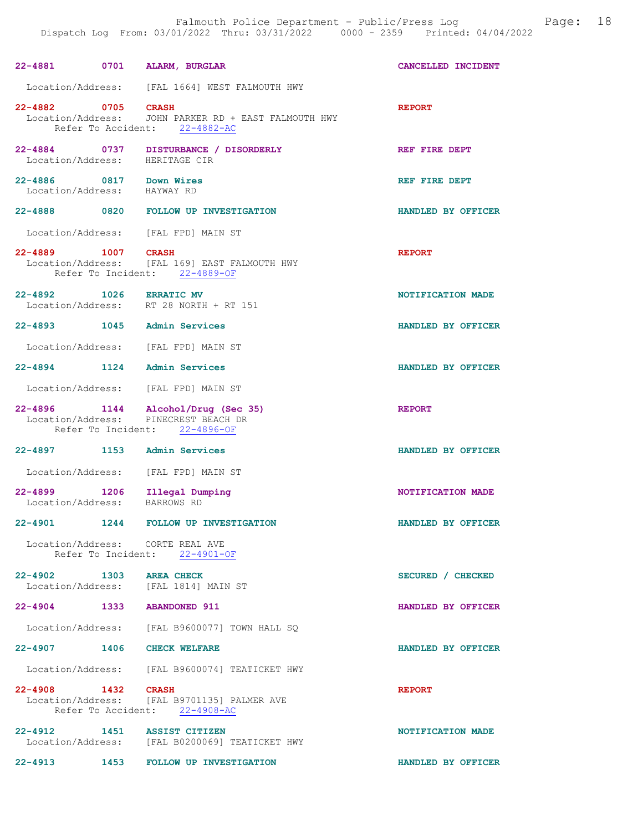| 22-4881 0701 ALARM, BURGLAR                            |                                                                                                             | CANCELLED INCIDENT |
|--------------------------------------------------------|-------------------------------------------------------------------------------------------------------------|--------------------|
|                                                        | Location/Address: [FAL 1664] WEST FALMOUTH HWY                                                              |                    |
| 22-4882 0705 CRASH                                     | Location/Address: JOHN PARKER RD + EAST FALMOUTH HWY<br>Refer To Accident: 22-4882-AC                       | <b>REPORT</b>      |
|                                                        | 22-4884 0737 DISTURBANCE / DISORDERLY<br>Location/Address: HERITAGE CIR                                     | REF FIRE DEPT      |
| 22-4886 0817 Down Wires<br>Location/Address: HAYWAY RD |                                                                                                             | REF FIRE DEPT      |
|                                                        | 22-4888 0820 FOLLOW UP INVESTIGATION                                                                        | HANDLED BY OFFICER |
|                                                        | Location/Address: [FAL FPD] MAIN ST                                                                         |                    |
| 22-4889 1007 CRASH                                     | Location/Address: [FAL 169] EAST FALMOUTH HWY<br>Refer To Incident: 22-4889-OF                              | <b>REPORT</b>      |
|                                                        | 22-4892 1026 ERRATIC MV<br>Location/Address: RT 28 NORTH + RT 151                                           | NOTIFICATION MADE  |
| 22-4893 1045 Admin Services                            |                                                                                                             | HANDLED BY OFFICER |
|                                                        | Location/Address: [FAL FPD] MAIN ST                                                                         |                    |
| 22-4894 1124 Admin Services                            |                                                                                                             | HANDLED BY OFFICER |
|                                                        | Location/Address: [FAL FPD] MAIN ST                                                                         |                    |
|                                                        | 22-4896 1144 Alcohol/Drug (Sec 35)<br>Location/Address: PINECREST BEACH DR<br>Refer To Incident: 22-4896-OF | <b>REPORT</b>      |
| 22-4897 1153 Admin Services                            |                                                                                                             | HANDLED BY OFFICER |
|                                                        | Location/Address: [FAL FPD] MAIN ST                                                                         |                    |
| 22-4899 1206<br>Location/Address:                      | Illegal Dumping<br>BARROWS RD                                                                               | NOTIFICATION MADE  |
| $22 - 4901$                                            | 1244 FOLLOW UP INVESTIGATION                                                                                | HANDLED BY OFFICER |
|                                                        | Location/Address: CORTE REAL AVE<br>Refer To Incident: 22-4901-OF                                           |                    |
| 22-4902 1303 AREA CHECK                                | Location/Address: [FAL 1814] MAIN ST                                                                        | SECURED / CHECKED  |
| 22-4904 1333 ABANDONED 911                             |                                                                                                             | HANDLED BY OFFICER |
|                                                        | Location/Address: [FAL B9600077] TOWN HALL SQ                                                               |                    |
| 22-4907 1406 CHECK WELFARE                             |                                                                                                             | HANDLED BY OFFICER |
|                                                        | Location/Address: [FAL B9600074] TEATICKET HWY                                                              |                    |
| 22-4908 1432 CRASH                                     | Location/Address: [FAL B9701135] PALMER AVE<br>Refer To Accident: 22-4908-AC                                | <b>REPORT</b>      |
| 22-4912 1451 ASSIST CITIZEN                            | Location/Address: [FAL B0200069] TEATICKET HWY                                                              | NOTIFICATION MADE  |
| 22-4913 1453                                           | FOLLOW UP INVESTIGATION                                                                                     | HANDLED BY OFFICER |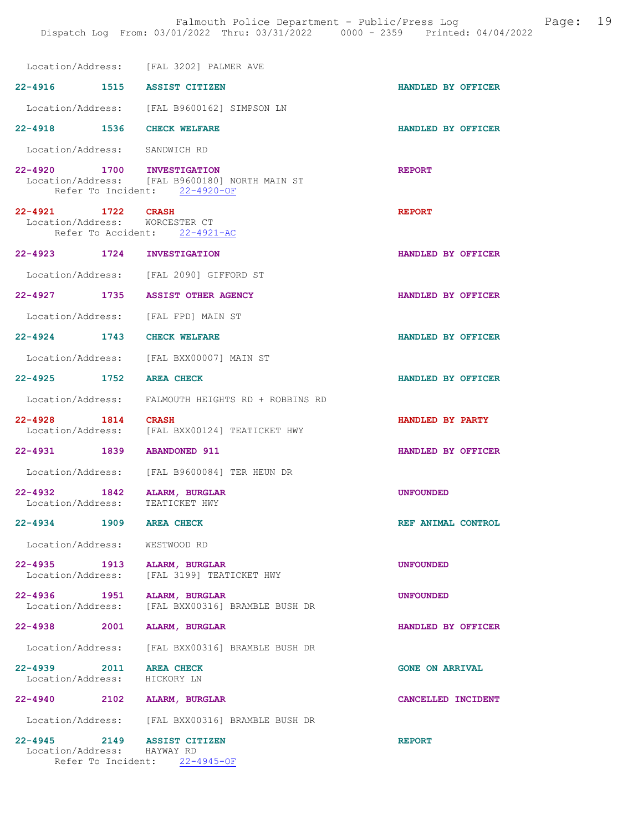|                                                                | Location/Address: [FAL 3202] PALMER AVE                                         |                        |
|----------------------------------------------------------------|---------------------------------------------------------------------------------|------------------------|
| 22-4916 1515 ASSIST CITIZEN                                    |                                                                                 | HANDLED BY OFFICER     |
|                                                                | Location/Address: [FAL B9600162] SIMPSON LN                                     |                        |
| 22-4918 1536 CHECK WELFARE                                     |                                                                                 | HANDLED BY OFFICER     |
| Location/Address: SANDWICH RD                                  |                                                                                 |                        |
| 22-4920 1700 INVESTIGATION                                     | Location/Address: [FAL B9600180] NORTH MAIN ST<br>Refer To Incident: 22-4920-OF | <b>REPORT</b>          |
| 22-4921 1722 CRASH<br>Location/Address: WORCESTER CT           | Refer To Accident: 22-4921-AC                                                   | <b>REPORT</b>          |
| 22-4923 1724 INVESTIGATION                                     |                                                                                 | HANDLED BY OFFICER     |
|                                                                | Location/Address: [FAL 2090] GIFFORD ST                                         |                        |
| 22-4927 1735 ASSIST OTHER AGENCY                               |                                                                                 | HANDLED BY OFFICER     |
| Location/Address: [FAL FPD] MAIN ST                            |                                                                                 |                        |
| 22-4924 1743 CHECK WELFARE                                     |                                                                                 | HANDLED BY OFFICER     |
|                                                                | Location/Address: [FAL BXX00007] MAIN ST                                        |                        |
| 22-4925 1752 AREA CHECK                                        |                                                                                 | HANDLED BY OFFICER     |
|                                                                | Location/Address: FALMOUTH HEIGHTS RD + ROBBINS RD                              |                        |
| 22-4928 1814 CRASH                                             | Location/Address: [FAL BXX00124] TEATICKET HWY                                  | HANDLED BY PARTY       |
| 22-4931 1839 ABANDONED 911                                     |                                                                                 | HANDLED BY OFFICER     |
|                                                                | Location/Address: [FAL B9600084] TER HEUN DR                                    |                        |
| 22-4932 1842 ALARM, BURGLAR<br>Location/Address: TEATICKET HWY |                                                                                 | <b>UNFOUNDED</b>       |
| 22-4934 1909 AREA CHECK                                        |                                                                                 | REF ANIMAL CONTROL     |
| Location/Address: WESTWOOD RD                                  |                                                                                 |                        |
| 22-4935 1913 ALARM, BURGLAR                                    | Location/Address: [FAL 3199] TEATICKET HWY                                      | <b>UNFOUNDED</b>       |
|                                                                | 22-4936 1951 ALARM, BURGLAR<br>Location/Address: [FAL BXX00316] BRAMBLE BUSH DR | <b>UNFOUNDED</b>       |
| 22-4938 2001 ALARM, BURGLAR                                    |                                                                                 | HANDLED BY OFFICER     |
|                                                                | Location/Address: [FAL BXX00316] BRAMBLE BUSH DR                                |                        |
| 22-4939 2011 AREA CHECK<br>Location/Address: HICKORY LN        |                                                                                 | <b>GONE ON ARRIVAL</b> |
| 22-4940 2102 ALARM, BURGLAR                                    |                                                                                 | CANCELLED INCIDENT     |
|                                                                | Location/Address: [FAL BXX00316] BRAMBLE BUSH DR                                |                        |
| 22-4945 2149 ASSIST CITIZEN<br>Location/Address: HAYWAY RD     | Refer To Incident: 22-4945-OF                                                   | <b>REPORT</b>          |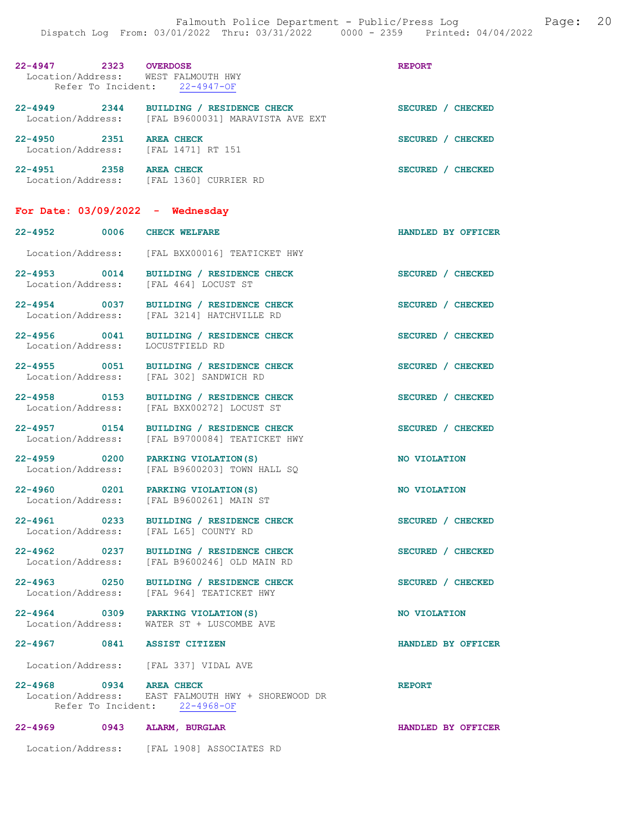| 22-4947 2323 OVERDOSE<br>Location/Address: WEST FALMOUTH HWY | Refer To Incident: 22-4947-OF                                                                 | <b>REPORT</b>      |
|--------------------------------------------------------------|-----------------------------------------------------------------------------------------------|--------------------|
|                                                              | 22-4949 2344 BUILDING / RESIDENCE CHECK<br>Location/Address: [FAL B9600031] MARAVISTA AVE EXT | SECURED / CHECKED  |
| 22-4950 2351<br>Location/Address: [FAL 1471] RT 151          | <b>AREA CHECK</b>                                                                             | SECURED / CHECKED  |
| 22-4951 2358                                                 | <b>AREA CHECK</b><br>Location/Address: [FAL 1360] CURRIER RD                                  | SECURED / CHECKED  |
| For Date: $03/09/2022 -$ Wednesday                           |                                                                                               |                    |
| 22-4952 0006 CHECK WELFARE                                   |                                                                                               | HANDLED BY OFFICER |
|                                                              | Location/Address: [FAL BXX00016] TEATICKET HWY                                                |                    |
| Location/Address: [FAL 464] LOCUST ST                        | 22-4953 0014 BUILDING / RESIDENCE CHECK                                                       | SECURED / CHECKED  |
| Location/Address:                                            | 22-4954 0037 BUILDING / RESIDENCE CHECK<br>[FAL 3214] HATCHVILLE RD                           | SECURED / CHECKED  |
| Location/Address:                                            | 22-4956 0041 BUILDING / RESIDENCE CHECK<br>LOCUSTFIELD RD                                     | SECURED / CHECKED  |
|                                                              | 22-4955 0051 BUILDING / RESIDENCE CHECK<br>Location/Address: [FAL 302] SANDWICH RD            | SECURED / CHECKED  |
| 22-4958 0153<br>Location/Address:                            | BUILDING / RESIDENCE CHECK<br>[FAL BXX00272] LOCUST ST                                        | SECURED / CHECKED  |
| 22-4957 0154<br>Location/Address:                            | BUILDING / RESIDENCE CHECK<br>[FAL B9700084] TEATICKET HWY                                    | SECURED / CHECKED  |
| 22-4959 0200 PARKING VIOLATION (S)<br>Location/Address:      | [FAL B9600203] TOWN HALL SQ                                                                   | NO VIOLATION       |
| 22-4960 0201 PARKING VIOLATION(S)                            | Location/Address: [FAL B9600261] MAIN ST                                                      | NO VIOLATION       |
| Location/Address: [FAL L65] COUNTY RD                        | 22-4961 0233 BUILDING / RESIDENCE CHECK                                                       | SECURED / CHECKED  |
|                                                              | 22-4962 0237 BUILDING / RESIDENCE CHECK<br>Location/Address: [FAL B9600246] OLD MAIN RD       | SECURED / CHECKED  |
|                                                              | 22-4963 0250 BUILDING / RESIDENCE CHECK<br>Location/Address: [FAL 964] TEATICKET HWY          | SECURED / CHECKED  |
| 22-4964 0309 PARKING VIOLATION (S)                           | Location/Address: WATER ST + LUSCOMBE AVE                                                     | NO VIOLATION       |
| 22-4967 0841 ASSIST CITIZEN                                  |                                                                                               | HANDLED BY OFFICER |
| Location/Address: [FAL 337] VIDAL AVE                        |                                                                                               |                    |
| 22-4968 0934 AREA CHECK                                      | Location/Address: EAST FALMOUTH HWY + SHOREWOOD DR<br>Refer To Incident: 22-4968-OF           | <b>REPORT</b>      |
| 22-4969 0943 ALARM, BURGLAR                                  |                                                                                               | HANDLED BY OFFICER |
|                                                              | Location/Address: [FAL 1908] ASSOCIATES RD                                                    |                    |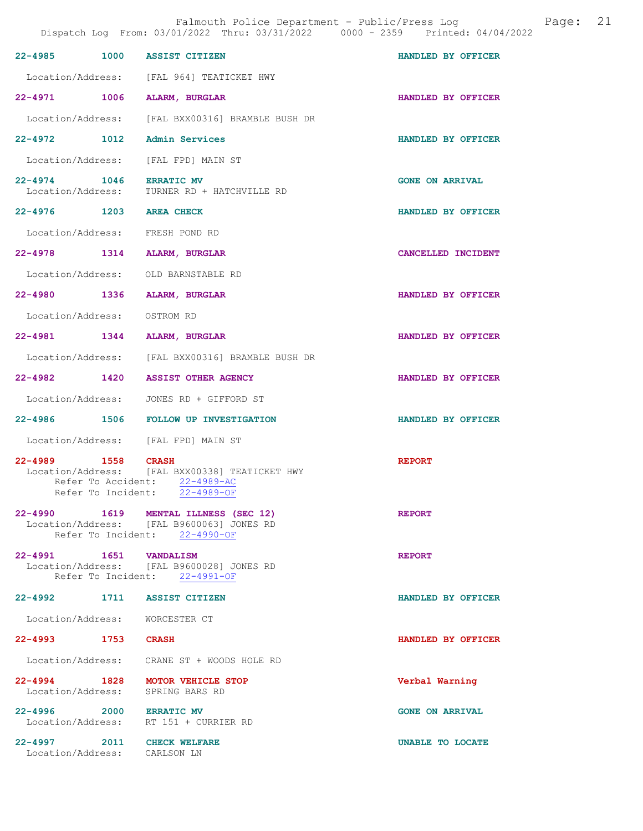Falmouth Police Department - Public/Press Log and Page: 21

| 22-4985 1000 ASSIST CITIZEN                                |                                                                                                            | HANDLED BY OFFICER     |
|------------------------------------------------------------|------------------------------------------------------------------------------------------------------------|------------------------|
|                                                            | Location/Address: [FAL 964] TEATICKET HWY                                                                  |                        |
| 22-4971 1006 ALARM, BURGLAR                                |                                                                                                            | HANDLED BY OFFICER     |
|                                                            | Location/Address: [FAL BXX00316] BRAMBLE BUSH DR                                                           |                        |
| 22-4972 1012 Admin Services                                |                                                                                                            | HANDLED BY OFFICER     |
|                                                            | Location/Address: [FAL FPD] MAIN ST                                                                        |                        |
| 22-4974 1046 ERRATIC MV                                    | Location/Address: TURNER RD + HATCHVILLE RD                                                                | <b>GONE ON ARRIVAL</b> |
| 22-4976 1203 AREA CHECK                                    |                                                                                                            | HANDLED BY OFFICER     |
|                                                            | Location/Address: FRESH POND RD                                                                            |                        |
| 22-4978 1314 ALARM, BURGLAR                                |                                                                                                            | CANCELLED INCIDENT     |
|                                                            | Location/Address: OLD BARNSTABLE RD                                                                        |                        |
| 22-4980 1336 ALARM, BURGLAR                                |                                                                                                            | HANDLED BY OFFICER     |
| Location/Address: OSTROM RD                                |                                                                                                            |                        |
| 22-4981 1344 ALARM, BURGLAR                                |                                                                                                            | HANDLED BY OFFICER     |
|                                                            | Location/Address: [FAL BXX00316] BRAMBLE BUSH DR                                                           |                        |
|                                                            | 22-4982 1420 ASSIST OTHER AGENCY                                                                           | HANDLED BY OFFICER     |
|                                                            | Location/Address: JONES RD + GIFFORD ST                                                                    |                        |
|                                                            | 22-4986 1506 FOLLOW UP INVESTIGATION                                                                       | HANDLED BY OFFICER     |
|                                                            | Location/Address: [FAL FPD] MAIN ST                                                                        |                        |
| 22-4989 1558 CRASH<br>Refer To Incident:                   | Location/Address: [FAL BXX00338] TEATICKET HWY<br>Refer To Accident: 22-4989-AC<br>22-4989-OF              | <b>REPORT</b>          |
| $22 - 4990$                                                | 1619 MENTAL ILLNESS (SEC 12)<br>Location/Address: [FAL B9600063] JONES RD<br>Refer To Incident: 22-4990-OF | <b>REPORT</b>          |
| 22-4991 1651 VANDALISM                                     | Location/Address: [FAL B9600028] JONES RD<br>Refer To Incident: 22-4991-OF                                 | <b>REPORT</b>          |
| 22-4992 1711 ASSIST CITIZEN                                |                                                                                                            | HANDLED BY OFFICER     |
| Location/Address: WORCESTER CT                             |                                                                                                            |                        |
| 22-4993 1753 CRASH                                         |                                                                                                            | HANDLED BY OFFICER     |
|                                                            | Location/Address: CRANE ST + WOODS HOLE RD                                                                 |                        |
|                                                            | 22-4994 1828 MOTOR VEHICLE STOP<br>Location/Address: SPRING BARS RD                                        | Verbal Warning         |
| 22-4996 2000 ERRATIC MV                                    | Location/Address: RT 151 + CURRIER RD                                                                      | <b>GONE ON ARRIVAL</b> |
| 22-4997 2011 CHECK WELFARE<br>Location/Address: CARLSON LN |                                                                                                            | UNABLE TO LOCATE       |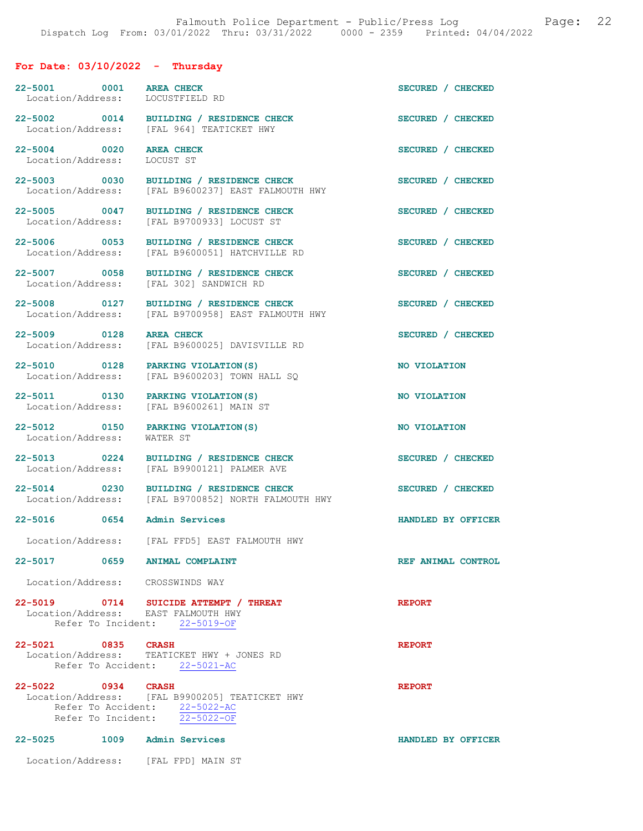## For Date: 03/10/2022 - Thursday

| 22-5001 0001 AREA CHECK<br>Location/Address: LOCUSTFIELD RD |                                                                                                                  | SECURED / CHECKED  |
|-------------------------------------------------------------|------------------------------------------------------------------------------------------------------------------|--------------------|
|                                                             | 22-5002 0014 BUILDING / RESIDENCE CHECK<br>Location/Address: [FAL 964] TEATICKET HWY                             | SECURED / CHECKED  |
| 22-5004 0020<br>Location/Address:                           | <b>AREA CHECK</b><br>LOCUST ST                                                                                   | SECURED / CHECKED  |
| 22-5003 0030<br>Location/Address:                           | BUILDING / RESIDENCE CHECK<br>[FAL B9600237] EAST FALMOUTH HWY                                                   | SECURED / CHECKED  |
| 22-5005 0047<br>Location/Address:                           | BUILDING / RESIDENCE CHECK<br>[FAL B9700933] LOCUST ST                                                           | SECURED / CHECKED  |
| 22-5006 0053<br>Location/Address:                           | BUILDING / RESIDENCE CHECK<br>[FAL B9600051] HATCHVILLE RD                                                       | SECURED / CHECKED  |
| 22-5007 0058<br>Location/Address:                           | BUILDING / RESIDENCE CHECK<br>[FAL 302] SANDWICH RD                                                              | SECURED / CHECKED  |
| 22-5008 0127<br>Location/Address:                           | BUILDING / RESIDENCE CHECK<br>[FAL B9700958] EAST FALMOUTH HWY                                                   | SECURED / CHECKED  |
| 22-5009 0128<br>Location/Address:                           | <b>AREA CHECK</b><br>[FAL B9600025] DAVISVILLE RD                                                                | SECURED / CHECKED  |
| 22-5010 0128<br>Location/Address:                           | PARKING VIOLATION (S)<br>[FAL B9600203] TOWN HALL SQ                                                             | NO VIOLATION       |
| 22-5011 0130<br>Location/Address:                           | PARKING VIOLATION (S)<br>[FAL B9600261] MAIN ST                                                                  | NO VIOLATION       |
| 22-5012 0150<br>Location/Address:                           | PARKING VIOLATION (S)<br>WATER ST                                                                                | NO VIOLATION       |
| 22-5013 0224<br>Location/Address:                           | BUILDING / RESIDENCE CHECK<br>[FAL B9900121] PALMER AVE                                                          | SECURED / CHECKED  |
| 22-5014 0230                                                | BUILDING / RESIDENCE CHECK<br>Location/Address: [FAL B9700852] NORTH FALMOUTH HWY                                | SECURED / CHECKED  |
| 22-5016 0654                                                | <b>Admin Services</b>                                                                                            | HANDLED BY OFFICER |
| Location/Address:                                           | [FAL FFD5] EAST FALMOUTH HWY                                                                                     |                    |
| 22-5017 0659 ANIMAL COMPLAINT                               |                                                                                                                  | REF ANIMAL CONTROL |
| Location/Address: CROSSWINDS WAY                            |                                                                                                                  |                    |
| Location/Address: EAST FALMOUTH HWY                         | 22-5019 0714 SUICIDE ATTEMPT / THREAT<br>Refer To Incident: 22-5019-OF                                           | <b>REPORT</b>      |
| 22-5021 0835 CRASH                                          | Location/Address: TEATICKET HWY + JONES RD<br>Refer To Accident: 22-5021-AC                                      | <b>REPORT</b>      |
| 22-5022 0934 CRASH                                          | Location/Address: [FAL B9900205] TEATICKET HWY<br>Refer To Accident: 22-5022-AC<br>Refer To Incident: 22-5022-OF | <b>REPORT</b>      |
| 22-5025 1009 Admin Services                                 |                                                                                                                  | HANDLED BY OFFICER |
| Location/Address: [FAL FPD] MAIN ST                         |                                                                                                                  |                    |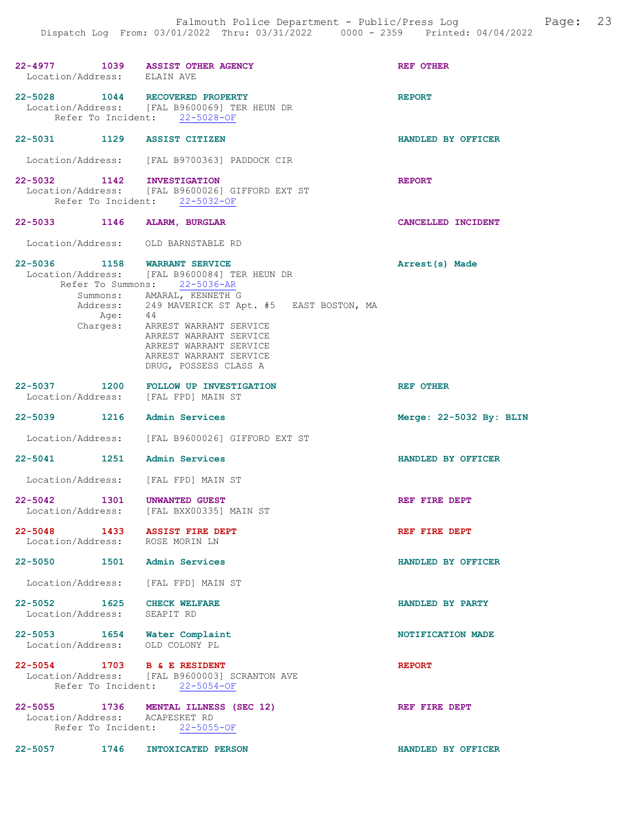| 22-4977 1039 ASSIST OTHER AGENCY<br>Location/Address: ELAIN AVE |                                                                                                                                                                                                                       | <b>REF OTHER</b>        |
|-----------------------------------------------------------------|-----------------------------------------------------------------------------------------------------------------------------------------------------------------------------------------------------------------------|-------------------------|
| 22-5028 1044 RECOVERED PROPERTY                                 | Location/Address: [FAL B9600069] TER HEUN DR<br>Refer To Incident: 22-5028-OF                                                                                                                                         | <b>REPORT</b>           |
| 22-5031 1129 ASSIST CITIZEN                                     |                                                                                                                                                                                                                       | HANDLED BY OFFICER      |
|                                                                 | Location/Address: [FAL B9700363] PADDOCK CIR                                                                                                                                                                          |                         |
| 22-5032 1142 INVESTIGATION                                      | Location/Address: [FAL B9600026] GIFFORD EXT ST<br>Refer To Incident: 22-5032-OF                                                                                                                                      | <b>REPORT</b>           |
| 22-5033 1146 ALARM, BURGLAR                                     |                                                                                                                                                                                                                       | CANCELLED INCIDENT      |
| Location/Address: OLD BARNSTABLE RD                             |                                                                                                                                                                                                                       |                         |
| 22-5036                                                         | 1158 WARRANT SERVICE<br>Location/Address: [FAL B9600084] TER HEUN DR<br>Refer To Summons: 22-5036-AR                                                                                                                  | Arrest(s) Made          |
| Age:<br>Charges:                                                | Summons: AMARAL, KENNETH G<br>Address: 249 MAVERICK ST Apt. #5 EAST BOSTON, MA<br>44<br>ARREST WARRANT SERVICE<br>ARREST WARRANT SERVICE<br>ARREST WARRANT SERVICE<br>ARREST WARRANT SERVICE<br>DRUG, POSSESS CLASS A |                         |
| Location/Address: [FAL FPD] MAIN ST                             | 22-5037 1200 FOLLOW UP INVESTIGATION                                                                                                                                                                                  | <b>REF OTHER</b>        |
| 22-5039 1216 Admin Services                                     |                                                                                                                                                                                                                       | Merge: 22-5032 By: BLIN |
|                                                                 | Location/Address: [FAL B9600026] GIFFORD EXT ST                                                                                                                                                                       |                         |
| 22-5041 1251 Admin Services                                     |                                                                                                                                                                                                                       | HANDLED BY OFFICER      |
| Location/Address:                                               | [FAL FPD] MAIN ST                                                                                                                                                                                                     |                         |
| $22 - 5042$<br>1301<br>Location/Address:                        | UNWANTED GUEST<br>[FAL BXX00335] MAIN ST                                                                                                                                                                              | REF FIRE DEPT           |
| $22 - 5048$<br>1433<br>Location/Address: ROSE MORIN LN          | <b>ASSIST FIRE DEPT</b>                                                                                                                                                                                               | REF FIRE DEPT           |
| 22-5050 1501 Admin Services                                     |                                                                                                                                                                                                                       | HANDLED BY OFFICER      |
| Location/Address: [FAL FPD] MAIN ST                             |                                                                                                                                                                                                                       |                         |
| 22-5052 1625 CHECK WELFARE<br>Location/Address: SEAPIT RD       |                                                                                                                                                                                                                       | HANDLED BY PARTY        |
| 22-5053 1654 Water Complaint<br>Location/Address: OLD COLONY PL |                                                                                                                                                                                                                       | NOTIFICATION MADE       |
| 22-5054 1703 B & E RESIDENT                                     | Location/Address: [FAL B9600003] SCRANTON AVE<br>Refer To Incident: 22-5054-OF                                                                                                                                        | <b>REPORT</b>           |
| Location/Address: ACAPESKET RD                                  | 22-5055 1736 MENTAL ILLNESS (SEC 12)<br>Refer To Incident: 22-5055-OF                                                                                                                                                 | REF FIRE DEPT           |
| 22-5057 1746                                                    | INTOXICATED PERSON                                                                                                                                                                                                    | HANDLED BY OFFICER      |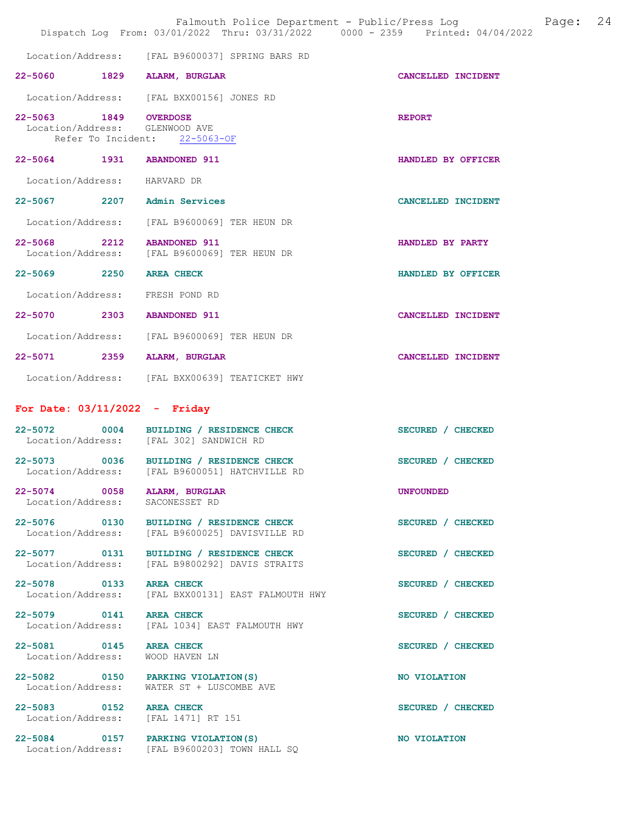| Falmouth Police Department - Public/Press Log<br>Page:<br>Dispatch Log From: 03/01/2022 Thru: 03/31/2022 0000 - 2359 Printed: 04/04/2022 |                                                                                           |                    |  |
|------------------------------------------------------------------------------------------------------------------------------------------|-------------------------------------------------------------------------------------------|--------------------|--|
|                                                                                                                                          | Location/Address: [FAL B9600037] SPRING BARS RD                                           |                    |  |
| 22-5060 1829 ALARM, BURGLAR                                                                                                              |                                                                                           | CANCELLED INCIDENT |  |
|                                                                                                                                          | Location/Address: [FAL BXX00156] JONES RD                                                 |                    |  |
| 22-5063 1849 OVERDOSE<br>Location/Address: GLENWOOD AVE                                                                                  | Refer To Incident: 22-5063-OF                                                             | <b>REPORT</b>      |  |
| 22-5064 1931 ABANDONED 911                                                                                                               |                                                                                           | HANDLED BY OFFICER |  |
| Location/Address:                                                                                                                        | HARVARD DR                                                                                |                    |  |
| 22-5067 2207 Admin Services                                                                                                              |                                                                                           | CANCELLED INCIDENT |  |
|                                                                                                                                          | Location/Address: [FAL B9600069] TER HEUN DR                                              |                    |  |
| 22-5068 2212 ABANDONED 911                                                                                                               | Location/Address: [FAL B9600069] TER HEUN DR                                              | HANDLED BY PARTY   |  |
| 22-5069 2250 AREA CHECK                                                                                                                  |                                                                                           | HANDLED BY OFFICER |  |
| Location/Address: FRESH POND RD                                                                                                          |                                                                                           |                    |  |
| 22-5070 2303 ABANDONED 911                                                                                                               |                                                                                           | CANCELLED INCIDENT |  |
|                                                                                                                                          | Location/Address: [FAL B9600069] TER HEUN DR                                              |                    |  |
| 22-5071 2359                                                                                                                             | ALARM, BURGLAR                                                                            | CANCELLED INCIDENT |  |
|                                                                                                                                          | Location/Address: [FAL BXX00639] TEATICKET HWY                                            |                    |  |
| For Date: $03/11/2022 -$ Friday                                                                                                          |                                                                                           |                    |  |
|                                                                                                                                          | 22-5072 0004 BUILDING / RESIDENCE CHECK<br>Location/Address: [FAL 302] SANDWICH RD        | SECURED / CHECKED  |  |
|                                                                                                                                          | 22-5073 0036 BUILDING / RESIDENCE CHECK<br>Location/Address: [FAL B9600051] HATCHVILLE RD | SECURED / CHECKED  |  |
| 22-5074 0058<br>Location/Address:                                                                                                        | <b>ALARM, BURGLAR</b><br>SACONESSET RD                                                    | <b>UNFOUNDED</b>   |  |
| 22-5076 0130<br>Location/Address:                                                                                                        | BUILDING / RESIDENCE CHECK<br>[FAL B9600025] DAVISVILLE RD                                | SECURED / CHECKED  |  |
| 22-5077 0131<br>Location/Address:                                                                                                        | BUILDING / RESIDENCE CHECK<br>[FAL B9800292] DAVIS STRAITS                                | SECURED / CHECKED  |  |
| 22-5078 0133<br>Location/Address:                                                                                                        | <b>AREA CHECK</b><br>[FAL BXX00131] EAST FALMOUTH HWY                                     | SECURED / CHECKED  |  |
| 22-5079 0141<br>Location/Address:                                                                                                        | <b>AREA CHECK</b><br>[FAL 1034] EAST FALMOUTH HWY                                         | SECURED / CHECKED  |  |
| 22-5081 0145<br>Location/Address:                                                                                                        | <b>AREA CHECK</b><br>WOOD HAVEN LN                                                        | SECURED / CHECKED  |  |
| 22-5082 0150<br>Location/Address:                                                                                                        | PARKING VIOLATION(S)<br>WATER ST + LUSCOMBE AVE                                           | NO VIOLATION       |  |
| 22-5083 0152<br>Location/Address: [FAL 1471] RT 151                                                                                      | <b>AREA CHECK</b>                                                                         | SECURED / CHECKED  |  |
| 22-5084 0157 PARKING VIOLATION (S)                                                                                                       | Location/Address: [FAL B9600203] TOWN HALL SQ                                             | NO VIOLATION       |  |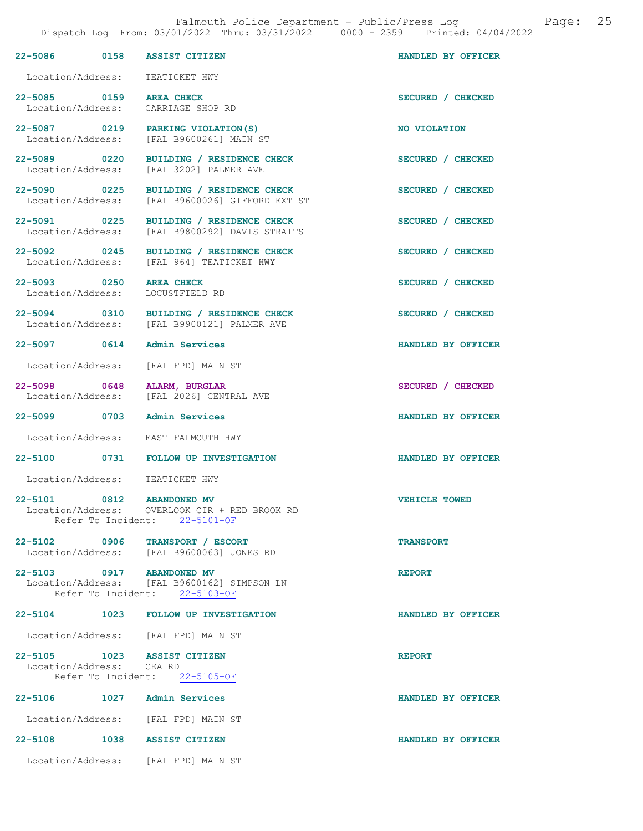| 22-5086 0158 ASSIST CITIZEN                             |                                                                                                           | HANDLED BY OFFICER |
|---------------------------------------------------------|-----------------------------------------------------------------------------------------------------------|--------------------|
| Location/Address:                                       | TEATICKET HWY                                                                                             |                    |
|                                                         |                                                                                                           |                    |
| 22-5085 0159<br>Location/Address:                       | <b>AREA CHECK</b><br>CARRIAGE SHOP RD                                                                     | SECURED / CHECKED  |
| Location/Address:                                       | 22-5087 0219 PARKING VIOLATION (S)<br>[FAL B9600261] MAIN ST                                              | NO VIOLATION       |
| 22-5089 0220<br>Location/Address:                       | BUILDING / RESIDENCE CHECK<br>[FAL 3202] PALMER AVE                                                       | SECURED / CHECKED  |
| 22-5090 0225<br>Location/Address:                       | BUILDING / RESIDENCE CHECK<br>[FAL B9600026] GIFFORD EXT ST                                               | SECURED / CHECKED  |
| 22-5091 0225<br>Location/Address:                       | <b>BUILDING / RESIDENCE CHECK</b><br>[FAL B9800292] DAVIS STRAITS                                         | SECURED / CHECKED  |
| 22-5092 0245<br>Location/Address:                       | BUILDING / RESIDENCE CHECK<br>[FAL 964] TEATICKET HWY                                                     | SECURED / CHECKED  |
| 22-5093 0250 AREA CHECK<br>Location/Address:            | LOCUSTFIELD RD                                                                                            | SECURED / CHECKED  |
|                                                         | 22-5094 0310 BUILDING / RESIDENCE CHECK<br>Location/Address: [FAL B9900121] PALMER AVE                    | SECURED / CHECKED  |
| 22-5097 0614                                            | Admin Services                                                                                            | HANDLED BY OFFICER |
|                                                         | Location/Address: [FAL FPD] MAIN ST                                                                       |                    |
| 22-5098 0648 ALARM, BURGLAR<br>Location/Address:        | [FAL 2026] CENTRAL AVE                                                                                    | SECURED / CHECKED  |
| 22-5099 0703 Admin Services                             |                                                                                                           | HANDLED BY OFFICER |
|                                                         | Location/Address: EAST FALMOUTH HWY                                                                       |                    |
|                                                         | 22-5100 0731 FOLLOW UP INVESTIGATION                                                                      | HANDLED BY OFFICER |
|                                                         | Location/Address: TEATICKET HWY                                                                           |                    |
| 0812<br>$22 - 5101$                                     | <b>ABANDONED MV</b><br>Location/Address:     OVERLOOK CIR + RED BROOK RD<br>Refer To Incident: 22-5101-OF | VEHICLE TOWED      |
|                                                         | 22-5102 0906 TRANSPORT / ESCORT<br>Location/Address: [FAL B9600063] JONES RD                              | <b>TRANSPORT</b>   |
| 22-5103 0917 ABANDONED MV                               | Location/Address: [FAL B9600162] SIMPSON LN<br>Refer To Incident: 22-5103-OF                              | <b>REPORT</b>      |
|                                                         | 22-5104 1023 FOLLOW UP INVESTIGATION                                                                      | HANDLED BY OFFICER |
|                                                         | Location/Address: [FAL FPD] MAIN ST                                                                       |                    |
| 22-5105 1023 ASSIST CITIZEN<br>Location/Address: CEA RD | Refer To Incident: 22-5105-OF                                                                             | <b>REPORT</b>      |
| 22-5106 1027 Admin Services                             |                                                                                                           | HANDLED BY OFFICER |
|                                                         | Location/Address: [FAL FPD] MAIN ST                                                                       |                    |
| 22-5108 1038 ASSIST CITIZEN                             |                                                                                                           | HANDLED BY OFFICER |
|                                                         | Location/Address: [FAL FPD] MAIN ST                                                                       |                    |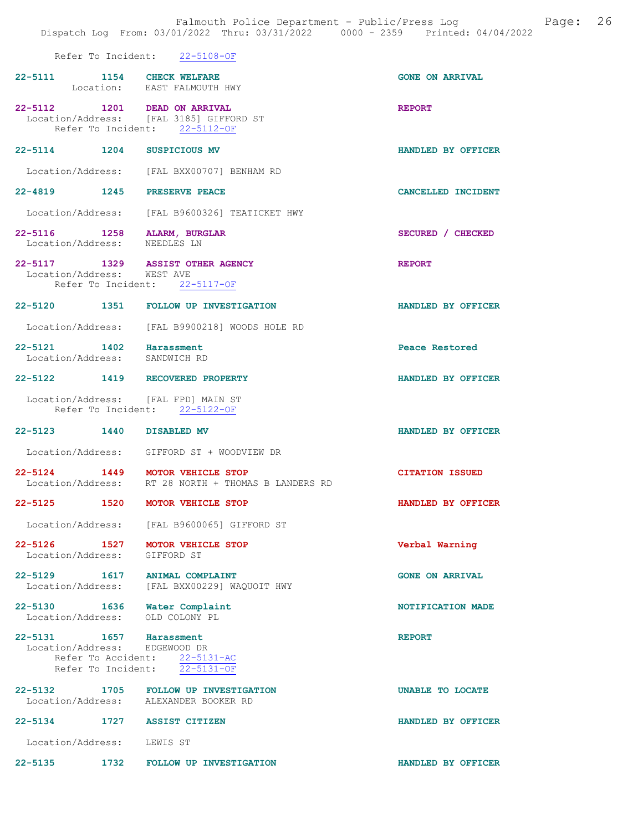#### Refer To Incident: 22-5108-OF

| 22-5111 1154 CHECK WELFARE                                  | Location: EAST FALMOUTH HWY                                                   | <b>GONE ON ARRIVAL</b>  |
|-------------------------------------------------------------|-------------------------------------------------------------------------------|-------------------------|
| 22-5112 1201 DEAD ON ARRIVAL                                | Location/Address: [FAL 3185] GIFFORD ST<br>Refer To Incident: 22-5112-OF      | <b>REPORT</b>           |
| 22-5114 1204 SUSPICIOUS MV                                  |                                                                               | HANDLED BY OFFICER      |
|                                                             | Location/Address: [FAL BXX00707] BENHAM RD                                    |                         |
| 22-4819 1245 PRESERVE PEACE                                 |                                                                               | CANCELLED INCIDENT      |
|                                                             | Location/Address: [FAL B9600326] TEATICKET HWY                                |                         |
| 22-5116 1258 ALARM, BURGLAR<br>Location/Address: NEEDLES LN |                                                                               | SECURED / CHECKED       |
| Location/Address: WEST AVE                                  | 22-5117 1329 ASSIST OTHER AGENCY<br>Refer To Incident: 22-5117-OF             | <b>REPORT</b>           |
|                                                             | 22-5120 1351 FOLLOW UP INVESTIGATION                                          | HANDLED BY OFFICER      |
|                                                             | Location/Address: [FAL B9900218] WOODS HOLE RD                                |                         |
| 22-5121 1402 Harassment<br>Location/Address: SANDWICH RD    |                                                                               | Peace Restored          |
| 22-5122 1419 RECOVERED PROPERTY                             |                                                                               | HANDLED BY OFFICER      |
| Location/Address: [FAL FPD] MAIN ST                         | Refer To Incident: 22-5122-OF                                                 |                         |
|                                                             |                                                                               |                         |
| 22-5123 1440 DISABLED MV                                    |                                                                               | HANDLED BY OFFICER      |
|                                                             | Location/Address: GIFFORD ST + WOODVIEW DR                                    |                         |
| 22-5124 1449 MOTOR VEHICLE STOP                             | Location/Address: RT 28 NORTH + THOMAS B LANDERS RD                           | <b>CITATION ISSUED</b>  |
| 22-5125 1520 MOTOR VEHICLE STOP                             |                                                                               | HANDLED BY OFFICER      |
|                                                             | Location/Address: [FAL B9600065] GIFFORD ST                                   |                         |
| 22-5126 1527 MOTOR VEHICLE STOP<br>Location/Address:        | GIFFORD ST                                                                    | Verbal Warning          |
| 22-5129 1617 ANIMAL COMPLAINT<br>Location/Address:          | [FAL BXX00229] WAOUOIT HWY                                                    | <b>GONE ON ARRIVAL</b>  |
| 22-5130 1636 Water Complaint<br>Location/Address:           | OLD COLONY PL                                                                 | NOTIFICATION MADE       |
| 22-5131 1657<br>Location/Address: EDGEWOOD DR               | Harassment<br>Refer To Accident: 22-5131-AC<br>Refer To Incident: 22-5131-OF  | <b>REPORT</b>           |
|                                                             | 22-5132 1705 FOLLOW UP INVESTIGATION<br>Location/Address: ALEXANDER BOOKER RD | <b>UNABLE TO LOCATE</b> |
| $22 - 5134$                                                 | 1727 ASSIST CITIZEN                                                           | HANDLED BY OFFICER      |
| Location/Address: LEWIS ST                                  |                                                                               |                         |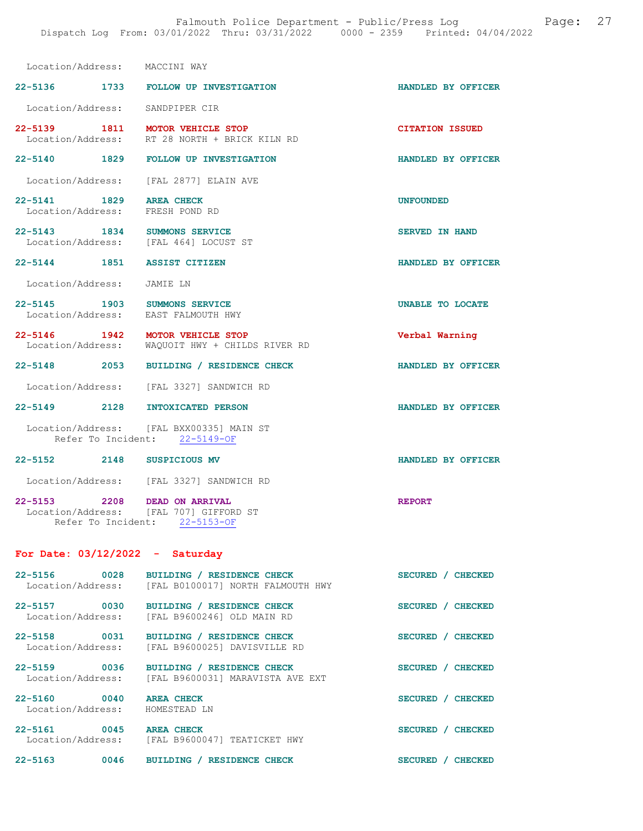| Location/Address: MACCINI WAY                              |                                                                           |                         |
|------------------------------------------------------------|---------------------------------------------------------------------------|-------------------------|
|                                                            | 22-5136 1733 FOLLOW UP INVESTIGATION                                      | HANDLED BY OFFICER      |
| Location/Address: SANDPIPER CIR                            |                                                                           |                         |
| 22-5139 1811 MOTOR VEHICLE STOP                            | Location/Address: RT 28 NORTH + BRICK KILN RD                             | <b>CITATION ISSUED</b>  |
|                                                            | 22-5140 1829 FOLLOW UP INVESTIGATION                                      | HANDLED BY OFFICER      |
|                                                            | Location/Address: [FAL 2877] ELAIN AVE                                    |                         |
| 22-5141 1829 AREA CHECK<br>Location/Address: FRESH POND RD |                                                                           | <b>UNFOUNDED</b>        |
| 22-5143 1834 SUMMONS SERVICE                               | Location/Address: [FAL 464] LOCUST ST                                     | <b>SERVED IN HAND</b>   |
| 22-5144 1851 ASSIST CITIZEN                                |                                                                           | HANDLED BY OFFICER      |
| Location/Address: JAMIE LN                                 |                                                                           |                         |
| 22-5145 1903                                               | <b>SUMMONS SERVICE</b><br>Location/Address: EAST FALMOUTH HWY             | <b>UNABLE TO LOCATE</b> |
| 22-5146 1942 MOTOR VEHICLE STOP                            | Location/Address: WAQUOIT HWY + CHILDS RIVER RD                           | Verbal Warning          |
|                                                            | 22-5148 2053 BUILDING / RESIDENCE CHECK                                   | HANDLED BY OFFICER      |
|                                                            | Location/Address: [FAL 3327] SANDWICH RD                                  |                         |
| 22-5149 2128 INTOXICATED PERSON                            |                                                                           | HANDLED BY OFFICER      |
|                                                            | Location/Address: [FAL BXX00335] MAIN ST<br>Refer To Incident: 22-5149-OF |                         |
| 22-5152 2148 SUSPICIOUS MV                                 |                                                                           | HANDLED BY OFFICER      |
|                                                            | Location/Address: [FAL 3327] SANDWICH RD                                  |                         |
| 22-5153 2208 DEAD ON ARRIVAL                               | Location/Address: [FAL 707] GIFFORD ST<br>Refer To Incident: 22-5153-OF   | <b>REPORT</b>           |

# For Date: 03/12/2022 - Saturday

| $22 - 5156$<br>Location/Address:         | 0028 | BUILDING / RESIDENCE CHECK<br>[FAL B0100017] NORTH FALMOUTH HWY | <b>SECURED</b> | <b>CHECKED</b> |
|------------------------------------------|------|-----------------------------------------------------------------|----------------|----------------|
| $22 - 5157$<br>Location/Address:         | 0030 | BUILDING / RESIDENCE CHECK<br>[FAL B9600246] OLD MAIN RD        | <b>SECURED</b> | <b>CHECKED</b> |
| $22 - 5158$<br>Location/Address:         | 0031 | BUILDING / RESIDENCE CHECK<br>[FAL B9600025] DAVISVILLE RD      | <b>SECURED</b> | <b>CHECKED</b> |
| $22 - 5159$<br>0036<br>Location/Address: |      | BUILDING / RESIDENCE CHECK<br>[FAL B9600031] MARAVISTA AVE EXT  | <b>SECURED</b> | <b>CHECKED</b> |
| 0040<br>$22 - 5160$<br>Location/Address: |      | <b>AREA CHECK</b><br>HOMESTEAD LN                               | <b>SECURED</b> | <b>CHECKED</b> |
| $22 - 5161$<br>Location/Address:         | 0045 | <b>AREA CHECK</b><br>[FAL B9600047] TEATICKET HWY               | <b>SECURED</b> | <b>CHECKED</b> |
| $22 - 5163$                              | 0046 | <b>BUILDING</b><br><b>RESIDENCE CHECK</b>                       | <b>SECURED</b> | <b>CHECKED</b> |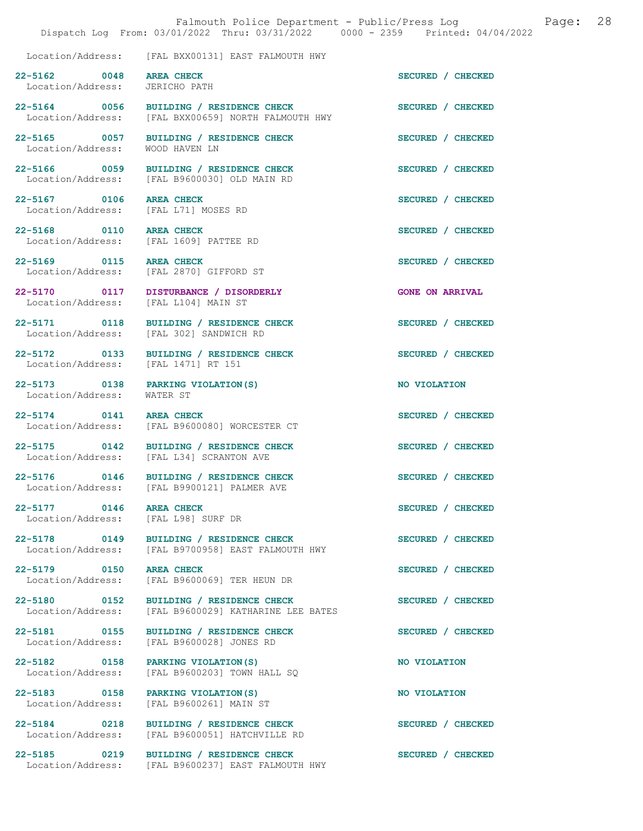|                                                                    | Falmouth Police Department - Public/Press Log Fage: 28<br>Dispatch Log From: 03/01/2022 Thru: 03/31/2022 0000 - 2359 Printed: 04/04/2022 |                        |  |
|--------------------------------------------------------------------|------------------------------------------------------------------------------------------------------------------------------------------|------------------------|--|
|                                                                    | Location/Address: [FAL BXX00131] EAST FALMOUTH HWY                                                                                       |                        |  |
| 22-5162 0048 AREA CHECK<br>Location/Address: JERICHO PATH          |                                                                                                                                          | SECURED / CHECKED      |  |
|                                                                    | 22-5164 0056 BUILDING / RESIDENCE CHECK<br>Location/Address: [FAL BXX00659] NORTH FALMOUTH HWY                                           | SECURED / CHECKED      |  |
| Location/Address: WOOD HAVEN LN                                    | 22-5165 0057 BUILDING / RESIDENCE CHECK                                                                                                  | SECURED / CHECKED      |  |
|                                                                    | 22-5166 0059 BUILDING / RESIDENCE CHECK<br>Location/Address: [FAL B9600030] OLD MAIN RD                                                  | SECURED / CHECKED      |  |
| 22-5167 0106 AREA CHECK<br>Location/Address: [FAL L71] MOSES RD    |                                                                                                                                          | SECURED / CHECKED      |  |
| 22-5168 0110 AREA CHECK<br>Location/Address: [FAL 1609] PATTEE RD  |                                                                                                                                          | SECURED / CHECKED      |  |
| 22-5169 0115 AREA CHECK<br>Location/Address: [FAL 2870] GIFFORD ST |                                                                                                                                          | SECURED / CHECKED      |  |
| Location/Address: [FAL L104] MAIN ST                               | 22-5170 0117 DISTURBANCE / DISORDERLY                                                                                                    | <b>GONE ON ARRIVAL</b> |  |
| Location/Address: [FAL 302] SANDWICH RD                            | 22-5171 0118 BUILDING / RESIDENCE CHECK                                                                                                  | SECURED / CHECKED      |  |
| Location/Address: [FAL 1471] RT 151                                | 22-5172 0133 BUILDING / RESIDENCE CHECK                                                                                                  | SECURED / CHECKED      |  |
| 22-5173 0138 PARKING VIOLATION (S)<br>Location/Address: WATER ST   |                                                                                                                                          | NO VIOLATION           |  |
|                                                                    | 22-5174 0141 AREA CHECK<br>Location/Address: [FAL B9600080] WORCESTER CT                                                                 | SECURED / CHECKED      |  |
|                                                                    | 22-5175 0142 BUILDING / RESIDENCE CHECK<br>Location/Address: [FAL L34] SCRANTON AVE                                                      | SECURED / CHECKED      |  |
| 22-5176 0146                                                       | BUILDING / RESIDENCE CHECK<br>Location/Address: [FAL B9900121] PALMER AVE                                                                | SECURED / CHECKED      |  |
| 22-5177 0146 AREA CHECK<br>Location/Address: [FAL L98] SURF DR     |                                                                                                                                          | SECURED / CHECKED      |  |
| 22-5178 0149<br>Location/Address:                                  | BUILDING / RESIDENCE CHECK<br>[FAL B9700958] EAST FALMOUTH HWY                                                                           | SECURED / CHECKED      |  |
| 22-5179 0150<br>Location/Address:                                  | <b>AREA CHECK</b><br>[FAL B9600069] TER HEUN DR                                                                                          | SECURED / CHECKED      |  |
| 22-5180 0152<br>Location/Address:                                  | BUILDING / RESIDENCE CHECK<br>[FAL B9600029] KATHARINE LEE BATES                                                                         | SECURED / CHECKED      |  |
| 22-5181 0155<br>Location/Address:                                  | BUILDING / RESIDENCE CHECK<br>[FAL B9600028] JONES RD                                                                                    | SECURED / CHECKED      |  |
| 22-5182 0158<br>Location/Address:                                  | PARKING VIOLATION (S)<br>[FAL B9600203] TOWN HALL SQ                                                                                     | NO VIOLATION           |  |
| 22-5183 0158<br>Location/Address:                                  | PARKING VIOLATION (S)<br>[FAL B9600261] MAIN ST                                                                                          | NO VIOLATION           |  |
| 22-5184 0218<br>Location/Address:                                  | BUILDING / RESIDENCE CHECK<br>[FAL B9600051] HATCHVILLE RD                                                                               | SECURED / CHECKED      |  |
| 22-5185 0219                                                       | BUILDING / RESIDENCE CHECK<br>Location/Address: [FAL B9600237] EAST FALMOUTH HWY                                                         | SECURED / CHECKED      |  |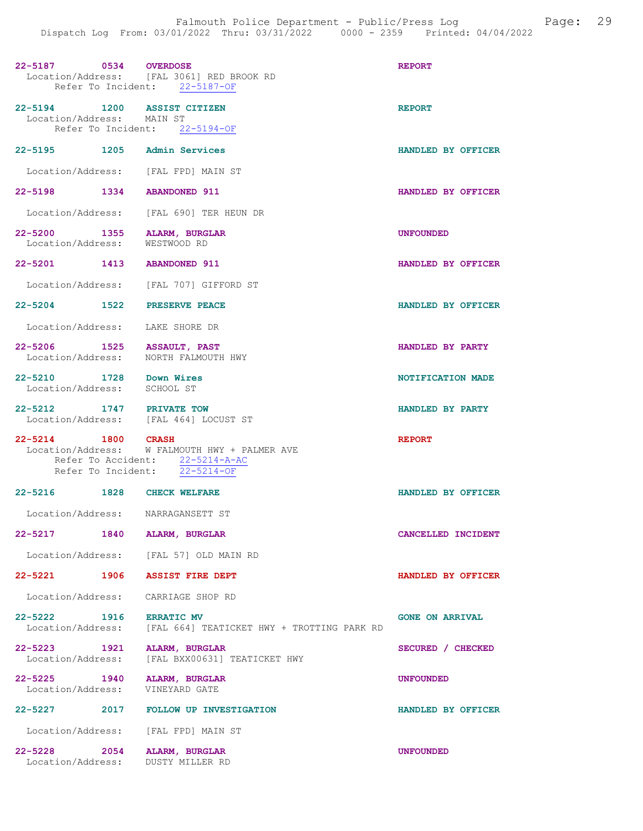| 22-5187 0534 OVERDOSE                                             | Location/Address: [FAL 3061] RED BROOK RD<br>Refer To Incident: 22-5187-OF                                        | <b>REPORT</b>          |
|-------------------------------------------------------------------|-------------------------------------------------------------------------------------------------------------------|------------------------|
| 22-5194 1200 ASSIST CITIZEN<br>Location/Address: MAIN ST          | Refer To Incident: 22-5194-OF                                                                                     | <b>REPORT</b>          |
| 22-5195 1205 Admin Services                                       |                                                                                                                   | HANDLED BY OFFICER     |
| Location/Address: [FAL FPD] MAIN ST                               |                                                                                                                   |                        |
| 22-5198 1334 ABANDONED 911                                        |                                                                                                                   | HANDLED BY OFFICER     |
|                                                                   | Location/Address: [FAL 690] TER HEUN DR                                                                           |                        |
| 22-5200 1355 ALARM, BURGLAR<br>Location/Address: WESTWOOD RD      |                                                                                                                   | <b>UNFOUNDED</b>       |
| 22-5201 1413 ABANDONED 911                                        |                                                                                                                   | HANDLED BY OFFICER     |
|                                                                   | Location/Address: [FAL 707] GIFFORD ST                                                                            |                        |
| 22-5204 1522 PRESERVE PEACE                                       |                                                                                                                   | HANDLED BY OFFICER     |
| Location/Address: LAKE SHORE DR                                   |                                                                                                                   |                        |
| 22-5206 1525 ASSAULT, PAST<br>Location/Address:                   | NORTH FALMOUTH HWY                                                                                                | HANDLED BY PARTY       |
| 22-5210 1728 Down Wires<br>Location/Address: SCHOOL ST            |                                                                                                                   | NOTIFICATION MADE      |
| 22-5212 1747 PRIVATE TOW<br>Location/Address: [FAL 464] LOCUST ST |                                                                                                                   | HANDLED BY PARTY       |
| 22-5214 1800 CRASH                                                | Location/Address: W FALMOUTH HWY + PALMER AVE<br>Refer To Accident: 22-5214-A-AC<br>Refer To Incident: 22-5214-OF | <b>REPORT</b>          |
| 22-5216 1828 CHECK WELFARE                                        |                                                                                                                   | HANDLED BY OFFICER     |
| Location/Address: NARRAGANSETT ST                                 |                                                                                                                   |                        |
| 22-5217<br>1840                                                   | <b>ALARM, BURGLAR</b>                                                                                             | CANCELLED INCIDENT     |
|                                                                   | Location/Address: [FAL 57] OLD MAIN RD                                                                            |                        |
| 22-5221<br>1906                                                   | <b>ASSIST FIRE DEPT</b>                                                                                           | HANDLED BY OFFICER     |
| Location/Address: CARRIAGE SHOP RD                                |                                                                                                                   |                        |
| 22-5222 1916 ERRATIC MV                                           | Location/Address: [FAL 664] TEATICKET HWY + TROTTING PARK RD                                                      | <b>GONE ON ARRIVAL</b> |
| $22 - 5223$<br>1921<br>Location/Address:                          | ALARM, BURGLAR<br>[FAL BXX00631] TEATICKET HWY                                                                    | SECURED / CHECKED      |
| 22-5225 1940 ALARM, BURGLAR<br>Location/Address:                  | VINEYARD GATE                                                                                                     | <b>UNFOUNDED</b>       |
|                                                                   | 22-5227 2017 FOLLOW UP INVESTIGATION                                                                              | HANDLED BY OFFICER     |
| Location/Address: [FAL FPD] MAIN ST                               |                                                                                                                   |                        |
| $22 - 5228$<br>2054<br>Location/Address:                          | ALARM, BURGLAR<br>DUSTY MILLER RD                                                                                 | <b>UNFOUNDED</b>       |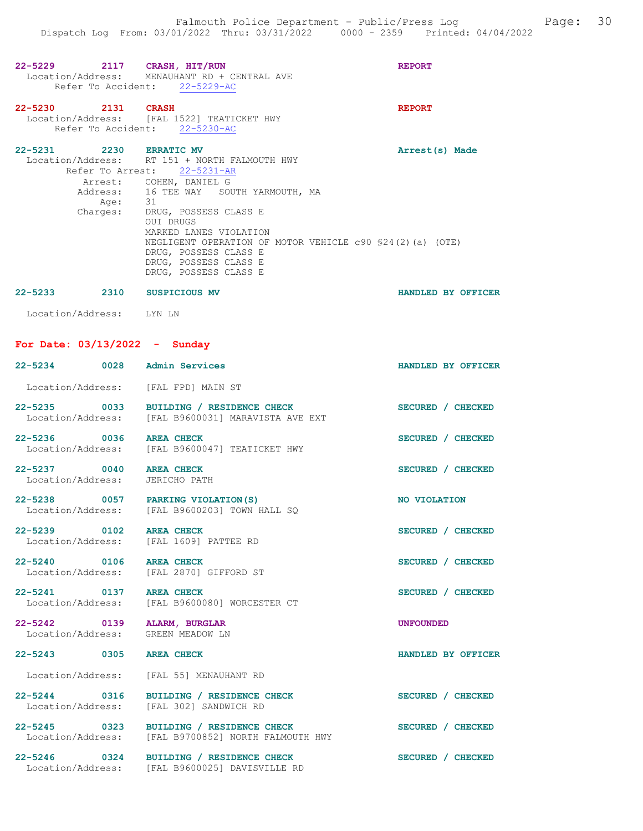| 22-5229 2117 CRASH, HIT/RUN                                      | Location/Address: MENAUHANT RD + CENTRAL AVE<br>Refer To Accident: 22-5229-AC                                                                                                                                                                                                                                                                                                 | <b>REPORT</b>      |
|------------------------------------------------------------------|-------------------------------------------------------------------------------------------------------------------------------------------------------------------------------------------------------------------------------------------------------------------------------------------------------------------------------------------------------------------------------|--------------------|
| 22-5230 2131 CRASH                                               | Location/Address: [FAL 1522] TEATICKET HWY<br>Refer To Accident: 22-5230-AC                                                                                                                                                                                                                                                                                                   | <b>REPORT</b>      |
| 22-5231 2230 ERRATIC MV                                          | Location/Address: RT 151 + NORTH FALMOUTH HWY<br>Refer To Arrest: 22-5231-AR<br>Arrest: COHEN, DANIEL G<br>Address: 16 TEE WAY SOUTH YARMOUTH, MA<br>Age: 31<br>Charges: DRUG, POSSESS CLASS E<br>OUI DRUGS<br>MARKED LANES VIOLATION<br>NEGLIGENT OPERATION OF MOTOR VEHICLE c90 \$24(2)(a) (OTE)<br>DRUG, POSSESS CLASS E<br>DRUG, POSSESS CLASS E<br>DRUG, POSSESS CLASS E | Arrest(s) Made     |
| 22-5233 2310 SUSPICIOUS MV                                       |                                                                                                                                                                                                                                                                                                                                                                               | HANDLED BY OFFICER |
| Location/Address: LYN LN                                         |                                                                                                                                                                                                                                                                                                                                                                               |                    |
| For Date: $03/13/2022 -$ Sunday                                  |                                                                                                                                                                                                                                                                                                                                                                               |                    |
| 22-5234 0028 Admin Services                                      |                                                                                                                                                                                                                                                                                                                                                                               | HANDLED BY OFFICER |
| Location/Address: [FAL FPD] MAIN ST                              |                                                                                                                                                                                                                                                                                                                                                                               |                    |
|                                                                  | 22-5235 0033 BUILDING / RESIDENCE CHECK<br>Location/Address: [FAL B9600031] MARAVISTA AVE EXT                                                                                                                                                                                                                                                                                 | SECURED / CHECKED  |
| 22-5236 0036                                                     | <b>AREA CHECK</b><br>Location/Address: [FAL B9600047] TEATICKET HWY                                                                                                                                                                                                                                                                                                           | SECURED / CHECKED  |
| 22-5237 0040 AREA CHECK<br>Location/Address:                     | JERICHO PATH                                                                                                                                                                                                                                                                                                                                                                  | SECURED / CHECKED  |
| 22-5238 0057 PARKING VIOLATION(S)                                | Location/Address: [FAL B9600203] TOWN HALL SQ                                                                                                                                                                                                                                                                                                                                 | NO VIOLATION       |
| $22 - 5239$<br>0102<br>Location/Address: [FAL 1609] PATTEE RD    | AREA CHECK                                                                                                                                                                                                                                                                                                                                                                    | SECURED / CHECKED  |
| 22-5240 0106 AREA CHECK                                          | Location/Address: [FAL 2870] GIFFORD ST                                                                                                                                                                                                                                                                                                                                       | SECURED / CHECKED  |
| 22-5241 0137<br>Location/Address:                                | <b>AREA CHECK</b><br>[FAL B9600080] WORCESTER CT                                                                                                                                                                                                                                                                                                                              | SECURED / CHECKED  |
| 22-5242 0139 ALARM, BURGLAR<br>Location/Address: GREEN MEADOW LN |                                                                                                                                                                                                                                                                                                                                                                               | <b>UNFOUNDED</b>   |
| 22-5243 0305                                                     | <b>AREA CHECK</b>                                                                                                                                                                                                                                                                                                                                                             | HANDLED BY OFFICER |
|                                                                  | Location/Address: [FAL 55] MENAUHANT RD                                                                                                                                                                                                                                                                                                                                       |                    |
| 22-5244 0316<br>Location/Address:                                | BUILDING / RESIDENCE CHECK<br>[FAL 302] SANDWICH RD                                                                                                                                                                                                                                                                                                                           | SECURED / CHECKED  |
| 22-5245 0323<br>Location/Address:                                | BUILDING / RESIDENCE CHECK<br>[FAL B9700852] NORTH FALMOUTH HWY                                                                                                                                                                                                                                                                                                               | SECURED / CHECKED  |
| 22-5246 0324<br>Location/Address:                                | BUILDING / RESIDENCE CHECK<br>[FAL B9600025] DAVISVILLE RD                                                                                                                                                                                                                                                                                                                    | SECURED / CHECKED  |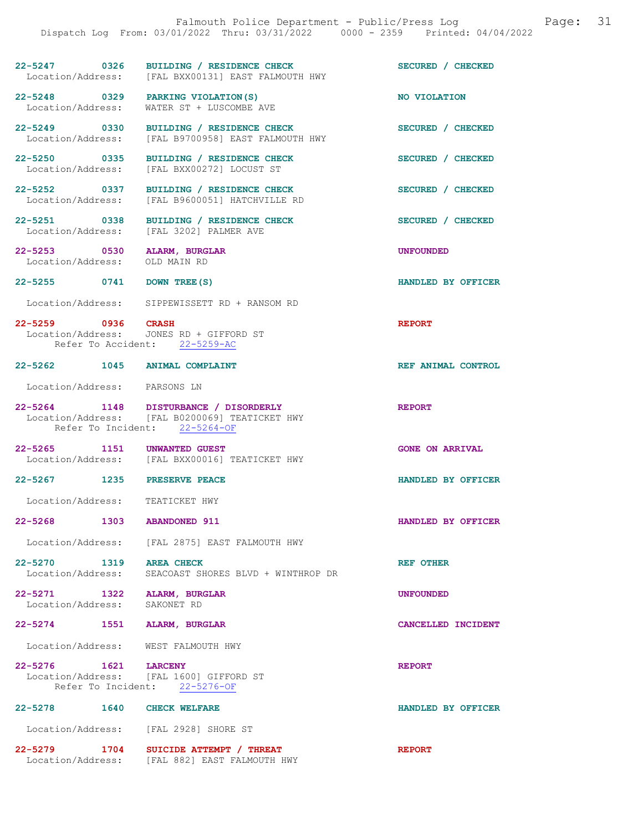| 22-5247 0326                                                |                 | BUILDING / RESIDENCE CHECK<br>Location/Address: [FAL BXX00131] EAST FALMOUTH HWY                                         | SECURED / CHECKED      |
|-------------------------------------------------------------|-----------------|--------------------------------------------------------------------------------------------------------------------------|------------------------|
| 22-5248 0329<br>Location/Address:                           |                 | PARKING VIOLATION (S)<br>WATER ST + LUSCOMBE AVE                                                                         | NO VIOLATION           |
| 22-5249 0330<br>Location/Address:                           |                 | BUILDING / RESIDENCE CHECK<br>[FAL B9700958] EAST FALMOUTH HWY                                                           | SECURED / CHECKED      |
| 22-5250 0335<br>Location/Address:                           |                 | BUILDING / RESIDENCE CHECK<br>[FAL BXX00272] LOCUST ST                                                                   | SECURED / CHECKED      |
| 22-5252 0337<br>Location/Address:                           |                 | BUILDING / RESIDENCE CHECK<br>[FAL B9600051] HATCHVILLE RD                                                               | SECURED / CHECKED      |
| 22-5251 0338                                                |                 | BUILDING / RESIDENCE CHECK<br>Location/Address: [FAL 3202] PALMER AVE                                                    | SECURED / CHECKED      |
| 22-5253 0530<br>Location/Address:                           |                 | ALARM, BURGLAR<br>OLD MAIN RD                                                                                            | <b>UNFOUNDED</b>       |
| 22-5255 0741                                                |                 | DOWN TREE (S)                                                                                                            | HANDLED BY OFFICER     |
|                                                             |                 | Location/Address: SIPPEWISSETT RD + RANSOM RD                                                                            |                        |
| 22-5259 0936 CRASH                                          |                 | Location/Address: JONES RD + GIFFORD ST<br>Refer To Accident: 22-5259-AC                                                 | <b>REPORT</b>          |
| 22-5262 1045 ANIMAL COMPLAINT                               |                 |                                                                                                                          | REF ANIMAL CONTROL     |
| Location/Address: PARSONS LN                                |                 |                                                                                                                          |                        |
|                                                             |                 | 22-5264 1148 DISTURBANCE / DISORDERLY<br>Location/Address: [FAL B0200069] TEATICKET HWY<br>Refer To Incident: 22-5264-OF | <b>REPORT</b>          |
| 22-5265 1151 UNWANTED GUEST                                 |                 | Location/Address: [FAL BXX00016] TEATICKET HWY                                                                           | <b>GONE ON ARRIVAL</b> |
| 22-5267 1235 PRESERVE PEACE                                 |                 |                                                                                                                          | HANDLED BY OFFICER     |
| Location/Address:                                           |                 | TEATICKET HWY                                                                                                            |                        |
| 22-5268 2014                                                | 1303            | <b>ABANDONED 911</b>                                                                                                     | HANDLED BY OFFICER     |
|                                                             |                 | Location/Address: [FAL 2875] EAST FALMOUTH HWY                                                                           |                        |
| $22 - 5270$<br>Location/Address:                            | 1319 AREA CHECK | SEACOAST SHORES BLVD + WINTHROP DR                                                                                       | <b>REF OTHER</b>       |
| 22-5271 1322 ALARM, BURGLAR<br>Location/Address: SAKONET RD |                 |                                                                                                                          | <b>UNFOUNDED</b>       |
| 22-5274 1551 ALARM, BURGLAR                                 |                 |                                                                                                                          | CANCELLED INCIDENT     |
| Location/Address: WEST FALMOUTH HWY                         |                 |                                                                                                                          |                        |
| 22-5276 1621                                                | <b>LARCENY</b>  | Location/Address: [FAL 1600] GIFFORD ST<br>Refer To Incident: 22-5276-OF                                                 | <b>REPORT</b>          |
| 22-5278 1640                                                |                 | <b>CHECK WELFARE</b>                                                                                                     | HANDLED BY OFFICER     |

Location/Address: [FAL 2928] SHORE ST

22-5279 1704 SUICIDE ATTEMPT / THREAT REPORT Location/Address: [FAL 882] EAST FALMOUTH HWY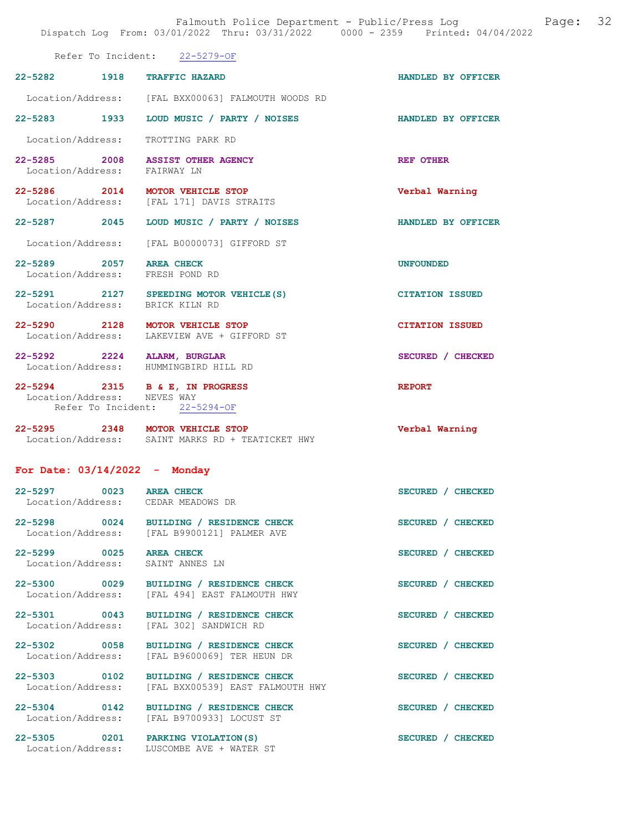22-5282 1918 TRAFFIC HAZARD HANDLED BY OFFICER

|--|

|                                                 |      | Location/Address: [FAL BXX00063] FALMOUTH WOODS RD              |                        |
|-------------------------------------------------|------|-----------------------------------------------------------------|------------------------|
| $22 - 5283$                                     | 1933 | LOUD MUSIC / PARTY / NOISES                                     | HANDLED BY OFFICER     |
| Location/Address:                               |      | TROTTING PARK RD                                                |                        |
| 22-5285<br>2008<br>Location/Address: FAIRWAY LN |      | <b>ASSIST OTHER AGENCY</b>                                      | <b>REF OTHER</b>       |
| 22-5286 2014                                    |      | MOTOR VEHICLE STOP<br>Location/Address: [FAL 171] DAVIS STRAITS | Verbal Warning         |
| $22 - 5287$                                     | 2045 | LOUD MUSIC / PARTY / NOISES                                     | HANDLED BY OFFICER     |
| Location/Address:                               |      | [FAL B0000073] GIFFORD ST                                       |                        |
| $22 - 5289$<br>2057<br>Location/Address:        |      | <b>AREA CHECK</b><br>FRESH POND RD                              | <b>UNFOUNDED</b>       |
| $22 - 5291$<br>2127<br>Location/Address:        |      | SPEEDING MOTOR VEHICLE (S)<br>BRICK KILN RD                     | <b>CITATION ISSUED</b> |
|                                                 |      |                                                                 |                        |

22-5290 2128 MOTOR VEHICLE STOP CITATION ISSUED Location/Address: LAKEVIEW AVE + GIFFORD ST

22-5292 2224 ALARM, BURGLAR SECURED / CHECKED Location/Address: HUMMINGBIRD HILL RD Location/Address:

22-5294 2315 B & E, IN PROGRESS REPORT Location/Address: NEVES WAY Refer To Incident: 22-5294-OF

22-5295 2348 MOTOR VEHICLE STOP Verbal Warning Location/Address: SAINT MARKS RD + TEATICKET HWY

For Date: 03/14/2022 - Monday

| 22-5297 0023 AREA CHECK<br>Location/Address: CEDAR MEADOWS DR |                                                                                               |                   | SECURED / CHECKED |
|---------------------------------------------------------------|-----------------------------------------------------------------------------------------------|-------------------|-------------------|
| 22-5298 0024                                                  | BUILDING / RESIDENCE CHECK<br>Location/Address: [FAL B9900121] PALMER AVE                     | SECURED / CHECKED |                   |
| 22-5299 0025<br>Location/Address:                             | <b>AREA CHECK</b><br>SAINT ANNES LN                                                           | SECURED / CHECKED |                   |
|                                                               | 22-5300 0029 BUILDING / RESIDENCE CHECK<br>Location/Address: [FAL 494] EAST FALMOUTH HWY      | SECURED / CHECKED |                   |
|                                                               | 22-5301 0043 BUILDING / RESIDENCE CHECK<br>Location/Address: [FAL 302] SANDWICH RD            | SECURED / CHECKED |                   |
|                                                               | 22-5302 0058 BUILDING / RESIDENCE CHECK<br>Location/Address: [FAL B9600069] TER HEUN DR       | SECURED /         | <b>CHECKED</b>    |
|                                                               | 22-5303 0102 BUILDING / RESIDENCE CHECK<br>Location/Address: [FAL BXX00539] EAST FALMOUTH HWY | SECURED /         | <b>CHECKED</b>    |
| $\sim$ 0142<br>$22 - 5304$                                    | BUILDING / RESIDENCE CHECK                                                                    | SECURED /         | <b>CHECKED</b>    |

Location/Address: [FAL B9700933] LOCUST ST

22-5305 0201 PARKING VIOLATION(S) SECURED / CHECKED Location/Address: LUSCOMBE AVE + WATER ST

LUSCOMBE AVE + WATER ST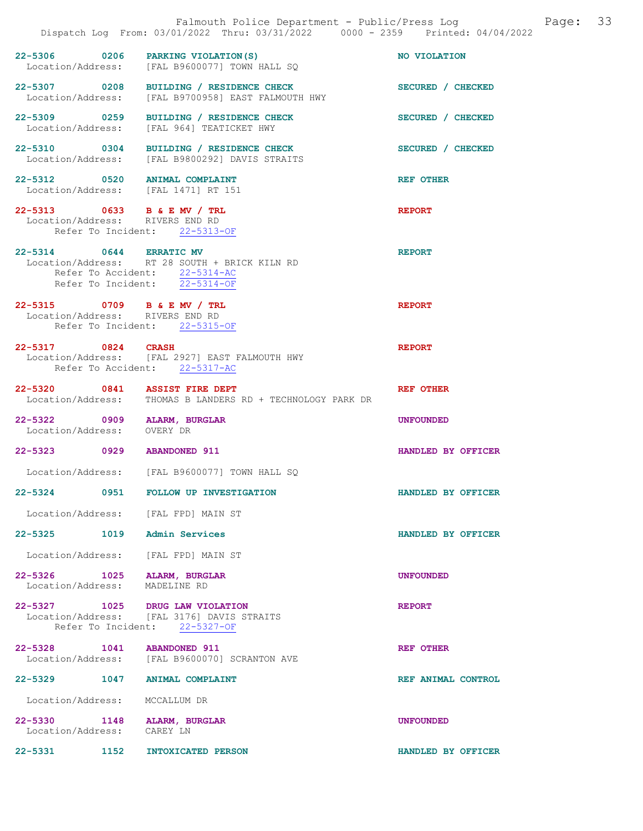| Falmouth Police Department - Public/Press Log<br>Page:<br>Dispatch Log From: 03/01/2022 Thru: 03/31/2022 0000 - 2359 Printed: 04/04/2022 |                                                                                                                 |                    |  |
|------------------------------------------------------------------------------------------------------------------------------------------|-----------------------------------------------------------------------------------------------------------------|--------------------|--|
| 22-5306 0206                                                                                                                             | PARKING VIOLATION (S)<br>Location/Address: [FAL B9600077] TOWN HALL SQ                                          | NO VIOLATION       |  |
|                                                                                                                                          | 22-5307 0208 BUILDING / RESIDENCE CHECK<br>Location/Address: [FAL B9700958] EAST FALMOUTH HWY                   | SECURED / CHECKED  |  |
|                                                                                                                                          | 22-5309 0259 BUILDING / RESIDENCE CHECK<br>Location/Address: [FAL 964] TEATICKET HWY                            | SECURED / CHECKED  |  |
|                                                                                                                                          | 22-5310 0304 BUILDING / RESIDENCE CHECK<br>Location/Address: [FAL B9800292] DAVIS STRAITS                       | SECURED / CHECKED  |  |
| 22-5312 0520 ANIMAL COMPLAINT<br>Location/Address: [FAL 1471] RT 151                                                                     |                                                                                                                 | <b>REF OTHER</b>   |  |
| 22-5313 0633 B & E MV / TRL<br>Location/Address: RIVERS END RD                                                                           | Refer To Incident: 22-5313-OF                                                                                   | <b>REPORT</b>      |  |
| 22-5314 0644 ERRATIC MV                                                                                                                  | Location/Address: RT 28 SOUTH + BRICK KILN RD<br>Refer To Accident: 22-5314-AC<br>Refer To Incident: 22-5314-OF | <b>REPORT</b>      |  |
| 22-5315 0709 B & E MV / TRL<br>Location/Address: RIVERS END RD                                                                           | Refer To Incident: 22-5315-OF                                                                                   | <b>REPORT</b>      |  |
| 22-5317 0824                                                                                                                             | <b>CRASH</b><br>Location/Address: [FAL 2927] EAST FALMOUTH HWY<br>Refer To Accident: 22-5317-AC                 | <b>REPORT</b>      |  |
| 22-5320 0841 ASSIST FIRE DEPT                                                                                                            | Location/Address: THOMAS B LANDERS RD + TECHNOLOGY PARK DR                                                      | <b>REF OTHER</b>   |  |
| 22-5322 0909<br>Location/Address: OVERY DR                                                                                               | ALARM, BURGLAR                                                                                                  | <b>UNFOUNDED</b>   |  |
| 22-5323 0929                                                                                                                             | <b>ABANDONED 911</b>                                                                                            | HANDLED BY OFFICER |  |
|                                                                                                                                          | Location/Address: [FAL B9600077] TOWN HALL SQ                                                                   |                    |  |
| $22 - 5324$<br>0951                                                                                                                      | <b>FOLLOW UP INVESTIGATION</b>                                                                                  | HANDLED BY OFFICER |  |
| Location/Address:                                                                                                                        | [FAL FPD] MAIN ST                                                                                               |                    |  |
| 22-5325 1019                                                                                                                             | Admin Services                                                                                                  | HANDLED BY OFFICER |  |
| Location/Address:                                                                                                                        | [FAL FPD] MAIN ST                                                                                               |                    |  |
| 22–5326 година<br>1025<br>Location/Address:                                                                                              | ALARM, BURGLAR<br>MADELINE RD                                                                                   | <b>UNFOUNDED</b>   |  |
| 22-5327 1025 DRUG LAW VIOLATION                                                                                                          | Location/Address: [FAL 3176] DAVIS STRAITS<br>Refer To Incident: 22-5327-OF                                     | <b>REPORT</b>      |  |
| 22-5328 1041                                                                                                                             | <b>ABANDONED 911</b><br>Location/Address: [FAL B9600070] SCRANTON AVE                                           | <b>REF OTHER</b>   |  |
| 22-5329<br>1047                                                                                                                          | <b>ANIMAL COMPLAINT</b>                                                                                         | REF ANIMAL CONTROL |  |
| Location/Address:                                                                                                                        | MCCALLUM DR                                                                                                     |                    |  |
| $22 - 5330$<br>1148<br>Location/Address:                                                                                                 | ALARM, BURGLAR<br>CAREY LN                                                                                      | <b>UNFOUNDED</b>   |  |
| 22-5331<br>1152                                                                                                                          | INTOXICATED PERSON                                                                                              | HANDLED BY OFFICER |  |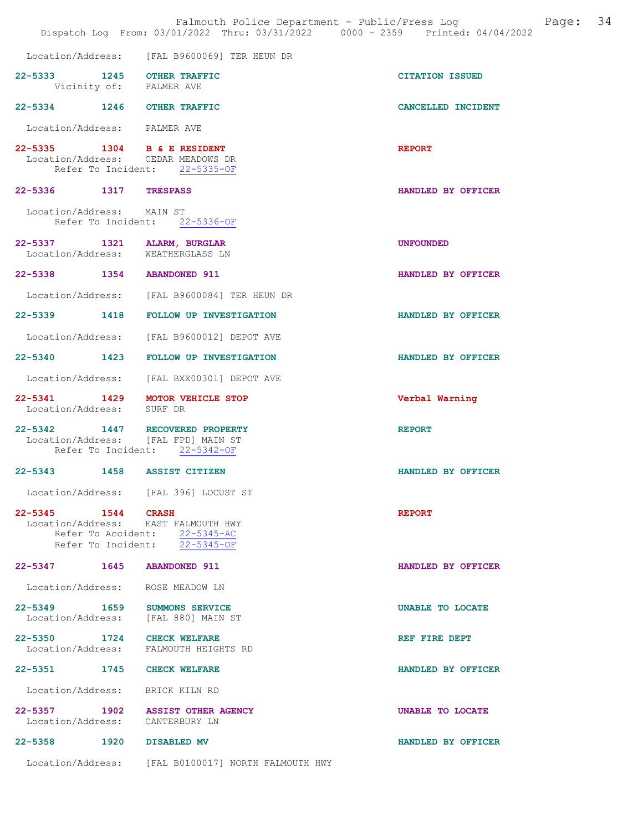|                                                                  | Falmouth Police Department - Public/Press Log<br>Dispatch Log From: 03/01/2022 Thru: 03/31/2022 0000 - 2359 Printed: 04/04/2022 |                        | Page: | 34 |
|------------------------------------------------------------------|---------------------------------------------------------------------------------------------------------------------------------|------------------------|-------|----|
|                                                                  | Location/Address: [FAL B9600069] TER HEUN DR                                                                                    |                        |       |    |
| 22-5333 1245 OTHER TRAFFIC                                       | Vicinity of: PALMER AVE                                                                                                         | <b>CITATION ISSUED</b> |       |    |
| 22-5334 1246 OTHER TRAFFIC                                       |                                                                                                                                 | CANCELLED INCIDENT     |       |    |
| Location/Address: PALMER AVE                                     |                                                                                                                                 |                        |       |    |
| 22-5335 1304 B & E RESIDENT                                      | Location/Address: CEDAR MEADOWS DR<br>Refer To Incident: 22-5335-OF                                                             | <b>REPORT</b>          |       |    |
| 22-5336 1317 TRESPASS                                            |                                                                                                                                 | HANDLED BY OFFICER     |       |    |
| Location/Address: MAIN ST                                        | Refer To Incident: 22-5336-OF                                                                                                   |                        |       |    |
| 22-5337 1321 ALARM, BURGLAR<br>Location/Address: WEATHERGLASS LN |                                                                                                                                 | <b>UNFOUNDED</b>       |       |    |
| 22-5338 1354 ABANDONED 911                                       |                                                                                                                                 | HANDLED BY OFFICER     |       |    |
|                                                                  | Location/Address: [FAL B9600084] TER HEUN DR                                                                                    |                        |       |    |
|                                                                  | 22-5339 1418 FOLLOW UP INVESTIGATION                                                                                            | HANDLED BY OFFICER     |       |    |
|                                                                  | Location/Address: [FAL B9600012] DEPOT AVE                                                                                      |                        |       |    |
|                                                                  | 22-5340 1423 FOLLOW UP INVESTIGATION                                                                                            | HANDLED BY OFFICER     |       |    |
|                                                                  | Location/Address: [FAL BXX00301] DEPOT AVE                                                                                      |                        |       |    |
| Location/Address: SURF DR                                        | 22-5341 1429 MOTOR VEHICLE STOP                                                                                                 | Verbal Warning         |       |    |
|                                                                  | 22-5342 1447 RECOVERED PROPERTY<br>Location/Address: [FAL FPD] MAIN ST<br>Refer To Incident: 22-5342-OF                         | <b>REPORT</b>          |       |    |
| 22-5343 1458 ASSIST CITIZEN                                      |                                                                                                                                 | HANDLED BY OFFICER     |       |    |
|                                                                  | Location/Address: [FAL 396] LOCUST ST                                                                                           |                        |       |    |
| 22-5345 1544 CRASH                                               | Location/Address: EAST FALMOUTH HWY<br>Refer To Accident: 22-5345-AC<br>Refer To Incident: 22-5345-OF                           | <b>REPORT</b>          |       |    |
| 22-5347 1645                                                     | <b>ABANDONED 911</b>                                                                                                            | HANDLED BY OFFICER     |       |    |
| Location/Address: ROSE MEADOW LN                                 |                                                                                                                                 |                        |       |    |
| 22-5349 1659 SUMMONS SERVICE                                     | Location/Address: [FAL 880] MAIN ST                                                                                             | UNABLE TO LOCATE       |       |    |
| 22-5350 1724 CHECK WELFARE                                       | Location/Address: FALMOUTH HEIGHTS RD                                                                                           | REF FIRE DEPT          |       |    |
| 22-5351 1745                                                     | <b>CHECK WELFARE</b>                                                                                                            | HANDLED BY OFFICER     |       |    |
| Location/Address:                                                | BRICK KILN RD                                                                                                                   |                        |       |    |
| 22–5357 1902<br>Location/Address:                                | <b>ASSIST OTHER AGENCY</b><br>CANTERBURY LN                                                                                     | UNABLE TO LOCATE       |       |    |
| 22-5358 1920 DISABLED MV                                         |                                                                                                                                 | HANDLED BY OFFICER     |       |    |
|                                                                  | Location/Address: [FAL B0100017] NORTH FALMOUTH HWY                                                                             |                        |       |    |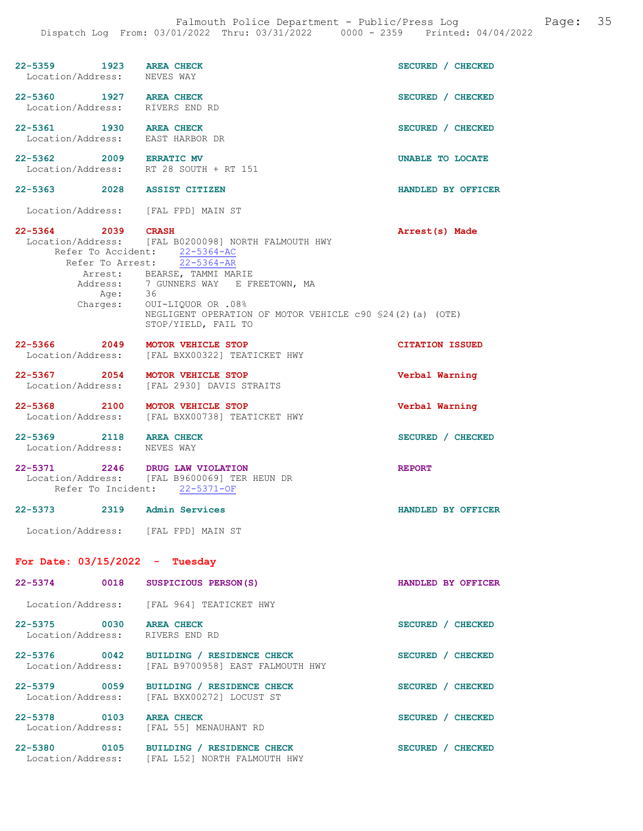| 22–5359 1923<br>Location/Address:                          | <b>AREA CHECK</b><br>NEVES WAY                                                                                                                                     | SECURED / CHECKED      |
|------------------------------------------------------------|--------------------------------------------------------------------------------------------------------------------------------------------------------------------|------------------------|
| 22-5360 1927 AREA CHECK<br>Location/Address: RIVERS END RD |                                                                                                                                                                    | SECURED / CHECKED      |
| 22-5361 1930 AREA CHECK<br>Location/Address:               | EAST HARBOR DR                                                                                                                                                     | SECURED / CHECKED      |
| 22-5362 2009 ERRATIC MV<br>Location/Address:               | RT 28 SOUTH + RT 151                                                                                                                                               | UNABLE TO LOCATE       |
| 22–5363 2028                                               | <b>ASSIST CITIZEN</b>                                                                                                                                              | HANDLED BY OFFICER     |
| Location/Address: [FAL FPD] MAIN ST                        |                                                                                                                                                                    |                        |
| 22-5364 2039                                               | <b>CRASH</b><br>Location/Address: [FAL B0200098] NORTH FALMOUTH HWY<br>Refer To Accident: 22-5364-AC<br>Refer To Arrest: 22-5364-AR<br>Arrest: BEARSE, TAMMI MARIE | Arrest(s) Made         |
|                                                            | Address: 7 GUNNERS WAY E FREETOWN, MA                                                                                                                              |                        |
| Charges:                                                   | Age: 36<br>arges: OUI-LIQUOR OR .08%<br>NEGLIGENT OPERATION OF MOTOR VEHICLE c90 \$24(2)(a) (OTE)<br>STOP/YIELD, FAIL TO                                           |                        |
| $22 - 5366$<br>2049<br>Location/Address:                   | <b>MOTOR VEHICLE STOP</b><br>[FAL BXX00322] TEATICKET HWY                                                                                                          | <b>CITATION ISSUED</b> |
| 22-5367 2054 MOTOR VEHICLE STOP<br>Location/Address:       | [FAL 2930] DAVIS STRAITS                                                                                                                                           | Verbal Warning         |
| 22-5368 2100<br>Location/Address:                          | <b>MOTOR VEHICLE STOP</b><br>[FAL BXX00738] TEATICKET HWY                                                                                                          | Verbal Warning         |
| 22-5369 2118 AREA CHECK<br>Location/Address:               | NEVES WAY                                                                                                                                                          | SECURED / CHECKED      |
| 22-5371 2246 DRUG LAW VIOLATION                            | Location/Address: [FAL B9600069] TER HEUN DR<br>Refer To Incident: 22-5371-OF                                                                                      | <b>REPORT</b>          |
| 22-5373                                                    | 2319 Admin Services                                                                                                                                                | HANDLED BY OFFICER     |
| Location/Address: [FAL FPD] MAIN ST                        |                                                                                                                                                                    |                        |
| For Date: $03/15/2022 - Tuesday$                           |                                                                                                                                                                    |                        |
| 22-5374<br>0018                                            | SUSPICIOUS PERSON(S)                                                                                                                                               | HANDLED BY OFFICER     |
|                                                            | Location/Address: [FAL 964] TEATICKET HWY                                                                                                                          |                        |
| 22-5375 0030 AREA CHECK<br>Location/Address:               | RIVERS END RD                                                                                                                                                      | SECURED / CHECKED      |
| 22-5376<br>0042<br>Location/Address:                       | BUILDING / RESIDENCE CHECK<br>[FAL B9700958] EAST FALMOUTH HWY                                                                                                     | SECURED / CHECKED      |
| 22-5379 0059<br>Location/Address:                          | BUILDING / RESIDENCE CHECK<br>[FAL BXX00272] LOCUST ST                                                                                                             | SECURED / CHECKED      |
| 22-5378 0103 AREA CHECK                                    |                                                                                                                                                                    | SECURED / CHECKED      |

 Location/Address: [FAL 55] MENAUHANT RD 22-5380 0105 BUILDING / RESIDENCE CHECK SECURED / CHECKED

Location/Address: [FAL L52] NORTH FALMOUTH HWY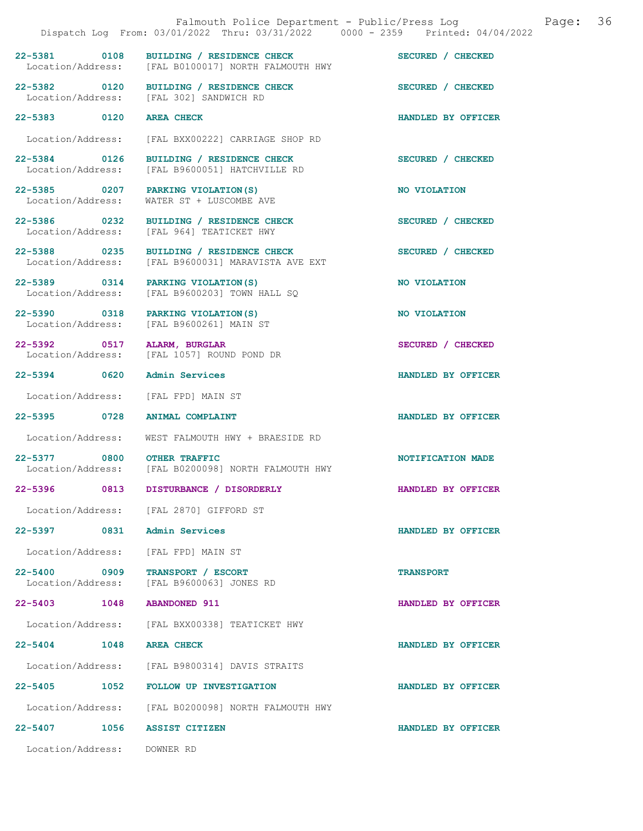|                                   |      | Falmouth Police Department - Public/Press Log<br>Dispatch Log From: 03/01/2022 Thru: 03/31/2022 0000 - 2359 Printed: 04/04/2022 | 36<br>Page:        |
|-----------------------------------|------|---------------------------------------------------------------------------------------------------------------------------------|--------------------|
|                                   |      | 22-5381 0108 BUILDING / RESIDENCE CHECK<br>Location/Address: [FAL B0100017] NORTH FALMOUTH HWY                                  | SECURED / CHECKED  |
|                                   |      | 22-5382 0120 BUILDING / RESIDENCE CHECK<br>Location/Address: [FAL 302] SANDWICH RD                                              | SECURED / CHECKED  |
| 22-5383 0120                      |      | <b>AREA CHECK</b>                                                                                                               | HANDLED BY OFFICER |
| Location/Address:                 |      | [FAL BXX00222] CARRIAGE SHOP RD                                                                                                 |                    |
| 22-5384 0126                      |      | BUILDING / RESIDENCE CHECK<br>Location/Address: [FAL B9600051] HATCHVILLE RD                                                    | SECURED / CHECKED  |
| 22-5385 0207                      |      | PARKING VIOLATION(S)<br>Location/Address: WATER ST + LUSCOMBE AVE                                                               | NO VIOLATION       |
| 22-5386 0232                      |      | BUILDING / RESIDENCE CHECK<br>Location/Address: [FAL 964] TEATICKET HWY                                                         | SECURED / CHECKED  |
| 22-5388 0235<br>Location/Address: |      | BUILDING / RESIDENCE CHECK<br>[FAL B9600031] MARAVISTA AVE EXT                                                                  | SECURED / CHECKED  |
| Location/Address:                 |      | 22-5389 0314 PARKING VIOLATION(S)<br>[FAL B9600203] TOWN HALL SQ                                                                | NO VIOLATION       |
|                                   |      | 22-5390 0318 PARKING VIOLATION (S)<br>Location/Address: [FAL B9600261] MAIN ST                                                  | NO VIOLATION       |
| 22-5392 0517<br>Location/Address: |      | ALARM, BURGLAR<br>[FAL 1057] ROUND POND DR                                                                                      | SECURED / CHECKED  |
| 22-5394 0620                      |      | Admin Services                                                                                                                  | HANDLED BY OFFICER |
| Location/Address:                 |      | [FAL FPD] MAIN ST                                                                                                               |                    |
| 22-5395 0728                      |      | <b>ANIMAL COMPLAINT</b>                                                                                                         | HANDLED BY OFFICER |
| Location/Address:                 |      | WEST FALMOUTH HWY + BRAESIDE RD                                                                                                 |                    |
| 22-5377 0800 OTHER TRAFFIC        |      | Location/Address: [FAL B0200098] NORTH FALMOUTH HWY                                                                             | NOTIFICATION MADE  |
| 22-5396                           | 0813 | DISTURBANCE / DISORDERLY                                                                                                        | HANDLED BY OFFICER |
|                                   |      | Location/Address: [FAL 2870] GIFFORD ST                                                                                         |                    |
| 22-5397 0831                      |      | Admin Services                                                                                                                  | HANDLED BY OFFICER |
| Location/Address:                 |      | [FAL FPD] MAIN ST                                                                                                               |                    |
| 22-5400 0909<br>Location/Address: |      | TRANSPORT / ESCORT<br>[FAL B9600063] JONES RD                                                                                   | <b>TRANSPORT</b>   |
| 22-5403 1048                      |      | <b>ABANDONED 911</b>                                                                                                            | HANDLED BY OFFICER |
| Location/Address:                 |      | [FAL BXX00338] TEATICKET HWY                                                                                                    |                    |
| 22-5404 1048                      |      | <b>AREA CHECK</b>                                                                                                               | HANDLED BY OFFICER |
|                                   |      | Location/Address: [FAL B9800314] DAVIS STRAITS                                                                                  |                    |
|                                   |      | 22-5405 1052 FOLLOW UP INVESTIGATION                                                                                            | HANDLED BY OFFICER |
|                                   |      | Location/Address: [FAL B0200098] NORTH FALMOUTH HWY                                                                             |                    |
| 22-5407 1056                      |      | ASSIST CITIZEN                                                                                                                  | HANDLED BY OFFICER |
| Location/Address:                 |      | DOWNER RD                                                                                                                       |                    |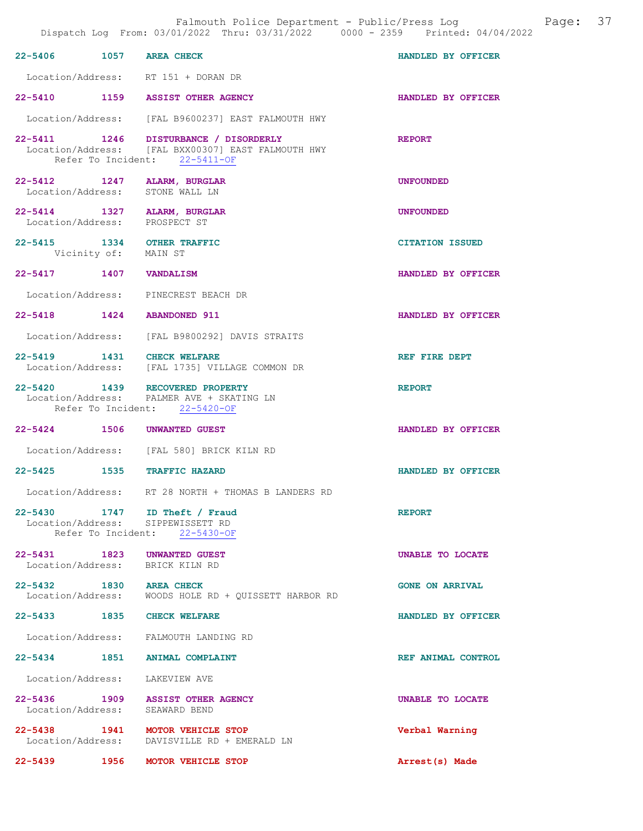|                         | Dispatch Log From: 03/01/2022 Thru: 03/31/2022 0000 - 2359 Printed: 04/04/2022                                               | Falmouth Police Department - Public/Press Log Mage: 37 |  |
|-------------------------|------------------------------------------------------------------------------------------------------------------------------|--------------------------------------------------------|--|
| 22-5406 1057 AREA CHECK |                                                                                                                              | HANDLED BY OFFICER                                     |  |
|                         | Location/Address: RT 151 + DORAN DR                                                                                          |                                                        |  |
|                         | 22-5410 1159 ASSIST OTHER AGENCY                                                                                             | <b>HANDLED BY OFFICER</b>                              |  |
|                         | Location/Address: [FAL B9600237] EAST FALMOUTH HWY                                                                           |                                                        |  |
|                         | 22-5411 1246 DISTURBANCE / DISORDERLY<br>Location/Address: [FAL BXX00307] EAST FALMOUTH HWY<br>Refer To Incident: 22-5411-OF | <b>REPORT</b>                                          |  |
|                         | 22-5412 1247 ALARM, BURGLAR<br>Location/Address: STONE WALL LN                                                               | <b>UNFOUNDED</b>                                       |  |
|                         | 22-5414 1327 ALARM, BURGLAR<br>Location/Address: PROSPECT ST                                                                 | <b>UNFOUNDED</b>                                       |  |
| Vicinity of: MAIN ST    | 22-5415 1334 OTHER TRAFFIC                                                                                                   | <b>CITATION ISSUED</b>                                 |  |
| 22-5417 1407 VANDALISM  |                                                                                                                              | HANDLED BY OFFICER                                     |  |
|                         | Location/Address: PINECREST BEACH DR                                                                                         |                                                        |  |
|                         | 22-5418 1424 ABANDONED 911                                                                                                   | HANDLED BY OFFICER                                     |  |
|                         | Location/Address: [FAL B9800292] DAVIS STRAITS                                                                               |                                                        |  |
|                         | 22-5419 1431 CHECK WELFARE<br>Location/Address: [FAL 1735] VILLAGE COMMON DR                                                 | REF FIRE DEPT                                          |  |
|                         | 22-5420 1439 RECOVERED PROPERTY<br>Location/Address: PALMER AVE + SKATING LN<br>Refer To Incident: 22-5420-OF                | <b>REPORT</b>                                          |  |
|                         | 22-5424 1506 UNWANTED GUEST                                                                                                  | HANDLED BY OFFICER                                     |  |
|                         | Location/Address: [FAL 580] BRICK KILN RD                                                                                    |                                                        |  |
|                         | 22-5425 1535 TRAFFIC HAZARD                                                                                                  | HANDLED BY OFFICER                                     |  |
|                         | Location/Address: RT 28 NORTH + THOMAS B LANDERS RD                                                                          |                                                        |  |
|                         | 22-5430 1747 ID Theft / Fraud<br>Location/Address: SIPPEWISSETT RD<br>Refer To Incident: 22-5430-OF                          | <b>REPORT</b>                                          |  |
|                         | 22-5431 1823 UNWANTED GUEST<br>Location/Address: BRICK KILN RD                                                               | UNABLE TO LOCATE                                       |  |
| 22-5432 1830 AREA CHECK | Location/Address: WOODS HOLE RD + QUISSETT HARBOR RD                                                                         | <b>GONE ON ARRIVAL</b>                                 |  |
|                         | 22-5433 1835 CHECK WELFARE                                                                                                   | HANDLED BY OFFICER                                     |  |
|                         | Location/Address: FALMOUTH LANDING RD                                                                                        |                                                        |  |
|                         | 22-5434 1851 ANIMAL COMPLAINT                                                                                                | REF ANIMAL CONTROL                                     |  |
|                         | Location/Address: LAKEVIEW AVE                                                                                               |                                                        |  |
|                         | 22-5436 1909 ASSIST OTHER AGENCY<br>Location/Address: SEAWARD BEND                                                           | UNABLE TO LOCATE                                       |  |
|                         | 22-5438 1941 MOTOR VEHICLE STOP<br>Location/Address: DAVISVILLE RD + EMERALD LN                                              | Verbal Warning                                         |  |
| 22-5439                 | 1956 MOTOR VEHICLE STOP                                                                                                      | Arrest(s) Made                                         |  |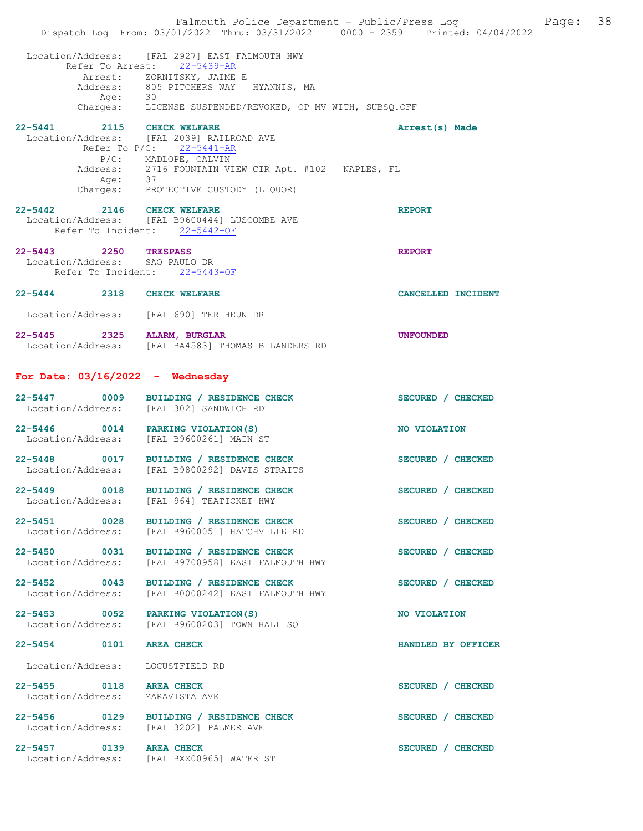|                                                                                          | Falmouth Police Department - Public/Press Log Falmouth Page: 38<br>Dispatch Log From: 03/01/2022 Thru: 03/31/2022 0000 - 2359 Printed: 04/04/2022                                                                            |                    |  |
|------------------------------------------------------------------------------------------|------------------------------------------------------------------------------------------------------------------------------------------------------------------------------------------------------------------------------|--------------------|--|
|                                                                                          | Location/Address: [FAL 2927] EAST FALMOUTH HWY<br>Refer To Arrest: 22-5439-AR<br>Arrest: ZORNITSKY, JAIME E<br>Address: 805 PITCHERS WAY HYANNIS, MA<br>Age: 30<br>Charges: LICENSE SUSPENDED/REVOKED, OP MV WITH, SUBSQ.OFF |                    |  |
| 22-5441 2115 CHECK WELFARE<br>Age: 37                                                    | Location/Address: [FAL 2039] RAILROAD AVE<br>Refer To $P/C$ : 22-5441-AR<br>P/C: MADLOPE, CALVIN<br>Address: 2716 FOUNTAIN VIEW CIR Apt. #102 NAPLES, FL<br>Charges: PROTECTIVE CUSTODY (LIQUOR)                             | Arrest(s) Made     |  |
| 22-5442 2146 CHECK WELFARE                                                               | Location/Address: [FAL B9600444] LUSCOMBE AVE<br>Refer To Incident: 22-5442-OF                                                                                                                                               | <b>REPORT</b>      |  |
| 22-5443 2250 TRESPASS<br>Location/Address: SAO PAULO DR<br>Refer To Incident: 22-5443-OF |                                                                                                                                                                                                                              | <b>REPORT</b>      |  |
| 22-5444 2318 CHECK WELFARE<br>Location/Address: [FAL 690] TER HEUN DR                    |                                                                                                                                                                                                                              | CANCELLED INCIDENT |  |
| 22-5445 2325 ALARM, BURGLAR                                                              | Location/Address: [FAL BA4583] THOMAS B LANDERS RD                                                                                                                                                                           | <b>UNFOUNDED</b>   |  |
| For Date: $03/16/2022 -$ Wednesday                                                       |                                                                                                                                                                                                                              |                    |  |
| Location/Address: [FAL 302] SANDWICH RD                                                  | 22-5447 0009 BUILDING / RESIDENCE CHECK                                                                                                                                                                                      | SECURED / CHECKED  |  |
| 22-5446 0014 PARKING VIOLATION (S)<br>Location/Address: [FAL B9600261] MAIN ST           |                                                                                                                                                                                                                              | NO VIOLATION       |  |
|                                                                                          | 22-5448 0017 BUILDING / RESIDENCE CHECK<br>Location/Address: [FAL B9800292] DAVIS STRAITS                                                                                                                                    | SECURED / CHECKED  |  |
|                                                                                          | 22-5449 0018 BUILDING / RESIDENCE CHECK<br>Location/Address: [FAL 964] TEATICKET HWY                                                                                                                                         | SECURED / CHECKED  |  |
|                                                                                          | 22-5451 0028 BUILDING / RESIDENCE CHECK<br>Location/Address: [FAL B9600051] HATCHVILLE RD                                                                                                                                    | SECURED / CHECKED  |  |
| Location/Address:                                                                        | 22-5450 0031 BUILDING / RESIDENCE CHECK<br>[FAL B9700958] EAST FALMOUTH HWY                                                                                                                                                  | SECURED / CHECKED  |  |
|                                                                                          | 22-5452 0043 BUILDING / RESIDENCE CHECK<br>Location/Address: [FAL B0000242] EAST FALMOUTH HWY                                                                                                                                | SECURED / CHECKED  |  |
| 22-5453 0052 PARKING VIOLATION(S)                                                        | Location/Address: [FAL B9600203] TOWN HALL SQ                                                                                                                                                                                | NO VIOLATION       |  |
| 22-5454 0101 AREA CHECK                                                                  |                                                                                                                                                                                                                              | HANDLED BY OFFICER |  |
| Location/Address: LOCUSTFIELD RD                                                         |                                                                                                                                                                                                                              |                    |  |
| 22-5455 0118 AREA CHECK<br>Location/Address: MARAVISTA AVE                               |                                                                                                                                                                                                                              | SECURED / CHECKED  |  |
| Location/Address: [FAL 3202] PALMER AVE                                                  | 22-5456 0129 BUILDING / RESIDENCE CHECK                                                                                                                                                                                      | SECURED / CHECKED  |  |
| 22-5457 0139 AREA CHECK                                                                  | Location/Address: [FAL BXX00965] WATER ST                                                                                                                                                                                    | SECURED / CHECKED  |  |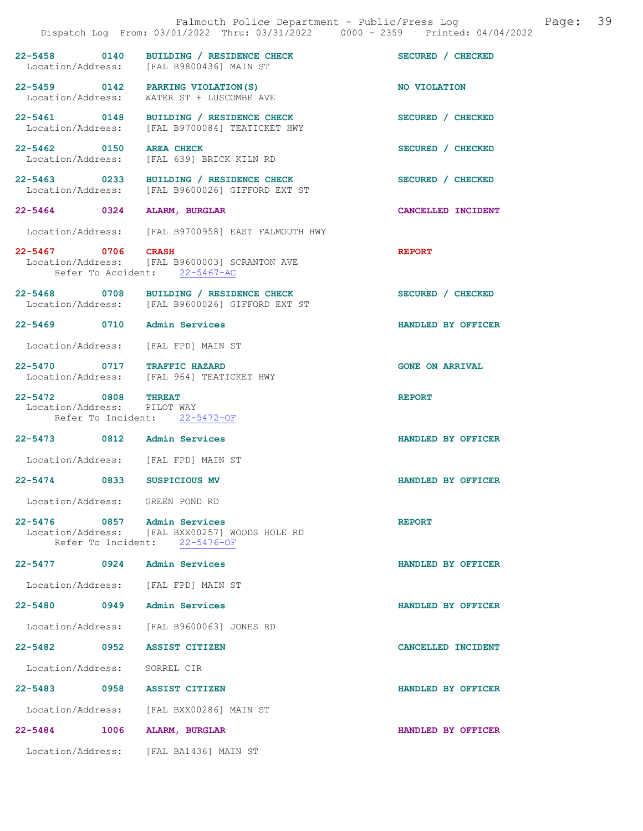|                                                    |                                                                                                                | Falmouth Police Department - Public/Press Log<br>Dispatch Log From: 03/01/2022 Thru: 03/31/2022 0000 - 2359 Printed: 04/04/2022 | Page: 39 |  |
|----------------------------------------------------|----------------------------------------------------------------------------------------------------------------|---------------------------------------------------------------------------------------------------------------------------------|----------|--|
|                                                    | 22-5458 0140 BUILDING / RESIDENCE CHECK<br>Location/Address: [FAL B9800436] MAIN ST                            | SECURED / CHECKED                                                                                                               |          |  |
|                                                    | 22-5459 0142 PARKING VIOLATION(S)<br>Location/Address: WATER ST + LUSCOMBE AVE                                 | NO VIOLATION                                                                                                                    |          |  |
|                                                    | 22-5461 0148 BUILDING / RESIDENCE CHECK<br>Location/Address: [FAL B9700084] TEATICKET HWY                      | SECURED / CHECKED                                                                                                               |          |  |
| 22-5462 0150 AREA CHECK                            | Location/Address: [FAL 639] BRICK KILN RD                                                                      | SECURED / CHECKED                                                                                                               |          |  |
|                                                    | 22-5463 0233 BUILDING / RESIDENCE CHECK<br>Location/Address: [FAL B9600026] GIFFORD EXT ST                     | SECURED / CHECKED                                                                                                               |          |  |
|                                                    | 22-5464 0324 ALARM, BURGLAR                                                                                    | CANCELLED INCIDENT                                                                                                              |          |  |
|                                                    | Location/Address: [FAL B9700958] EAST FALMOUTH HWY                                                             |                                                                                                                                 |          |  |
| 22-5467 0706 CRASH                                 | Location/Address: [FAL B9600003] SCRANTON AVE<br>Refer To Accident: 22-5467-AC                                 | <b>REPORT</b>                                                                                                                   |          |  |
|                                                    | 22-5468 0708 BUILDING / RESIDENCE CHECK<br>Location/Address: [FAL B9600026] GIFFORD EXT ST                     | SECURED / CHECKED                                                                                                               |          |  |
|                                                    | 22-5469 0710 Admin Services                                                                                    | HANDLED BY OFFICER                                                                                                              |          |  |
|                                                    | Location/Address: [FAL FPD] MAIN ST                                                                            |                                                                                                                                 |          |  |
|                                                    | 22-5470 0717 TRAFFIC HAZARD<br>Location/Address: [FAL 964] TEATICKET HWY                                       | <b>GONE ON ARRIVAL</b>                                                                                                          |          |  |
| 22-5472 0808 THREAT<br>Location/Address: PILOT WAY | Refer To Incident: 22-5472-OF                                                                                  | <b>REPORT</b>                                                                                                                   |          |  |
|                                                    | 22-5473 0812 Admin Services                                                                                    | HANDLED BY OFFICER                                                                                                              |          |  |
|                                                    | Location/Address: [FAL FPD] MAIN ST                                                                            |                                                                                                                                 |          |  |
|                                                    | 22-5474 0833 SUSPICIOUS MV                                                                                     | HANDLED BY OFFICER                                                                                                              |          |  |
| Location/Address: GREEN POND RD                    |                                                                                                                |                                                                                                                                 |          |  |
|                                                    | 22-5476 0857 Admin Services<br>Location/Address: [FAL BXX00257] WOODS HOLE RD<br>Refer To Incident: 22-5476-OF | <b>REPORT</b>                                                                                                                   |          |  |
|                                                    | 22-5477 0924 Admin Services                                                                                    | HANDLED BY OFFICER                                                                                                              |          |  |
|                                                    | Location/Address: [FAL FPD] MAIN ST                                                                            |                                                                                                                                 |          |  |
|                                                    | 22-5480 0949 Admin Services                                                                                    | HANDLED BY OFFICER                                                                                                              |          |  |
|                                                    | Location/Address: [FAL B9600063] JONES RD                                                                      |                                                                                                                                 |          |  |
|                                                    | 22-5482 0952 ASSIST CITIZEN                                                                                    | CANCELLED INCIDENT                                                                                                              |          |  |
| Location/Address: SORREL CIR                       |                                                                                                                |                                                                                                                                 |          |  |
|                                                    | 22-5483 0958 ASSIST CITIZEN                                                                                    | HANDLED BY OFFICER                                                                                                              |          |  |
|                                                    | Location/Address: [FAL BXX00286] MAIN ST                                                                       |                                                                                                                                 |          |  |
|                                                    | 22-5484 1006 ALARM, BURGLAR                                                                                    | HANDLED BY OFFICER                                                                                                              |          |  |
|                                                    | Location/Address: [FAL BA1436] MAIN ST                                                                         |                                                                                                                                 |          |  |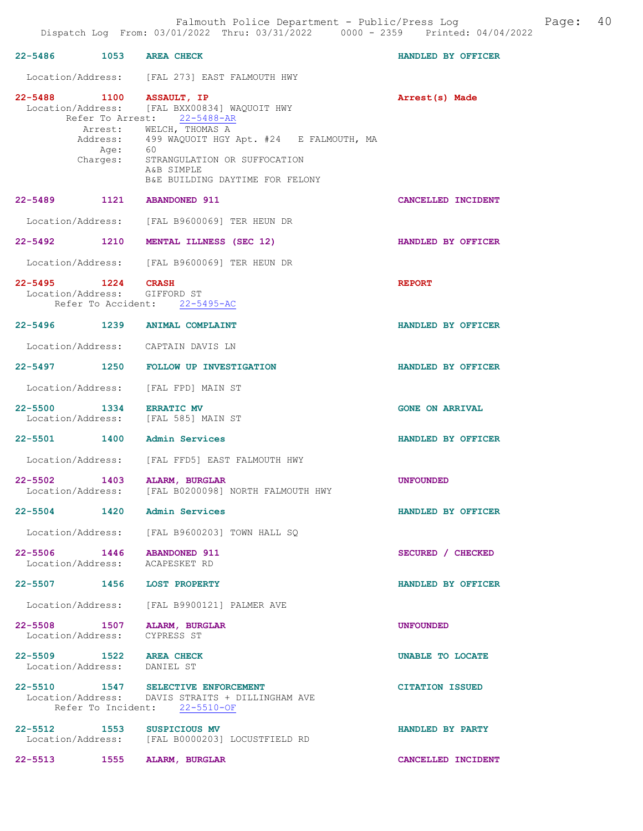| 22-5486 1053 AREA CHECK                                      |      |                                                                                                                                                                                                                                                                 | HANDLED BY OFFICER        |
|--------------------------------------------------------------|------|-----------------------------------------------------------------------------------------------------------------------------------------------------------------------------------------------------------------------------------------------------------------|---------------------------|
|                                                              |      | Location/Address: [FAL 273] EAST FALMOUTH HWY                                                                                                                                                                                                                   |                           |
| 22-5488 1100 ASSAULT, IP                                     |      | Location/Address: [FAL BXX00834] WAQUOIT HWY<br>Refer To Arrest: 22-5488-AR<br>Arrest: WELCH, THOMAS A<br>Address: 499 WAQUOIT HGY Apt. #24 E FALMOUTH, MA<br>Age: 60<br>Charges: STRANGULATION OR SUFFOCATION<br>A&B SIMPLE<br>B&E BUILDING DAYTIME FOR FELONY | Arrest(s) Made            |
| 22-5489 1121 ABANDONED 911                                   |      |                                                                                                                                                                                                                                                                 | CANCELLED INCIDENT        |
|                                                              |      | Location/Address: [FAL B9600069] TER HEUN DR                                                                                                                                                                                                                    |                           |
|                                                              |      | 22-5492 1210 MENTAL ILLNESS (SEC 12)                                                                                                                                                                                                                            | <b>HANDLED BY OFFICER</b> |
|                                                              |      | Location/Address: [FAL B9600069] TER HEUN DR                                                                                                                                                                                                                    |                           |
| 22-5495 1224 CRASH<br>Location/Address: GIFFORD ST           |      | Refer To Accident: 22-5495-AC                                                                                                                                                                                                                                   | <b>REPORT</b>             |
|                                                              |      | 22-5496 1239 ANIMAL COMPLAINT                                                                                                                                                                                                                                   | HANDLED BY OFFICER        |
|                                                              |      | Location/Address: CAPTAIN DAVIS LN                                                                                                                                                                                                                              |                           |
|                                                              |      | 22-5497 1250 FOLLOW UP INVESTIGATION                                                                                                                                                                                                                            | HANDLED BY OFFICER        |
|                                                              |      | Location/Address: [FAL FPD] MAIN ST                                                                                                                                                                                                                             |                           |
|                                                              |      | 22-5500 1334 ERRATIC MV<br>Location/Address: [FAL 585] MAIN ST                                                                                                                                                                                                  | <b>GONE ON ARRIVAL</b>    |
|                                                              |      | 22-5501 1400 Admin Services                                                                                                                                                                                                                                     | HANDLED BY OFFICER        |
|                                                              |      | Location/Address: [FAL FFD5] EAST FALMOUTH HWY                                                                                                                                                                                                                  |                           |
|                                                              |      | 22-5502 1403 ALARM, BURGLAR<br>Location/Address: [FAL B0200098] NORTH FALMOUTH HWY                                                                                                                                                                              | <b>UNFOUNDED</b>          |
| $22 - 5504$                                                  | 1420 | Admin Services                                                                                                                                                                                                                                                  | HANDLED BY OFFICER        |
|                                                              |      | Location/Address: [FAL B9600203] TOWN HALL SQ                                                                                                                                                                                                                   |                           |
| 22-5506 1446 ABANDONED 911<br>Location/Address: ACAPESKET RD |      |                                                                                                                                                                                                                                                                 | SECURED / CHECKED         |
| 22-5507 1456 LOST PROPERTY                                   |      |                                                                                                                                                                                                                                                                 | HANDLED BY OFFICER        |
|                                                              |      | Location/Address: [FAL B9900121] PALMER AVE                                                                                                                                                                                                                     |                           |
| Location/Address: CYPRESS ST                                 |      | 22-5508 1507 ALARM, BURGLAR                                                                                                                                                                                                                                     | <b>UNFOUNDED</b>          |
| 22-5509 1522 AREA CHECK<br>Location/Address: DANIEL ST       |      |                                                                                                                                                                                                                                                                 | UNABLE TO LOCATE          |
|                                                              |      | 22-5510 1547 SELECTIVE ENFORCEMENT<br>Location/Address: DAVIS STRAITS + DILLINGHAM AVE<br>Refer To Incident: 22-5510-OF                                                                                                                                         | <b>CITATION ISSUED</b>    |
| 22-5512 1553                                                 |      | <b>SUSPICIOUS MV</b><br>Location/Address: [FAL B0000203] LOCUSTFIELD RD                                                                                                                                                                                         | HANDLED BY PARTY          |
|                                                              |      | 22-5513 1555 ALARM, BURGLAR                                                                                                                                                                                                                                     | CANCELLED INCIDENT        |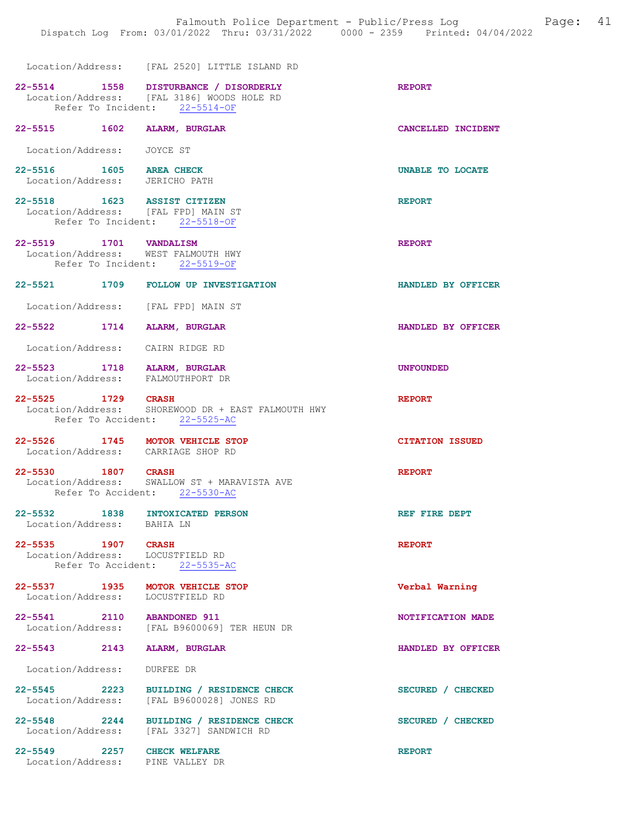|                                                                       | Location/Address: [FAL 2520] LITTLE ISLAND RD                                                                        |                          |
|-----------------------------------------------------------------------|----------------------------------------------------------------------------------------------------------------------|--------------------------|
|                                                                       | 22-5514 1558 DISTURBANCE / DISORDERLY<br>Location/Address: [FAL 3186] WOODS HOLE RD<br>Refer To Incident: 22-5514-OF | <b>REPORT</b>            |
| 22-5515 1602 ALARM, BURGLAR                                           |                                                                                                                      | CANCELLED INCIDENT       |
| Location/Address: JOYCE ST                                            |                                                                                                                      |                          |
| 22-5516 1605 AREA CHECK<br>Location/Address: JERICHO PATH             |                                                                                                                      | UNABLE TO LOCATE         |
| 22-5518 1623 ASSIST CITIZEN<br>Location/Address: [FAL FPD] MAIN ST    | Refer To Incident: 22-5518-OF                                                                                        | <b>REPORT</b>            |
| 22-5519 1701 VANDALISM<br>Location/Address: WEST FALMOUTH HWY         | Refer To Incident: 22-5519-OF                                                                                        | <b>REPORT</b>            |
|                                                                       | 22-5521 1709 FOLLOW UP INVESTIGATION                                                                                 | HANDLED BY OFFICER       |
| Location/Address: [FAL FPD] MAIN ST                                   |                                                                                                                      |                          |
| 22-5522 1714 ALARM, BURGLAR                                           |                                                                                                                      | HANDLED BY OFFICER       |
| Location/Address: CAIRN RIDGE RD                                      |                                                                                                                      |                          |
| 22-5523 1718 ALARM, BURGLAR<br>Location/Address: FALMOUTHPORT DR      |                                                                                                                      | <b>UNFOUNDED</b>         |
| 22-5525 1729 CRASH                                                    | Location/Address: SHOREWOOD DR + EAST FALMOUTH HWY                                                                   | <b>REPORT</b>            |
|                                                                       | Refer To Accident: 22-5525-AC                                                                                        |                          |
| 22-5526 1745 MOTOR VEHICLE STOP<br>Location/Address: CARRIAGE SHOP RD |                                                                                                                      | <b>CITATION ISSUED</b>   |
| 22-5530 1807 CRASH                                                    | Location/Address: SWALLOW ST + MARAVISTA AVE<br>Refer To Accident: 22-5530-AC                                        | <b>REPORT</b>            |
| 22-5532 1838 INTOXICATED PERSON<br>Location/Address: BAHIA LN         |                                                                                                                      | REF FIRE DEPT            |
| 22-5535 1907 CRASH<br>Location/Address: LOCUSTFIELD RD                | Refer To Accident: 22-5535-AC                                                                                        | <b>REPORT</b>            |
| 22-5537 1935 MOTOR VEHICLE STOP<br>Location/Address: LOCUSTFIELD RD   |                                                                                                                      | Verbal Warning           |
| 22-5541 2110 ABANDONED 911                                            | Location/Address: [FAL B9600069] TER HEUN DR                                                                         | <b>NOTIFICATION MADE</b> |
| 22-5543 2143                                                          | ALARM, BURGLAR                                                                                                       | HANDLED BY OFFICER       |
| Location/Address:                                                     | DURFEE DR                                                                                                            |                          |
|                                                                       | 22-5545 2223 BUILDING / RESIDENCE CHECK<br>Location/Address: [FAL B9600028] JONES RD                                 | SECURED / CHECKED        |

22-5549 2257 CHECK WELFARE **REPORT** Location/Address: PINE VALLEY DR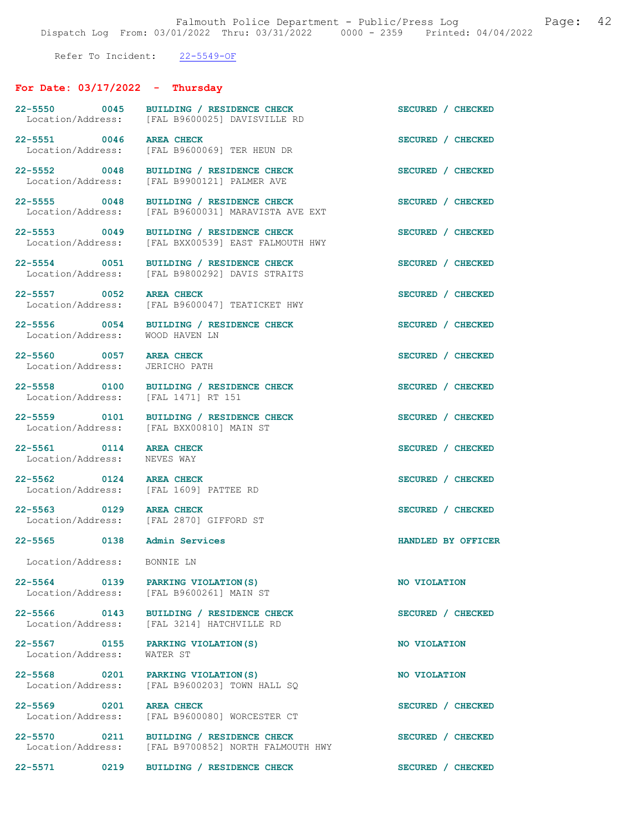Refer To Incident: 22-5549-OF

# For Date: 03/17/2022 - Thursday

| 22-5550 0045<br>Location/Address:                         | BUILDING / RESIDENCE CHECK<br>[FAL B9600025] DAVISVILLE RD                            | SECURED / CHECKED  |
|-----------------------------------------------------------|---------------------------------------------------------------------------------------|--------------------|
| 22-5551 0046                                              | <b>AREA CHECK</b><br>Location/Address: [FAL B9600069] TER HEUN DR                     | SECURED / CHECKED  |
| 22-5552 0048<br>Location/Address:                         | BUILDING / RESIDENCE CHECK<br>[FAL B9900121] PALMER AVE                               | SECURED / CHECKED  |
| 22-5555 0048<br>Location/Address:                         | BUILDING / RESIDENCE CHECK<br>[FAL B9600031] MARAVISTA AVE EXT                        | SECURED / CHECKED  |
| 22-5553 0049<br>Location/Address:                         | BUILDING / RESIDENCE CHECK<br>[FAL BXX00539] EAST FALMOUTH HWY                        | SECURED / CHECKED  |
| 22-5554 0051<br>Location/Address:                         | BUILDING / RESIDENCE CHECK<br>[FAL B9800292] DAVIS STRAITS                            | SECURED / CHECKED  |
| 22-5557 0052<br>Location/Address:                         | <b>AREA CHECK</b><br>[FAL B9600047] TEATICKET HWY                                     | SECURED / CHECKED  |
| 22-5556 0054<br>Location/Address:                         | BUILDING / RESIDENCE CHECK<br>WOOD HAVEN LN                                           | SECURED / CHECKED  |
| 22-5560 0057 AREA CHECK<br>Location/Address: JERICHO PATH |                                                                                       | SECURED / CHECKED  |
| 22-5558 0100<br>Location/Address:                         | BUILDING / RESIDENCE CHECK<br>[FAL 1471] RT 151                                       | SECURED / CHECKED  |
| 22-5559 0101                                              | BUILDING / RESIDENCE CHECK<br>Location/Address: [FAL BXX00810] MAIN ST                | SECURED / CHECKED  |
| 22-5561 0114<br>Location/Address:                         | <b>AREA CHECK</b><br>NEVES WAY                                                        | SECURED / CHECKED  |
| 22-5562 0124 AREA CHECK                                   | Location/Address: [FAL 1609] PATTEE RD                                                | SECURED / CHECKED  |
| 22-5563 0129 AREA CHECK                                   | Location/Address: [FAL 2870] GIFFORD ST                                               | SECURED / CHECKED  |
| 22-5565 0138 Admin Services                               |                                                                                       | HANDLED BY OFFICER |
| Location/Address: BONNIE LN                               |                                                                                       |                    |
| 22-5564 0139                                              | PARKING VIOLATION (S)<br>Location/Address: [FAL B9600261] MAIN ST                     | NO VIOLATION       |
|                                                           | 22-5566 0143 BUILDING / RESIDENCE CHECK<br>Location/Address: [FAL 3214] HATCHVILLE RD | SECURED / CHECKED  |
| 22-5567 0155<br>Location/Address:                         | PARKING VIOLATION (S)<br>WATER ST                                                     | NO VIOLATION       |
| 22-5568 0201                                              | PARKING VIOLATION (S)<br>Location/Address: [FAL B9600203] TOWN HALL SQ                | NO VIOLATION       |
| 22-5569 0201<br>Location/Address:                         | <b>AREA CHECK</b><br>[FAL B9600080] WORCESTER CT                                      | SECURED / CHECKED  |
| 22-5570 0211                                              | BUILDING / RESIDENCE CHECK<br>Location/Address: [FAL B9700852] NORTH FALMOUTH HWY     | SECURED / CHECKED  |
| $22 - 5571$<br>0219                                       | BUILDING / RESIDENCE CHECK                                                            | SECURED / CHECKED  |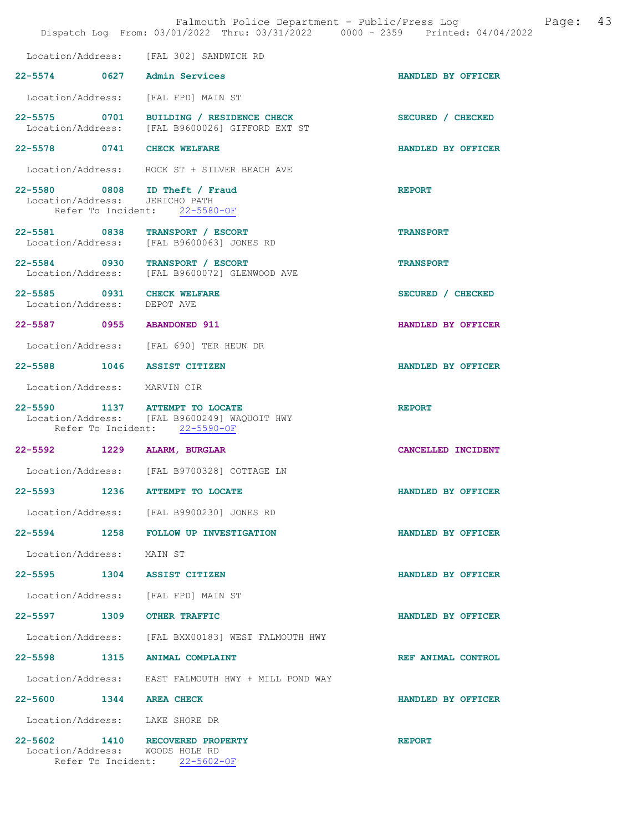|                                                                    |      | Falmouth Police Department - Public/Press Log<br>Dispatch Log From: 03/01/2022 Thru: 03/31/2022 0000 - 2359 Printed: 04/04/2022 | 43<br>Page:        |
|--------------------------------------------------------------------|------|---------------------------------------------------------------------------------------------------------------------------------|--------------------|
|                                                                    |      | Location/Address: [FAL 302] SANDWICH RD                                                                                         |                    |
| 22-5574 0627 Admin Services                                        |      |                                                                                                                                 | HANDLED BY OFFICER |
| Location/Address: [FAL FPD] MAIN ST                                |      |                                                                                                                                 |                    |
|                                                                    |      | 22-5575 0701 BUILDING / RESIDENCE CHECK<br>Location/Address: [FAL B9600026] GIFFORD EXT ST                                      | SECURED / CHECKED  |
| 22-5578 0741 CHECK WELFARE                                         |      |                                                                                                                                 | HANDLED BY OFFICER |
|                                                                    |      | Location/Address: ROCK ST + SILVER BEACH AVE                                                                                    |                    |
| 22-5580 0808 ID Theft / Fraud<br>Location/Address: JERICHO PATH    |      | Refer To Incident: 22-5580-OF                                                                                                   | <b>REPORT</b>      |
|                                                                    |      | 22-5581 0838 TRANSPORT / ESCORT<br>Location/Address: [FAL B9600063] JONES RD                                                    | <b>TRANSPORT</b>   |
| 22-5584 0930 TRANSPORT / ESCORT                                    |      | Location/Address: [FAL B9600072] GLENWOOD AVE                                                                                   | <b>TRANSPORT</b>   |
| 22-5585 0931 CHECK WELFARE<br>Location/Address: DEPOT AVE          |      |                                                                                                                                 | SECURED / CHECKED  |
| 22-5587 0955 ABANDONED 911                                         |      |                                                                                                                                 | HANDLED BY OFFICER |
|                                                                    |      | Location/Address: [FAL 690] TER HEUN DR                                                                                         |                    |
| 22-5588 1046 ASSIST CITIZEN                                        |      |                                                                                                                                 | HANDLED BY OFFICER |
| Location/Address: MARVIN CIR                                       |      |                                                                                                                                 |                    |
| 22-5590 1137 ATTEMPT TO LOCATE                                     |      | Location/Address: [FAL B9600249] WAQUOIT HWY<br>Refer To Incident: 22-5590-OF                                                   | <b>REPORT</b>      |
| 22-5592 1229 ALARM, BURGLAR                                        |      |                                                                                                                                 | CANCELLED INCIDENT |
|                                                                    |      | Location/Address: [FAL B9700328] COTTAGE LN                                                                                     |                    |
| 22-5593                                                            | 1236 | <b>ATTEMPT TO LOCATE</b>                                                                                                        | HANDLED BY OFFICER |
|                                                                    |      | Location/Address: [FAL B9900230] JONES RD                                                                                       |                    |
|                                                                    |      | 22-5594 1258 FOLLOW UP INVESTIGATION                                                                                            | HANDLED BY OFFICER |
| Location/Address: MAIN ST                                          |      |                                                                                                                                 |                    |
| 22-5595 1304 ASSIST CITIZEN                                        |      |                                                                                                                                 | HANDLED BY OFFICER |
| Location/Address: [FAL FPD] MAIN ST                                |      |                                                                                                                                 |                    |
| 22-5597 1309 OTHER TRAFFIC                                         |      |                                                                                                                                 | HANDLED BY OFFICER |
|                                                                    |      | Location/Address: [FAL BXX00183] WEST FALMOUTH HWY                                                                              |                    |
| 22-5598 1315 ANIMAL COMPLAINT                                      |      |                                                                                                                                 | REF ANIMAL CONTROL |
|                                                                    |      | Location/Address: EAST FALMOUTH HWY + MILL POND WAY                                                                             |                    |
| 22-5600 1344 AREA CHECK                                            |      |                                                                                                                                 | HANDLED BY OFFICER |
| Location/Address: LAKE SHORE DR                                    |      |                                                                                                                                 |                    |
| 22-5602 1410 RECOVERED PROPERTY<br>Location/Address: WOODS HOLE RD |      | Refer To Incident: 22-5602-OF                                                                                                   | <b>REPORT</b>      |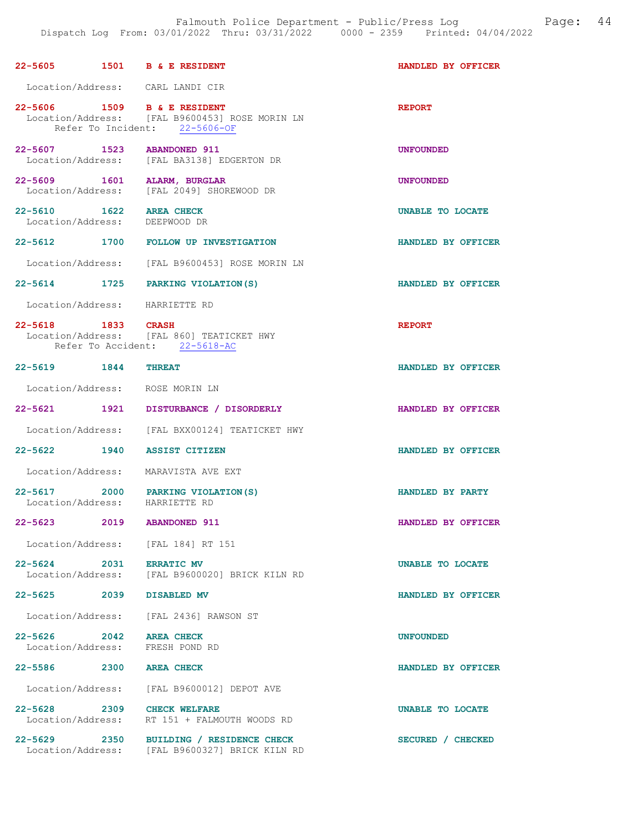| 22-5605 1501 B & E RESIDENT                                |                                                                                                              | HANDLED BY OFFICER |
|------------------------------------------------------------|--------------------------------------------------------------------------------------------------------------|--------------------|
| Location/Address: CARL LANDI CIR                           |                                                                                                              |                    |
|                                                            | 22-5606 1509 B& ERESIDENT<br>Location/Address: [FAL B9600453] ROSE MORIN LN<br>Refer To Incident: 22-5606-OF | <b>REPORT</b>      |
| 22-5607 1523 ABANDONED 911                                 | Location/Address: [FAL BA3138] EDGERTON DR                                                                   | <b>UNFOUNDED</b>   |
| 22-5609 1601 ALARM, BURGLAR                                | Location/Address: [FAL 2049] SHOREWOOD DR                                                                    | <b>UNFOUNDED</b>   |
| 22-5610 1622 AREA CHECK<br>Location/Address: DEEPWOOD DR   |                                                                                                              | UNABLE TO LOCATE   |
|                                                            | 22-5612 1700 FOLLOW UP INVESTIGATION                                                                         | HANDLED BY OFFICER |
|                                                            | Location/Address: [FAL B9600453] ROSE MORIN LN                                                               |                    |
|                                                            | 22-5614 1725 PARKING VIOLATION (S)                                                                           | HANDLED BY OFFICER |
| Location/Address: HARRIETTE RD                             |                                                                                                              |                    |
| 22-5618 1833 CRASH                                         | Location/Address: [FAL 860] TEATICKET HWY<br>Refer To Accident: 22-5618-AC                                   | <b>REPORT</b>      |
| 22-5619 1844 THREAT                                        |                                                                                                              | HANDLED BY OFFICER |
| Location/Address: ROSE MORIN LN                            |                                                                                                              |                    |
|                                                            | 22-5621 1921 DISTURBANCE / DISORDERLY                                                                        | HANDLED BY OFFICER |
|                                                            | Location/Address: [FAL BXX00124] TEATICKET HWY                                                               |                    |
| 22-5622 1940 ASSIST CITIZEN                                |                                                                                                              | HANDLED BY OFFICER |
|                                                            | Location/Address: MARAVISTA AVE EXT                                                                          |                    |
|                                                            | 22-5617 2000 PARKING VIOLATION(S)<br>Location/Address: HARRIETTE RD                                          | HANDLED BY PARTY   |
| 22-5623 2019                                               | <b>ABANDONED 911</b>                                                                                         | HANDLED BY OFFICER |
|                                                            | Location/Address: [FAL 184] RT 151                                                                           |                    |
| 22-5624 2031 ERRATIC MV                                    | Location/Address: [FAL B9600020] BRICK KILN RD                                                               | UNABLE TO LOCATE   |
| 22-5625 2039 DISABLED MV                                   |                                                                                                              | HANDLED BY OFFICER |
|                                                            | Location/Address: [FAL 2436] RAWSON ST                                                                       |                    |
| 22-5626 2042 AREA CHECK<br>Location/Address: FRESH POND RD |                                                                                                              | <b>UNFOUNDED</b>   |
| 22-5586 2300 AREA CHECK                                    |                                                                                                              | HANDLED BY OFFICER |
|                                                            | Location/Address: [FAL B9600012] DEPOT AVE                                                                   |                    |
| 22-5628 2309 CHECK WELFARE                                 | Location/Address: RT 151 + FALMOUTH WOODS RD                                                                 | UNABLE TO LOCATE   |
|                                                            | 22-5629 2350 BUILDING / RESIDENCE CHECK<br>Location/Address: [FAL B9600327] BRICK KILN RD                    | SECURED / CHECKED  |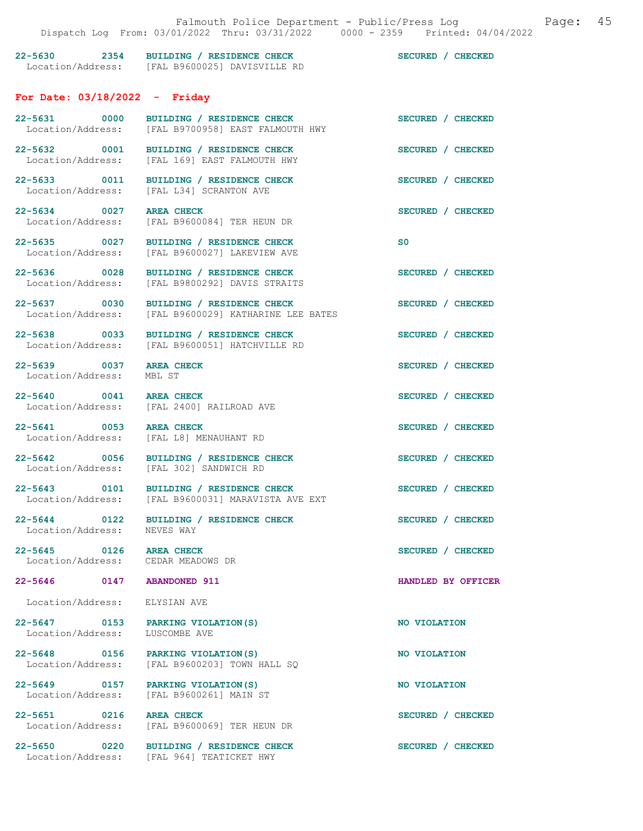| $22 - 5630$<br>Location/Address: | 2354 | BUILDING / RESIDENCE CHECK<br>[FAL B9600025] DAVISVILLE RD | SECURED /<br><b>CHECKED</b>      |
|----------------------------------|------|------------------------------------------------------------|----------------------------------|
|                                  |      | For Date: $03/18/2022 -$ Friday                            |                                  |
| $22 - 5631$                      | 0000 | BUILDING / RESIDENCE CHECK                                 | <b>SECURED</b><br><b>CHECKED</b> |

| Location/Address:                                             | [FAL B9700958] EAST FALMOUTH HWY                                                         |                    |
|---------------------------------------------------------------|------------------------------------------------------------------------------------------|--------------------|
|                                                               | 22-5632 0001 BUILDING / RESIDENCE CHECK<br>Location/Address: [FAL 169] EAST FALMOUTH HWY | SECURED / CHECKED  |
| 22-5633 0011<br>Location/Address:                             | BUILDING / RESIDENCE CHECK<br>[FAL L34] SCRANTON AVE                                     | SECURED / CHECKED  |
| 22-5634 0027<br>Location/Address:                             | <b>AREA CHECK</b><br>[FAL B9600084] TER HEUN DR                                          | SECURED / CHECKED  |
| 22-5635 0027<br>Location/Address:                             | BUILDING / RESIDENCE CHECK<br>[FAL B9600027] LAKEVIEW AVE                                | $\mathbf{s}$ 0     |
| 22-5636 0028<br>Location/Address:                             | BUILDING / RESIDENCE CHECK<br>[FAL B9800292] DAVIS STRAITS                               | SECURED / CHECKED  |
| 22-5637 0030<br>Location/Address:                             | BUILDING / RESIDENCE CHECK<br>[FAL B9600029] KATHARINE LEE BATES                         | SECURED / CHECKED  |
| 22-5638 0033<br>Location/Address:                             | BUILDING / RESIDENCE CHECK<br>[FAL B9600051] HATCHVILLE RD                               | SECURED / CHECKED  |
| 22-5639 0037<br>Location/Address:                             | <b>AREA CHECK</b><br>MBL ST                                                              | SECURED / CHECKED  |
| 22-5640 0041 AREA CHECK                                       | Location/Address: [FAL 2400] RAILROAD AVE                                                | SECURED / CHECKED  |
| 22-5641 0053 AREA CHECK                                       | Location/Address: [FAL L8] MENAUHANT RD                                                  | SECURED / CHECKED  |
| 22-5642 0056<br>Location/Address:                             | BUILDING / RESIDENCE CHECK<br>[FAL 302] SANDWICH RD                                      | SECURED / CHECKED  |
| Location/Address:                                             | 22-5643 0101 BUILDING / RESIDENCE CHECK<br>[FAL B9600031] MARAVISTA AVE EXT              | SECURED / CHECKED  |
| 22-5644 0122<br>Location/Address:                             | BUILDING / RESIDENCE CHECK<br>NEVES WAY                                                  | SECURED / CHECKED  |
| 22-5645 0126 AREA CHECK<br>Location/Address: CEDAR MEADOWS DR |                                                                                          | SECURED / CHECKED  |
| 22-5646 0147 ABANDONED 911                                    |                                                                                          | HANDLED BY OFFICER |
| Location/Address:                                             | ELYSIAN AVE                                                                              |                    |
| 22–5647 0153<br>Location/Address:                             | PARKING VIOLATION (S)<br>LUSCOMBE AVE                                                    | NO VIOLATION       |
| 22-5648 0156<br>Location/Address:                             | PARKING VIOLATION (S)<br>[FAL B9600203] TOWN HALL SQ                                     | NO VIOLATION       |
| 22-5649 0157<br>Location/Address:                             | PARKING VIOLATION (S)<br>[FAL B9600261] MAIN ST                                          | NO VIOLATION       |
| $22 - 5651$<br>0216<br>Location/Address:                      | AREA CHECK<br>[FAL B9600069] TER HEUN DR                                                 | SECURED / CHECKED  |
| 0220<br>$22 - 5650$                                           | BUILDING / RESIDENCE CHECK                                                               | SECURED / CHECKED  |

Location/Address: [FAL 964] TEATICKET HWY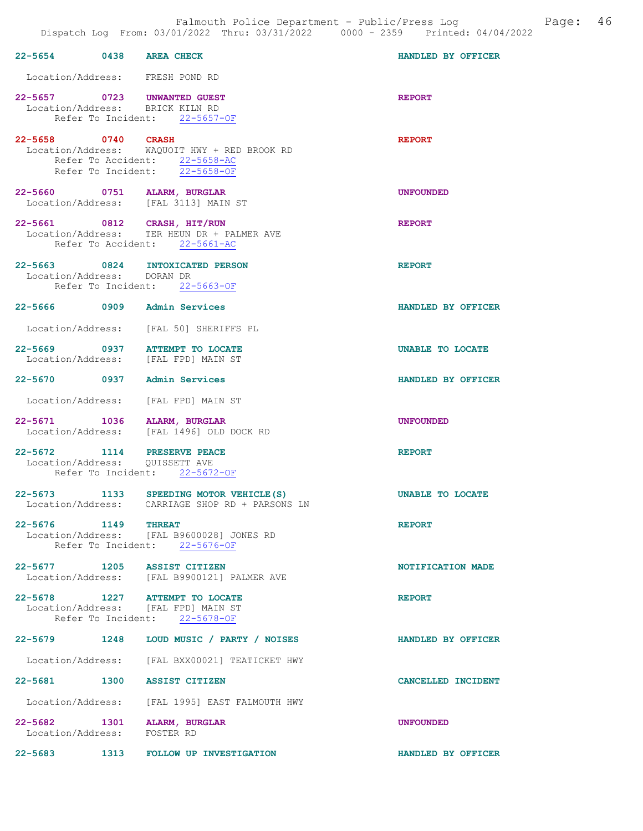| 22-5654 0438 AREA CHECK     |                                                                                                                | HANDLED BY OFFICER |
|-----------------------------|----------------------------------------------------------------------------------------------------------------|--------------------|
|                             | Location/Address: FRESH POND RD                                                                                |                    |
|                             | 22-5657 0723 UNWANTED GUEST<br>Location/Address: BRICK KILN RD<br>Refer To Incident: 22-5657-OF                | <b>REPORT</b>      |
| 22-5658 0740 CRASH          | Location/Address: WAQUOIT HWY + RED BROOK RD<br>Refer To Accident: 22-5658-AC<br>Refer To Incident: 22-5658-OF | <b>REPORT</b>      |
|                             | 22-5660 0751 ALARM, BURGLAR<br>Location/Address: [FAL 3113] MAIN ST                                            | <b>UNFOUNDED</b>   |
|                             | 22-5661 0812 CRASH, HIT/RUN<br>Location/Address: TER HEUN DR + PALMER AVE<br>Refer To Accident: 22-5661-AC     | <b>REPORT</b>      |
| Location/Address: DORAN DR  | 22-5663 0824 INTOXICATED PERSON<br>Refer To Incident: 22-5663-OF                                               | <b>REPORT</b>      |
|                             | 22-5666 0909 Admin Services                                                                                    | HANDLED BY OFFICER |
|                             | Location/Address: [FAL 50] SHERIFFS PL                                                                         |                    |
|                             | 22-5669 0937 ATTEMPT TO LOCATE<br>Location/Address: [FAL FPD] MAIN ST                                          | UNABLE TO LOCATE   |
|                             | 22-5670 0937 Admin Services                                                                                    | HANDLED BY OFFICER |
| Location/Address:           | [FAL FPD] MAIN ST                                                                                              |                    |
|                             | 22-5671 1036 ALARM, BURGLAR<br>Location/Address: [FAL 1496] OLD DOCK RD                                        | <b>UNFOUNDED</b>   |
|                             | 22-5672 1114 PRESERVE PEACE<br>Location/Address: QUISSETT AVE<br>Refer To Incident: 22-5672-OF                 | <b>REPORT</b>      |
|                             | 22-5673 1133 SPEEDING MOTOR VEHICLE (S)<br>Location/Address: CARRIAGE SHOP RD + PARSONS LN                     | UNABLE TO LOCATE   |
| 22-5676 1149 THREAT         | Location/Address: [FAL B9600028] JONES RD<br>Refer To Incident: 22-5676-OF                                     | <b>REPORT</b>      |
|                             | 22-5677 1205 ASSIST CITIZEN<br>Location/Address: [FAL B9900121] PALMER AVE                                     | NOTIFICATION MADE  |
|                             | 22-5678 1227 ATTEMPT TO LOCATE<br>Location/Address: [FAL FPD] MAIN ST<br>Refer To Incident: 22-5678-OF         | <b>REPORT</b>      |
|                             | 22-5679 1248 LOUD MUSIC / PARTY / NOISES                                                                       | HANDLED BY OFFICER |
|                             | Location/Address: [FAL BXX00021] TEATICKET HWY                                                                 |                    |
|                             | 22-5681 1300 ASSIST CITIZEN                                                                                    | CANCELLED INCIDENT |
|                             | Location/Address: [FAL 1995] EAST FALMOUTH HWY                                                                 |                    |
| Location/Address: FOSTER RD | 22-5682 1301 ALARM, BURGLAR                                                                                    | <b>UNFOUNDED</b>   |
|                             | 22-5683 1313 FOLLOW UP INVESTIGATION                                                                           | HANDLED BY OFFICER |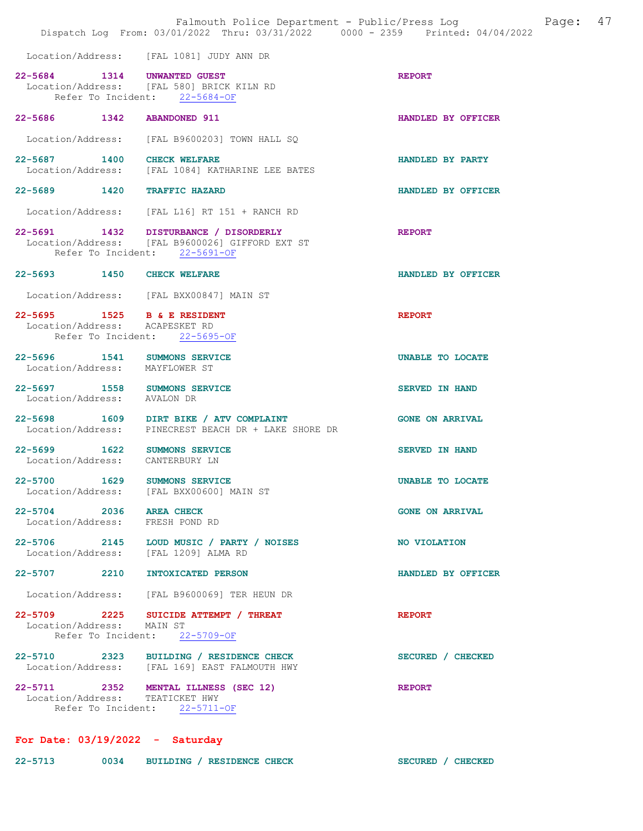|                                                                |      | Falmouth Police Department - Public/Press Log<br>Dispatch Log From: 03/01/2022 Thru: 03/31/2022 0000 - 2359 Printed: 04/04/2022 |                        | Page: | 47 |
|----------------------------------------------------------------|------|---------------------------------------------------------------------------------------------------------------------------------|------------------------|-------|----|
|                                                                |      | Location/Address: [FAL 1081] JUDY ANN DR                                                                                        |                        |       |    |
| 22-5684 1314 UNWANTED GUEST                                    |      | Location/Address: [FAL 580] BRICK KILN RD<br>Refer To Incident: 22-5684-OF                                                      | <b>REPORT</b>          |       |    |
| 22-5686 1342 ABANDONED 911                                     |      |                                                                                                                                 | HANDLED BY OFFICER     |       |    |
|                                                                |      | Location/Address: [FAL B9600203] TOWN HALL SQ                                                                                   |                        |       |    |
| 22-5687 1400 CHECK WELFARE                                     |      | Location/Address: [FAL 1084] KATHARINE LEE BATES                                                                                | HANDLED BY PARTY       |       |    |
| 22-5689 1420 TRAFFIC HAZARD                                    |      |                                                                                                                                 | HANDLED BY OFFICER     |       |    |
|                                                                |      | Location/Address: [FAL L16] RT 151 + RANCH RD                                                                                   |                        |       |    |
|                                                                |      | 22-5691 1432 DISTURBANCE / DISORDERLY<br>Location/Address: [FAL B9600026] GIFFORD EXT ST<br>Refer To Incident: 22-5691-OF       | <b>REPORT</b>          |       |    |
| 22-5693 1450 CHECK WELFARE                                     |      |                                                                                                                                 | HANDLED BY OFFICER     |       |    |
|                                                                |      | Location/Address: [FAL BXX00847] MAIN ST                                                                                        |                        |       |    |
| 22-5695 1525 B & E RESIDENT<br>Location/Address: ACAPESKET RD  |      | Refer To Incident: 22-5695-OF                                                                                                   | <b>REPORT</b>          |       |    |
| 22-5696 1541 SUMMONS SERVICE<br>Location/Address: MAYFLOWER ST |      |                                                                                                                                 | UNABLE TO LOCATE       |       |    |
| 22-5697 1558 SUMMONS SERVICE<br>Location/Address: AVALON DR    |      |                                                                                                                                 | <b>SERVED IN HAND</b>  |       |    |
|                                                                |      | 22-5698 1609 DIRT BIKE / ATV COMPLAINT<br>Location/Address: PINECREST BEACH DR + LAKE SHORE DR                                  | <b>GONE ON ARRIVAL</b> |       |    |
| 1622<br>$22 - 5699$<br>Location/Address:                       |      | <b>SUMMONS SERVICE</b><br>CANTERBURY LN                                                                                         | <b>SERVED IN HAND</b>  |       |    |
| $22 - 5700$                                                    | 1629 | <b>SUMMONS SERVICE</b><br>Location/Address: [FAL BXX00600] MAIN ST                                                              | UNABLE TO LOCATE       |       |    |
| 22-5704 2036 AREA CHECK<br>Location/Address: FRESH POND RD     |      |                                                                                                                                 | <b>GONE ON ARRIVAL</b> |       |    |
| Location/Address: [FAL 1209] ALMA RD                           |      | 22-5706 2145 LOUD MUSIC / PARTY / NOISES                                                                                        | NO VIOLATION           |       |    |
| 22-5707 2210 INTOXICATED PERSON                                |      |                                                                                                                                 | HANDLED BY OFFICER     |       |    |
|                                                                |      | Location/Address: [FAL B9600069] TER HEUN DR                                                                                    |                        |       |    |
| Location/Address: MAIN ST                                      |      | 22-5709 2225 SUICIDE ATTEMPT / THREAT<br>Refer To Incident: 22-5709-OF                                                          | <b>REPORT</b>          |       |    |
|                                                                |      | 22-5710 2323 BUILDING / RESIDENCE CHECK<br>Location/Address: [FAL 169] EAST FALMOUTH HWY                                        | SECURED / CHECKED      |       |    |
| Location/Address: TEATICKET HWY                                |      | 22-5711 2352 MENTAL ILLNESS (SEC 12)<br>Refer To Incident: 22-5711-OF                                                           | <b>REPORT</b>          |       |    |
| For Date: $03/19/2022 -$ Saturday                              |      |                                                                                                                                 |                        |       |    |

22-5713 0034 BUILDING / RESIDENCE CHECK SECURED / CHECKED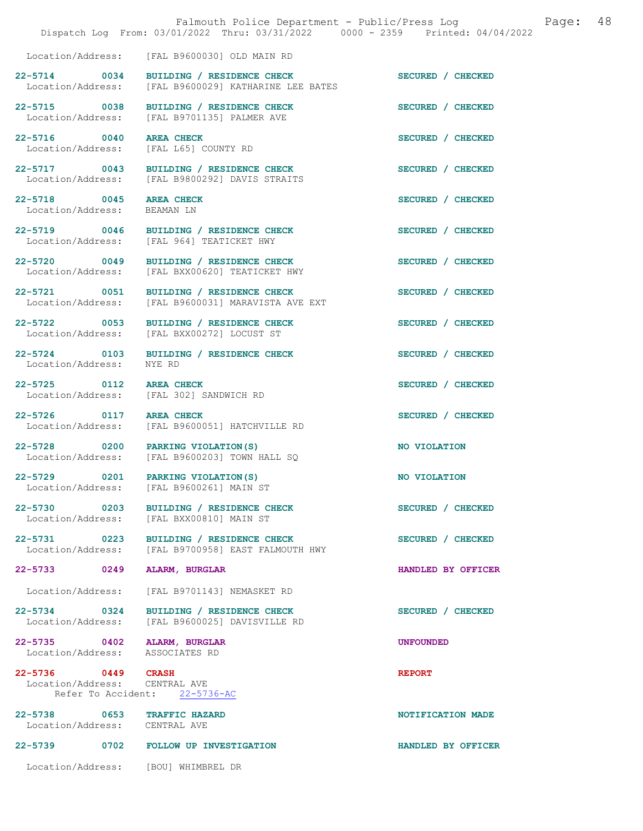|                                                              | Falmouth Police Department - Public/Press Log example:<br>Dispatch Log From: 03/01/2022 Thru: 03/31/2022 0000 - 2359 Printed: 04/04/2022 |                    | 48 |
|--------------------------------------------------------------|------------------------------------------------------------------------------------------------------------------------------------------|--------------------|----|
|                                                              | Location/Address: [FAL B9600030] OLD MAIN RD                                                                                             |                    |    |
|                                                              | 22-5714 0034 BUILDING / RESIDENCE CHECK<br>Location/Address: [FAL B9600029] KATHARINE LEE BATES                                          | SECURED / CHECKED  |    |
| 22-5715 0038                                                 | BUILDING / RESIDENCE CHECK<br>Location/Address: [FAL B9701135] PALMER AVE                                                                | SECURED / CHECKED  |    |
| 22-5716 0040<br>Location/Address: [FAL L65] COUNTY RD        | <b>AREA CHECK</b>                                                                                                                        | SECURED / CHECKED  |    |
|                                                              | 22-5717 0043 BUILDING / RESIDENCE CHECK<br>Location/Address: [FAL B9800292] DAVIS STRAITS                                                | SECURED / CHECKED  |    |
| 22-5718 0045 AREA CHECK<br>Location/Address: BEAMAN LN       |                                                                                                                                          | SECURED / CHECKED  |    |
|                                                              | 22-5719 0046 BUILDING / RESIDENCE CHECK<br>Location/Address: [FAL 964] TEATICKET HWY                                                     | SECURED / CHECKED  |    |
| 22-5720 0049<br>Location/Address:                            | BUILDING / RESIDENCE CHECK<br>[FAL BXX00620] TEATICKET HWY                                                                               | SECURED / CHECKED  |    |
|                                                              | 22-5721 0051 BUILDING / RESIDENCE CHECK<br>Location/Address: [FAL B9600031] MARAVISTA AVE EXT                                            | SECURED / CHECKED  |    |
| 22-5722 0053                                                 | BUILDING / RESIDENCE CHECK<br>Location/Address: [FAL BXX00272] LOCUST ST                                                                 | SECURED / CHECKED  |    |
| 22-5724 0103<br>Location/Address:                            | BUILDING / RESIDENCE CHECK<br>NYE RD                                                                                                     | SECURED / CHECKED  |    |
| 22-5725 0112                                                 | <b>AREA CHECK</b><br>Location/Address: [FAL 302] SANDWICH RD                                                                             | SECURED / CHECKED  |    |
| 22-5726 0117 AREA CHECK                                      | Location/Address: [FAL B9600051] HATCHVILLE RD                                                                                           | SECURED / CHECKED  |    |
|                                                              | 22-5728 0200 PARKING VIOLATION (S)<br>Location/Address: [FAL B9600203] TOWN HALL SQ                                                      | NO VIOLATION       |    |
| Location/Address:                                            | 22-5729 0201 PARKING VIOLATION (S)<br>[FAL B9600261] MAIN ST                                                                             | NO VIOLATION       |    |
| 22-5730 0203                                                 | BUILDING / RESIDENCE CHECK<br>Location/Address: [FAL BXX00810] MAIN ST                                                                   | SECURED / CHECKED  |    |
| 22-5731 0223<br>Location/Address:                            | BUILDING / RESIDENCE CHECK<br>[FAL B9700958] EAST FALMOUTH HWY                                                                           | SECURED / CHECKED  |    |
| 22-5733 0249                                                 | <b>ALARM, BURGLAR</b>                                                                                                                    | HANDLED BY OFFICER |    |
| Location/Address:                                            | [FAL B9701143] NEMASKET RD                                                                                                               |                    |    |
| 22-5734 0324                                                 | BUILDING / RESIDENCE CHECK<br>Location/Address: [FAL B9600025] DAVISVILLE RD                                                             | SECURED / CHECKED  |    |
| 22-5735 0402<br>Location/Address: ASSOCIATES RD              | ALARM, BURGLAR                                                                                                                           | <b>UNFOUNDED</b>   |    |
| 22-5736 0449 CRASH<br>Location/Address: CENTRAL AVE          | Refer To Accident: 22-5736-AC                                                                                                            | <b>REPORT</b>      |    |
| 22-5738 0653 TRAFFIC HAZARD<br>Location/Address: CENTRAL AVE |                                                                                                                                          | NOTIFICATION MADE  |    |
|                                                              | 22-5739 0702 FOLLOW UP INVESTIGATION                                                                                                     | HANDLED BY OFFICER |    |
| Location/Address: [BOU] WHIMBREL DR                          |                                                                                                                                          |                    |    |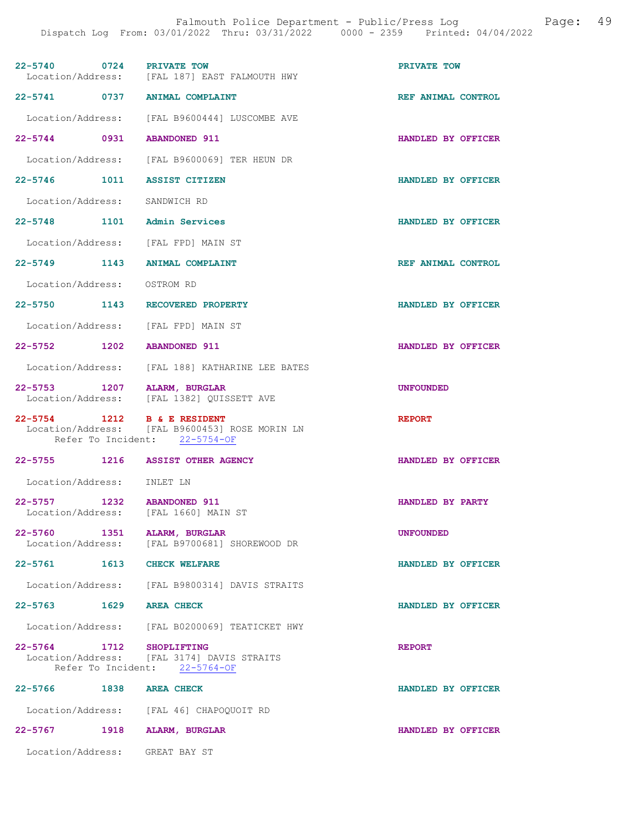| 22-5740 0724                | PRIVATE TOW<br>Location/Address: [FAL 187] EAST FALMOUTH HWY                    | PRIVATE TOW        |
|-----------------------------|---------------------------------------------------------------------------------|--------------------|
|                             | 22-5741 0737 ANIMAL COMPLAINT                                                   | REF ANIMAL CONTROL |
|                             | Location/Address: [FAL B9600444] LUSCOMBE AVE                                   |                    |
| 22-5744 0931                | <b>ABANDONED 911</b>                                                            | HANDLED BY OFFICER |
|                             | Location/Address: [FAL B9600069] TER HEUN DR                                    |                    |
| 22-5746 1011                | <b>ASSIST CITIZEN</b>                                                           | HANDLED BY OFFICER |
| Location/Address:           | SANDWICH RD                                                                     |                    |
| 22-5748 1101 Admin Services |                                                                                 | HANDLED BY OFFICER |
|                             | Location/Address: [FAL FPD] MAIN ST                                             |                    |
| 22–5749 1143                | <b>ANIMAL COMPLAINT</b>                                                         | REF ANIMAL CONTROL |
| Location/Address: OSTROM RD |                                                                                 |                    |
| 22-5750 1143                | RECOVERED PROPERTY                                                              | HANDLED BY OFFICER |
| Location/Address:           | [FAL FPD] MAIN ST                                                               |                    |
| 22-5752 1202 ABANDONED 911  |                                                                                 | HANDLED BY OFFICER |
|                             | Location/Address: [FAL 188] KATHARINE LEE BATES                                 |                    |
| 22-5753 1207 ALARM, BURGLAR | Location/Address: [FAL 1382] QUISSETT AVE                                       | <b>UNFOUNDED</b>   |
|                             |                                                                                 |                    |
| 22-5754 1212 B & E RESIDENT | Location/Address: [FAL B9600453] ROSE MORIN LN<br>Refer To Incident: 22-5754-OF | <b>REPORT</b>      |
|                             | 22-5755 1216 ASSIST OTHER AGENCY                                                | HANDLED BY OFFICER |
| Location/Address: INLET LN  |                                                                                 |                    |
| 22-5757 1232 ABANDONED 911  | Location/Address: [FAL 1660] MAIN ST                                            | HANDLED BY PARTY   |
| 22-5760 1351 ALARM, BURGLAR | Location/Address: [FAL B9700681] SHOREWOOD DR                                   | <b>UNFOUNDED</b>   |
| 22-5761 1613 CHECK WELFARE  |                                                                                 | HANDLED BY OFFICER |
|                             | Location/Address: [FAL B9800314] DAVIS STRAITS                                  |                    |
| 22-5763 1629 AREA CHECK     |                                                                                 | HANDLED BY OFFICER |
|                             | Location/Address: [FAL B0200069] TEATICKET HWY                                  |                    |
| 22-5764 1712 SHOPLIFTING    | Location/Address: [FAL 3174] DAVIS STRAITS<br>Refer To Incident: 22-5764-OF     | <b>REPORT</b>      |
| 22-5766 1838 AREA CHECK     |                                                                                 | HANDLED BY OFFICER |
|                             | Location/Address: [FAL 46] CHAPOQUOIT RD                                        |                    |
| 22-5767 1918 ALARM, BURGLAR |                                                                                 | HANDLED BY OFFICER |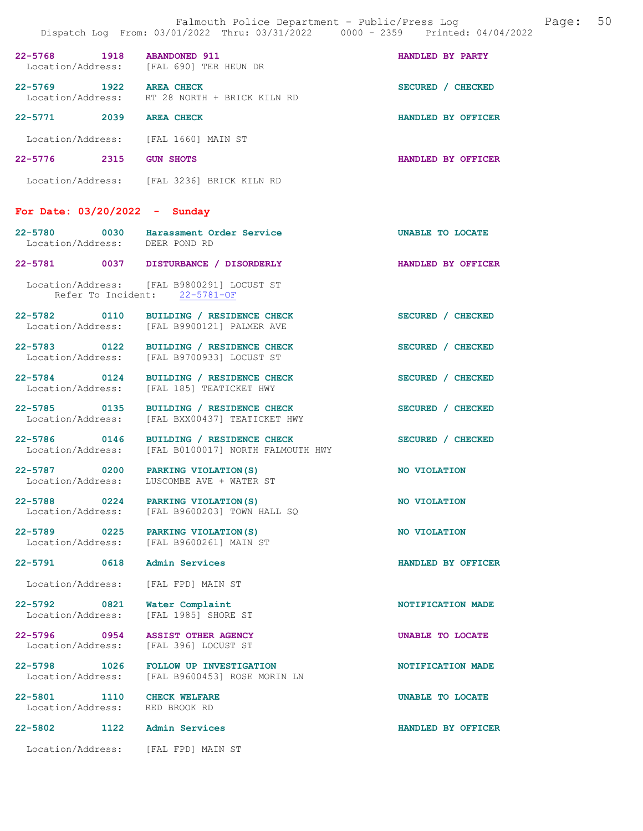|                                                |      | Dispatch Log From: 03/01/2022 Thru: 03/31/2022 0000 - 2359 Printed: 04/04/2022                 |                           |
|------------------------------------------------|------|------------------------------------------------------------------------------------------------|---------------------------|
| 22-5768 1918 ABANDONED 911                     |      | Location/Address: [FAL 690] TER HEUN DR                                                        | HANDLED BY PARTY          |
| 22-5769 1922 AREA CHECK                        |      | Location/Address: RT 28 NORTH + BRICK KILN RD                                                  | SECURED / CHECKED         |
| 22-5771 2039 AREA CHECK                        |      |                                                                                                | HANDLED BY OFFICER        |
|                                                |      | Location/Address: [FAL 1660] MAIN ST                                                           |                           |
| 22-5776 2315 GUN SHOTS                         |      |                                                                                                | <b>HANDLED BY OFFICER</b> |
|                                                |      | Location/Address: [FAL 3236] BRICK KILN RD                                                     |                           |
| For Date: $03/20/2022 -$ Sunday                |      |                                                                                                |                           |
| Location/Address: DEER POND RD                 |      | 22-5780 0030 Harassment Order Service                                                          | UNABLE TO LOCATE          |
|                                                |      | 22-5781 0037 DISTURBANCE / DISORDERLY                                                          | HANDLED BY OFFICER        |
|                                                |      | Location/Address: [FAL B9800291] LOCUST ST<br>Refer To Incident: 22-5781-OF                    |                           |
|                                                |      | 22-5782 0110 BUILDING / RESIDENCE CHECK<br>Location/Address: [FAL B9900121] PALMER AVE         | SECURED / CHECKED         |
|                                                |      | 22-5783 0122 BUILDING / RESIDENCE CHECK<br>Location/Address: [FAL B9700933] LOCUST ST          | SECURED / CHECKED         |
|                                                |      | 22-5784 0124 BUILDING / RESIDENCE CHECK<br>Location/Address: [FAL 185] TEATICKET HWY           | SECURED / CHECKED         |
|                                                |      | 22-5785 0135 BUILDING / RESIDENCE CHECK<br>Location/Address: [FAL BXX00437] TEATICKET HWY      | SECURED / CHECKED         |
|                                                |      | 22-5786 0146 BUILDING / RESIDENCE CHECK<br>Location/Address: [FAL B0100017] NORTH FALMOUTH HWY | SECURED / CHECKED         |
|                                                |      | 22-5787 0200 PARKING VIOLATION (S)<br>Location/Address: LUSCOMBE AVE + WATER ST                | NO VIOLATION              |
|                                                |      | 22-5788 0224 PARKING VIOLATION (S)<br>Location/Address: [FAL B9600203] TOWN HALL SQ            | <b>NO VIOLATION</b>       |
| 22-5789 0225                                   |      | PARKING VIOLATION (S)<br>Location/Address: [FAL B9600261] MAIN ST                              | NO VIOLATION              |
| 22-5791 0618                                   |      | Admin Services                                                                                 | HANDLED BY OFFICER        |
| Location/Address:                              |      | [FAL FPD] MAIN ST                                                                              |                           |
| 22-5792 0821<br>Location/Address:              |      | Water Complaint<br>[FAL 1985] SHORE ST                                                         | NOTIFICATION MADE         |
| 22-5796 0954                                   |      | <b>ASSIST OTHER AGENCY</b><br>Location/Address: [FAL 396] LOCUST ST                            | UNABLE TO LOCATE          |
| 22-5798 1026                                   |      | <b>FOLLOW UP INVESTIGATION</b><br>Location/Address: [FAL B9600453] ROSE MORIN LN               | NOTIFICATION MADE         |
| 22-5801 1110<br>Location/Address: RED BROOK RD |      | <b>CHECK WELFARE</b>                                                                           | UNABLE TO LOCATE          |
| $22 - 5802$                                    | 1122 | <b>Admin Services</b>                                                                          | HANDLED BY OFFICER        |
|                                                |      | Location/Address: [FAL FPD] MAIN ST                                                            |                           |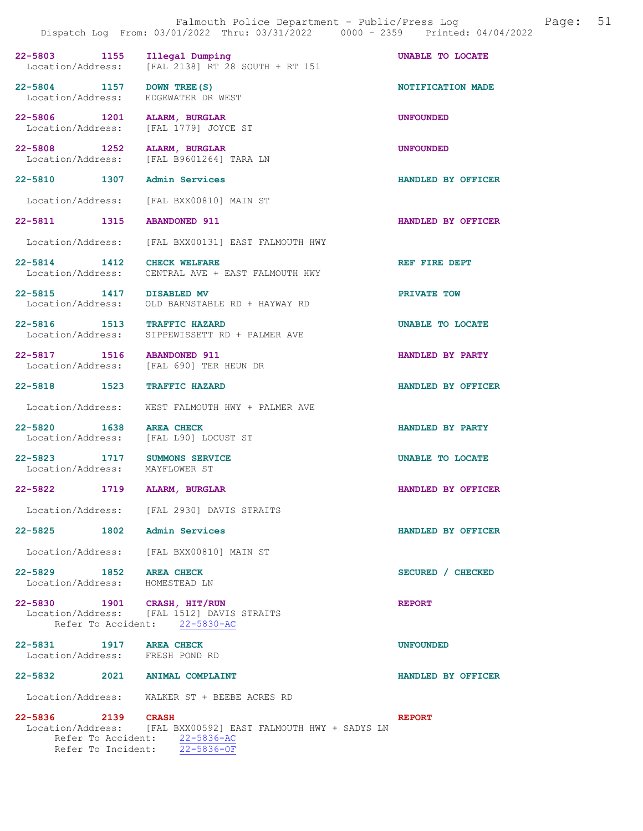|                                                 | Dispatch Log From: 03/01/2022 Thru: 03/31/2022 0000 - 2359 Printed: 04/04/2022                 |                    |
|-------------------------------------------------|------------------------------------------------------------------------------------------------|--------------------|
| 22-5803 1155                                    | Illegal Dumping<br>Location/Address: [FAL 2138] RT 28 SOUTH + RT 151                           | UNABLE TO LOCATE   |
| 22-5804 1157 DOWN TREE (S)<br>Location/Address: | EDGEWATER DR WEST                                                                              | NOTIFICATION MADE  |
| 22-5806 1201                                    | ALARM, BURGLAR<br>Location/Address: [FAL 1779] JOYCE ST                                        | <b>UNFOUNDED</b>   |
| 22-5808 1252                                    | ALARM, BURGLAR<br>Location/Address: [FAL B9601264] TARA LN                                     | <b>UNFOUNDED</b>   |
| 22-5810 1307 Admin Services                     |                                                                                                | HANDLED BY OFFICER |
|                                                 | Location/Address: [FAL BXX00810] MAIN ST                                                       |                    |
| 22-5811 1315                                    | <b>ABANDONED 911</b>                                                                           | HANDLED BY OFFICER |
|                                                 | Location/Address: [FAL BXX00131] EAST FALMOUTH HWY                                             |                    |
| 22-5814 1412<br>Location/Address:               | <b>CHECK WELFARE</b><br>CENTRAL AVE + EAST FALMOUTH HWY                                        | REF FIRE DEPT      |
| 22-5815 1417                                    | <b>DISABLED MV</b><br>Location/Address: OLD BARNSTABLE RD + HAYWAY RD                          | PRIVATE TOW        |
| 22-5816 1513 TRAFFIC HAZARD                     | Location/Address: SIPPEWISSETT RD + PALMER AVE                                                 | UNABLE TO LOCATE   |
| 22-5817 1516                                    | <b>ABANDONED 911</b><br>Location/Address: [FAL 690] TER HEUN DR                                | HANDLED BY PARTY   |
| 22-5818 1523                                    | <b>TRAFFIC HAZARD</b>                                                                          | HANDLED BY OFFICER |
| Location/Address:                               | WEST FALMOUTH HWY + PALMER AVE                                                                 |                    |
| 1638<br>22-5820                                 | <b>AREA CHECK</b><br>Location/Address: [FAL L90] LOCUST ST                                     | HANDLED BY PARTY   |
| 22-5823 1717<br>Location/Address: MAYFLOWER ST  | SUMMONS SERVICE                                                                                | UNABLE TO LOCATE   |
| 22-5822                                         | 1719 ALARM, BURGLAR                                                                            | HANDLED BY OFFICER |
|                                                 | Location/Address: [FAL 2930] DAVIS STRAITS                                                     |                    |
| 22-5825 1802 Admin Services                     |                                                                                                | HANDLED BY OFFICER |
|                                                 | Location/Address: [FAL BXX00810] MAIN ST                                                       |                    |
| 22-5829 1852<br>Location/Address: HOMESTEAD LN  | <b>AREA CHECK</b>                                                                              | SECURED / CHECKED  |
| 22-5830 1901 CRASH, HIT/RUN                     | Location/Address: [FAL 1512] DAVIS STRAITS<br>Refer To Accident: 22-5830-AC                    | <b>REPORT</b>      |
| 22-5831 1917 AREA CHECK                         |                                                                                                | <b>UNFOUNDED</b>   |
| Location/Address: FRESH POND RD                 |                                                                                                |                    |
| 22-5832 2021 ANIMAL COMPLAINT                   |                                                                                                | HANDLED BY OFFICER |
|                                                 | Location/Address: WALKER ST + BEEBE ACRES RD                                                   |                    |
| 22-5836 2139 CRASH                              | Location/Address: [FAL BXX00592] EAST FALMOUTH HWY + SADYS LN<br>Refer To Accident: 22-5836-AC | <b>REPORT</b>      |

Refer To Incident: 22-5836-OF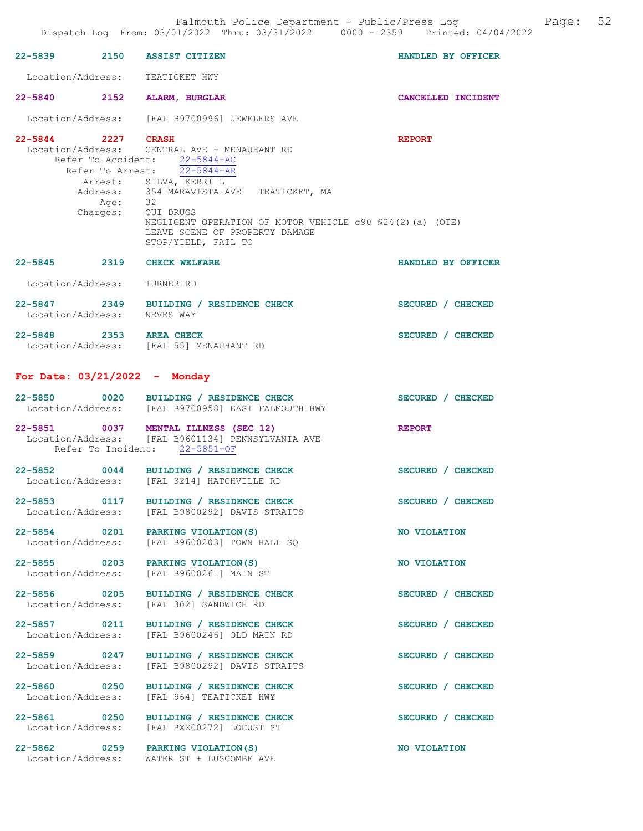|                                   |         | Dispatch Log From: 03/01/2022 Thru: 03/31/2022 0000 - 2359 Printed: 04/04/2022                                                                                                                                                                                                                                                              |                           |
|-----------------------------------|---------|---------------------------------------------------------------------------------------------------------------------------------------------------------------------------------------------------------------------------------------------------------------------------------------------------------------------------------------------|---------------------------|
|                                   |         | 22-5839 2150 ASSIST CITIZEN                                                                                                                                                                                                                                                                                                                 | HANDLED BY OFFICER        |
|                                   |         | Location/Address: TEATICKET HWY                                                                                                                                                                                                                                                                                                             |                           |
|                                   |         | 22-5840 2152 ALARM, BURGLAR                                                                                                                                                                                                                                                                                                                 | <b>CANCELLED INCIDENT</b> |
|                                   |         | Location/Address: [FAL B9700996] JEWELERS AVE                                                                                                                                                                                                                                                                                               |                           |
| 22-5844 2227 CRASH                | Age: 32 | Location/Address: CENTRAL AVE + MENAUHANT RD<br>Refer To Accident: 22-5844-AC<br>Refer To Arrest: $\overline{22-5844-AR}$<br>Arrest: SILVA, KERRI L<br>Address: 354 MARAVISTA AVE TEATICKET, MA<br>Charges: OUI DRUGS<br>NEGLIGENT OPERATION OF MOTOR VEHICLE c90 \$24(2)(a) (OTE)<br>LEAVE SCENE OF PROPERTY DAMAGE<br>STOP/YIELD, FAIL TO | <b>REPORT</b>             |
|                                   |         | 22-5845 2319 CHECK WELFARE                                                                                                                                                                                                                                                                                                                  | HANDLED BY OFFICER        |
| Location/Address: TURNER RD       |         |                                                                                                                                                                                                                                                                                                                                             |                           |
| Location/Address: NEVES WAY       |         | 22-5847 2349 BUILDING / RESIDENCE CHECK                                                                                                                                                                                                                                                                                                     | SECURED / CHECKED         |
| 22-5848 2353 AREA CHECK           |         | Location/Address: [FAL 55] MENAUHANT RD                                                                                                                                                                                                                                                                                                     | SECURED / CHECKED         |
| For Date: $03/21/2022 -$ Monday   |         |                                                                                                                                                                                                                                                                                                                                             |                           |
|                                   |         | 22-5850 0020 BUILDING / RESIDENCE CHECK<br>Location/Address: [FAL B9700958] EAST FALMOUTH HWY                                                                                                                                                                                                                                               | SECURED / CHECKED         |
|                                   |         | 22-5851 0037 MENTAL ILLNESS (SEC 12)<br>Location/Address: [FAL B9601134] PENNSYLVANIA AVE<br>Refer To Incident: 22-5851-OF                                                                                                                                                                                                                  | <b>REPORT</b>             |
|                                   |         | 22-5852 0044 BUILDING / RESIDENCE CHECK<br>Location/Address: [FAL 3214] HATCHVILLE RD                                                                                                                                                                                                                                                       | SECURED / CHECKED         |
| Location/Address:                 |         | 22-5853 0117 BUILDING / RESIDENCE CHECK<br>[FAL B9800292] DAVIS STRAITS                                                                                                                                                                                                                                                                     | SECURED / CHECKED         |
| 22-5854 0201<br>Location/Address: |         | PARKING VIOLATION (S)<br>[FAL B9600203] TOWN HALL SQ                                                                                                                                                                                                                                                                                        | NO VIOLATION              |
| 22-5855 0203<br>Location/Address: |         | PARKING VIOLATION (S)<br>[FAL B9600261] MAIN ST                                                                                                                                                                                                                                                                                             | NO VIOLATION              |
| 22-5856 0205<br>Location/Address: |         | BUILDING / RESIDENCE CHECK<br>[FAL 302] SANDWICH RD                                                                                                                                                                                                                                                                                         | SECURED / CHECKED         |
| 22-5857 0211<br>Location/Address: |         | BUILDING / RESIDENCE CHECK<br>[FAL B9600246] OLD MAIN RD                                                                                                                                                                                                                                                                                    | SECURED / CHECKED         |
| 22-5859 0247<br>Location/Address: |         | BUILDING / RESIDENCE CHECK<br>[FAL B9800292] DAVIS STRAITS                                                                                                                                                                                                                                                                                  | SECURED / CHECKED         |
| 22-5860 0250<br>Location/Address: |         | BUILDING / RESIDENCE CHECK<br>[FAL 964] TEATICKET HWY                                                                                                                                                                                                                                                                                       | SECURED / CHECKED         |
| 22-5861 0250<br>Location/Address: |         | BUILDING / RESIDENCE CHECK<br>[FAL BXX00272] LOCUST ST                                                                                                                                                                                                                                                                                      | SECURED / CHECKED         |
| 22-5862 0259<br>Location/Address: |         | PARKING VIOLATION (S)<br>WATER ST + LUSCOMBE AVE                                                                                                                                                                                                                                                                                            | NO VIOLATION              |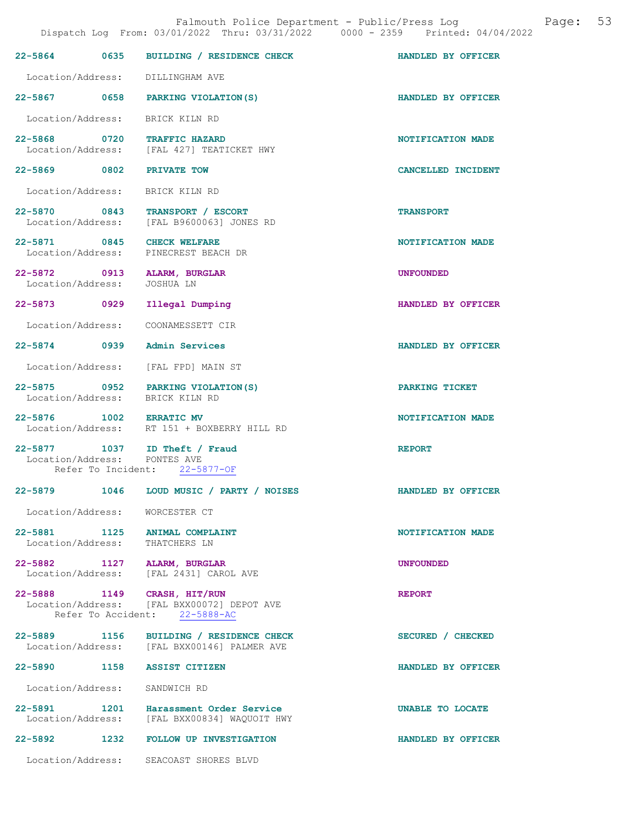|                                                                                                                                                 |  | Falmouth Police Department - Public/Press Log |  |  | Page: 53 |  |
|-------------------------------------------------------------------------------------------------------------------------------------------------|--|-----------------------------------------------|--|--|----------|--|
| $D^{1}_{2}$ and the $D^{2}/01/2022$ $D^{2}_{2}$ $D^{2}/21/2022$ $D^{2}$ $D^{2}$ $D^{2}$ $D^{2}$ $D^{2}$ $D^{2}$ $D^{2}$ $D^{2}$ $D^{2}$ $D^{2}$ |  |                                               |  |  |          |  |

|                                   |                                                                                        | Dispatch Log From: 03/01/2022 Thru: 03/31/2022 0000 - 2359 Printed: 04/04/2022 |
|-----------------------------------|----------------------------------------------------------------------------------------|--------------------------------------------------------------------------------|
|                                   | 22-5864 0635 BUILDING / RESIDENCE CHECK                                                | HANDLED BY OFFICER                                                             |
| Location/Address: DILLINGHAM AVE  |                                                                                        |                                                                                |
|                                   | 22-5867 0658 PARKING VIOLATION (S)                                                     | HANDLED BY OFFICER                                                             |
| Location/Address: BRICK KILN RD   |                                                                                        |                                                                                |
| 22-5868 0720 TRAFFIC HAZARD       | Location/Address: [FAL 427] TEATICKET HWY                                              | NOTIFICATION MADE                                                              |
| 22-5869 0802                      | <b>PRIVATE TOW</b>                                                                     | CANCELLED INCIDENT                                                             |
| Location/Address: BRICK KILN RD   |                                                                                        |                                                                                |
|                                   | 22-5870 0843 TRANSPORT / ESCORT<br>Location/Address: [FAL B9600063] JONES RD           | <b>TRANSPORT</b>                                                               |
| 22-5871 0845 CHECK WELFARE        | Location/Address: PINECREST BEACH DR                                                   | NOTIFICATION MADE                                                              |
| 22-5872 0913<br>Location/Address: | ALARM, BURGLAR<br>JOSHUA LN                                                            | UNFOUNDED                                                                      |
| 22-5873 0929                      | Illegal Dumping                                                                        | HANDLED BY OFFICER                                                             |
| Location/Address:                 | COONAMESSETT CIR                                                                       |                                                                                |
| 22-5874 0939 Admin Services       |                                                                                        | HANDLED BY OFFICER                                                             |
|                                   | Location/Address: [FAL FPD] MAIN ST                                                    |                                                                                |
| Location/Address: BRICK KILN RD   | 22-5875 0952 PARKING VIOLATION(S)                                                      | PARKING TICKET                                                                 |
| 22-5876 1002 ERRATIC MV           | Location/Address: RT 151 + BOXBERRY HILL RD                                            | NOTIFICATION MADE                                                              |
| Location/Address: PONTES AVE      | 22-5877 1037 ID Theft / Fraud<br>Refer To Incident: 22-5877-OF                         | <b>REPORT</b>                                                                  |
| 22-5879                           | 1046 LOUD MUSIC / PARTY / NOISES                                                       | HANDLED BY OFFICER                                                             |
| Location/Address: WORCESTER CT    |                                                                                        |                                                                                |
| 22-5881 1125                      | ANIMAL COMPLAINT                                                                       | NOTIFICATION MADE                                                              |
| Location/Address: THATCHERS LN    |                                                                                        |                                                                                |
| 22-5882 1127 ALARM, BURGLAR       | Location/Address: [FAL 2431] CAROL AVE                                                 | <b>UNFOUNDED</b>                                                               |
| 22-5888 1149 CRASH, HIT/RUN       | Location/Address: [FAL BXX00072] DEPOT AVE<br>Refer To Accident: 22-5888-AC            | <b>REPORT</b>                                                                  |
|                                   | 22-5889 1156 BUILDING / RESIDENCE CHECK<br>Location/Address: [FAL BXX00146] PALMER AVE | SECURED / CHECKED                                                              |
| 22-5890<br>1158                   | <b>ASSIST CITIZEN</b>                                                                  | HANDLED BY OFFICER                                                             |
| Location/Address:                 | SANDWICH RD                                                                            |                                                                                |
| 22-5891 1201                      | Harassment Order Service<br>Location/Address: [FAL BXX00834] WAQUOIT HWY               | UNABLE TO LOCATE                                                               |
| 22-5892                           | 1232 FOLLOW UP INVESTIGATION                                                           | HANDLED BY OFFICER                                                             |
|                                   | Location/Address: SEACOAST SHORES BLVD                                                 |                                                                                |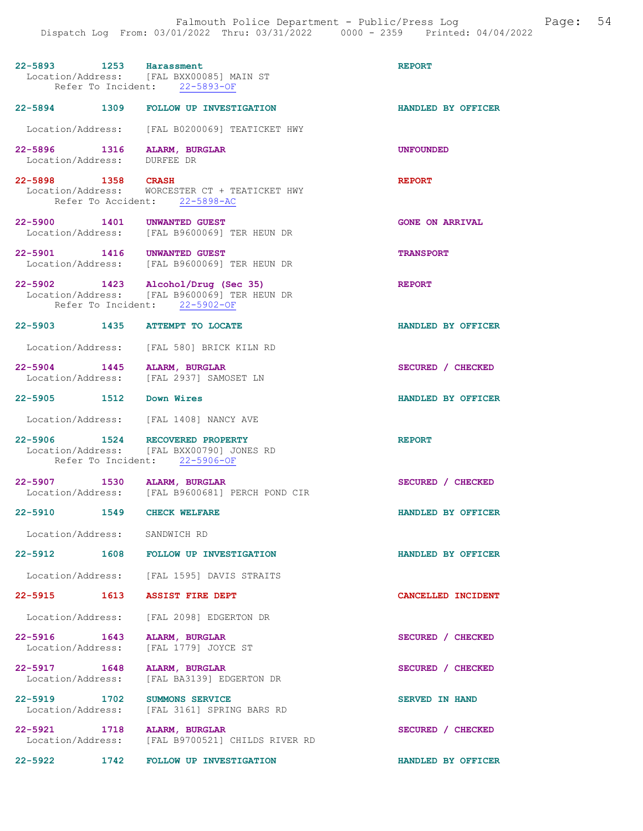| 22-5893 1253 Harassment                                    | Location/Address: [FAL BXX00085] MAIN ST<br>Refer To Incident: 22-5893-OF                               | <b>REPORT</b>          |
|------------------------------------------------------------|---------------------------------------------------------------------------------------------------------|------------------------|
|                                                            | 22-5894 1309 FOLLOW UP INVESTIGATION                                                                    | HANDLED BY OFFICER     |
|                                                            | Location/Address: [FAL B0200069] TEATICKET HWY                                                          |                        |
| 22-5896 1316 ALARM, BURGLAR<br>Location/Address: DURFEE DR |                                                                                                         | <b>UNFOUNDED</b>       |
| 22-5898 1358 CRASH                                         | Location/Address: WORCESTER CT + TEATICKET HWY<br>Refer To Accident: 22-5898-AC                         | <b>REPORT</b>          |
| 22-5900 1401 UNWANTED GUEST                                | Location/Address: [FAL B9600069] TER HEUN DR                                                            | <b>GONE ON ARRIVAL</b> |
| 22-5901 1416 UNWANTED GUEST<br>Location/Address:           | [FAL B9600069] TER HEUN DR                                                                              | <b>TRANSPORT</b>       |
| 22-5902 1423 Alcohol/Drug (Sec 35)                         | Location/Address: [FAL B9600069] TER HEUN DR<br>Refer To Incident: 22-5902-OF                           | <b>REPORT</b>          |
| 22-5903 1435 ATTEMPT TO LOCATE                             |                                                                                                         | HANDLED BY OFFICER     |
|                                                            | Location/Address: [FAL 580] BRICK KILN RD                                                               |                        |
| 22-5904 1445 ALARM, BURGLAR                                | Location/Address: [FAL 2937] SAMOSET LN                                                                 | SECURED / CHECKED      |
| 22-5905 1512 Down Wires                                    |                                                                                                         | HANDLED BY OFFICER     |
|                                                            | Location/Address: [FAL 1408] NANCY AVE                                                                  |                        |
| 22-5906 1524                                               | <b>RECOVERED PROPERTY</b><br>Location/Address: [FAL BXX00790] JONES RD<br>Refer To Incident: 22-5906-OF | <b>REPORT</b>          |
| 22-5907 1530 ALARM, BURGLAR                                | Location/Address: [FAL B9600681] PERCH POND CIR                                                         | SECURED / CHECKED      |
| $22 - 5910$                                                | 1549 CHECK WELFARE                                                                                      | HANDLED BY OFFICER     |
| Location/Address: SANDWICH RD                              |                                                                                                         |                        |
|                                                            | 22-5912 1608 FOLLOW UP INVESTIGATION                                                                    | HANDLED BY OFFICER     |
|                                                            | Location/Address: [FAL 1595] DAVIS STRAITS                                                              |                        |
| $22 - 5915$                                                | 1613 ASSIST FIRE DEPT                                                                                   | CANCELLED INCIDENT     |
|                                                            | Location/Address: [FAL 2098] EDGERTON DR                                                                |                        |
| 22-5916 1643 ALARM, BURGLAR<br>Location/Address:           | [FAL 1779] JOYCE ST                                                                                     | SECURED / CHECKED      |
| 22-5917 1648<br>Location/Address:                          | ALARM, BURGLAR                                                                                          | SECURED / CHECKED      |
| 22–5919 1702                                               | [FAL BA3139] EDGERTON DR                                                                                |                        |
| Location/Address:                                          | <b>SUMMONS SERVICE</b><br>[FAL 3161] SPRING BARS RD                                                     | <b>SERVED IN HAND</b>  |
| 22-5921 1718                                               | ALARM, BURGLAR<br>Location/Address: [FAL B9700521] CHILDS RIVER RD                                      | SECURED / CHECKED      |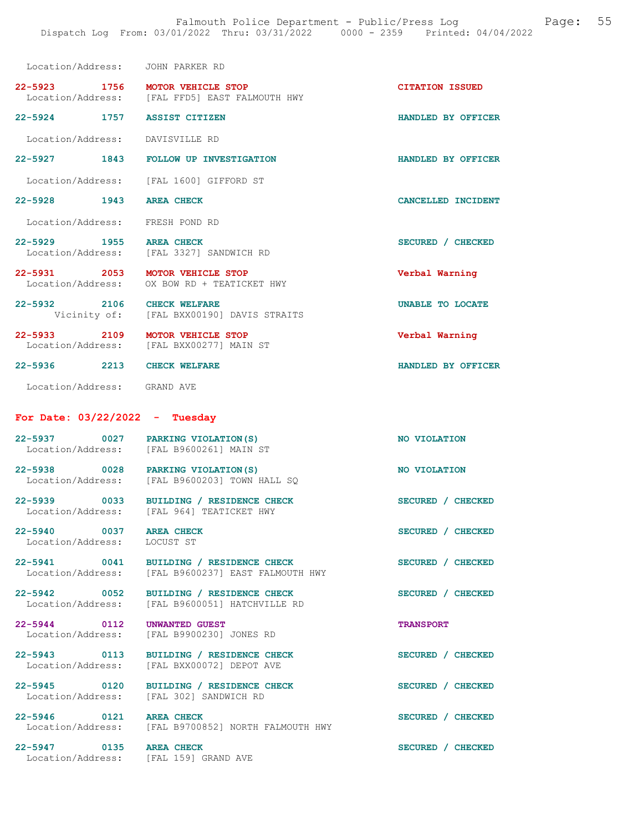| Location/Address: JOHN PARKER RD                       |                                                                                     |                         |
|--------------------------------------------------------|-------------------------------------------------------------------------------------|-------------------------|
| 22-5923 1756 MOTOR VEHICLE STOP                        | Location/Address: [FAL FFD5] EAST FALMOUTH HWY                                      | <b>CITATION ISSUED</b>  |
| 22-5924 1757 ASSIST CITIZEN                            |                                                                                     | HANDLED BY OFFICER      |
| Location/Address: DAVISVILLE RD                        |                                                                                     |                         |
| 22-5927                                                | 1843 FOLLOW UP INVESTIGATION                                                        | HANDLED BY OFFICER      |
|                                                        | Location/Address: [FAL 1600] GIFFORD ST                                             |                         |
| 22-5928 1943 AREA CHECK                                |                                                                                     | CANCELLED INCIDENT      |
| Location/Address: FRESH POND RD                        |                                                                                     |                         |
| $22 - 5929$                                            | 2-5929 1955 AREA CHECK<br>Location/Address: [FAL 3327] SANDWICH RD                  | SECURED / CHECKED       |
| 22-5931 2053 MOTOR VEHICLE STOP                        | Location/Address: OX BOW RD + TEATICKET HWY                                         | Verbal Warning          |
| 22-5932 2106 CHECK WELFARE                             | Vicinity of: [FAL BXX00190] DAVIS STRAITS                                           | <b>UNABLE TO LOCATE</b> |
| 22-5933 2109 MOTOR VEHICLE STOP                        | Location/Address: [FAL BXX00277] MAIN ST                                            | Verbal Warning          |
| 22-5936 2213 CHECK WELFARE                             |                                                                                     | HANDLED BY OFFICER      |
| Location/Address: GRAND AVE                            |                                                                                     |                         |
|                                                        |                                                                                     |                         |
| For Date: $03/22/2022 - Tuesday$                       |                                                                                     |                         |
| 22-5937 0027 PARKING VIOLATION(S)<br>Location/Address: | [FAL B9600261] MAIN ST                                                              | NO VIOLATION            |
|                                                        | 22-5938 0028 PARKING VIOLATION (S)<br>Location/Address: [FAL B9600203] TOWN HALL SQ | NO VIOLATION            |
| Location/Address:                                      | 22-5939 0033 BUILDING / RESIDENCE CHECK<br>[FAL 964] TEATICKET HWY                  | SECURED / CHECKED       |
| 22-5940 0037 AREA CHECK<br>Location/Address:           | LOCUST ST                                                                           | SECURED / CHECKED       |
| 22-5941 0041<br>Location/Address:                      | BUILDING / RESIDENCE CHECK<br>[FAL B9600237] EAST FALMOUTH HWY                      | SECURED / CHECKED       |
| 22-5942 0052<br>Location/Address:                      | BUILDING / RESIDENCE CHECK<br>[FAL B9600051] HATCHVILLE RD                          | SECURED / CHECKED       |
| 22-5944 0112<br>Location/Address:                      | <b>UNWANTED GUEST</b><br>[FAL B9900230] JONES RD                                    | <b>TRANSPORT</b>        |
| 22-5943 0113<br>Location/Address:                      | BUILDING / RESIDENCE CHECK<br>[FAL BXX00072] DEPOT AVE                              | SECURED / CHECKED       |
| 22-5945 0120<br>Location/Address:                      | BUILDING / RESIDENCE CHECK<br>[FAL 302] SANDWICH RD                                 | SECURED / CHECKED       |
| 22-5946 0121 AREA CHECK                                | Location/Address: [FAL B9700852] NORTH FALMOUTH HWY                                 | SECURED / CHECKED       |

Location/Address: [FAL 159] GRAND AVE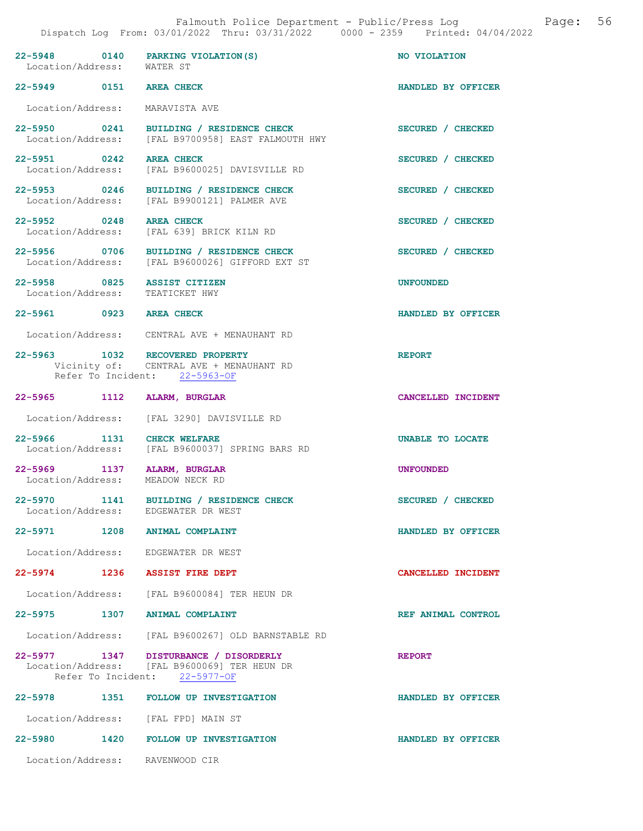| 22-5948 0140<br>Location/Address:                | PARKING VIOLATION (S)<br>WATER ST                                                                                      | NO VIOLATION       |
|--------------------------------------------------|------------------------------------------------------------------------------------------------------------------------|--------------------|
| 22-5949 0151 AREA CHECK                          |                                                                                                                        | HANDLED BY OFFICER |
| Location/Address: MARAVISTA AVE                  |                                                                                                                        |                    |
|                                                  | 22-5950 0241 BUILDING / RESIDENCE CHECK<br>Location/Address: [FAL B9700958] EAST FALMOUTH HWY                          | SECURED / CHECKED  |
| 22-5951 0242                                     | <b>AREA CHECK</b><br>Location/Address: [FAL B9600025] DAVISVILLE RD                                                    | SECURED / CHECKED  |
| 22-5953 0246                                     | BUILDING / RESIDENCE CHECK<br>Location/Address: [FAL B9900121] PALMER AVE                                              | SECURED / CHECKED  |
| 22-5952 0248<br>Location/Address:                | <b>AREA CHECK</b><br>[FAL 639] BRICK KILN RD                                                                           | SECURED / CHECKED  |
| 22-5956 0706                                     | BUILDING / RESIDENCE CHECK<br>Location/Address: [FAL B9600026] GIFFORD EXT ST                                          | SECURED / CHECKED  |
| 22-5958 0825<br>Location/Address:                | <b>ASSIST CITIZEN</b><br>TEATICKET HWY                                                                                 | <b>UNFOUNDED</b>   |
| 22-5961 0923 AREA CHECK                          |                                                                                                                        | HANDLED BY OFFICER |
|                                                  | Location/Address: CENTRAL AVE + MENAUHANT RD                                                                           |                    |
|                                                  | 22-5963 1032 RECOVERED PROPERTY<br>Vicinity of: CENTRAL AVE + MENAUHANT RD<br>Refer To Incident: 22-5963-OF            | <b>REPORT</b>      |
| 22-5965 1112                                     | ALARM, BURGLAR                                                                                                         | CANCELLED INCIDENT |
|                                                  | Location/Address: [FAL 3290] DAVISVILLE RD                                                                             |                    |
| 22-5966 1131<br>Location/Address:                | CHECK WELFARE<br>[FAL B9600037] SPRING BARS RD                                                                         | UNABLE TO LOCATE   |
| 22-5969 1137 ALARM, BURGLAR<br>Location/Address: | MEADOW NECK RD                                                                                                         | <b>UNFOUNDED</b>   |
|                                                  | 22-5970 1141 BUILDING / RESIDENCE CHECK<br>Location/Address: EDGEWATER DR WEST                                         | SECURED / CHECKED  |
| 22-5971 1208 ANIMAL COMPLAINT                    |                                                                                                                        | HANDLED BY OFFICER |
|                                                  | Location/Address: EDGEWATER DR WEST                                                                                    |                    |
| 22-5974 1236 ASSIST FIRE DEPT                    |                                                                                                                        | CANCELLED INCIDENT |
|                                                  | Location/Address: [FAL B9600084] TER HEUN DR                                                                           |                    |
| 22-5975 1307 ANIMAL COMPLAINT                    |                                                                                                                        | REF ANIMAL CONTROL |
|                                                  | Location/Address: [FAL B9600267] OLD BARNSTABLE RD                                                                     |                    |
|                                                  | 22-5977 1347 DISTURBANCE / DISORDERLY<br>Location/Address: [FAL B9600069] TER HEUN DR<br>Refer To Incident: 22-5977-OF | <b>REPORT</b>      |
|                                                  | 22-5978 1351 FOLLOW UP INVESTIGATION                                                                                   | HANDLED BY OFFICER |
|                                                  | Location/Address: [FAL FPD] MAIN ST                                                                                    |                    |
|                                                  | 22-5980 1420 FOLLOW UP INVESTIGATION                                                                                   | HANDLED BY OFFICER |

Location/Address: RAVENWOOD CIR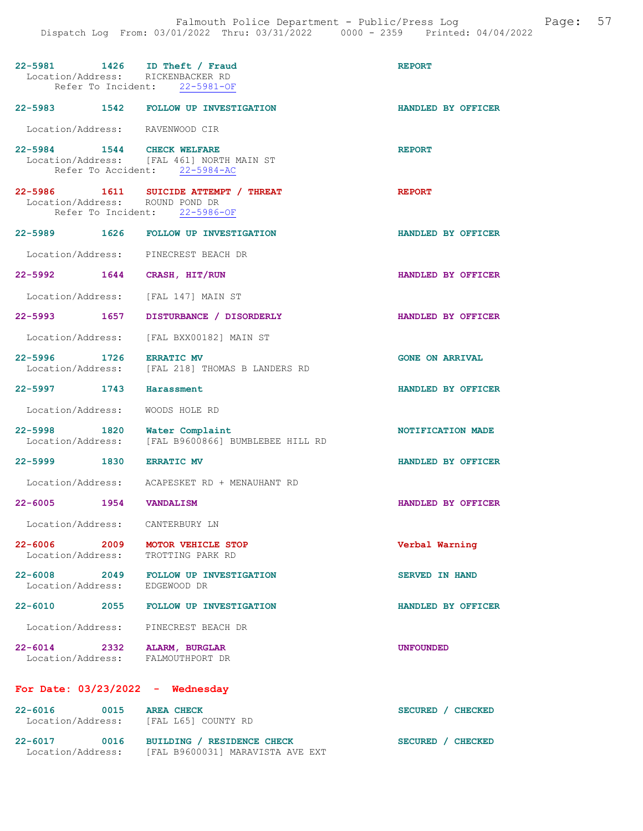|                               | 22-5981 1426 ID Theft / Fraud<br>Location/Address: RICKENBACKER RD<br>Refer To Incident: 22-5981-OF       | <b>REPORT</b>          |
|-------------------------------|-----------------------------------------------------------------------------------------------------------|------------------------|
|                               | 22-5983 1542 FOLLOW UP INVESTIGATION                                                                      | HANDLED BY OFFICER     |
|                               | Location/Address: RAVENWOOD CIR                                                                           |                        |
| 22-5984 1544 CHECK WELFARE    | Location/Address: [FAL 461] NORTH MAIN ST<br>Refer To Accident: 22-5984-AC                                | <b>REPORT</b>          |
|                               | 22-5986 1611 SUICIDE ATTEMPT / THREAT<br>Location/Address: ROUND POND DR<br>Refer To Incident: 22-5986-OF | <b>REPORT</b>          |
|                               | 22-5989 1626 FOLLOW UP INVESTIGATION                                                                      | HANDLED BY OFFICER     |
|                               | Location/Address: PINECREST BEACH DR                                                                      |                        |
|                               | 22-5992 1644 CRASH, HIT/RUN                                                                               | HANDLED BY OFFICER     |
|                               | Location/Address: [FAL 147] MAIN ST                                                                       |                        |
| 22-5993 1657                  | DISTURBANCE / DISORDERLY                                                                                  | HANDLED BY OFFICER     |
|                               | Location/Address: [FAL BXX00182] MAIN ST                                                                  |                        |
| 22-5996 1726 ERRATIC MV       | Location/Address: [FAL 218] THOMAS B LANDERS RD                                                           | <b>GONE ON ARRIVAL</b> |
|                               |                                                                                                           |                        |
| 22-5997 1743 Harassment       |                                                                                                           | HANDLED BY OFFICER     |
| Location/Address:             | WOODS HOLE RD                                                                                             |                        |
|                               | 22-5998 1820 Water Complaint<br>Location/Address: [FAL B9600866] BUMBLEBEE HILL RD                        | NOTIFICATION MADE      |
| 22-5999 1830 ERRATIC MV       |                                                                                                           | HANDLED BY OFFICER     |
|                               | Location/Address: ACAPESKET RD + MENAUHANT RD                                                             |                        |
| 22-6005 1954 VANDALISM        |                                                                                                           | HANDLED BY OFFICER     |
| Location/Address:             | CANTERBURY LN                                                                                             |                        |
|                               | 22-6006 2009 MOTOR VEHICLE STOP<br>Location/Address: TROTTING PARK RD                                     | Verbal Warning         |
| Location/Address: EDGEWOOD DR | 22-6008 2049 FOLLOW UP INVESTIGATION                                                                      | <b>SERVED IN HAND</b>  |
|                               | 22-6010 2055 FOLLOW UP INVESTIGATION                                                                      | HANDLED BY OFFICER     |
|                               | Location/Address: PINECREST BEACH DR                                                                      |                        |
|                               | 22-6014 2332 ALARM, BURGLAR<br>Location/Address: FALMOUTHPORT DR                                          | <b>UNFOUNDED</b>       |

22-6016 0015 AREA CHECK SECURED / CHECKED Location/Address: [FAL L65] COUNTY RD 22-6017 0016 BUILDING / RESIDENCE CHECK SECURED / CHECKED Location/Address: [FAL B9600031] MARAVISTA AVE EXT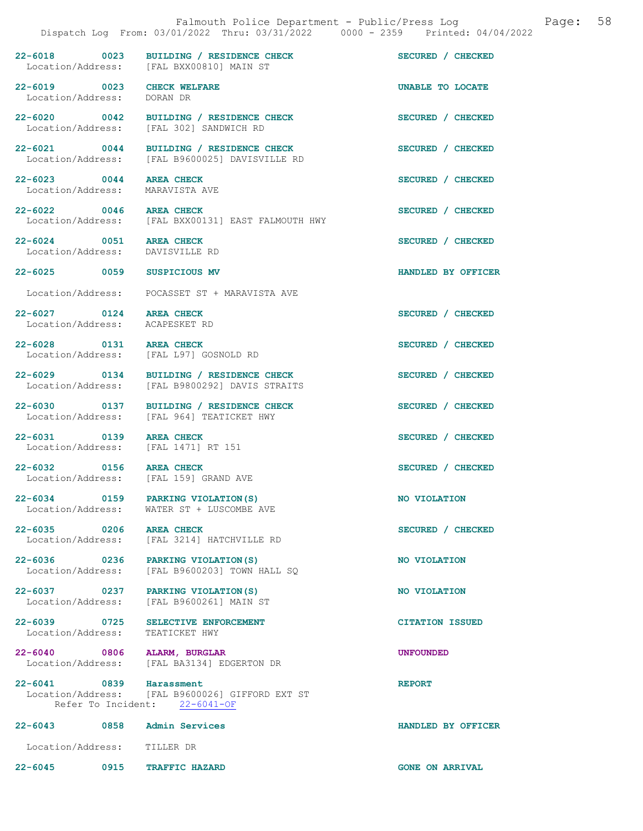|                                                            | Dispatch Log From: 03/01/2022 Thru: 03/31/2022 0000 - 2359 Printed: 04/04/2022            |                        |
|------------------------------------------------------------|-------------------------------------------------------------------------------------------|------------------------|
|                                                            | 22-6018 0023 BUILDING / RESIDENCE CHECK<br>Location/Address: [FAL BXX00810] MAIN ST       | SECURED / CHECKED      |
| 22-6019 0023 CHECK WELFARE<br>Location/Address: DORAN DR   |                                                                                           | UNABLE TO LOCATE       |
|                                                            | 22-6020 0042 BUILDING / RESIDENCE CHECK<br>Location/Address: [FAL 302] SANDWICH RD        | SECURED / CHECKED      |
|                                                            | 22-6021 0044 BUILDING / RESIDENCE CHECK<br>Location/Address: [FAL B9600025] DAVISVILLE RD | SECURED / CHECKED      |
| 22-6023 0044 AREA CHECK<br>Location/Address: MARAVISTA AVE |                                                                                           | SECURED / CHECKED      |
| 22-6022 0046 AREA CHECK                                    | Location/Address: [FAL BXX00131] EAST FALMOUTH HWY                                        | SECURED / CHECKED      |
| 22-6024 0051 AREA CHECK<br>Location/Address:               | DAVISVILLE RD                                                                             | SECURED / CHECKED      |
| 22-6025 0059                                               | <b>SUSPICIOUS MV</b>                                                                      | HANDLED BY OFFICER     |
|                                                            | Location/Address: POCASSET ST + MARAVISTA AVE                                             |                        |
| 22-6027 0124 AREA CHECK<br>Location/Address: ACAPESKET RD  |                                                                                           | SECURED / CHECKED      |
| 22-6028 0131 AREA CHECK                                    | Location/Address: [FAL L97] GOSNOLD RD                                                    | SECURED / CHECKED      |
| 22-6029 0134                                               | BUILDING / RESIDENCE CHECK<br>Location/Address: [FAL B9800292] DAVIS STRAITS              | SECURED / CHECKED      |
| 22-6030 0137                                               | BUILDING / RESIDENCE CHECK<br>Location/Address: [FAL 964] TEATICKET HWY                   | SECURED / CHECKED      |
| 22-6031 0139                                               | <b>AREA CHECK</b><br>Location/Address: [FAL 1471] RT 151                                  | SECURED / CHECKED      |
| 22-6032 0156 AREA CHECK                                    | Location/Address: [FAL 159] GRAND AVE                                                     | SECURED / CHECKED      |
|                                                            | 22-6034 0159 PARKING VIOLATION (S)<br>Location/Address: WATER ST + LUSCOMBE AVE           | NO VIOLATION           |
| 22-6035 0206 AREA CHECK                                    | Location/Address: [FAL 3214] HATCHVILLE RD                                                | SECURED / CHECKED      |
|                                                            | 22-6036 0236 PARKING VIOLATION (S)<br>Location/Address: [FAL B9600203] TOWN HALL SQ       | NO VIOLATION           |
|                                                            | 22-6037 0237 PARKING VIOLATION (S)<br>Location/Address: [FAL B9600261] MAIN ST            | NO VIOLATION           |
| 22-6039 0725<br>Location/Address: TEATICKET HWY            | SELECTIVE ENFORCEMENT                                                                     | <b>CITATION ISSUED</b> |
| 22-6040 0806 ALARM, BURGLAR                                | Location/Address: [FAL BA3134] EDGERTON DR                                                | <b>UNFOUNDED</b>       |
| 22-6041 0839 Harassment                                    | Location/Address: [FAL B9600026] GIFFORD EXT ST<br>Refer To Incident: 22-6041-OF          | <b>REPORT</b>          |
| 22-6043 0858 Admin Services                                |                                                                                           | HANDLED BY OFFICER     |
| Location/Address: TILLER DR                                |                                                                                           |                        |
| 0915<br>22-6045                                            | <b>TRAFFIC HAZARD</b>                                                                     | <b>GONE ON ARRIVAL</b> |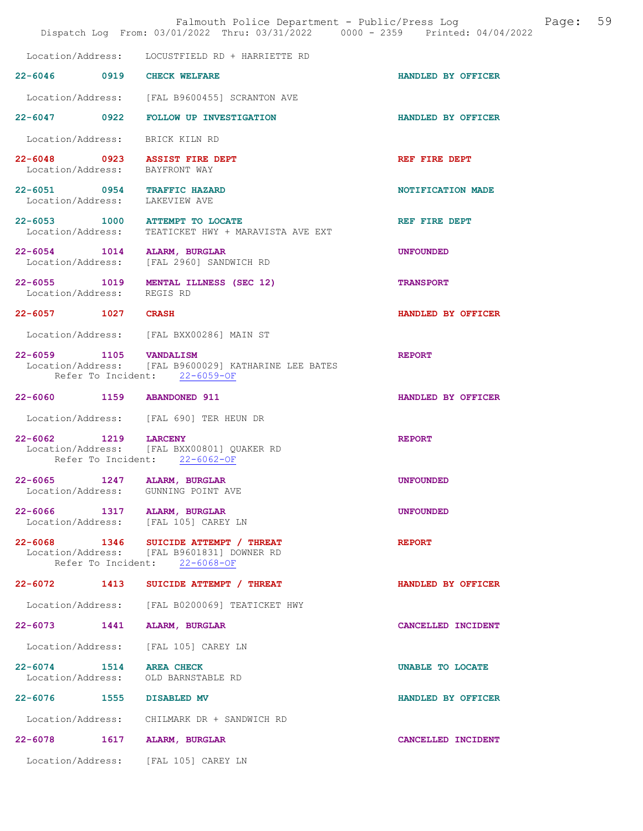|                                   |      | Falmouth Police Department - Public/Press Log<br>Dispatch Log From: 03/01/2022 Thru: 03/31/2022 0000 - 2359 Printed: 04/04/2022 |                    | Page: | 59 |
|-----------------------------------|------|---------------------------------------------------------------------------------------------------------------------------------|--------------------|-------|----|
| Location/Address:                 |      | LOCUSTFIELD RD + HARRIETTE RD                                                                                                   |                    |       |    |
|                                   |      | 22-6046 0919 CHECK WELFARE                                                                                                      | HANDLED BY OFFICER |       |    |
|                                   |      | Location/Address: [FAL B9600455] SCRANTON AVE                                                                                   |                    |       |    |
| $22 - 6047$ 0922                  |      | FOLLOW UP INVESTIGATION                                                                                                         | HANDLED BY OFFICER |       |    |
|                                   |      | Location/Address: BRICK KILN RD                                                                                                 |                    |       |    |
|                                   |      | 22-6048 0923 ASSIST FIRE DEPT<br>Location/Address: BAYFRONT WAY                                                                 | REF FIRE DEPT      |       |    |
| Location/Address: LAKEVIEW AVE    |      | 22-6051 0954 TRAFFIC HAZARD                                                                                                     | NOTIFICATION MADE  |       |    |
| Location/Address:                 |      | $22-6053$ 1000 ATTEMPT TO LOCATE<br>TEATICKET HWY + MARAVISTA AVE EXT                                                           | REF FIRE DEPT      |       |    |
| Location/Address:                 |      | 22-6054 1014 ALARM, BURGLAR<br>[FAL 2960] SANDWICH RD                                                                           | <b>UNFOUNDED</b>   |       |    |
| 22-6055 1019<br>Location/Address: |      | MENTAL ILLNESS (SEC 12)<br>REGIS RD                                                                                             | <b>TRANSPORT</b>   |       |    |
| 22-6057 1027 CRASH                |      |                                                                                                                                 | HANDLED BY OFFICER |       |    |
|                                   |      | Location/Address: [FAL BXX00286] MAIN ST                                                                                        |                    |       |    |
| 22-6059 1105 VANDALISM            |      | Location/Address: [FAL B9600029] KATHARINE LEE BATES<br>Refer To Incident: 22-6059-OF                                           | <b>REPORT</b>      |       |    |
|                                   |      | 22-6060 1159 ABANDONED 911                                                                                                      | HANDLED BY OFFICER |       |    |
|                                   |      | Location/Address: [FAL 690] TER HEUN DR                                                                                         |                    |       |    |
| $22 - 6062$<br>Location/Address:  | 1219 | <b>LARCENY</b><br>[FAL BXX00801] OUAKER RD<br>Refer To Incident: 22-6062-OF                                                     | <b>REPORT</b>      |       |    |
| $22 - 6065$                       | 1247 | ALARM, BURGLAR<br>Location/Address: GUNNING POINT AVE                                                                           | <b>UNFOUNDED</b>   |       |    |
|                                   |      | 22-6066 1317 ALARM, BURGLAR<br>Location/Address: [FAL 105] CAREY LN                                                             | <b>UNFOUNDED</b>   |       |    |
|                                   |      | 22-6068 1346 SUICIDE ATTEMPT / THREAT<br>Location/Address: [FAL B9601831] DOWNER RD<br>Refer To Incident: 22-6068-OF            | <b>REPORT</b>      |       |    |
| 22-6072 1413                      |      | SUICIDE ATTEMPT / THREAT                                                                                                        | HANDLED BY OFFICER |       |    |
|                                   |      | Location/Address: [FAL B0200069] TEATICKET HWY                                                                                  |                    |       |    |
|                                   |      | 22-6073 1441 ALARM, BURGLAR                                                                                                     | CANCELLED INCIDENT |       |    |
|                                   |      | Location/Address: [FAL 105] CAREY LN                                                                                            |                    |       |    |
| 22-6074 1514 AREA CHECK           |      | Location/Address: OLD BARNSTABLE RD                                                                                             | UNABLE TO LOCATE   |       |    |
| 22-6076 1555 DISABLED MV          |      |                                                                                                                                 | HANDLED BY OFFICER |       |    |
|                                   |      | Location/Address: CHILMARK DR + SANDWICH RD                                                                                     |                    |       |    |
| 22-6078                           |      | 1617 ALARM, BURGLAR                                                                                                             | CANCELLED INCIDENT |       |    |
|                                   |      | Location/Address: [FAL 105] CAREY LN                                                                                            |                    |       |    |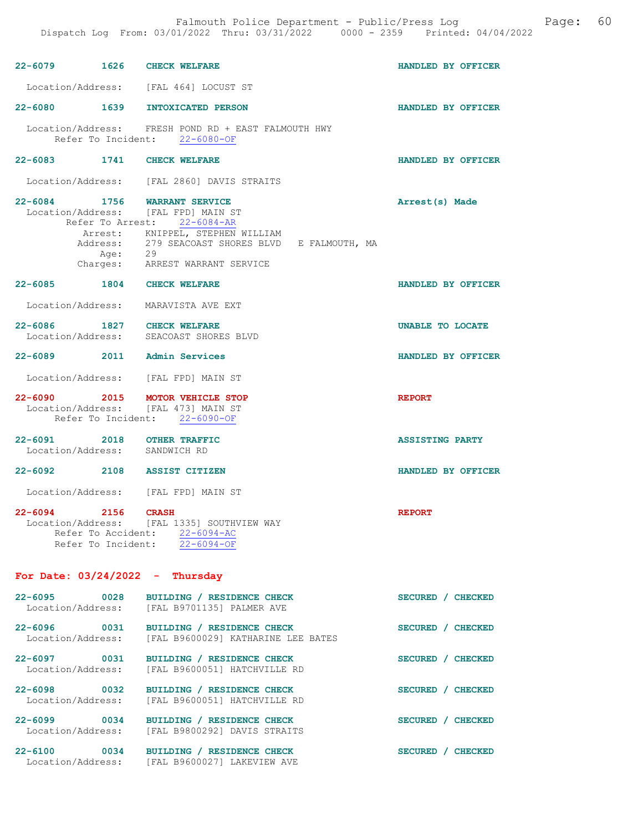|                                   |                   | Falmouth Police Department - Public/Press Log Cage:<br>Dispatch Log From: 03/01/2022 Thru: 03/31/2022 0000 - 2359 Printed: 04/04/2022 |                        | 60 |
|-----------------------------------|-------------------|---------------------------------------------------------------------------------------------------------------------------------------|------------------------|----|
|                                   |                   | 22-6079 1626 CHECK WELFARE                                                                                                            | HANDLED BY OFFICER     |    |
|                                   |                   | Location/Address: [FAL 464] LOCUST ST                                                                                                 |                        |    |
|                                   |                   | 22-6080 1639 INTOXICATED PERSON                                                                                                       | HANDLED BY OFFICER     |    |
|                                   |                   | Location/Address: FRESH POND RD + EAST FALMOUTH HWY<br>Refer To Incident: 22-6080-OF                                                  |                        |    |
|                                   |                   | 22-6083 1741 CHECK WELFARE                                                                                                            | HANDLED BY OFFICER     |    |
|                                   |                   | Location/Address: [FAL 2860] DAVIS STRAITS                                                                                            |                        |    |
|                                   |                   | 22-6084 1756 WARRANT SERVICE<br>Location/Address: [FAL FPD] MAIN ST<br>Refer To Arrest: 22-6084-AR                                    | Arrest(s) Made         |    |
|                                   |                   | Arrest: KNIPPEL, STEPHEN WILLIAM<br>Address: 279 SEACOAST SHORES BLVD E FALMOUTH, MA                                                  |                        |    |
|                                   |                   | Age: 29<br>Charges: ARREST WARRANT SERVICE                                                                                            |                        |    |
|                                   |                   | 22-6085 1804 CHECK WELFARE                                                                                                            | HANDLED BY OFFICER     |    |
|                                   |                   | Location/Address: MARAVISTA AVE EXT                                                                                                   |                        |    |
| 22-6086                           |                   | 1827 CHECK WELFARE<br>Location/Address: SEACOAST SHORES BLVD                                                                          | UNABLE TO LOCATE       |    |
|                                   |                   | 22-6089 2011 Admin Services                                                                                                           | HANDLED BY OFFICER     |    |
|                                   |                   | Location/Address: [FAL FPD] MAIN ST                                                                                                   |                        |    |
|                                   |                   | 22-6090 2015 MOTOR VEHICLE STOP<br>Location/Address: [FAL 473] MAIN ST<br>Refer To Incident: 22-6090-OF                               | <b>REPORT</b>          |    |
|                                   |                   | 22-6091 2018 OTHER TRAFFIC<br>Location/Address: SANDWICH RD                                                                           | <b>ASSISTING PARTY</b> |    |
| 22-6092                           |                   | 2108 ASSIST CITIZEN                                                                                                                   | HANDLED BY OFFICER     |    |
|                                   |                   | Location/Address: [FAL FPD] MAIN ST                                                                                                   |                        |    |
| 22-6094 2156 CRASH                |                   | Location/Address: [FAL 1335] SOUTHVIEW WAY<br>Refer To Accident: 22-6094-AC<br>Refer To Incident: 22-6094-OF                          | <b>REPORT</b>          |    |
|                                   |                   | For Date: $03/24/2022 -$ Thursday                                                                                                     |                        |    |
| 22-6095                           | $\overline{0028}$ | BUILDING / RESIDENCE CHECK<br>Location/Address: [FAL B9701135] PALMER AVE                                                             | SECURED / CHECKED      |    |
| Location/Address:                 |                   | 22-6096 0031 BUILDING / RESIDENCE CHECK<br>[FAL B9600029] KATHARINE LEE BATES                                                         | SECURED / CHECKED      |    |
| 22-6097<br>Location/Address:      | 0031              | BUILDING / RESIDENCE CHECK<br>[FAL B9600051] HATCHVILLE RD                                                                            | SECURED / CHECKED      |    |
| 22-6098 0032<br>Location/Address: |                   | BUILDING / RESIDENCE CHECK<br>[FAL B9600051] HATCHVILLE RD                                                                            | SECURED / CHECKED      |    |
| 22-6099                           | 0034              | BUILDING / RESIDENCE CHECK<br>Location/Address: [FAL B9800292] DAVIS STRAITS                                                          | SECURED / CHECKED      |    |

22-6100 0034 BUILDING / RESIDENCE CHECK SECURED / CHECKED Location/Address: [FAL B9600027] LAKEVIEW AVE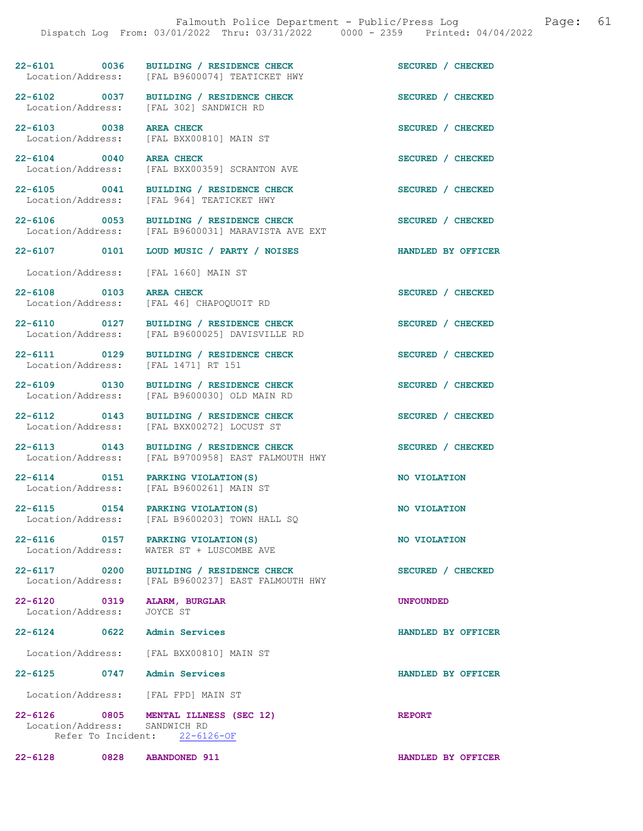22-6101 0036 BUILDING / RESIDENCE CHECK SECURED / CHECKED Location/Address: [FAL B9600074] TEATICKET HWY [FAL B9600074] TEATICKET HWY 22-6102 0037 BUILDING / RESIDENCE CHECK SECURED / CHECKED Location/Address: [FAL 302] SANDWICH RD

22-6103 0038 AREA CHECK SECURED / CHECKED Location/Address: [FAL BXX00810] MAIN ST

22-6104 0040 AREA CHECK SECURED / CHECKED Location/Address: [FAL BXX00359] SCRANTON AVE

22-6105 0041 BUILDING / RESIDENCE CHECK SECURED / CHECKED Location/Address: [FAL 964] TEATICKET HWY

22-6108 0103 AREA CHECK SECURED / CHECKED

22-6112 0143 BUILDING / RESIDENCE CHECK SECURED / CHECKED Location/Address: [FAL BXX00272] LOCUST ST

22-6116 0157 PARKING VIOLATION(S) NO VIOLATION

Location/Address:

22-6124 0622 Admin Services **HANDLED BY OFFICER** 

Location/Address: [FAL BXX00810] MAIN ST

22-6125 0747 Admin Services HANDLED BY OFFICER

Location/Address: [FAL FPD] MAIN ST

22-6126 0805 MENTAL ILLNESS (SEC 12) REPORT<br>Location/Address: SANDWICH RD Location/Address: Refer To Incident: 22-6126-OF

22-6128 0828 ABANDONED 911 HANDLED BY OFFICER

[FAL 964] TEATICKET HWY

22-6106 0053 BUILDING / RESIDENCE CHECK SECURED / CHECKED Location/Address: [FAL B9600031] MARAVISTA AVE EXT [FAL B9600031] MARAVISTA AVE EXT

22-6107 0101 LOUD MUSIC / PARTY / NOISES HANDLED BY OFFICER

Location/Address: [FAL 1660] MAIN ST

Location/Address: [FAL 46] CHAPOQUOIT RD

22-6110 0127 BUILDING / RESIDENCE CHECK SECURED / CHECKED Location/Address: [FAL B9600025] DAVISVILLE RD

22-6111 0129 BUILDING / RESIDENCE CHECK SECURED / CHECKED Location/Address: [FAL 1471] RT 151

22-6109 0130 BUILDING / RESIDENCE CHECK SECURED / CHECKED Location/Address: [FAL B9600030] OLD MAIN RD

22-6113 0143 BUILDING / RESIDENCE CHECK<br>
Location/Address: [FAL B9700958] EAST FALMOUTH HWY [FAL B9700958] EAST FALMOUTH HWY

22-6114 0151 PARKING VIOLATION(S) NO VIOLATION<br>
Location/Address: [FAL B9600261] MAIN ST [FAL B9600261] MAIN ST

22-6115 0154 PARKING VIOLATION(S) NO VIOLATION<br>Location/Address: [FAL B9600203] TOWN HALL SQ [FAL B9600203] TOWN HALL SQ

Location/Address: WATER ST + LUSCOMBE AVE

22-6117 0200 BUILDING / RESIDENCE CHECK SECURED / CHECKED Location/Address: [FAL B9600237] EAST FALMOUTH HWY

22-6120 0319 ALARM, BURGLAR UNE UNFOUNDED<br>
Location/Address: JOYCE ST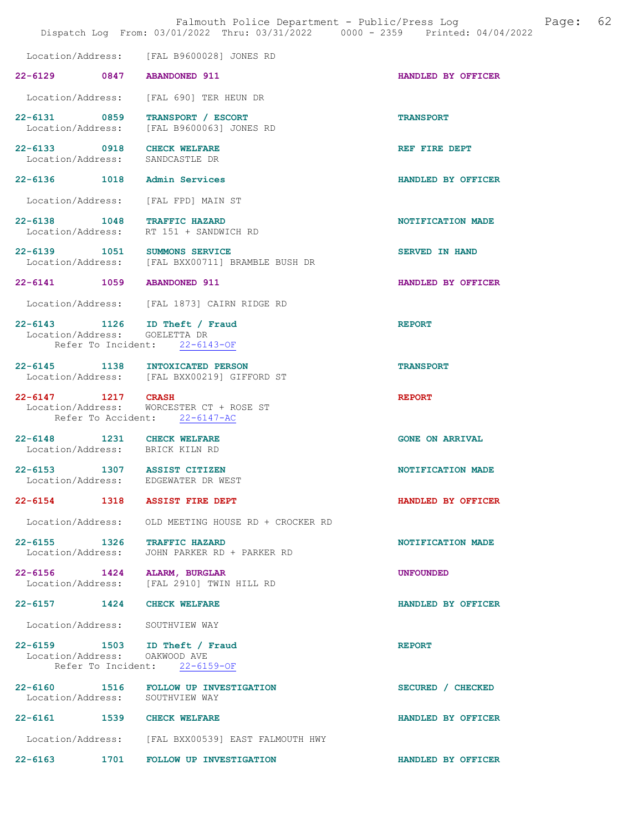|                                                  | Falmouth Police Department - Public/Press Loq<br>Dispatch Log From: 03/01/2022 Thru: 03/31/2022 0000 - 2359 Printed: 04/04/2022 |                        | Page: | 62 |
|--------------------------------------------------|---------------------------------------------------------------------------------------------------------------------------------|------------------------|-------|----|
|                                                  | Location/Address: [FAL B9600028] JONES RD                                                                                       |                        |       |    |
| 22-6129 0847                                     | <b>ABANDONED 911</b>                                                                                                            | HANDLED BY OFFICER     |       |    |
| Location/Address:                                | [FAL 690] TER HEUN DR                                                                                                           |                        |       |    |
| 22-6131 0859<br>Location/Address:                | TRANSPORT / ESCORT<br>[FAL B9600063] JONES RD                                                                                   | <b>TRANSPORT</b>       |       |    |
| 22-6133 0918<br>Location/Address:                | <b>CHECK WELFARE</b><br>SANDCASTLE DR                                                                                           | REF FIRE DEPT          |       |    |
| 22-6136 1018                                     | Admin Services                                                                                                                  | HANDLED BY OFFICER     |       |    |
|                                                  | Location/Address: [FAL FPD] MAIN ST                                                                                             |                        |       |    |
| 22-6138 1048<br>Location/Address:                | <b>TRAFFIC HAZARD</b><br>RT 151 + SANDWICH RD                                                                                   | NOTIFICATION MADE      |       |    |
|                                                  | 22-6139 1051 SUMMONS SERVICE<br>Location/Address: [FAL BXX00711] BRAMBLE BUSH DR                                                | <b>SERVED IN HAND</b>  |       |    |
| 22-6141 1059                                     | <b>ABANDONED 911</b>                                                                                                            | HANDLED BY OFFICER     |       |    |
| Location/Address:                                | [FAL 1873] CAIRN RIDGE RD                                                                                                       |                        |       |    |
| 22-6143 1126<br>Location/Address:                | ID Theft / Fraud<br>GOELETTA DR<br>Refer To Incident: 22-6143-OF                                                                | <b>REPORT</b>          |       |    |
|                                                  | 22-6145 1138 INTOXICATED PERSON<br>Location/Address: [FAL BXX00219] GIFFORD ST                                                  | <b>TRANSPORT</b>       |       |    |
| 22-6147 1217 CRASH<br>Location/Address:          | WORCESTER CT + ROSE ST<br>Refer To Accident: 22-6147-AC                                                                         | <b>REPORT</b>          |       |    |
| $22 - 6148$                                      | 1231 CHECK WELFARE<br>Location/Address: BRICK KILN RD                                                                           | <b>GONE ON ARRIVAL</b> |       |    |
| 22-6153 1307 ASSIST CITIZEN<br>Location/Address: | EDGEWATER DR WEST                                                                                                               | NOTIFICATION MADE      |       |    |
|                                                  | 22-6154 1318 ASSIST FIRE DEPT                                                                                                   | HANDLED BY OFFICER     |       |    |
|                                                  | Location/Address: OLD MEETING HOUSE RD + CROCKER RD                                                                             |                        |       |    |
| 22-6155 1326<br>Location/Address:                | <b>TRAFFIC HAZARD</b><br>JOHN PARKER RD + PARKER RD                                                                             | NOTIFICATION MADE      |       |    |
|                                                  | 22-6156 1424 ALARM, BURGLAR<br>Location/Address: [FAL 2910] TWIN HILL RD                                                        | <b>UNFOUNDED</b>       |       |    |
| 22-6157 1424 CHECK WELFARE                       |                                                                                                                                 | HANDLED BY OFFICER     |       |    |
|                                                  | Location/Address: SOUTHVIEW WAY                                                                                                 |                        |       |    |
| Location/Address:                                | 22-6159 1503 ID Theft / Fraud<br>OAKWOOD AVE<br>Refer To Incident: 22-6159-OF                                                   | <b>REPORT</b>          |       |    |
| Location/Address: SOUTHVIEW WAY                  | 22-6160 1516 FOLLOW UP INVESTIGATION                                                                                            | SECURED / CHECKED      |       |    |
| 22-6161 1539 CHECK WELFARE                       |                                                                                                                                 | HANDLED BY OFFICER     |       |    |
|                                                  | Location/Address: [FAL BXX00539] EAST FALMOUTH HWY                                                                              |                        |       |    |
| 22-6163 1701                                     | FOLLOW UP INVESTIGATION                                                                                                         | HANDLED BY OFFICER     |       |    |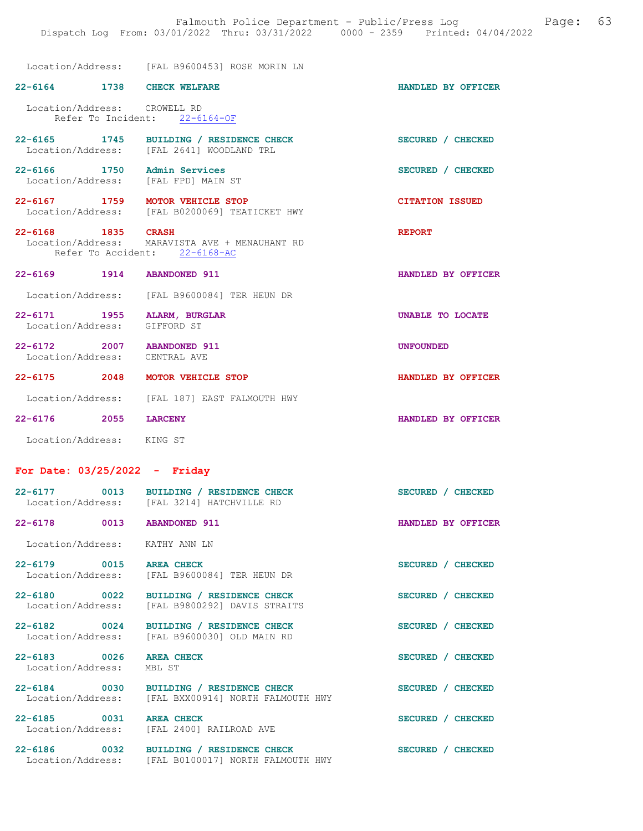Location/Address: [FAL B9600453] ROSE MORIN LN

| 22-6164 1738 CHECK WELFARE                                  |                                                                                           | HANDLED BY OFFICER     |
|-------------------------------------------------------------|-------------------------------------------------------------------------------------------|------------------------|
| Location/Address: CROWELL RD                                | Refer To Incident: 22-6164-OF                                                             |                        |
|                                                             | 22-6165 1745 BUILDING / RESIDENCE CHECK<br>Location/Address: [FAL 2641] WOODLAND TRL      | SECURED / CHECKED      |
| 22-6166 1750 Admin Services                                 | Location/Address: [FAL FPD] MAIN ST                                                       | SECURED / CHECKED      |
|                                                             | 22-6167 1759 MOTOR VEHICLE STOP<br>Location/Address: [FAL B0200069] TEATICKET HWY         | <b>CITATION ISSUED</b> |
| 22-6168 1835 CRASH                                          | Location/Address: MARAVISTA AVE + MENAUHANT RD<br>Refer To Accident: 22-6168-AC           | <b>REPORT</b>          |
| 22-6169 1914 ABANDONED 911                                  |                                                                                           | HANDLED BY OFFICER     |
|                                                             | Location/Address: [FAL B9600084] TER HEUN DR                                              |                        |
| 22-6171 1955 ALARM, BURGLAR<br>Location/Address: GIFFORD ST |                                                                                           | UNABLE TO LOCATE       |
| 22-6172 2007 ABANDONED 911<br>Location/Address: CENTRAL AVE |                                                                                           | <b>UNFOUNDED</b>       |
|                                                             | 22-6175 2048 MOTOR VEHICLE STOP                                                           | HANDLED BY OFFICER     |
|                                                             | Location/Address: [FAL 187] EAST FALMOUTH HWY                                             |                        |
| 22-6176 2055 LARCENY                                        |                                                                                           | HANDLED BY OFFICER     |
| Location/Address: KING ST                                   |                                                                                           |                        |
| For Date: $03/25/2022 -$ Friday                             |                                                                                           |                        |
|                                                             | 22-6177 0013 BUILDING / RESIDENCE CHECK<br>Location/Address: [FAL 3214] HATCHVILLE RD     | SECURED / CHECKED      |
| 22-6178 0013 ABANDONED 911                                  |                                                                                           | HANDLED BY OFFICER     |
| Location/Address:                                           | KATHY ANN LN                                                                              |                        |
| 22-6179 0015 AREA CHECK                                     | Location/Address: [FAL B9600084] TER HEUN DR                                              | SECURED / CHECKED      |
|                                                             | 22-6180 0022 BUILDING / RESIDENCE CHECK<br>Location/Address: [FAL B9800292] DAVIS STRAITS | SECURED / CHECKED      |
| 22-6182 0024                                                | BUILDING / RESIDENCE CHECK<br>Location/Address: [FAL B96000301 OLD MAIN RD                | SECURED / CHECKED      |
| 22-6183 0026 AREA CHECK<br>Location/Address:                | MBL ST                                                                                    | SECURED / CHECKED      |
| 22-6184 0030                                                | BUILDING / RESIDENCE CHECK<br>Location/Address: [FAL BXX00914] NORTH FALMOUTH HWY         | SECURED / CHECKED      |
| 22-6185 0031 AREA CHECK<br>Location/Address:                | [FAL 2400] RAILROAD AVE                                                                   | SECURED / CHECKED      |
| $22 - 6186$ 0032<br>Location/Address:                       | BUILDING / RESIDENCE CHECK<br>[FAL B0100017] NORTH FALMOUTH HWY                           | SECURED / CHECKED      |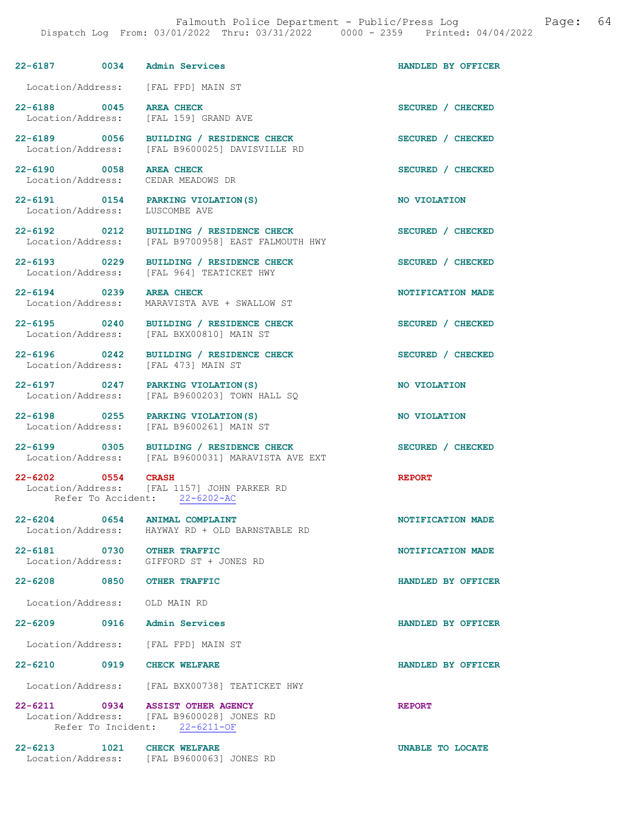| 22-6187 0034 Admin Services                  |                                                                                                                | HANDLED BY OFFICER |
|----------------------------------------------|----------------------------------------------------------------------------------------------------------------|--------------------|
|                                              | Location/Address: [FAL FPD] MAIN ST                                                                            |                    |
| 22-6188 0045 AREA CHECK<br>Location/Address: | [FAL 159] GRAND AVE                                                                                            | SECURED / CHECKED  |
| 22-6189 0056<br>Location/Address:            | BUILDING / RESIDENCE CHECK<br>[FAL B9600025] DAVISVILLE RD                                                     | SECURED / CHECKED  |
| 22-6190 0058 AREA CHECK                      | Location/Address: CEDAR MEADOWS DR                                                                             | SECURED / CHECKED  |
| 22-6191 0154<br>Location/Address:            | PARKING VIOLATION(S)<br>LUSCOMBE AVE                                                                           | NO VIOLATION       |
| 22-6192 0212<br>Location/Address:            | BUILDING / RESIDENCE CHECK<br>[FAL B9700958] EAST FALMOUTH HWY                                                 | SECURED / CHECKED  |
| 22-6193 0229<br>Location/Address:            | BUILDING / RESIDENCE CHECK<br>[FAL 964] TEATICKET HWY                                                          | SECURED / CHECKED  |
| 22-6194 0239 AREA CHECK                      | Location/Address: MARAVISTA AVE + SWALLOW ST                                                                   | NOTIFICATION MADE  |
|                                              | 22-6195 0240 BUILDING / RESIDENCE CHECK<br>Location/Address: [FAL BXX00810] MAIN ST                            | SECURED / CHECKED  |
|                                              | 22-6196 0242 BUILDING / RESIDENCE CHECK<br>Location/Address: [FAL 473] MAIN ST                                 | SECURED / CHECKED  |
| Location/Address:                            | 22-6197 0247 PARKING VIOLATION(S)<br>[FAL B9600203] TOWN HALL SQ                                               | NO VIOLATION       |
| Location/Address:                            | 22-6198 0255 PARKING VIOLATION (S)<br>[FAL B9600261] MAIN ST                                                   | NO VIOLATION       |
|                                              | 22-6199 0305 BUILDING / RESIDENCE CHECK<br>Location/Address: [FAL B9600031] MARAVISTA AVE EXT                  | SECURED / CHECKED  |
| 22-6202 0554 CRASH                           | Location/Address: [FAL 1157] JOHN PARKER RD<br>Refer To Accident: 22-6202-AC                                   | <b>REPORT</b>      |
| 22-6204 0654<br>Location/Address:            | <b>ANIMAL COMPLAINT</b><br>HAYWAY RD + OLD BARNSTABLE RD                                                       | NOTIFICATION MADE  |
| 22-6181 0730 OTHER TRAFFIC                   | Location/Address: GIFFORD ST + JONES RD                                                                        | NOTIFICATION MADE  |
| 22-6208 0850 OTHER TRAFFIC                   |                                                                                                                | HANDLED BY OFFICER |
| Location/Address: OLD MAIN RD                |                                                                                                                |                    |
| 22-6209 0916 Admin Services                  |                                                                                                                | HANDLED BY OFFICER |
|                                              | Location/Address: [FAL FPD] MAIN ST                                                                            |                    |
| 22-6210 0919 CHECK WELFARE                   |                                                                                                                | HANDLED BY OFFICER |
|                                              | Location/Address: [FAL BXX00738] TEATICKET HWY                                                                 |                    |
|                                              | 22-6211 0934 ASSIST OTHER AGENCY<br>Location/Address: [FAL B9600028] JONES RD<br>Refer To Incident: 22-6211-OF | <b>REPORT</b>      |
| 22-6213 1021                                 | <b>CHECK WELFARE</b><br>Location/Address: [FAL B9600063] JONES RD                                              | UNABLE TO LOCATE   |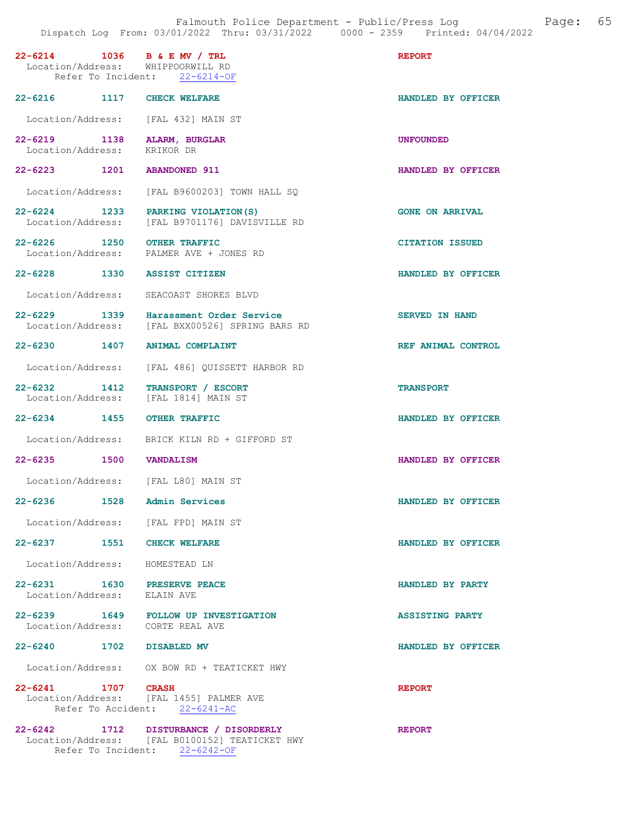| 22-6214 1036 B & E MV / TRL<br>Location/Address: WHIPPOORWILL RD | Refer To Incident: 22-6214-OF                                                           | <b>REPORT</b>          |
|------------------------------------------------------------------|-----------------------------------------------------------------------------------------|------------------------|
| 22-6216 1117                                                     | <b>CHECK WELFARE</b>                                                                    | HANDLED BY OFFICER     |
| Location/Address:                                                | [FAL 432] MAIN ST                                                                       |                        |
| $22 - 6219$<br>1138<br>Location/Address:                         | ALARM, BURGLAR<br>KRIKOR DR                                                             | <b>UNFOUNDED</b>       |
| 22-6223 1201                                                     | <b>ABANDONED 911</b>                                                                    | HANDLED BY OFFICER     |
| Location/Address:                                                | [FAL B9600203] TOWN HALL SO                                                             |                        |
| $22 - 6224$ 1233<br>Location/Address:                            | PARKING VIOLATION (S)<br>[FAL B9701176] DAVISVILLE RD                                   | <b>GONE ON ARRIVAL</b> |
| 22-6226 1250                                                     | <b>OTHER TRAFFIC</b><br>Location/Address: PALMER AVE + JONES RD                         | <b>CITATION ISSUED</b> |
| 22-6228 1330                                                     | <b>ASSIST CITIZEN</b>                                                                   | HANDLED BY OFFICER     |
| Location/Address:                                                | SEACOAST SHORES BLVD                                                                    |                        |
| 1339<br>$22 - 6229$<br>Location/Address:                         | Harassment Order Service<br>[FAL BXX00526] SPRING BARS RD                               | <b>SERVED IN HAND</b>  |
| 22-6230 1407                                                     | <b>ANIMAL COMPLAINT</b>                                                                 | REF ANIMAL CONTROL     |
| Location/Address:                                                | [FAL 486] QUISSETT HARBOR RD                                                            |                        |
| $22 - 6232$<br>1412<br>Location/Address:                         | TRANSPORT / ESCORT<br>[FAL 1814] MAIN ST                                                | <b>TRANSPORT</b>       |
| 22-6234 1455                                                     | <b>OTHER TRAFFIC</b>                                                                    | HANDLED BY OFFICER     |
| Location/Address:                                                | BRICK KILN RD + GIFFORD ST                                                              |                        |
| 22-6235 1500                                                     | <b>VANDALISM</b>                                                                        | HANDLED BY OFFICER     |
| Location/Address: [FAL L80] MAIN ST                              |                                                                                         |                        |
| $22 - 6236$<br>1528                                              | Admin Services                                                                          | HANDLED BY OFFICER     |
| Location/Address: [FAL FPD] MAIN ST                              |                                                                                         |                        |
| 22-6237 1551 CHECK WELFARE                                       |                                                                                         | HANDLED BY OFFICER     |
| Location/Address: HOMESTEAD LN                                   |                                                                                         |                        |
| 22-6231 1630 PRESERVE PEACE<br>Location/Address: ELAIN AVE       |                                                                                         | HANDLED BY PARTY       |
| Location/Address: CORTE REAL AVE                                 | 22-6239 1649 FOLLOW UP INVESTIGATION                                                    | <b>ASSISTING PARTY</b> |
| 22-6240 1702 DISABLED MV                                         |                                                                                         | HANDLED BY OFFICER     |
|                                                                  | Location/Address: OX BOW RD + TEATICKET HWY                                             |                        |
| 22-6241 1707 CRASH                                               | Location/Address: [FAL 1455] PALMER AVE<br>Refer To Accident: 22-6241-AC                | <b>REPORT</b>          |
|                                                                  | 22-6242 1712 DISTURBANCE / DISORDERLY<br>Location/Address: [FAL B0100152] TEATICKET HWY | <b>REPORT</b>          |

Refer To Incident: 22-6242-OF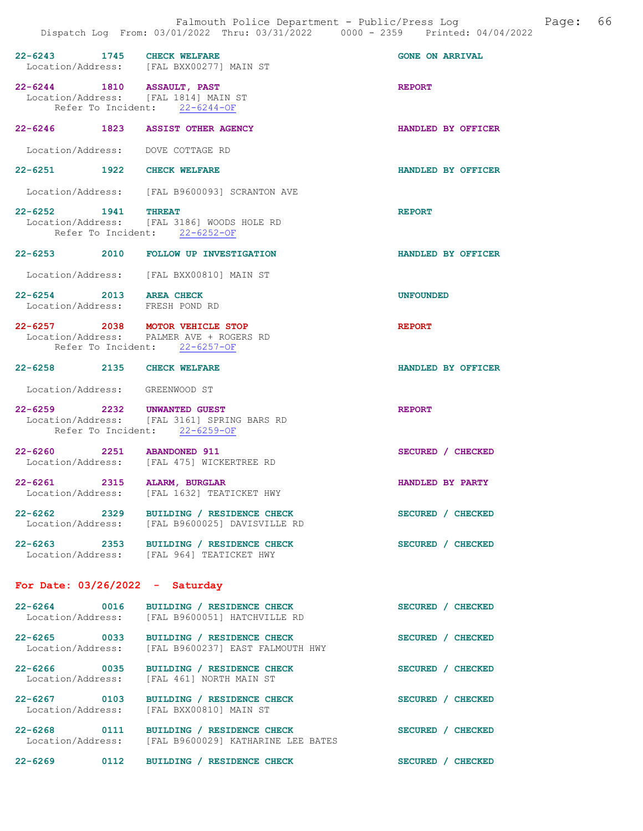| 22-6243 1745 CHECK WELFARE                                         | Location/Address: [FAL BXX00277] MAIN ST                                                        | <b>GONE ON ARRIVAL</b> |
|--------------------------------------------------------------------|-------------------------------------------------------------------------------------------------|------------------------|
| 22-6244 1810 ASSAULT, PAST<br>Location/Address: [FAL 1814] MAIN ST | Refer To Incident: 22-6244-OF                                                                   | <b>REPORT</b>          |
| 22-6246 1823 ASSIST OTHER AGENCY                                   |                                                                                                 | HANDLED BY OFFICER     |
| Location/Address: DOVE COTTAGE RD                                  |                                                                                                 |                        |
| 22-6251 1922 CHECK WELFARE                                         |                                                                                                 | HANDLED BY OFFICER     |
|                                                                    | Location/Address: [FAL B9600093] SCRANTON AVE                                                   |                        |
| 22-6252 1941 THREAT                                                | Location/Address: [FAL 3186] WOODS HOLE RD<br>Refer To Incident: 22-6252-OF                     | <b>REPORT</b>          |
|                                                                    | 22-6253 2010 FOLLOW UP INVESTIGATION                                                            | HANDLED BY OFFICER     |
|                                                                    | Location/Address: [FAL BXX00810] MAIN ST                                                        |                        |
| 22-6254 2013 AREA CHECK<br>Location/Address: FRESH POND RD         |                                                                                                 | <b>UNFOUNDED</b>       |
| 22-6257 2038 MOTOR VEHICLE STOP                                    | Location/Address: PALMER AVE + ROGERS RD<br>Refer To Incident: 22-6257-OF                       | <b>REPORT</b>          |
| 22-6258 2135 CHECK WELFARE                                         |                                                                                                 | HANDLED BY OFFICER     |
| Location/Address: GREENWOOD ST                                     |                                                                                                 |                        |
| 22-6259 2232 UNWANTED GUEST                                        | Location/Address: [FAL 3161] SPRING BARS RD<br>Refer To Incident: 22-6259-OF                    | <b>REPORT</b>          |
| 22-6260 2251 ABANDONED 911                                         | Location/Address: [FAL 475] WICKERTREE RD                                                       | SECURED / CHECKED      |
| 22-6261 2315 ALARM, BURGLAR                                        | Location/Address: [FAL 1632] TEATICKET HWY                                                      | HANDLED BY PARTY       |
|                                                                    | 22-6262 2329 BUILDING / RESIDENCE CHECK<br>Location/Address: [FAL B9600025] DAVISVILLE RD       | SECURED / CHECKED      |
|                                                                    | 22-6263 2353 BUILDING / RESIDENCE CHECK<br>Location/Address: [FAL 964] TEATICKET HWY            | SECURED / CHECKED      |
| For Date: $03/26/2022 - Saturday$                                  |                                                                                                 |                        |
| 22-6264 0016<br>Location/Address:                                  | BUILDING / RESIDENCE CHECK<br>[FAL B9600051] HATCHVILLE RD                                      | SECURED / CHECKED      |
| 22-6265 0033<br>Location/Address:                                  | BUILDING / RESIDENCE CHECK<br>[FAL B9600237] EAST FALMOUTH HWY                                  | SECURED / CHECKED      |
| 22-6266 0035<br>Location/Address:                                  | BUILDING / RESIDENCE CHECK<br>[FAL 461] NORTH MAIN ST                                           | SECURED / CHECKED      |
| $22 - 6267$ 0103                                                   | BUILDING / RESIDENCE CHECK<br>Location/Address: [FAL BXX00810] MAIN ST                          | SECURED / CHECKED      |
|                                                                    | 22-6268 0111 BUILDING / RESIDENCE CHECK<br>Location/Address: [FAL B9600029] KATHARINE LEE BATES | SECURED / CHECKED      |

22-6269 0112 BUILDING / RESIDENCE CHECK SECURED / CHECKED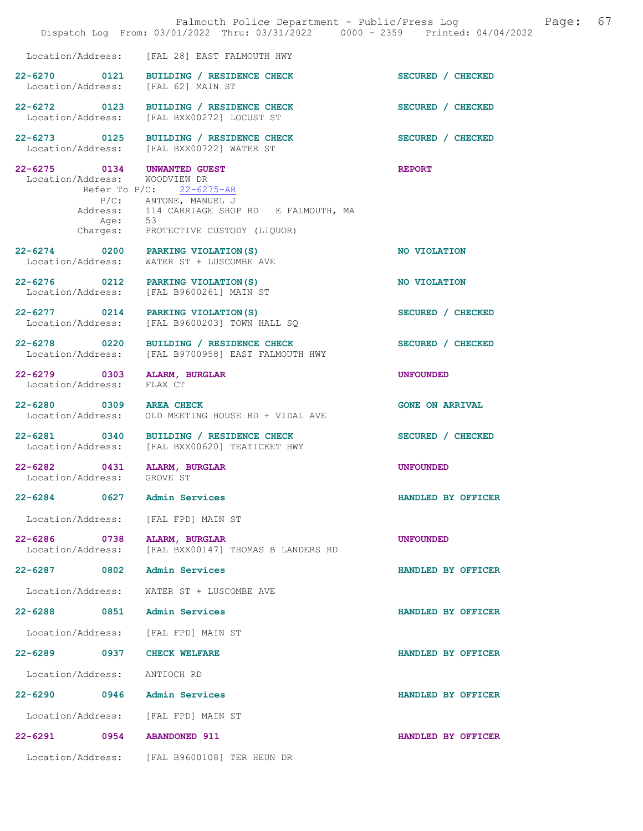|                                                              | Falmouth Police Department - Public/Press Log<br>Dispatch Log From: 03/01/2022 Thru: 03/31/2022 0000 - 2359 Printed: 04/04/2022                      | 67<br>Page:            |
|--------------------------------------------------------------|------------------------------------------------------------------------------------------------------------------------------------------------------|------------------------|
| Location/Address:                                            | [FAL 28] EAST FALMOUTH HWY                                                                                                                           |                        |
| 22-6270 0121<br>Location/Address:                            | BUILDING / RESIDENCE CHECK<br>[FAL 62] MAIN ST                                                                                                       | SECURED / CHECKED      |
| 22-6272 0123<br>Location/Address:                            | BUILDING / RESIDENCE CHECK<br>[FAL BXX00272] LOCUST ST                                                                                               | SECURED / CHECKED      |
|                                                              | 22-6273 0125 BUILDING / RESIDENCE CHECK<br>Location/Address: [FAL BXX00722] WATER ST                                                                 | SECURED / CHECKED      |
| 22-6275 0134 UNWANTED GUEST<br>Location/Address: WOODVIEW DR | Refer To P/C: 22-6275-AR<br>P/C: ANTONE, MANUEL J<br>Address: 114 CARRIAGE SHOP RD E FALMOUTH, MA<br>Age: 53<br>Charges: PROTECTIVE CUSTODY (LIQUOR) | <b>REPORT</b>          |
| Location/Address:                                            | 22-6274 0200 PARKING VIOLATION (S)<br>WATER ST + LUSCOMBE AVE                                                                                        | NO VIOLATION           |
| 22-6276 0212                                                 | PARKING VIOLATION(S)<br>Location/Address: [FAL B9600261] MAIN ST                                                                                     | NO VIOLATION           |
|                                                              | 22-6277 0214 PARKING VIOLATION (S)<br>Location/Address: [FAL B9600203] TOWN HALL SQ                                                                  | SECURED / CHECKED      |
| 22-6278 0220                                                 | BUILDING / RESIDENCE CHECK<br>Location/Address: [FAL B9700958] EAST FALMOUTH HWY                                                                     | SECURED / CHECKED      |
| 22-6279 0303<br>Location/Address:                            | <b>ALARM, BURGLAR</b><br>FLAX CT                                                                                                                     | <b>UNFOUNDED</b>       |
| 22-6280 0309<br>Location/Address:                            | <b>AREA CHECK</b><br>OLD MEETING HOUSE RD + VIDAL AVE                                                                                                | <b>GONE ON ARRIVAL</b> |
| Location/Address:                                            | 22-6281 0340 BUILDING / RESIDENCE CHECK<br>[FAL BXX00620] TEATICKET HWY                                                                              | SECURED / CHECKED      |
| 22-6282<br>Location/Address: GROVE ST                        | 0431 ALARM, BURGLAR                                                                                                                                  | <b>UNFOUNDED</b>       |
| 0627<br>$22 - 6284$                                          | <b>Admin Services</b>                                                                                                                                | HANDLED BY OFFICER     |
|                                                              | Location/Address: [FAL FPD] MAIN ST                                                                                                                  |                        |
| 22-6286<br>0738<br>Location/Address:                         | ALARM, BURGLAR<br>[FAL BXX00147] THOMAS B LANDERS RD                                                                                                 | <b>UNFOUNDED</b>       |
| 22-6287 0802                                                 | Admin Services                                                                                                                                       | HANDLED BY OFFICER     |
| Location/Address:                                            | WATER ST + LUSCOMBE AVE                                                                                                                              |                        |
| $22 - 6288$<br>0851                                          | Admin Services                                                                                                                                       | HANDLED BY OFFICER     |
| Location/Address:                                            | [FAL FPD] MAIN ST                                                                                                                                    |                        |
| $22 - 6289$<br>0937                                          | <b>CHECK WELFARE</b>                                                                                                                                 | HANDLED BY OFFICER     |
| Location/Address:                                            | ANTIOCH RD                                                                                                                                           |                        |
| 22-6290 0946                                                 | Admin Services                                                                                                                                       | HANDLED BY OFFICER     |
| Location/Address:                                            | [FAL FPD] MAIN ST                                                                                                                                    |                        |
| 22-6291 0954                                                 | <b>ABANDONED 911</b>                                                                                                                                 | HANDLED BY OFFICER     |
|                                                              | Location/Address: [FAL B9600108] TER HEUN DR                                                                                                         |                        |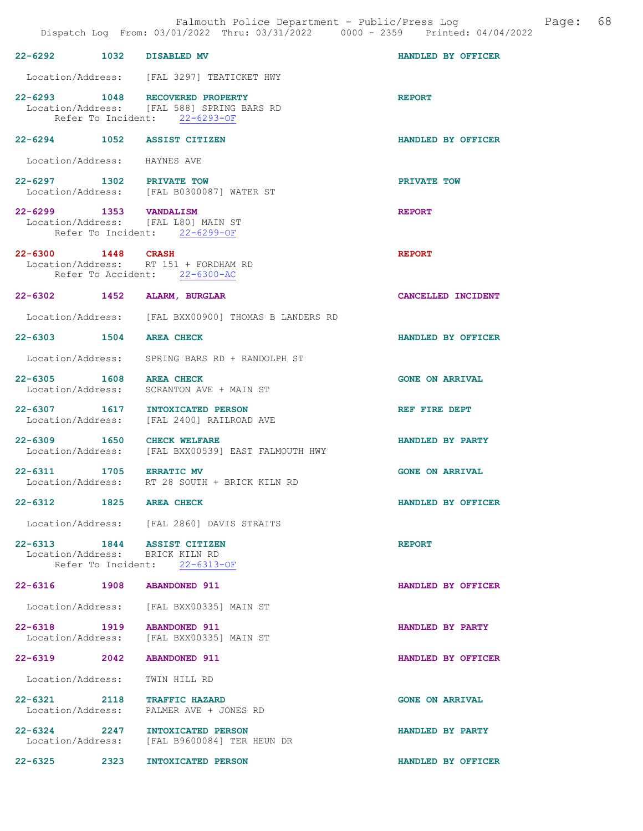|                                              |      | Falmouth Police Department - Public/Press Log<br>Dispatch Log From: 03/01/2022 Thru: 03/31/2022 0000 - 2359 Printed: 04/04/2022 | Page:                  | 68 |
|----------------------------------------------|------|---------------------------------------------------------------------------------------------------------------------------------|------------------------|----|
| 22-6292 1032 DISABLED MV                     |      |                                                                                                                                 | HANDLED BY OFFICER     |    |
|                                              |      | Location/Address: [FAL 3297] TEATICKET HWY                                                                                      |                        |    |
|                                              |      | 22-6293 1048 RECOVERED PROPERTY<br>Location/Address: [FAL 588] SPRING BARS RD<br>Refer To Incident: 22-6293-OF                  | <b>REPORT</b>          |    |
|                                              |      | 22-6294 1052 ASSIST CITIZEN                                                                                                     | HANDLED BY OFFICER     |    |
| Location/Address: HAYNES AVE                 |      |                                                                                                                                 |                        |    |
| 22-6297 1302 PRIVATE TOW                     |      | Location/Address: [FAL B0300087] WATER ST                                                                                       | PRIVATE TOW            |    |
| 22-6299 1353 VANDALISM                       |      | Location/Address: [FAL L80] MAIN ST<br>Refer To Incident: 22-6299-OF                                                            | <b>REPORT</b>          |    |
| 22-6300 1448 CRASH                           |      | Location/Address: RT 151 + FORDHAM RD<br>Refer To Accident: 22-6300-AC                                                          | <b>REPORT</b>          |    |
|                                              |      | 22-6302 1452 ALARM, BURGLAR                                                                                                     | CANCELLED INCIDENT     |    |
|                                              |      | Location/Address: [FAL BXX00900] THOMAS B LANDERS RD                                                                            |                        |    |
| 22-6303 1504 AREA CHECK                      |      |                                                                                                                                 | HANDLED BY OFFICER     |    |
|                                              |      | Location/Address: SPRING BARS RD + RANDOLPH ST                                                                                  |                        |    |
| 22-6305 1608 AREA CHECK                      |      | Location/Address: SCRANTON AVE + MAIN ST                                                                                        | <b>GONE ON ARRIVAL</b> |    |
| Location/Address:                            |      | 22-6307 1617 INTOXICATED PERSON<br>[FAL 2400] RAILROAD AVE                                                                      | REF FIRE DEPT          |    |
| 22-6309 1650<br>Location/Address:            |      | <b>CHECK WELFARE</b><br>[FAL BXX00539] EAST FALMOUTH HWY                                                                        | HANDLED BY PARTY       |    |
| 22-6311 1705 ERRATIC MV<br>Location/Address: |      | RT 28 SOUTH + BRICK KILN RD                                                                                                     | <b>GONE ON ARRIVAL</b> |    |
| 22-6312 1825 AREA CHECK                      |      |                                                                                                                                 | HANDLED BY OFFICER     |    |
|                                              |      | Location/Address: [FAL 2860] DAVIS STRAITS                                                                                      |                        |    |
|                                              |      | 22-6313 1844 ASSIST CITIZEN<br>Location/Address: BRICK KILN RD<br>Refer To Incident: 22-6313-OF                                 | <b>REPORT</b>          |    |
|                                              |      | 22-6316 1908 ABANDONED 911                                                                                                      | HANDLED BY OFFICER     |    |
|                                              |      | Location/Address: [FAL BXX00335] MAIN ST                                                                                        |                        |    |
|                                              |      | 22-6318 1919 ABANDONED 911<br>Location/Address: [FAL BXX00335] MAIN ST                                                          | HANDLED BY PARTY       |    |
| 22-6319 2042                                 |      | <b>ABANDONED 911</b>                                                                                                            | HANDLED BY OFFICER     |    |
| Location/Address:                            |      | TWIN HILL RD                                                                                                                    |                        |    |
| 22-6321 2118                                 |      | <b>TRAFFIC HAZARD</b><br>Location/Address: PALMER AVE + JONES RD                                                                | <b>GONE ON ARRIVAL</b> |    |
|                                              |      | 22-6324 2247 INTOXICATED PERSON<br>Location/Address: [FAL B9600084] TER HEUN DR                                                 | HANDLED BY PARTY       |    |
| $22 - 6325$                                  | 2323 | INTOXICATED PERSON                                                                                                              | HANDLED BY OFFICER     |    |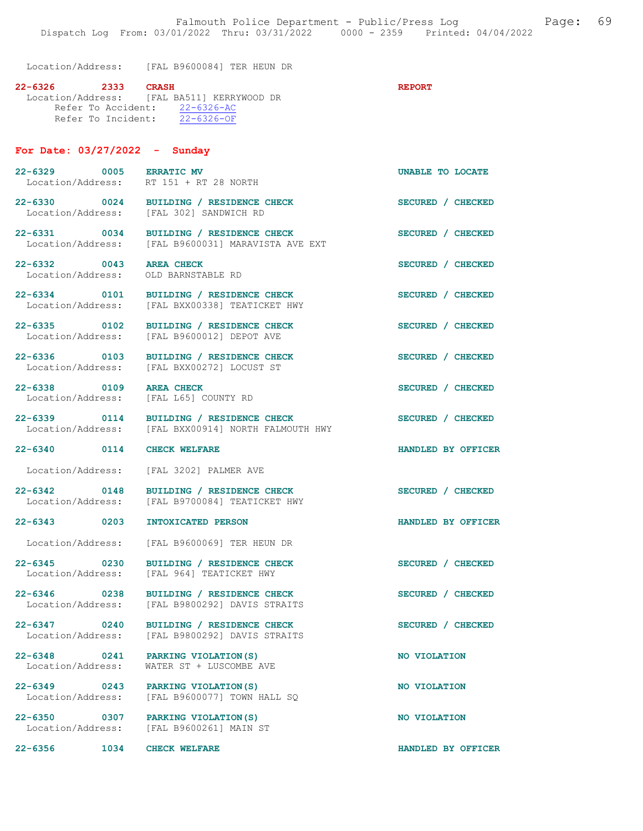Location/Address: [FAL B9600084] TER HEUN DR

| 22-6326 | -2333 | <b>CRASH</b>                               | <b>REPORT</b> |
|---------|-------|--------------------------------------------|---------------|
|         |       | Location/Address: [FAL BA511] KERRYWOOD DR |               |
|         |       | Refer To Accident: 22-6326-AC              |               |
|         |       | Refer To Incident: 22-6326-OF              |               |
|         |       |                                            |               |

### For Date: 03/27/2022 - Sunday

22-6329 0005 ERRATIC MV UNABLE TO LOCATE Location/Address: RT 151 + RT 28 NORTH 22-6330 0024 BUILDING / RESIDENCE CHECK SECURED / CHECKED<br>
Location/Address: [FAL 302] SANDWICH RD [FAL 302] SANDWICH RD 22-6331 0034 BUILDING / RESIDENCE CHECK SECURED / CHECKED Location/Address: [FAL B9600031] MARAVISTA AVE EXT 22-6332 0043 AREA CHECK SECURED / CHECKED Location/Address: OLD BARNSTABLE RD 22-6334 0101 BUILDING / RESIDENCE CHECK SECURED / CHECKED Location/Address: [FAL BXX00338] TEATICKET HWY [FAL BXX00338] TEATICKET HWY 22-6335 0102 BUILDING / RESIDENCE CHECK SECURED / CHECKED Location/Address: [FAL B9600012] DEPOT AVE [FAL B9600012] DEPOT AVE 22-6336 0103 BUILDING / RESIDENCE CHECK SECURED / CHECKED Location/Address: [FAL BXX00272] LOCUST ST 22-6338 0109 AREA CHECK SECURED / CHECKED Location/Address: [FAL L65] COUNTY RD 22-6339 0114 BUILDING / RESIDENCE CHECK SECURED / CHECKED Location/Address: [FAL BXX00914] NORTH FALMOUTH HWY 22-6340 0114 CHECK WELFARE HANDLED BY OFFICER

Location/Address: [FAL 3202] PALMER AVE

22-6342 0148 BUILDING / RESIDENCE CHECK SECURED / CHECKED Location/Address: [FAL B9700084] TEATICKET HWY [FAL B9700084] TEATICKET HWY

22-6343 0203 INTOXICATED PERSON HANDLED BY OFFICER

Location/Address: [FAL B9600069] TER HEUN DR

22-6345 0230 BUILDING / RESIDENCE CHECK SECURED / CHECKED Location/Address: [FAL 964] TEATICKET HWY

22-6346 0238 BUILDING / RESIDENCE CHECK<br>
Location/Address: [FAL B9800292] DAVIS STRAITS

22-6347 0240 BUILDING / RESIDENCE CHECK<br>
Location/Address: [FAL B9800292] DAVIS STRAITS

22-6348 0241 PARKING VIOLATION(S) NO VIOLATION<br>
Location/Address: WATER ST + LUSCOMBE AVE

22-6349 0243 PARKING VIOLATION(S) NO VIOLATION<br>
Location/Address: [FAL B9600077] TOWN HALL SQ

22-6350 0307 PARKING VIOLATION(S) NO VIOLATION Location/Address: [FAL B9600261] MAIN ST

[FAL B9800292] DAVIS STRAITS

[FAL B9800292] DAVIS STRAITS

 $[FAL B9600077]$  TOWN HALL SQ

WATER ST + LUSCOMBE AVE

22-6356 1034 CHECK WELFARE HANDLED BY OFFICER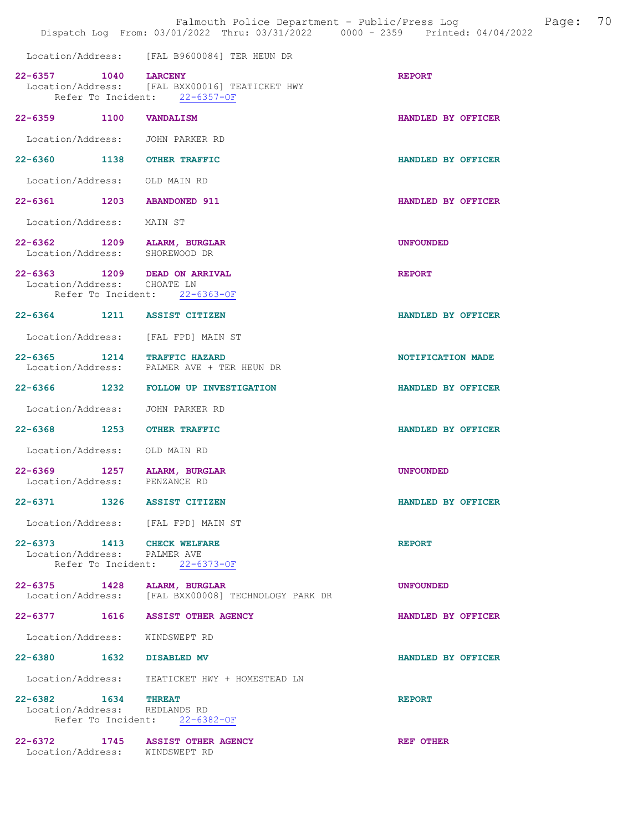|                                                      | Falmouth Police Department - Public/Press Log Fage: 70<br>Dispatch Log From: 03/01/2022 Thru: 03/31/2022 0000 - 2359 Printed: 04/04/2022 |                    |  |
|------------------------------------------------------|------------------------------------------------------------------------------------------------------------------------------------------|--------------------|--|
|                                                      | Location/Address: [FAL B9600084] TER HEUN DR                                                                                             |                    |  |
| 22-6357 1040 LARCENY                                 | Location/Address: [FAL BXX00016] TEATICKET HWY<br>Refer To Incident: 22-6357-OF                                                          | <b>REPORT</b>      |  |
| 22-6359 1100                                         | <b>VANDALISM</b>                                                                                                                         | HANDLED BY OFFICER |  |
|                                                      | Location/Address: JOHN PARKER RD                                                                                                         |                    |  |
|                                                      | 22-6360 1138 OTHER TRAFFIC                                                                                                               | HANDLED BY OFFICER |  |
| Location/Address: OLD MAIN RD                        |                                                                                                                                          |                    |  |
|                                                      | 22-6361 1203 ABANDONED 911                                                                                                               | HANDLED BY OFFICER |  |
| Location/Address: MAIN ST                            |                                                                                                                                          |                    |  |
|                                                      | 22-6362 1209 ALARM, BURGLAR<br>Location/Address: SHOREWOOD DR                                                                            | <b>UNFOUNDED</b>   |  |
| Location/Address: CHOATE LN                          | 22-6363 1209 DEAD ON ARRIVAL                                                                                                             | <b>REPORT</b>      |  |
|                                                      | Refer To Incident: 22-6363-OF                                                                                                            |                    |  |
|                                                      | 22-6364 1211 ASSIST CITIZEN                                                                                                              | HANDLED BY OFFICER |  |
|                                                      | Location/Address: [FAL FPD] MAIN ST                                                                                                      |                    |  |
|                                                      | 22-6365 1214 TRAFFIC HAZARD<br>Location/Address: PALMER AVE + TER HEUN DR                                                                | NOTIFICATION MADE  |  |
|                                                      | 22-6366 1232 FOLLOW UP INVESTIGATION                                                                                                     | HANDLED BY OFFICER |  |
| Location/Address:                                    | JOHN PARKER RD                                                                                                                           |                    |  |
|                                                      | 22-6368 1253 OTHER TRAFFIC                                                                                                               | HANDLED BY OFFICER |  |
| Location/Address: OLD MAIN RD                        |                                                                                                                                          |                    |  |
| Location/Address: PENZANCE RD                        | 22-6369 1257 ALARM, BURGLAR                                                                                                              | <b>UNFOUNDED</b>   |  |
|                                                      | 22-6371 1326 ASSIST CITIZEN                                                                                                              | HANDLED BY OFFICER |  |
|                                                      | Location/Address: [FAL FPD] MAIN ST                                                                                                      |                    |  |
| Location/Address: PALMER AVE                         | 22-6373 1413 CHECK WELFARE                                                                                                               | <b>REPORT</b>      |  |
|                                                      | Refer To Incident: 22-6373-OF                                                                                                            |                    |  |
|                                                      | 22-6375 1428 ALARM, BURGLAR<br>Location/Address: [FAL BXX00008] TECHNOLOGY PARK DR                                                       | <b>UNFOUNDED</b>   |  |
|                                                      | 22-6377 1616 ASSIST OTHER AGENCY                                                                                                         | HANDLED BY OFFICER |  |
|                                                      | Location/Address: WINDSWEPT RD                                                                                                           |                    |  |
| 22-6380 1632 DISABLED MV                             |                                                                                                                                          | HANDLED BY OFFICER |  |
|                                                      | Location/Address: TEATICKET HWY + HOMESTEAD LN                                                                                           |                    |  |
| 22-6382 1634 THREAT<br>Location/Address: REDLANDS RD | Refer To Incident: 22-6382-OF                                                                                                            | <b>REPORT</b>      |  |
|                                                      | 22-6372 1745 ASSIST OTHER AGENCY<br>Location/Address: WINDSWEPT RD                                                                       | <b>REF OTHER</b>   |  |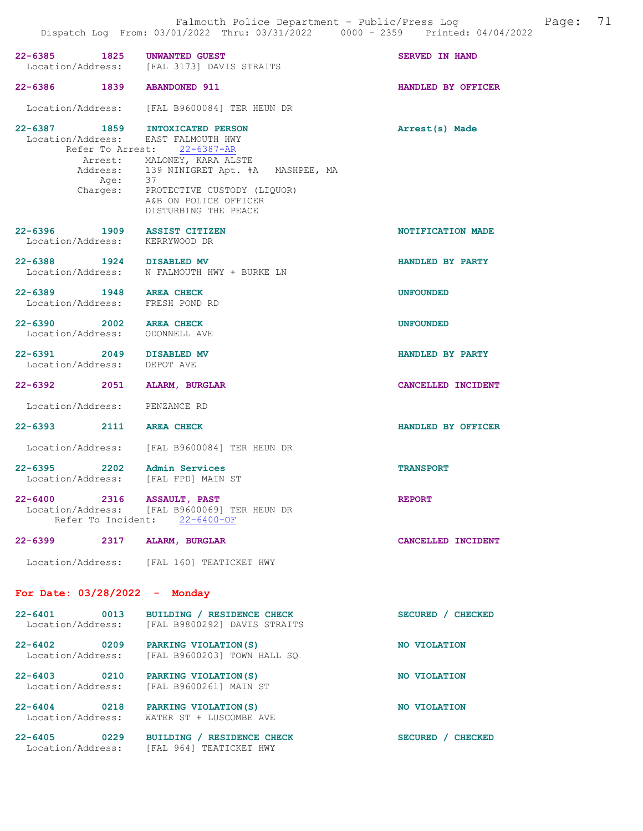| Location/Address: EAST FALMOUTH HWY |                                           |
|-------------------------------------|-------------------------------------------|
|                                     | Refer To Arrest: 22-6387-AR               |
|                                     | Arrest: MALONEY, KARA ALSTE               |
|                                     | Address: 139 NINIGRET Apt. #A MASHPEE, MA |
| Aqe:                                | 37                                        |
| Charges:                            | PROTECTIVE CUSTODY (LIQUOR)               |
|                                     | A&B ON POLICE OFFICER                     |
|                                     | DISTURBING THE PEACE                      |

## 22-6396 1909 ASSIST CITIZEN NOTIFICATION MADE Location/Address: KERRYWOOD DR

- 22-6388 1924 DISABLED MV HANDLED BY PARTY Location/Address: N FALMOUTH HWY + BURKE LN
- 22-6389 1948 AREA CHECK UNFOUNDED<br>Location/Address: FRESH POND RD Location/Address:
- 22-6390 2002 AREA CHECK UNFOUNDED Location/Address: ODONNELL AVE
- 22-6391 2049 DISABLED MV HANDLED BY PARTY Location/Address: DEPOT AVE Location/Address:
- 22-6392 2051 ALARM, BURGLAR CANCELLED INCIDENT
- Location/Address: PENZANCE RD
- 22-6393 2111 AREA CHECK HANDLED BY OFFICER
- Location/Address: [FAL B9600084] TER HEUN DR
- 22-6395 2202 Admin Services TRANSPORT Location/Address: [FAL FPD] MAIN ST
- 22-6400 2316 ASSAULT, PAST 2210 REPORT Location/Address: [FAL B9600069] TER HEUN DR Refer To Incident: 22-6400-OF

# 22-6399 2317 ALARM, BURGLAR CANCELLED INCIDENT Location/Address: [FAL 160] TEATICKET HWY

#### For Date: 03/28/2022 - Monday

| $22 - 6401$<br>Location/Address: | 0013 | BUILDING / RESIDENCE CHECK<br>[FAL B9800292] DAVIS STRAITS | <b>SECURED</b><br><b>CHECKED</b> |
|----------------------------------|------|------------------------------------------------------------|----------------------------------|
| $22 - 6402$<br>Location/Address: | 0209 | PARKING VIOLATION (S)<br>[FAL B9600203] TOWN HALL SQ       | NO VIOLATION                     |
| $22 - 6403$<br>Location/Address: | 0210 | PARKING VIOLATION (S)<br>[FAL B9600261] MAIN ST            | NO VIOLATION                     |
| $22 - 6404$<br>Location/Address: | 0218 | PARKING VIOLATION (S)<br>WATER ST + LUSCOMBE AVE           | NO VIOLATION                     |

22-6405 0229 BUILDING / RESIDENCE CHECK SECURED / CHECKED Location/Address: [FAL 964] TEATICKET HWY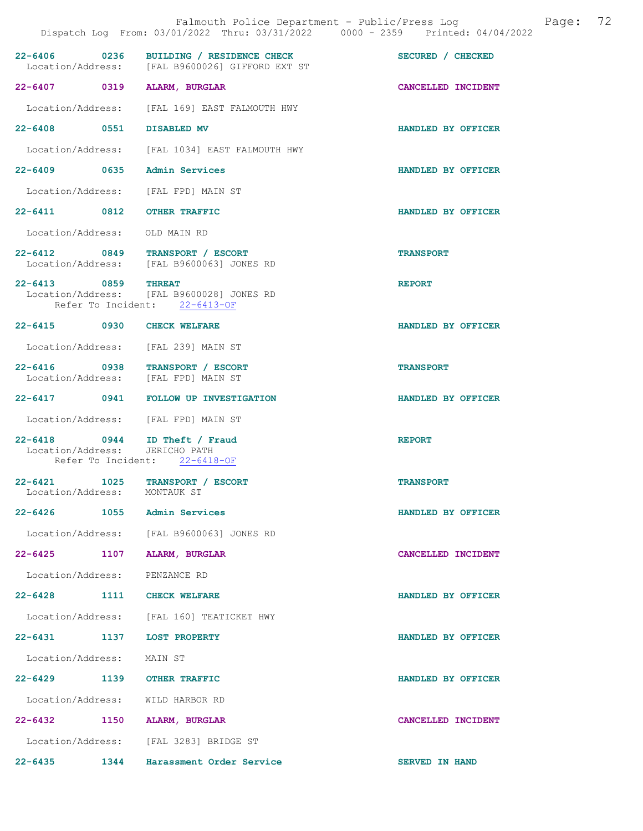|                                             |      | Falmouth Police Department - Public/Press Log<br>Dispatch Log From: 03/01/2022 Thru: 03/31/2022 0000 - 2359 Printed: 04/04/2022 | 72<br>Page:           |
|---------------------------------------------|------|---------------------------------------------------------------------------------------------------------------------------------|-----------------------|
|                                             |      | 22-6406 0236 BUILDING / RESIDENCE CHECK<br>Location/Address: [FAL B9600026] GIFFORD EXT ST                                      | SECURED / CHECKED     |
|                                             |      | 22-6407 0319 ALARM, BURGLAR                                                                                                     | CANCELLED INCIDENT    |
|                                             |      | Location/Address: [FAL 169] EAST FALMOUTH HWY                                                                                   |                       |
| 22-6408 0551                                |      | <b>DISABLED MV</b>                                                                                                              | HANDLED BY OFFICER    |
|                                             |      | Location/Address: [FAL 1034] EAST FALMOUTH HWY                                                                                  |                       |
|                                             |      | 22-6409 0635 Admin Services                                                                                                     | HANDLED BY OFFICER    |
|                                             |      | Location/Address: [FAL FPD] MAIN ST                                                                                             |                       |
|                                             |      | 22-6411 0812 OTHER TRAFFIC                                                                                                      | HANDLED BY OFFICER    |
| Location/Address:                           |      | OLD MAIN RD                                                                                                                     |                       |
| Location/Address:                           |      | 22-6412 0849 TRANSPORT / ESCORT<br>[FAL B9600063] JONES RD                                                                      | <b>TRANSPORT</b>      |
| 22-6413 0859 THREAT                         |      | Location/Address: [FAL B9600028] JONES RD<br>Refer To Incident: 22-6413-OF                                                      | <b>REPORT</b>         |
|                                             |      | 22-6415 0930 CHECK WELFARE                                                                                                      | HANDLED BY OFFICER    |
|                                             |      | Location/Address: [FAL 239] MAIN ST                                                                                             |                       |
|                                             |      | 22-6416 0938 TRANSPORT / ESCORT<br>Location/Address: [FAL FPD] MAIN ST                                                          | <b>TRANSPORT</b>      |
|                                             |      | 22-6417 0941 FOLLOW UP INVESTIGATION                                                                                            | HANDLED BY OFFICER    |
|                                             |      | Location/Address: [FAL FPD] MAIN ST                                                                                             |                       |
| Location/Address:                           |      | 22-6418 0944 ID Theft / Fraud<br>JERICHO PATH<br>Refer To Incident: 22-6418-OF                                                  | <b>REPORT</b>         |
| $22 - 6421$<br>Location/Address: MONTAUK ST | 1025 | TRANSPORT / ESCORT                                                                                                              | <b>TRANSPORT</b>      |
|                                             |      | 22-6426 1055 Admin Services                                                                                                     | HANDLED BY OFFICER    |
|                                             |      | Location/Address: [FAL B9600063] JONES RD                                                                                       |                       |
| $22 - 6425$                                 | 1107 | ALARM, BURGLAR                                                                                                                  | CANCELLED INCIDENT    |
| Location/Address: PENZANCE RD               |      |                                                                                                                                 |                       |
|                                             |      | 22-6428 1111 CHECK WELFARE                                                                                                      | HANDLED BY OFFICER    |
|                                             |      | Location/Address: [FAL 160] TEATICKET HWY                                                                                       |                       |
|                                             |      | 22-6431 1137 LOST PROPERTY                                                                                                      | HANDLED BY OFFICER    |
| Location/Address:                           |      | MAIN ST                                                                                                                         |                       |
|                                             |      | 22-6429 1139 OTHER TRAFFIC                                                                                                      | HANDLED BY OFFICER    |
|                                             |      | Location/Address: WILD HARBOR RD                                                                                                |                       |
|                                             |      | 22-6432 1150 ALARM, BURGLAR                                                                                                     | CANCELLED INCIDENT    |
|                                             |      | Location/Address: [FAL 3283] BRIDGE ST                                                                                          |                       |
| 22-6435 1344                                |      | Harassment Order Service                                                                                                        | <b>SERVED IN HAND</b> |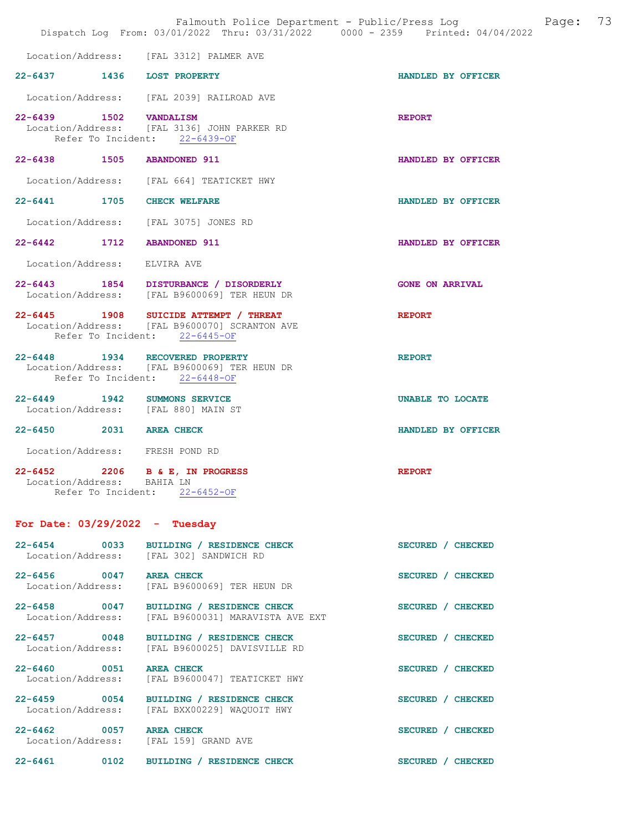|                                                                                     | Falmouth Police Department - Public/Press Log Falmouth Police Department - Public/Press Log<br>Dispatch Log From: 03/01/2022 Thru: 03/31/2022 0000 - 2359 Printed: 04/04/2022 |                        |
|-------------------------------------------------------------------------------------|-------------------------------------------------------------------------------------------------------------------------------------------------------------------------------|------------------------|
|                                                                                     | Location/Address: [FAL 3312] PALMER AVE                                                                                                                                       |                        |
| 22-6437 1436 LOST PROPERTY                                                          |                                                                                                                                                                               | HANDLED BY OFFICER     |
|                                                                                     | Location/Address: [FAL 2039] RAILROAD AVE                                                                                                                                     |                        |
|                                                                                     | 22-6439 1502 VANDALISM<br>Location/Address: [FAL 3136] JOHN PARKER RD<br>Refer To Incident: 22-6439-OF                                                                        | <b>REPORT</b>          |
| 22-6438 1505 ABANDONED 911                                                          |                                                                                                                                                                               | HANDLED BY OFFICER     |
|                                                                                     | Location/Address: [FAL 664] TEATICKET HWY                                                                                                                                     |                        |
| 22-6441 1705 CHECK WELFARE                                                          |                                                                                                                                                                               | HANDLED BY OFFICER     |
|                                                                                     | Location/Address: [FAL 3075] JONES RD                                                                                                                                         |                        |
| 22-6442 1712 ABANDONED 911                                                          |                                                                                                                                                                               | HANDLED BY OFFICER     |
| Location/Address: ELVIRA AVE                                                        |                                                                                                                                                                               |                        |
|                                                                                     | 22-6443 1854 DISTURBANCE / DISORDERLY<br>Location/Address: [FAL B9600069] TER HEUN DR                                                                                         | <b>GONE ON ARRIVAL</b> |
|                                                                                     | 22-6445 1908 SUICIDE ATTEMPT / THREAT<br>Location/Address: [FAL B9600070] SCRANTON AVE<br>Refer To Incident: 22-6445-OF                                                       | <b>REPORT</b>          |
| 22-6448 1934 RECOVERED PROPERTY                                                     | Location/Address: [FAL B9600069] TER HEUN DR<br>Refer To Incident: 22-6448-OF                                                                                                 | <b>REPORT</b>          |
| 22-6449 1942 SUMMONS SERVICE<br>Location/Address: [FAL 880] MAIN ST                 |                                                                                                                                                                               | UNABLE TO LOCATE       |
| 22-6450 2031 AREA CHECK                                                             |                                                                                                                                                                               | HANDLED BY OFFICER     |
| Location/Address: FRESH POND RD                                                     |                                                                                                                                                                               |                        |
| 22-6452 2206 B & E, IN PROGRESS<br>Location/Address: BAHIA LN<br>Refer To Incident: | $22 - 6452 - 0F$                                                                                                                                                              | <b>REPORT</b>          |
| For Date: $03/29/2022 - Tuesday$                                                    |                                                                                                                                                                               |                        |
|                                                                                     | 22-6454 0033 BUILDING / RESIDENCE CHECK<br>Location/Address: [FAL 302] SANDWICH RD                                                                                            | SECURED / CHECKED      |
| 22-6456 0047 AREA CHECK                                                             | Location/Address: [FAL B9600069] TER HEUN DR                                                                                                                                  | SECURED / CHECKED      |
|                                                                                     | 22-6458 0047 BUILDING / RESIDENCE CHECK<br>Location/Address: [FAL B9600031] MARAVISTA AVE EXT                                                                                 | SECURED / CHECKED      |

22-6457 0048 BUILDING / RESIDENCE CHECK SECURED / CHECKED Location/Address: [FAL B9600025] DAVISVILLE RD

22-6460 0051 AREA CHECK SECURED / CHECKED Location/Address: [FAL B9600047] TEATICKET HWY

22-6459 0054 BUILDING / RESIDENCE CHECK SECURED / CHECKED Location/Address: [FAL BXX00229] WAQUOIT HWY

22-6462 0057 AREA CHECK SECURED / CHECKED Location/Address: [FAL 159] GRAND AVE [FAL 159] GRAND AVE

22-6461 0102 BUILDING / RESIDENCE CHECK SECURED / CHECKED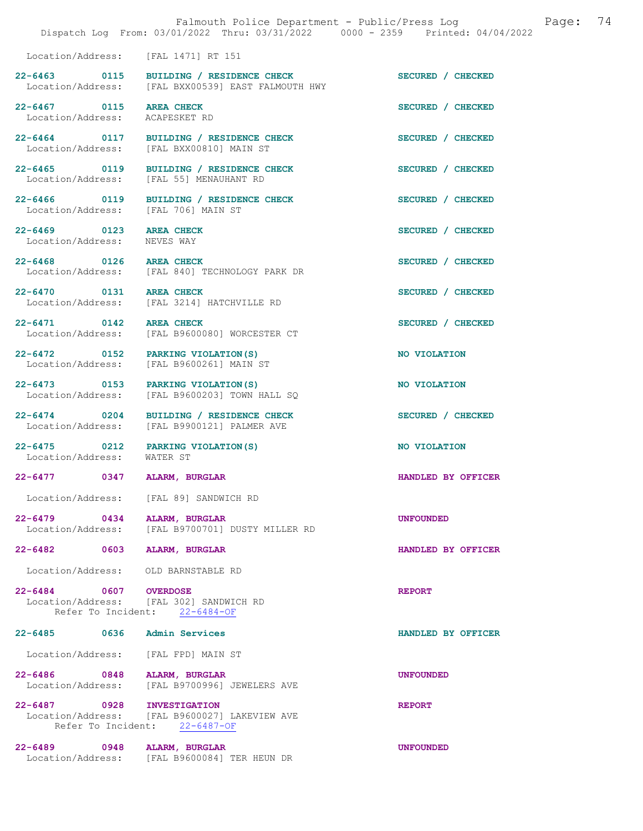|                                              | Dispatch Log From: 03/01/2022 Thru: 03/31/2022 0000 - 2359 Printed: 04/04/2022                | Falmouth Police Department - Public/Press Log | Page: | 74 |
|----------------------------------------------|-----------------------------------------------------------------------------------------------|-----------------------------------------------|-------|----|
|                                              | Location/Address: [FAL 1471] RT 151                                                           |                                               |       |    |
|                                              | 22-6463 0115 BUILDING / RESIDENCE CHECK<br>Location/Address: [FAL BXX00539] EAST FALMOUTH HWY | SECURED / CHECKED                             |       |    |
| 22-6467 0115 AREA CHECK<br>Location/Address: | ACAPESKET RD                                                                                  | SECURED / CHECKED                             |       |    |
|                                              | 22-6464 0117 BUILDING / RESIDENCE CHECK<br>Location/Address: [FAL BXX00810] MAIN ST           | SECURED / CHECKED                             |       |    |
| 22-6465 0119<br>Location/Address:            | BUILDING / RESIDENCE CHECK<br>[FAL 55] MENAUHANT RD                                           | SECURED / CHECKED                             |       |    |
| 22-6466 0119<br>Location/Address:            | BUILDING / RESIDENCE CHECK<br>[FAL 706] MAIN ST                                               | SECURED / CHECKED                             |       |    |
| 22-6469 0123<br>Location/Address:            | <b>AREA CHECK</b><br>NEVES WAY                                                                | SECURED / CHECKED                             |       |    |
| 22-6468 0126 AREA CHECK                      | Location/Address: [FAL 840] TECHNOLOGY PARK DR                                                | SECURED / CHECKED                             |       |    |
| 22-6470 0131 AREA CHECK                      | Location/Address: [FAL 3214] HATCHVILLE RD                                                    | SECURED / CHECKED                             |       |    |
| 22-6471 0142 AREA CHECK                      | Location/Address: [FAL B9600080] WORCESTER CT                                                 | SECURED / CHECKED                             |       |    |
|                                              | 22-6472 0152 PARKING VIOLATION (S)<br>Location/Address: [FAL B9600261] MAIN ST                | NO VIOLATION                                  |       |    |
| 22-6473 0153<br>Location/Address:            | PARKING VIOLATION (S)<br>[FAL B9600203] TOWN HALL SQ                                          | NO VIOLATION                                  |       |    |
| 22-6474 0204<br>Location/Address:            | BUILDING / RESIDENCE CHECK<br>[FAL B9900121] PALMER AVE                                       | SECURED / CHECKED                             |       |    |
| 22-6475 0212<br>Location/Address:            | PARKING VIOLATION (S)<br>WATER ST                                                             | NO VIOLATION                                  |       |    |
| $\overline{0}$ 0347<br>$22 - 6477$           | ALARM, BURGLAR                                                                                | HANDLED BY OFFICER                            |       |    |
|                                              | Location/Address: [FAL 89] SANDWICH RD                                                        |                                               |       |    |
| $22 - 6479$ 0434<br>Location/Address:        | ALARM, BURGLAR<br>[FAL B9700701] DUSTY MILLER RD                                              | <b>UNFOUNDED</b>                              |       |    |
| $22 - 6482$<br>0603                          | <b>ALARM, BURGLAR</b>                                                                         | HANDLED BY OFFICER                            |       |    |
| Location/Address:                            | OLD BARNSTABLE RD                                                                             |                                               |       |    |
| 22-6484 0607 OVERDOSE                        | Location/Address: [FAL 302] SANDWICH RD<br>Refer To Incident: 22-6484-OF                      | <b>REPORT</b>                                 |       |    |
| 22-6485 0636                                 | <b>Admin Services</b>                                                                         | HANDLED BY OFFICER                            |       |    |
| Location/Address:                            | [FAL FPD] MAIN ST                                                                             |                                               |       |    |
| 22-6486 0848<br>Location/Address:            | ALARM, BURGLAR<br>[FAL B9700996] JEWELERS AVE                                                 | <b>UNFOUNDED</b>                              |       |    |
| 22-6487 0928 INVESTIGATION                   | Location/Address: [FAL B9600027] LAKEVIEW AVE<br>Refer To Incident: 22-6487-OF                | <b>REPORT</b>                                 |       |    |
| 22-6489<br>0948                              | ALARM, BURGLAR<br>Location/Address: [FAL B9600084] TER HEUN DR                                | <b>UNFOUNDED</b>                              |       |    |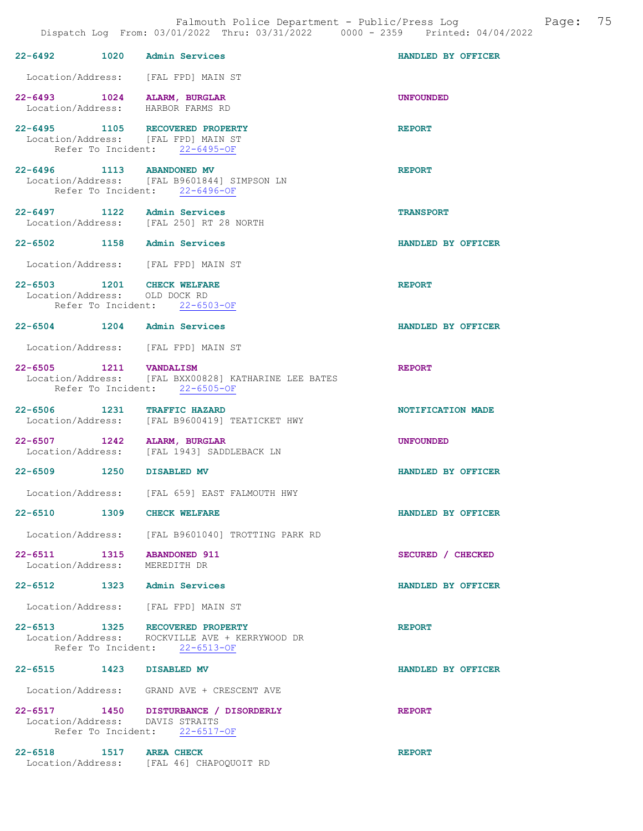|  |                                                                                                                    | Page:<br>Falmouth Police Department - Public/Press Log<br>Dispatch Log From: 03/01/2022 Thru: 03/31/2022 0000 - 2359 Printed: 04/04/2022 | 75 |
|--|--------------------------------------------------------------------------------------------------------------------|------------------------------------------------------------------------------------------------------------------------------------------|----|
|  | 22-6492 1020 Admin Services                                                                                        | HANDLED BY OFFICER                                                                                                                       |    |
|  | Location/Address: [FAL FPD] MAIN ST                                                                                |                                                                                                                                          |    |
|  | 22-6493 1024 ALARM, BURGLAR<br>Location/Address: HARBOR FARMS RD                                                   | <b>UNFOUNDED</b>                                                                                                                         |    |
|  | 22-6495 1105 RECOVERED PROPERTY<br>Location/Address: [FAL FPD] MAIN ST<br>Refer To Incident: 22-6495-OF            | <b>REPORT</b>                                                                                                                            |    |
|  | 22-6496 1113 ABANDONED MV<br>Location/Address: [FAL B9601844] SIMPSON LN<br>Refer To Incident: 22-6496-OF          | <b>REPORT</b>                                                                                                                            |    |
|  | 22-6497 1122 Admin Services<br>Location/Address: [FAL 250] RT 28 NORTH                                             | <b>TRANSPORT</b>                                                                                                                         |    |
|  | 22-6502 1158 Admin Services                                                                                        | HANDLED BY OFFICER                                                                                                                       |    |
|  | Location/Address: [FAL FPD] MAIN ST                                                                                |                                                                                                                                          |    |
|  | 22-6503 1201 CHECK WELFARE<br>Location/Address: OLD DOCK RD<br>Refer To Incident: 22-6503-OF                       | <b>REPORT</b>                                                                                                                            |    |
|  | 22-6504 1204 Admin Services                                                                                        | HANDLED BY OFFICER                                                                                                                       |    |
|  | Location/Address: [FAL FPD] MAIN ST                                                                                |                                                                                                                                          |    |
|  | 22-6505 1211    VANDALISM<br>Location/Address: [FAL BXX00828] KATHARINE LEE BATES<br>Refer To Incident: 22-6505-OF | <b>REPORT</b>                                                                                                                            |    |
|  | 22-6506 1231 TRAFFIC HAZARD<br>Location/Address: [FAL B9600419] TEATICKET HWY                                      | NOTIFICATION MADE                                                                                                                        |    |
|  | 22-6507 1242 ALARM, BURGLAR<br>Location/Address: [FAL 1943] SADDLEBACK LN                                          | <b>UNFOUNDED</b>                                                                                                                         |    |
|  | 22-6509 1250 DISABLED MV                                                                                           | HANDLED BY OFFICER                                                                                                                       |    |
|  | Location/Address: [FAL 659] EAST FALMOUTH HWY                                                                      |                                                                                                                                          |    |
|  | 22-6510 1309 CHECK WELFARE                                                                                         | HANDLED BY OFFICER                                                                                                                       |    |
|  | Location/Address: [FAL B9601040] TROTTING PARK RD                                                                  |                                                                                                                                          |    |
|  | 22-6511 1315 ABANDONED 911<br>Location/Address: MEREDITH DR                                                        | SECURED / CHECKED                                                                                                                        |    |
|  | 22-6512 1323 Admin Services                                                                                        | HANDLED BY OFFICER                                                                                                                       |    |
|  | Location/Address: [FAL FPD] MAIN ST                                                                                |                                                                                                                                          |    |
|  | 22-6513 1325 RECOVERED PROPERTY<br>Location/Address: ROCKVILLE AVE + KERRYWOOD DR<br>Refer To Incident: 22-6513-OF | <b>REPORT</b>                                                                                                                            |    |
|  | 22-6515 1423 DISABLED MV                                                                                           | HANDLED BY OFFICER                                                                                                                       |    |
|  | Location/Address: GRAND AVE + CRESCENT AVE                                                                         |                                                                                                                                          |    |
|  | 22-6517 1450 DISTURBANCE / DISORDERLY<br>Location/Address: DAVIS STRAITS<br>Refer To Incident: 22-6517-OF          | <b>REPORT</b>                                                                                                                            |    |
|  | 22-6518 1517 AREA CHECK<br>Location/Address: [FAL 46] CHAPOQUOIT RD                                                | <b>REPORT</b>                                                                                                                            |    |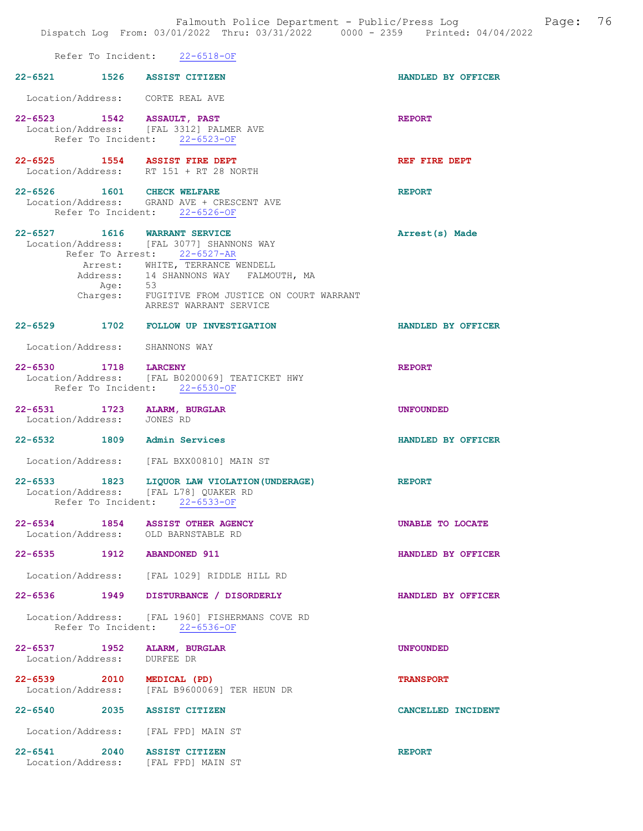|                                                                        |         | Refer To Incident: 22-6518-OF                                                                                                                                                                                                                                     |                    |
|------------------------------------------------------------------------|---------|-------------------------------------------------------------------------------------------------------------------------------------------------------------------------------------------------------------------------------------------------------------------|--------------------|
| 22-6521 1526 ASSIST CITIZEN                                            |         |                                                                                                                                                                                                                                                                   | HANDLED BY OFFICER |
| Location/Address: CORTE REAL AVE                                       |         |                                                                                                                                                                                                                                                                   |                    |
| 22-6523 1542 ASSAULT, PAST<br>Refer To Incident: 22-6523-OF            |         | Location/Address: [FAL 3312] PALMER AVE                                                                                                                                                                                                                           | <b>REPORT</b>      |
| 22-6525 1554 ASSIST FIRE DEPT                                          |         | Location/Address: RT 151 + RT 28 NORTH                                                                                                                                                                                                                            | REF FIRE DEPT      |
| 22-6526 1601 CHECK WELFARE<br>Refer To Incident: 22-6526-OF            |         | Location/Address: GRAND AVE + CRESCENT AVE                                                                                                                                                                                                                        | <b>REPORT</b>      |
|                                                                        | Age: 53 | 22-6527 1616 WARRANT SERVICE<br>Location/Address: [FAL 3077] SHANNONS WAY<br>Refer To Arrest: 22-6527-AR<br>Arrest: WHITE, TERRANCE WENDELL<br>Address: 14 SHANNONS WAY FALMOUTH, MA<br>Charges: FUGITIVE FROM JUSTICE ON COURT WARRANT<br>ARREST WARRANT SERVICE | Arrest(s) Made     |
|                                                                        |         | 22-6529 1702 FOLLOW UP INVESTIGATION                                                                                                                                                                                                                              | HANDLED BY OFFICER |
| Location/Address: SHANNONS WAY                                         |         |                                                                                                                                                                                                                                                                   |                    |
| 22-6530 1718 LARCENY<br>Refer To Incident: 22-6530-OF                  |         | Location/Address: [FAL B0200069] TEATICKET HWY                                                                                                                                                                                                                    | <b>REPORT</b>      |
| 22-6531 1723 ALARM, BURGLAR<br>Location/Address: JONES RD              |         |                                                                                                                                                                                                                                                                   | <b>UNFOUNDED</b>   |
| 22-6532 1809 Admin Services                                            |         |                                                                                                                                                                                                                                                                   | HANDLED BY OFFICER |
|                                                                        |         | Location/Address: [FAL BXX00810] MAIN ST                                                                                                                                                                                                                          |                    |
| Location/Address: [FAL L78] QUAKER RD<br>Refer To Incident: 22-6533-OF |         | 22-6533 1823 LIQUOR LAW VIOLATION (UNDERAGE)                                                                                                                                                                                                                      | <b>REPORT</b>      |
| $22 - 6534$<br>Location/Address: OLD BARNSTABLE RD                     |         | 1854 ASSIST OTHER AGENCY                                                                                                                                                                                                                                          | UNABLE TO LOCATE   |
| 22-6535 1912 ABANDONED 911                                             |         |                                                                                                                                                                                                                                                                   | HANDLED BY OFFICER |
|                                                                        |         | Location/Address: [FAL 1029] RIDDLE HILL RD                                                                                                                                                                                                                       |                    |
|                                                                        |         | 22-6536 1949 DISTURBANCE / DISORDERLY                                                                                                                                                                                                                             | HANDLED BY OFFICER |
|                                                                        |         | Location/Address: [FAL 1960] FISHERMANS COVE RD<br>Refer To Incident: 22-6536-OF                                                                                                                                                                                  |                    |
| 22-6537 1952 ALARM, BURGLAR<br>Location/Address: DURFEE DR             |         |                                                                                                                                                                                                                                                                   | <b>UNFOUNDED</b>   |
| 22-6539 2010 MEDICAL (PD)                                              |         | Location/Address: [FAL B9600069] TER HEUN DR                                                                                                                                                                                                                      | <b>TRANSPORT</b>   |
| 22-6540 2035 ASSIST CITIZEN                                            |         |                                                                                                                                                                                                                                                                   | CANCELLED INCIDENT |
| Location/Address: [FAL FPD] MAIN ST                                    |         |                                                                                                                                                                                                                                                                   |                    |
| 22-6541 2040 ASSIST CITIZEN<br>Location/Address: [FAL FPD] MAIN ST     |         |                                                                                                                                                                                                                                                                   | <b>REPORT</b>      |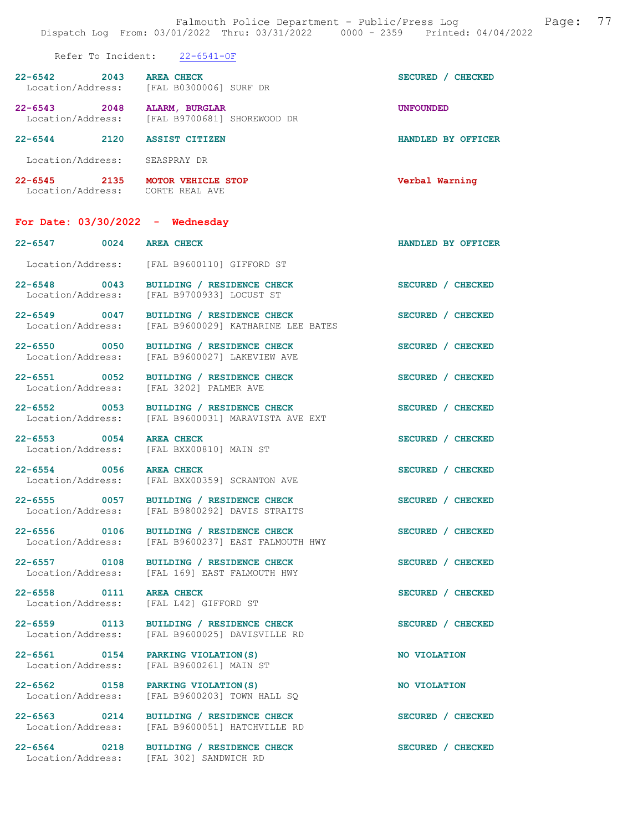## Refer To Incident: 22-6541-OF

| $22 - 6542$<br>Location/Address: | 2043 | <b>AREA CHECK</b><br>[FAL B0300006] SURF DR   | <b>CHECKED</b><br><b>SECURED</b> |
|----------------------------------|------|-----------------------------------------------|----------------------------------|
| $22 - 6543$<br>Location/Address: | 2048 | ALARM, BURGLAR<br>[FAL B9700681] SHOREWOOD DR | <b>UNFOUNDED</b>                 |
| $22 - 6544$                      | 2120 | <b>ASSIST CITIZEN</b>                         | HANDLED BY OFFICER               |
| Location/Address:                |      | SEASPRAY DR                                   |                                  |

22-6545 2135 MOTOR VEHICLE STOP Verbal Warning Location/Address: CORTE REAL AVE

## For Date: 03/30/2022 - Wednesday

22-6553 0054 AREA CHECK SECURED / CHECKED Location/Address: [FAL BXX00810] MAIN ST

22-6558 0111 AREA CHECK SECURED / CHECKED

 Location/Address: [FAL B9600110] GIFFORD ST 22-6548 0043 BUILDING / RESIDENCE CHECK SECURED / CHECKED Location/Address: [FAL B9700933] LOCUST ST 22-6549 0047 BUILDING / RESIDENCE CHECK SECURED / CHECKED Location/Address: [FAL B9600029] KATHARINE LEE BATES 22-6550 0050 BUILDING / RESIDENCE CHECK SECURED / CHECKED Location/Address: [FAL B9600027] LAKEVIEW AVE [FAL B9600027] LAKEVIEW AVE

22-6551 0052 BUILDING / RESIDENCE CHECK SECURED / CHECKED Location/Address: [FAL 3202] PALMER AVE [FAL 3202] PALMER AVE

22-6552 0053 BUILDING / RESIDENCE CHECK SECURED / CHECKED

Location/Address: [FAL B9600031] MARAVISTA AVE EXT

22-6554 0056 AREA CHECK SECURED / CHECKED<br>Location/Address: [FAL BXX00359] SCRANTON AVE [FAL BXX00359] SCRANTON AVE

22-6555 0057 BUILDING / RESIDENCE CHECK SECURED / CHECKED Location/Address: [FAL B9800292] DAVIS STRAITS

22-6556 0106 BUILDING / RESIDENCE CHECK SECURED / CHECKED Location/Address: [FAL B9600237] EAST FALMOUTH HWY

22-6557 0108 BUILDING / RESIDENCE CHECK SECURED / CHECKED Location/Address: [FAL 169] EAST FALMOUTH HWY

Location/Address: [FAL L42] GIFFORD ST

22-6559 0113 BUILDING / RESIDENCE CHECK SECURED / CHECKED Location/Address: [FAL B9600025] DAVISVILLE RD

22-6561 0154 PARKING VIOLATION(S) NO VIOLATION<br>
Location/Address: [FAL B9600261] MAIN ST [FAL B9600261] MAIN ST

22-6562 0158 PARKING VIOLATION(S) NO VIOLATION<br>
Location/Address: [FAL B9600203] TOWN HALL SQ Location/Address: [FAL B9600203] TOWN HALL SQ

22-6563 0214 BUILDING / RESIDENCE CHECK SECURED / CHECKED Location/Address: [FAL B9600051] HATCHVILLE RD

22-6564 0218 BUILDING / RESIDENCE CHECK SECURED / CHECKED Location/Address: [FAL 302] SANDWICH RD

22-6547 0024 AREA CHECK HANDLED BY OFFICER

- -
	-
	-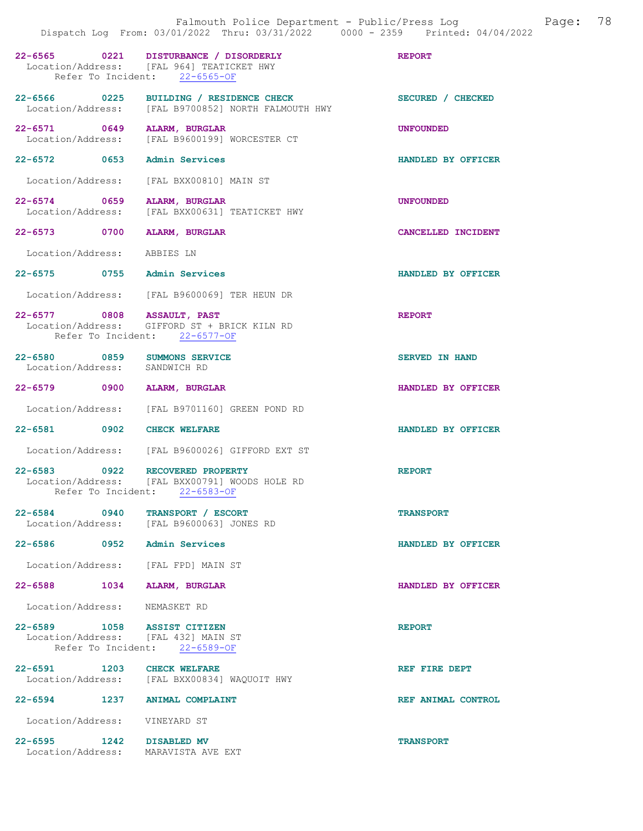|                               |                                                                                                                     | Dispatch Log From: 03/01/2022 Thru: 03/31/2022 0000 - 2359 Printed: 04/04/2022 |
|-------------------------------|---------------------------------------------------------------------------------------------------------------------|--------------------------------------------------------------------------------|
|                               | 22-6565 0221 DISTURBANCE / DISORDERLY<br>Location/Address: [FAL 964] TEATICKET HWY<br>Refer To Incident: 22-6565-OF | <b>REPORT</b>                                                                  |
|                               | 22-6566 0225 BUILDING / RESIDENCE CHECK<br>Location/Address: [FAL B9700852] NORTH FALMOUTH HWY                      | SECURED / CHECKED                                                              |
|                               | 22-6571 0649 ALARM, BURGLAR<br>Location/Address: [FAL B9600199] WORCESTER CT                                        | <b>UNFOUNDED</b>                                                               |
|                               | 22-6572 0653 Admin Services                                                                                         | HANDLED BY OFFICER                                                             |
|                               | Location/Address: [FAL BXX00810] MAIN ST                                                                            |                                                                                |
|                               | 22-6574 0659 ALARM, BURGLAR<br>Location/Address: [FAL BXX00631] TEATICKET HWY                                       | <b>UNFOUNDED</b>                                                               |
|                               | 22-6573 0700 ALARM, BURGLAR                                                                                         | CANCELLED INCIDENT                                                             |
| Location/Address: ABBIES LN   |                                                                                                                     |                                                                                |
|                               | 22-6575 0755 Admin Services                                                                                         | HANDLED BY OFFICER                                                             |
|                               | Location/Address: [FAL B9600069] TER HEUN DR                                                                        |                                                                                |
|                               | 22-6577 0808 ASSAULT, PAST<br>Location/Address: GIFFORD ST + BRICK KILN RD<br>Refer To Incident: 22-6577-OF         | <b>REPORT</b>                                                                  |
| Location/Address: SANDWICH RD | 22-6580 0859 SUMMONS SERVICE                                                                                        | SERVED IN HAND                                                                 |
|                               | 22-6579 0900 ALARM, BURGLAR                                                                                         | HANDLED BY OFFICER                                                             |
|                               | Location/Address: [FAL B9701160] GREEN POND RD                                                                      |                                                                                |
|                               | 22-6581 0902 CHECK WELFARE                                                                                          | HANDLED BY OFFICER                                                             |
|                               | Location/Address: [FAL B9600026] GIFFORD EXT ST                                                                     |                                                                                |
|                               | 22-6583 0922 RECOVERED PROPERTY<br>Location/Address: [FAL BXX00791] WOODS HOLE RD<br>Refer To Incident: 22-6583-OF  | <b>REPORT</b>                                                                  |
|                               | 22-6584 0940 TRANSPORT / ESCORT<br>Location/Address: [FAL B9600063] JONES RD                                        | <b>TRANSPORT</b>                                                               |
|                               | 22-6586 0952 Admin Services                                                                                         | HANDLED BY OFFICER                                                             |
|                               | Location/Address: [FAL FPD] MAIN ST                                                                                 |                                                                                |
|                               | 22-6588 1034 ALARM, BURGLAR                                                                                         | HANDLED BY OFFICER                                                             |
| Location/Address: NEMASKET RD |                                                                                                                     |                                                                                |
|                               | 22-6589 1058 ASSIST CITIZEN<br>Location/Address: [FAL 432] MAIN ST<br>Refer To Incident: 22-6589-OF                 | <b>REPORT</b>                                                                  |
|                               | 22-6591 1203 CHECK WELFARE<br>Location/Address: [FAL BXX00834] WAQUOIT HWY                                          | REF FIRE DEPT                                                                  |
|                               | 22-6594 1237 ANIMAL COMPLAINT                                                                                       | REF ANIMAL CONTROL                                                             |
| Location/Address: VINEYARD ST |                                                                                                                     |                                                                                |
| 22-6595 1242 DISABLED MV      | Location/Address: MARAVISTA AVE EXT                                                                                 | <b>TRANSPORT</b>                                                               |

Falmouth Police Department - Public/Press Log and Page: 78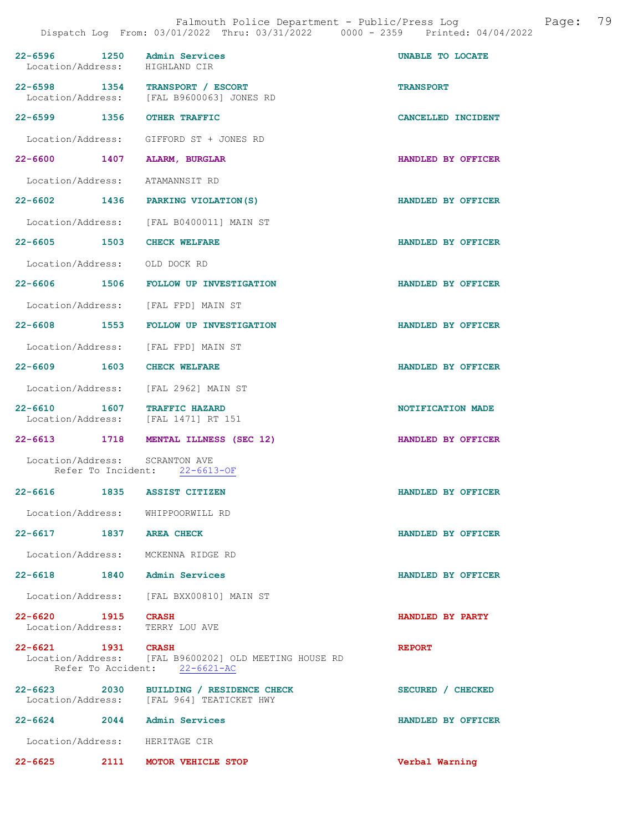| 22-6596 1250 Admin Services<br>Location/Address: HIGHLAND CIR      |                                                                                        | UNABLE TO LOCATE   |
|--------------------------------------------------------------------|----------------------------------------------------------------------------------------|--------------------|
| 22-6598 1354 TRANSPORT / ESCORT                                    | Location/Address: [FAL B9600063] JONES RD                                              | <b>TRANSPORT</b>   |
| 22-6599 1356 OTHER TRAFFIC                                         |                                                                                        | CANCELLED INCIDENT |
|                                                                    | Location/Address: GIFFORD ST + JONES RD                                                |                    |
| 22-6600 1407 ALARM, BURGLAR                                        |                                                                                        | HANDLED BY OFFICER |
| Location/Address: ATAMANNSIT RD                                    |                                                                                        |                    |
|                                                                    | 22-6602 1436 PARKING VIOLATION (S)                                                     | HANDLED BY OFFICER |
|                                                                    | Location/Address: [FAL B0400011] MAIN ST                                               |                    |
| 22-6605 1503 CHECK WELFARE                                         |                                                                                        | HANDLED BY OFFICER |
| Location/Address: OLD DOCK RD                                      |                                                                                        |                    |
|                                                                    | 22-6606 1506 FOLLOW UP INVESTIGATION                                                   | HANDLED BY OFFICER |
| Location/Address: [FAL FPD] MAIN ST                                |                                                                                        |                    |
|                                                                    | 22-6608 1553 FOLLOW UP INVESTIGATION                                                   | HANDLED BY OFFICER |
| Location/Address: [FAL FPD] MAIN ST                                |                                                                                        |                    |
| 22-6609 1603 CHECK WELFARE                                         |                                                                                        | HANDLED BY OFFICER |
| Location/Address: [FAL 2962] MAIN ST                               |                                                                                        |                    |
| 22-6610 1607 TRAFFIC HAZARD<br>Location/Address: [FAL 1471] RT 151 |                                                                                        | NOTIFICATION MADE  |
|                                                                    | 22-6613 1718 MENTAL ILLNESS (SEC 12)                                                   | HANDLED BY OFFICER |
| Location/Address: SCRANTON AVE                                     | Refer To Incident: 22-6613-OF                                                          |                    |
| 22-6616 1835 ASSIST CITIZEN                                        |                                                                                        | HANDLED BY OFFICER |
| Location/Address: WHIPPOORWILL RD                                  |                                                                                        |                    |
| 22-6617 1837 AREA CHECK                                            |                                                                                        | HANDLED BY OFFICER |
| Location/Address: MCKENNA RIDGE RD                                 |                                                                                        |                    |
| 22-6618 1840 Admin Services                                        |                                                                                        | HANDLED BY OFFICER |
|                                                                    | Location/Address: [FAL BXX00810] MAIN ST                                               |                    |
| 22-6620 1915 CRASH<br>Location/Address: TERRY LOU AVE              |                                                                                        | HANDLED BY PARTY   |
| 22-6621 1931 CRASH                                                 | Location/Address: [FAL B9600202] OLD MEETING HOUSE RD<br>Refer To Accident: 22-6621-AC | <b>REPORT</b>      |
|                                                                    | 22-6623 2030 BUILDING / RESIDENCE CHECK<br>Location/Address: [FAL 964] TEATICKET HWY   | SECURED / CHECKED  |
| $22 - 6624$                                                        | 2044 Admin Services                                                                    | HANDLED BY OFFICER |
| Location/Address: HERITAGE CIR                                     |                                                                                        |                    |
| 22-6625                                                            | 2111 MOTOR VEHICLE STOP                                                                | Verbal Warning     |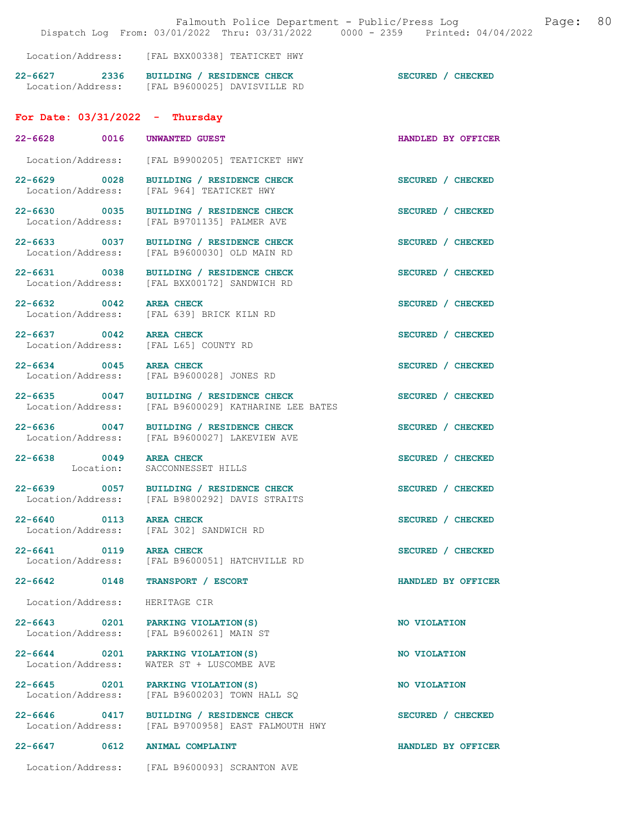|                                       |      | Falmouth Police Department - Public/Press Log<br>Dispatch Log From: 03/01/2022 Thru: 03/31/2022 0000 - 2359 Printed: 04/04/2022 |                    | Page: | 80 |
|---------------------------------------|------|---------------------------------------------------------------------------------------------------------------------------------|--------------------|-------|----|
|                                       |      | Location/Address: [FAL BXX00338] TEATICKET HWY                                                                                  |                    |       |    |
|                                       |      | 22-6627 2336 BUILDING / RESIDENCE CHECK<br>Location/Address: [FAL B9600025] DAVISVILLE RD                                       | SECURED / CHECKED  |       |    |
| For Date: $03/31/2022 - Thursday$     |      |                                                                                                                                 |                    |       |    |
| 22-6628 0016                          |      | <b>UNWANTED GUEST</b>                                                                                                           | HANDLED BY OFFICER |       |    |
|                                       |      | Location/Address: [FAL B9900205] TEATICKET HWY                                                                                  |                    |       |    |
| 22-6629 0028<br>Location/Address:     |      | BUILDING / RESIDENCE CHECK<br>[FAL 964] TEATICKET HWY                                                                           | SECURED / CHECKED  |       |    |
|                                       |      | 22-6630 0035 BUILDING / RESIDENCE CHECK<br>Location/Address: [FAL B9701135] PALMER AVE                                          | SECURED / CHECKED  |       |    |
|                                       |      | 22-6633 0037 BUILDING / RESIDENCE CHECK<br>Location/Address: [FAL B9600030] OLD MAIN RD                                         | SECURED / CHECKED  |       |    |
|                                       |      | 22-6631 0038 BUILDING / RESIDENCE CHECK<br>Location/Address: [FAL BXX00172] SANDWICH RD                                         | SECURED / CHECKED  |       |    |
| 22-6632 0042 AREA CHECK               |      | Location/Address: [FAL 639] BRICK KILN RD                                                                                       | SECURED / CHECKED  |       |    |
| 22-6637 0042                          |      | <b>AREA CHECK</b><br>Location/Address: [FAL L65] COUNTY RD                                                                      | SECURED / CHECKED  |       |    |
| 22-6634 0045<br>Location/Address:     |      | <b>AREA CHECK</b><br>[FAL B9600028] JONES RD                                                                                    | SECURED / CHECKED  |       |    |
| 22-6635 0047<br>Location/Address:     |      | BUILDING / RESIDENCE CHECK<br>[FAL B9600029] KATHARINE LEE BATES                                                                | SECURED / CHECKED  |       |    |
|                                       |      | 22-6636 0047 BUILDING / RESIDENCE CHECK<br>Location/Address: [FAL B9600027] LAKEVIEW AVE                                        | SECURED / CHECKED  |       |    |
| $22 - 6638$                           |      | 0049 AREA CHECK<br>Location: SACCONNESSET HILLS                                                                                 | SECURED / CHECKED  |       |    |
| 22-6639 0057<br>Location/Address:     |      | BUILDING / RESIDENCE CHECK<br>[FAL B9800292] DAVIS STRAITS                                                                      | SECURED / CHECKED  |       |    |
| 22-6640 0113 AREA CHECK               |      | Location/Address: [FAL 302] SANDWICH RD                                                                                         | SECURED / CHECKED  |       |    |
| 22-6641 0119                          |      | <b>AREA CHECK</b><br>Location/Address: [FAL B9600051] HATCHVILLE RD                                                             | SECURED / CHECKED  |       |    |
| $22 - 6642$ 0148                      |      | TRANSPORT / ESCORT                                                                                                              | HANDLED BY OFFICER |       |    |
| Location/Address:                     |      | HERITAGE CIR                                                                                                                    |                    |       |    |
| 22-6643 0201<br>Location/Address:     |      | PARKING VIOLATION (S)<br>[FAL B9600261] MAIN ST                                                                                 | NO VIOLATION       |       |    |
| 22-6644 0201<br>Location/Address:     |      | PARKING VIOLATION (S)<br>WATER ST + LUSCOMBE AVE                                                                                | NO VIOLATION       |       |    |
| 22-6645 0201<br>Location/Address:     |      | PARKING VIOLATION (S)<br>[FAL B9600203] TOWN HALL SQ                                                                            | NO VIOLATION       |       |    |
| $22 - 6646$ 0417<br>Location/Address: |      | BUILDING / RESIDENCE CHECK<br>[FAL B9700958] EAST FALMOUTH HWY                                                                  | SECURED / CHECKED  |       |    |
| $22 - 6647$                           | 0612 | <b>ANIMAL COMPLAINT</b>                                                                                                         | HANDLED BY OFFICER |       |    |
|                                       |      | Location/Address: [FAL B9600093] SCRANTON AVE                                                                                   |                    |       |    |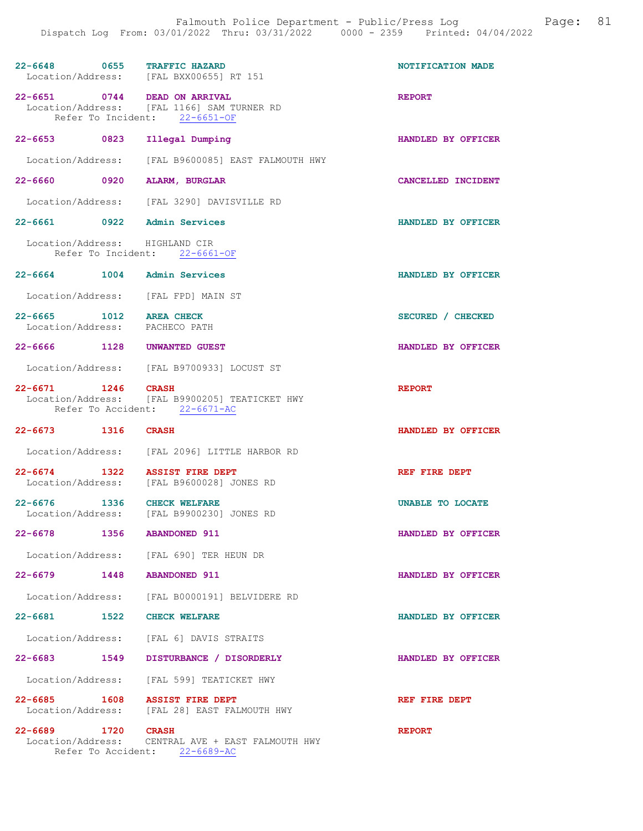|                                                    | 22-6648 0655 TRAFFIC HAZARD<br>Location/Address: [FAL BXX00655] RT 151                 | NOTIFICATION MADE  |
|----------------------------------------------------|----------------------------------------------------------------------------------------|--------------------|
|                                                    |                                                                                        |                    |
| 22-6651<br>Refer To Incident:                      | 0744 DEAD ON ARRIVAL<br>Location/Address: [FAL 1166] SAM TURNER RD<br>$22 - 6651 - OF$ | <b>REPORT</b>      |
| 22-6653 0823                                       | Illegal Dumping                                                                        | HANDLED BY OFFICER |
| Location/Address:                                  | [FAL B9600085] EAST FALMOUTH HWY                                                       |                    |
| 22-6660 0920                                       | <b>ALARM, BURGLAR</b>                                                                  | CANCELLED INCIDENT |
|                                                    | Location/Address: [FAL 3290] DAVISVILLE RD                                             |                    |
| 22-6661 0922 Admin Services                        |                                                                                        | HANDLED BY OFFICER |
| Location/Address: HIGHLAND CIR                     | Refer To Incident: 22-6661-OF                                                          |                    |
| 22-6664 1004 Admin Services                        |                                                                                        | HANDLED BY OFFICER |
|                                                    | Location/Address: [FAL FPD] MAIN ST                                                    |                    |
| $22 - 6665$ 1012<br>Location/Address: PACHECO PATH | <b>AREA CHECK</b>                                                                      | SECURED / CHECKED  |
| $22 - 6666$                                        | 1128 UNWANTED GUEST                                                                    | HANDLED BY OFFICER |
|                                                    | Location/Address: [FAL B9700933] LOCUST ST                                             |                    |
| 22-6671 1246 CRASH                                 | Location/Address: [FAL B9900205] TEATICKET HWY<br>Refer To Accident: 22-6671-AC        | <b>REPORT</b>      |
| 22-6673 1316 CRASH                                 |                                                                                        | HANDLED BY OFFICER |
|                                                    | Location/Address: [FAL 2096] LITTLE HARBOR RD                                          |                    |
| 22-6674                                            | 1322 ASSIST FIRE DEPT<br>Location/Address: [FAL B9600028] JONES RD                     | REF FIRE DEPT      |
| 1336<br>$22 - 6676$<br>Location/Address:           | <b>CHECK WELFARE</b><br>[FAL B9900230] JONES RD                                        | UNABLE TO LOCATE   |
| $22 - 6678$                                        | 1356 ABANDONED 911                                                                     | HANDLED BY OFFICER |
|                                                    | Location/Address: [FAL 690] TER HEUN DR                                                |                    |
| 22-6679 1448 ABANDONED 911                         |                                                                                        | HANDLED BY OFFICER |
|                                                    | Location/Address: [FAL B0000191] BELVIDERE RD                                          |                    |
| 22-6681 1522 CHECK WELFARE                         |                                                                                        | HANDLED BY OFFICER |
|                                                    | Location/Address: [FAL 6] DAVIS STRAITS                                                |                    |
|                                                    | 22-6683 1549 DISTURBANCE / DISORDERLY                                                  | HANDLED BY OFFICER |
|                                                    | Location/Address: [FAL 599] TEATICKET HWY                                              |                    |
| 22-6685 1608 ASSIST FIRE DEPT                      | Location/Address: [FAL 28] EAST FALMOUTH HWY                                           | REF FIRE DEPT      |
| 22-6689 1720 CRASH                                 | Location/Address: CENTRAL AVE + EAST FALMOUTH HWY<br>Refer To Accident: 22-6689-AC     | <b>REPORT</b>      |